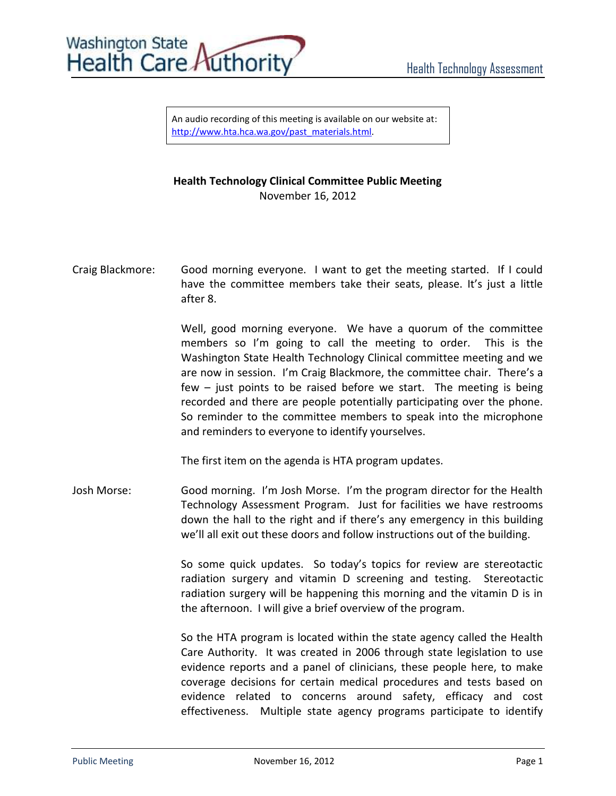

An audio recording of this meeting is available on our website at: [http://www.hta.hca.wa.gov/past\\_materials.html.](http://www.hta.hca.wa.gov/past_materials.html)

## **Health Technology Clinical Committee Public Meeting** November 16, 2012

Craig Blackmore: Good morning everyone. I want to get the meeting started. If I could have the committee members take their seats, please. It's just a little after 8.

> Well, good morning everyone. We have a quorum of the committee members so I'm going to call the meeting to order. This is the Washington State Health Technology Clinical committee meeting and we are now in session. I'm Craig Blackmore, the committee chair. There's a few – just points to be raised before we start. The meeting is being recorded and there are people potentially participating over the phone. So reminder to the committee members to speak into the microphone and reminders to everyone to identify yourselves.

The first item on the agenda is HTA program updates.

Josh Morse: Good morning. I'm Josh Morse. I'm the program director for the Health Technology Assessment Program. Just for facilities we have restrooms down the hall to the right and if there's any emergency in this building we'll all exit out these doors and follow instructions out of the building.

> So some quick updates. So today's topics for review are stereotactic radiation surgery and vitamin D screening and testing. Stereotactic radiation surgery will be happening this morning and the vitamin D is in the afternoon. I will give a brief overview of the program.

> So the HTA program is located within the state agency called the Health Care Authority. It was created in 2006 through state legislation to use evidence reports and a panel of clinicians, these people here, to make coverage decisions for certain medical procedures and tests based on evidence related to concerns around safety, efficacy and cost effectiveness. Multiple state agency programs participate to identify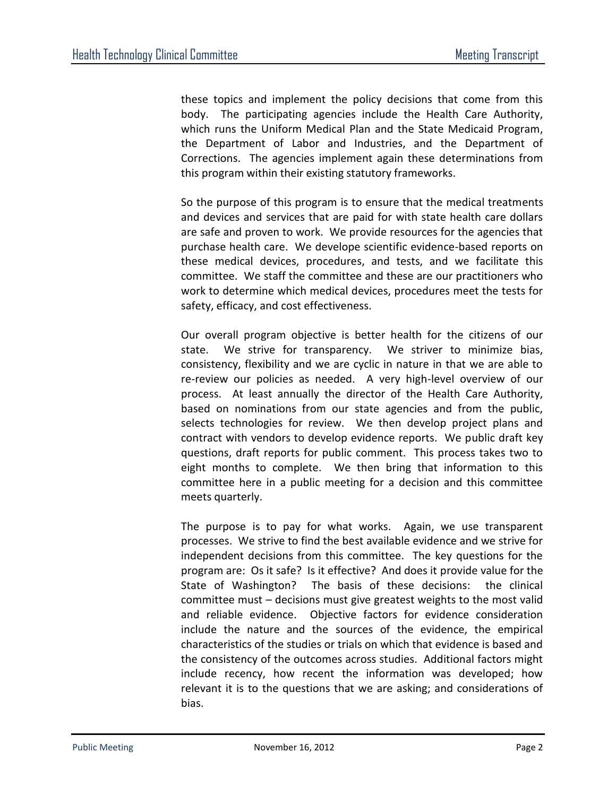these topics and implement the policy decisions that come from this body. The participating agencies include the Health Care Authority, which runs the Uniform Medical Plan and the State Medicaid Program, the Department of Labor and Industries, and the Department of Corrections. The agencies implement again these determinations from this program within their existing statutory frameworks.

So the purpose of this program is to ensure that the medical treatments and devices and services that are paid for with state health care dollars are safe and proven to work. We provide resources for the agencies that purchase health care. We develope scientific evidence-based reports on these medical devices, procedures, and tests, and we facilitate this committee. We staff the committee and these are our practitioners who work to determine which medical devices, procedures meet the tests for safety, efficacy, and cost effectiveness.

Our overall program objective is better health for the citizens of our state. We strive for transparency. We striver to minimize bias, consistency, flexibility and we are cyclic in nature in that we are able to re-review our policies as needed. A very high-level overview of our process. At least annually the director of the Health Care Authority, based on nominations from our state agencies and from the public, selects technologies for review. We then develop project plans and contract with vendors to develop evidence reports. We public draft key questions, draft reports for public comment. This process takes two to eight months to complete. We then bring that information to this committee here in a public meeting for a decision and this committee meets quarterly.

The purpose is to pay for what works. Again, we use transparent processes. We strive to find the best available evidence and we strive for independent decisions from this committee. The key questions for the program are: Os it safe? Is it effective? And does it provide value for the State of Washington? The basis of these decisions: the clinical committee must – decisions must give greatest weights to the most valid and reliable evidence. Objective factors for evidence consideration include the nature and the sources of the evidence, the empirical characteristics of the studies or trials on which that evidence is based and the consistency of the outcomes across studies. Additional factors might include recency, how recent the information was developed; how relevant it is to the questions that we are asking; and considerations of bias.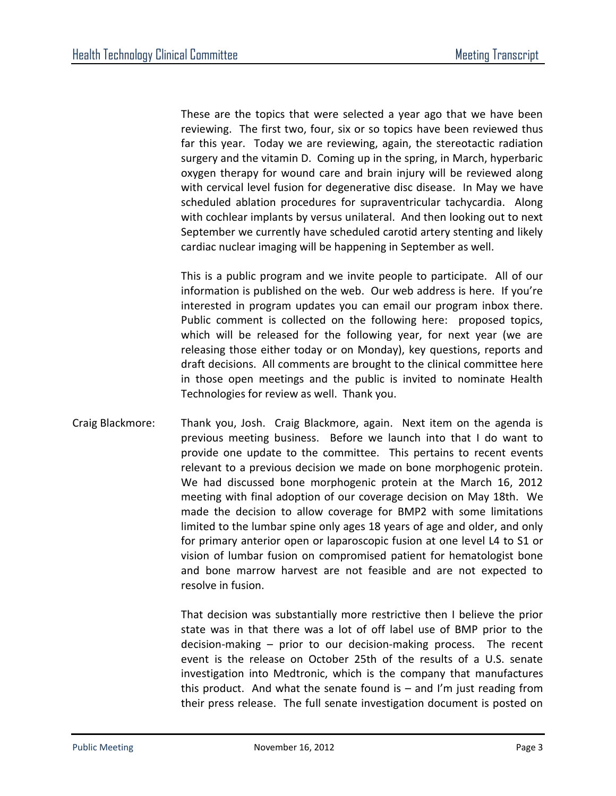These are the topics that were selected a year ago that we have been reviewing. The first two, four, six or so topics have been reviewed thus far this year. Today we are reviewing, again, the stereotactic radiation surgery and the vitamin D. Coming up in the spring, in March, hyperbaric oxygen therapy for wound care and brain injury will be reviewed along with cervical level fusion for degenerative disc disease. In May we have scheduled ablation procedures for supraventricular tachycardia. Along with cochlear implants by versus unilateral. And then looking out to next September we currently have scheduled carotid artery stenting and likely cardiac nuclear imaging will be happening in September as well.

This is a public program and we invite people to participate. All of our information is published on the web. Our web address is here. If you're interested in program updates you can email our program inbox there. Public comment is collected on the following here: proposed topics, which will be released for the following year, for next year (we are releasing those either today or on Monday), key questions, reports and draft decisions. All comments are brought to the clinical committee here in those open meetings and the public is invited to nominate Health Technologies for review as well. Thank you.

Craig Blackmore: Thank you, Josh. Craig Blackmore, again. Next item on the agenda is previous meeting business. Before we launch into that I do want to provide one update to the committee. This pertains to recent events relevant to a previous decision we made on bone morphogenic protein. We had discussed bone morphogenic protein at the March 16, 2012 meeting with final adoption of our coverage decision on May 18th. We made the decision to allow coverage for BMP2 with some limitations limited to the lumbar spine only ages 18 years of age and older, and only for primary anterior open or laparoscopic fusion at one level L4 to S1 or vision of lumbar fusion on compromised patient for hematologist bone and bone marrow harvest are not feasible and are not expected to resolve in fusion.

> That decision was substantially more restrictive then I believe the prior state was in that there was a lot of off label use of BMP prior to the decision-making – prior to our decision-making process. The recent event is the release on October 25th of the results of a U.S. senate investigation into Medtronic, which is the company that manufactures this product. And what the senate found is  $-$  and I'm just reading from their press release. The full senate investigation document is posted on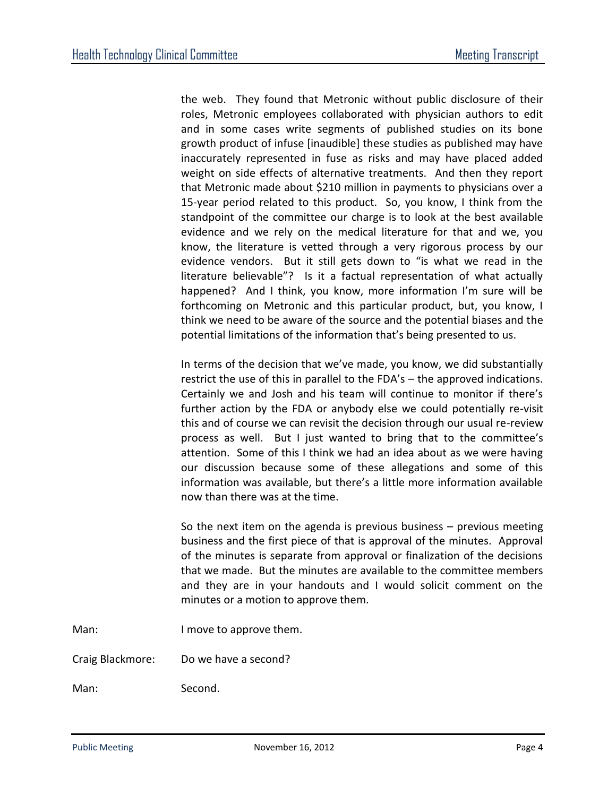the web. They found that Metronic without public disclosure of their roles, Metronic employees collaborated with physician authors to edit and in some cases write segments of published studies on its bone growth product of infuse [inaudible] these studies as published may have inaccurately represented in fuse as risks and may have placed added weight on side effects of alternative treatments. And then they report that Metronic made about \$210 million in payments to physicians over a 15-year period related to this product. So, you know, I think from the standpoint of the committee our charge is to look at the best available evidence and we rely on the medical literature for that and we, you know, the literature is vetted through a very rigorous process by our evidence vendors. But it still gets down to "is what we read in the literature believable"? Is it a factual representation of what actually happened? And I think, you know, more information I'm sure will be forthcoming on Metronic and this particular product, but, you know, I think we need to be aware of the source and the potential biases and the potential limitations of the information that's being presented to us.

In terms of the decision that we've made, you know, we did substantially restrict the use of this in parallel to the FDA's – the approved indications. Certainly we and Josh and his team will continue to monitor if there's further action by the FDA or anybody else we could potentially re-visit this and of course we can revisit the decision through our usual re-review process as well. But I just wanted to bring that to the committee's attention. Some of this I think we had an idea about as we were having our discussion because some of these allegations and some of this information was available, but there's a little more information available now than there was at the time.

So the next item on the agenda is previous business – previous meeting business and the first piece of that is approval of the minutes. Approval of the minutes is separate from approval or finalization of the decisions that we made. But the minutes are available to the committee members and they are in your handouts and I would solicit comment on the minutes or a motion to approve them.

Man: I move to approve them.

Craig Blackmore: Do we have a second?

Man: Second.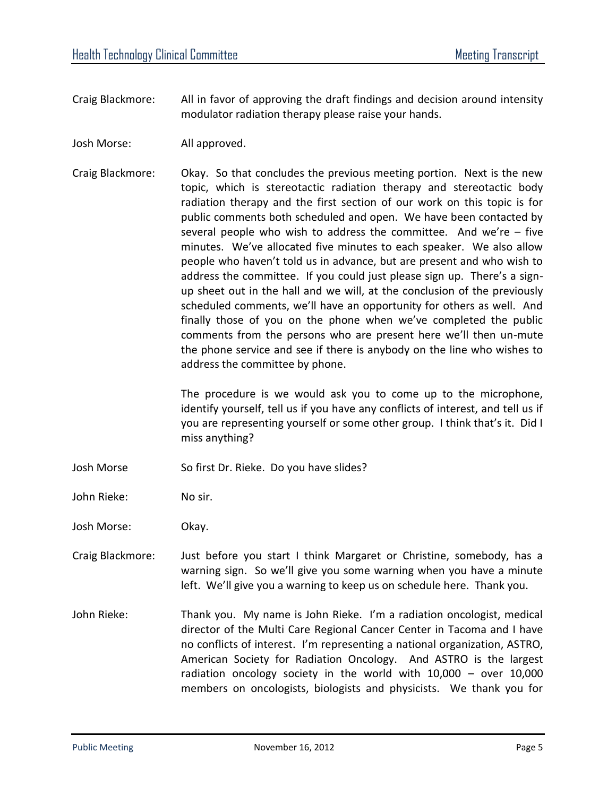- Craig Blackmore: All in favor of approving the draft findings and decision around intensity modulator radiation therapy please raise your hands.
- Josh Morse: All approved.
- Craig Blackmore: Okay. So that concludes the previous meeting portion. Next is the new topic, which is stereotactic radiation therapy and stereotactic body radiation therapy and the first section of our work on this topic is for public comments both scheduled and open. We have been contacted by several people who wish to address the committee. And we're – five minutes. We've allocated five minutes to each speaker. We also allow people who haven't told us in advance, but are present and who wish to address the committee. If you could just please sign up. There's a signup sheet out in the hall and we will, at the conclusion of the previously scheduled comments, we'll have an opportunity for others as well. And finally those of you on the phone when we've completed the public comments from the persons who are present here we'll then un-mute the phone service and see if there is anybody on the line who wishes to address the committee by phone.

The procedure is we would ask you to come up to the microphone, identify yourself, tell us if you have any conflicts of interest, and tell us if you are representing yourself or some other group. I think that's it. Did I miss anything?

- Josh Morse So first Dr. Rieke. Do you have slides?
- John Rieke: No sir.

Josh Morse: Okay.

- Craig Blackmore: Just before you start I think Margaret or Christine, somebody, has a warning sign. So we'll give you some warning when you have a minute left. We'll give you a warning to keep us on schedule here. Thank you.
- John Rieke: Thank you. My name is John Rieke. I'm a radiation oncologist, medical director of the Multi Care Regional Cancer Center in Tacoma and I have no conflicts of interest. I'm representing a national organization, ASTRO, American Society for Radiation Oncology. And ASTRO is the largest radiation oncology society in the world with 10,000 – over 10,000 members on oncologists, biologists and physicists. We thank you for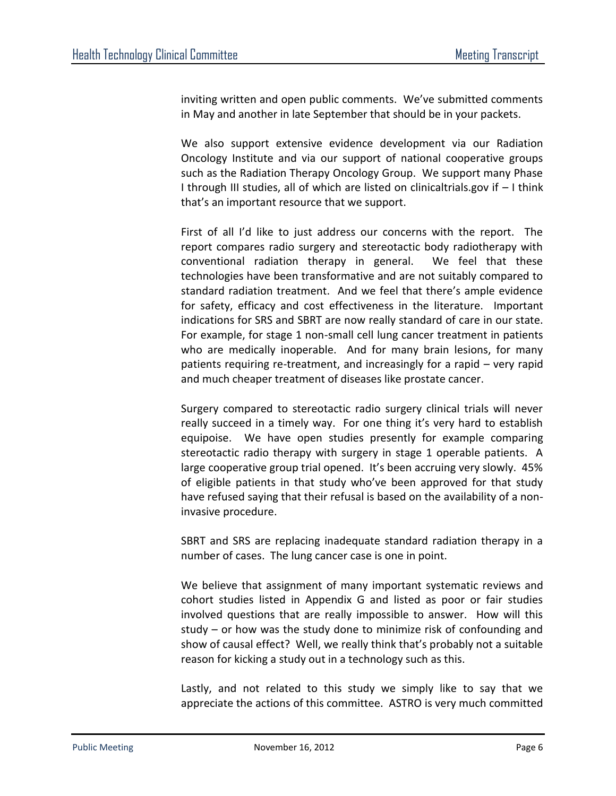inviting written and open public comments. We've submitted comments in May and another in late September that should be in your packets.

We also support extensive evidence development via our Radiation Oncology Institute and via our support of national cooperative groups such as the Radiation Therapy Oncology Group. We support many Phase I through III studies, all of which are listed on clinicaltrials.gov if – I think that's an important resource that we support.

First of all I'd like to just address our concerns with the report. The report compares radio surgery and stereotactic body radiotherapy with conventional radiation therapy in general. We feel that these technologies have been transformative and are not suitably compared to standard radiation treatment. And we feel that there's ample evidence for safety, efficacy and cost effectiveness in the literature. Important indications for SRS and SBRT are now really standard of care in our state. For example, for stage 1 non-small cell lung cancer treatment in patients who are medically inoperable. And for many brain lesions, for many patients requiring re-treatment, and increasingly for a rapid – very rapid and much cheaper treatment of diseases like prostate cancer.

Surgery compared to stereotactic radio surgery clinical trials will never really succeed in a timely way. For one thing it's very hard to establish equipoise. We have open studies presently for example comparing stereotactic radio therapy with surgery in stage 1 operable patients. A large cooperative group trial opened. It's been accruing very slowly. 45% of eligible patients in that study who've been approved for that study have refused saying that their refusal is based on the availability of a noninvasive procedure.

SBRT and SRS are replacing inadequate standard radiation therapy in a number of cases. The lung cancer case is one in point.

We believe that assignment of many important systematic reviews and cohort studies listed in Appendix G and listed as poor or fair studies involved questions that are really impossible to answer. How will this study – or how was the study done to minimize risk of confounding and show of causal effect? Well, we really think that's probably not a suitable reason for kicking a study out in a technology such as this.

Lastly, and not related to this study we simply like to say that we appreciate the actions of this committee. ASTRO is very much committed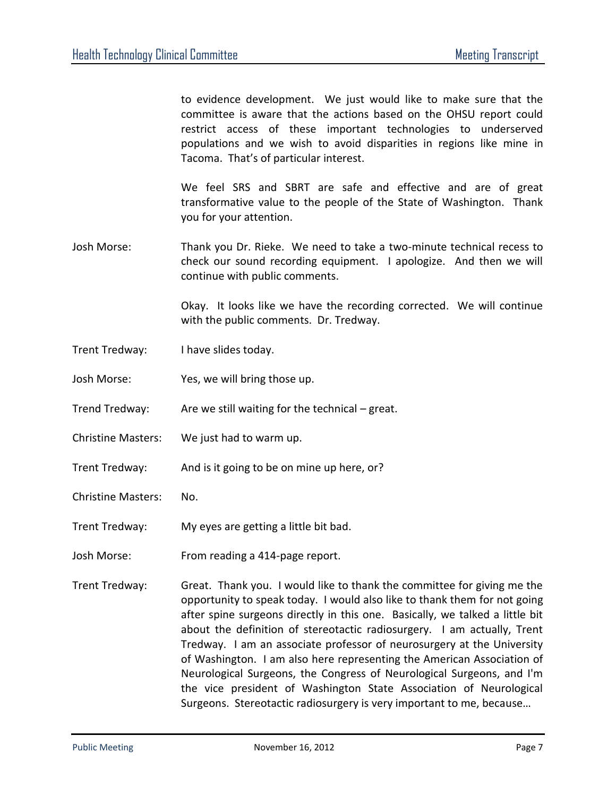to evidence development. We just would like to make sure that the committee is aware that the actions based on the OHSU report could restrict access of these important technologies to underserved populations and we wish to avoid disparities in regions like mine in Tacoma. That's of particular interest.

We feel SRS and SBRT are safe and effective and are of great transformative value to the people of the State of Washington. Thank you for your attention.

Josh Morse: Thank you Dr. Rieke. We need to take a two-minute technical recess to check our sound recording equipment. I apologize. And then we will continue with public comments.

> Okay. It looks like we have the recording corrected. We will continue with the public comments. Dr. Tredway.

- Trent Tredway: I have slides today.
- Josh Morse: Yes, we will bring those up.
- Trend Tredway: Are we still waiting for the technical great.
- Christine Masters: We just had to warm up.
- Trent Tredway: And is it going to be on mine up here, or?
- Christine Masters: No.
- Trent Tredway: My eyes are getting a little bit bad.
- Josh Morse: From reading a 414-page report.
- Trent Tredway: Great. Thank you. I would like to thank the committee for giving me the opportunity to speak today. I would also like to thank them for not going after spine surgeons directly in this one. Basically, we talked a little bit about the definition of stereotactic radiosurgery. I am actually, Trent Tredway. I am an associate professor of neurosurgery at the University of Washington. I am also here representing the American Association of Neurological Surgeons, the Congress of Neurological Surgeons, and I'm the vice president of Washington State Association of Neurological Surgeons. Stereotactic radiosurgery is very important to me, because…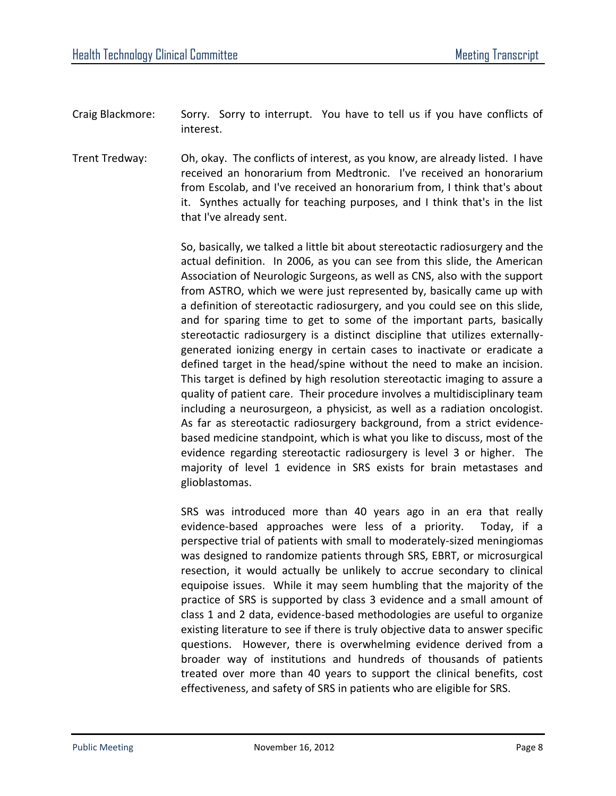- Craig Blackmore: Sorry. Sorry to interrupt. You have to tell us if you have conflicts of interest.
- Trent Tredway: Oh, okay. The conflicts of interest, as you know, are already listed. I have received an honorarium from Medtronic. I've received an honorarium from Escolab, and I've received an honorarium from, I think that's about it. Synthes actually for teaching purposes, and I think that's in the list that I've already sent.

So, basically, we talked a little bit about stereotactic radiosurgery and the actual definition. In 2006, as you can see from this slide, the American Association of Neurologic Surgeons, as well as CNS, also with the support from ASTRO, which we were just represented by, basically came up with a definition of stereotactic radiosurgery, and you could see on this slide, and for sparing time to get to some of the important parts, basically stereotactic radiosurgery is a distinct discipline that utilizes externallygenerated ionizing energy in certain cases to inactivate or eradicate a defined target in the head/spine without the need to make an incision. This target is defined by high resolution stereotactic imaging to assure a quality of patient care. Their procedure involves a multidisciplinary team including a neurosurgeon, a physicist, as well as a radiation oncologist. As far as stereotactic radiosurgery background, from a strict evidencebased medicine standpoint, which is what you like to discuss, most of the evidence regarding stereotactic radiosurgery is level 3 or higher. The majority of level 1 evidence in SRS exists for brain metastases and glioblastomas.

SRS was introduced more than 40 years ago in an era that really evidence-based approaches were less of a priority. Today, if a perspective trial of patients with small to moderately-sized meningiomas was designed to randomize patients through SRS, EBRT, or microsurgical resection, it would actually be unlikely to accrue secondary to clinical equipoise issues. While it may seem humbling that the majority of the practice of SRS is supported by class 3 evidence and a small amount of class 1 and 2 data, evidence-based methodologies are useful to organize existing literature to see if there is truly objective data to answer specific questions. However, there is overwhelming evidence derived from a broader way of institutions and hundreds of thousands of patients treated over more than 40 years to support the clinical benefits, cost effectiveness, and safety of SRS in patients who are eligible for SRS.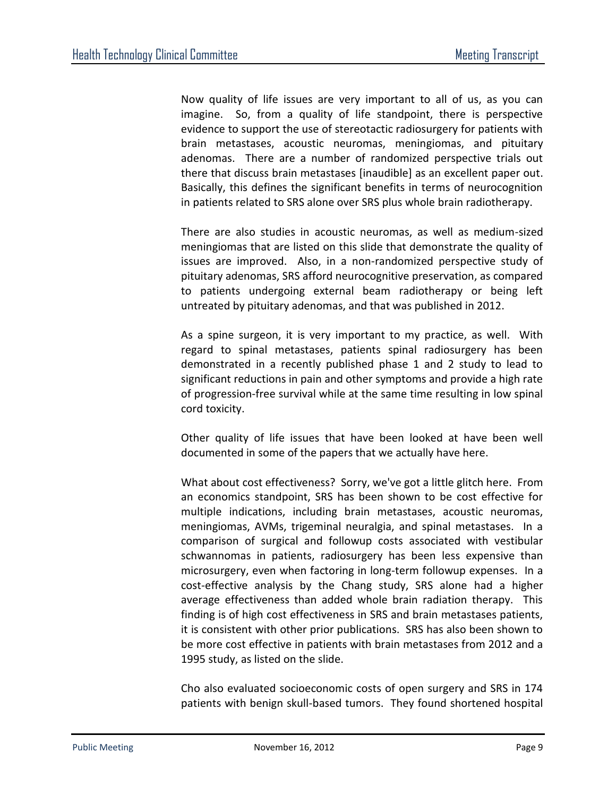Now quality of life issues are very important to all of us, as you can imagine. So, from a quality of life standpoint, there is perspective evidence to support the use of stereotactic radiosurgery for patients with brain metastases, acoustic neuromas, meningiomas, and pituitary adenomas. There are a number of randomized perspective trials out there that discuss brain metastases [inaudible] as an excellent paper out. Basically, this defines the significant benefits in terms of neurocognition in patients related to SRS alone over SRS plus whole brain radiotherapy.

There are also studies in acoustic neuromas, as well as medium-sized meningiomas that are listed on this slide that demonstrate the quality of issues are improved. Also, in a non-randomized perspective study of pituitary adenomas, SRS afford neurocognitive preservation, as compared to patients undergoing external beam radiotherapy or being left untreated by pituitary adenomas, and that was published in 2012.

As a spine surgeon, it is very important to my practice, as well. With regard to spinal metastases, patients spinal radiosurgery has been demonstrated in a recently published phase 1 and 2 study to lead to significant reductions in pain and other symptoms and provide a high rate of progression-free survival while at the same time resulting in low spinal cord toxicity.

Other quality of life issues that have been looked at have been well documented in some of the papers that we actually have here.

What about cost effectiveness? Sorry, we've got a little glitch here. From an economics standpoint, SRS has been shown to be cost effective for multiple indications, including brain metastases, acoustic neuromas, meningiomas, AVMs, trigeminal neuralgia, and spinal metastases. In a comparison of surgical and followup costs associated with vestibular schwannomas in patients, radiosurgery has been less expensive than microsurgery, even when factoring in long-term followup expenses. In a cost-effective analysis by the Chang study, SRS alone had a higher average effectiveness than added whole brain radiation therapy. This finding is of high cost effectiveness in SRS and brain metastases patients, it is consistent with other prior publications. SRS has also been shown to be more cost effective in patients with brain metastases from 2012 and a 1995 study, as listed on the slide.

Cho also evaluated socioeconomic costs of open surgery and SRS in 174 patients with benign skull-based tumors. They found shortened hospital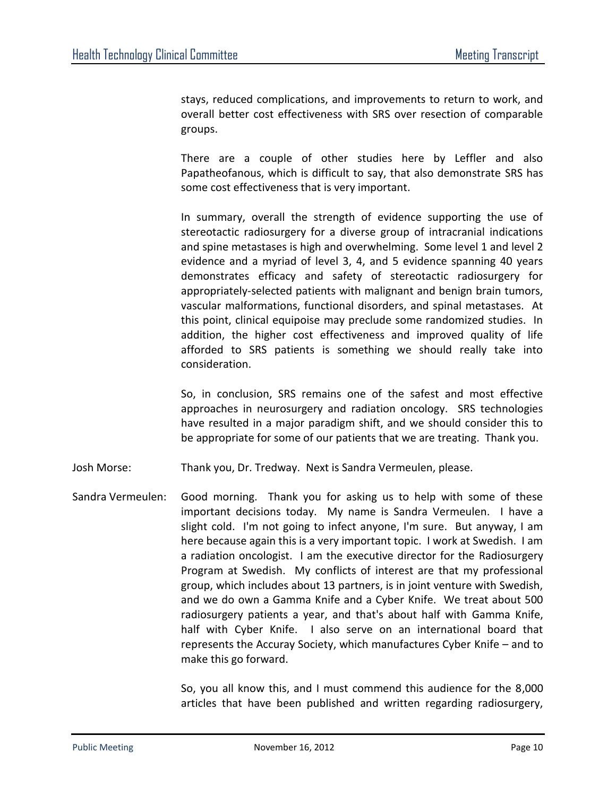stays, reduced complications, and improvements to return to work, and overall better cost effectiveness with SRS over resection of comparable groups.

There are a couple of other studies here by Leffler and also Papatheofanous, which is difficult to say, that also demonstrate SRS has some cost effectiveness that is very important.

In summary, overall the strength of evidence supporting the use of stereotactic radiosurgery for a diverse group of intracranial indications and spine metastases is high and overwhelming. Some level 1 and level 2 evidence and a myriad of level 3, 4, and 5 evidence spanning 40 years demonstrates efficacy and safety of stereotactic radiosurgery for appropriately-selected patients with malignant and benign brain tumors, vascular malformations, functional disorders, and spinal metastases. At this point, clinical equipoise may preclude some randomized studies. In addition, the higher cost effectiveness and improved quality of life afforded to SRS patients is something we should really take into consideration.

So, in conclusion, SRS remains one of the safest and most effective approaches in neurosurgery and radiation oncology. SRS technologies have resulted in a major paradigm shift, and we should consider this to be appropriate for some of our patients that we are treating. Thank you.

Josh Morse: Thank you, Dr. Tredway. Next is Sandra Vermeulen, please.

Sandra Vermeulen: Good morning. Thank you for asking us to help with some of these important decisions today. My name is Sandra Vermeulen. I have a slight cold. I'm not going to infect anyone, I'm sure. But anyway, I am here because again this is a very important topic. I work at Swedish. I am a radiation oncologist. I am the executive director for the Radiosurgery Program at Swedish. My conflicts of interest are that my professional group, which includes about 13 partners, is in joint venture with Swedish, and we do own a Gamma Knife and a Cyber Knife. We treat about 500 radiosurgery patients a year, and that's about half with Gamma Knife, half with Cyber Knife. I also serve on an international board that represents the Accuray Society, which manufactures Cyber Knife – and to make this go forward.

> So, you all know this, and I must commend this audience for the 8,000 articles that have been published and written regarding radiosurgery,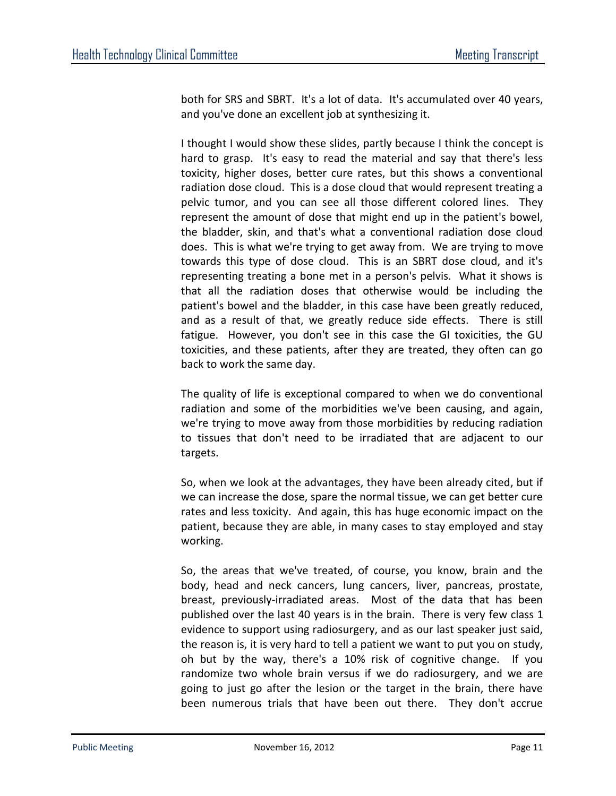both for SRS and SBRT. It's a lot of data. It's accumulated over 40 years, and you've done an excellent job at synthesizing it.

I thought I would show these slides, partly because I think the concept is hard to grasp. It's easy to read the material and say that there's less toxicity, higher doses, better cure rates, but this shows a conventional radiation dose cloud. This is a dose cloud that would represent treating a pelvic tumor, and you can see all those different colored lines. They represent the amount of dose that might end up in the patient's bowel, the bladder, skin, and that's what a conventional radiation dose cloud does. This is what we're trying to get away from. We are trying to move towards this type of dose cloud. This is an SBRT dose cloud, and it's representing treating a bone met in a person's pelvis. What it shows is that all the radiation doses that otherwise would be including the patient's bowel and the bladder, in this case have been greatly reduced, and as a result of that, we greatly reduce side effects. There is still fatigue. However, you don't see in this case the GI toxicities, the GU toxicities, and these patients, after they are treated, they often can go back to work the same day.

The quality of life is exceptional compared to when we do conventional radiation and some of the morbidities we've been causing, and again, we're trying to move away from those morbidities by reducing radiation to tissues that don't need to be irradiated that are adjacent to our targets.

So, when we look at the advantages, they have been already cited, but if we can increase the dose, spare the normal tissue, we can get better cure rates and less toxicity. And again, this has huge economic impact on the patient, because they are able, in many cases to stay employed and stay working.

So, the areas that we've treated, of course, you know, brain and the body, head and neck cancers, lung cancers, liver, pancreas, prostate, breast, previously-irradiated areas. Most of the data that has been published over the last 40 years is in the brain. There is very few class 1 evidence to support using radiosurgery, and as our last speaker just said, the reason is, it is very hard to tell a patient we want to put you on study, oh but by the way, there's a 10% risk of cognitive change. If you randomize two whole brain versus if we do radiosurgery, and we are going to just go after the lesion or the target in the brain, there have been numerous trials that have been out there. They don't accrue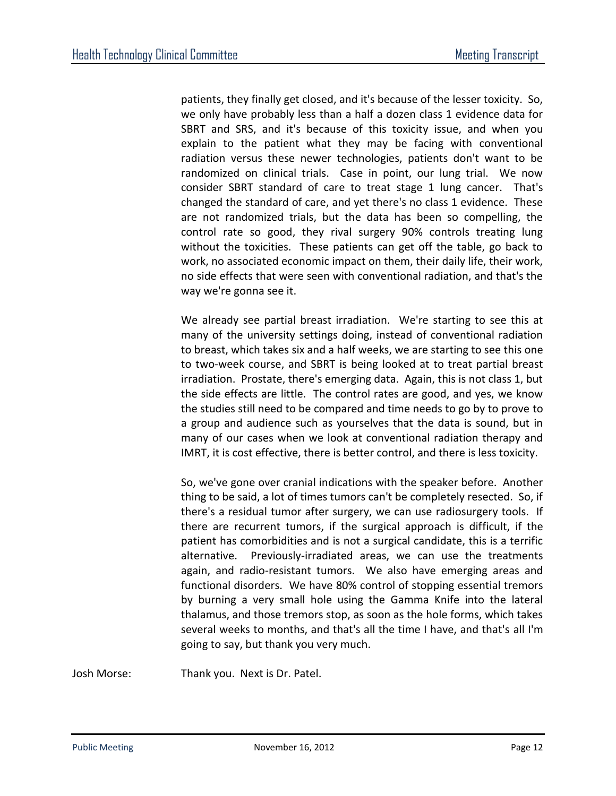patients, they finally get closed, and it's because of the lesser toxicity. So, we only have probably less than a half a dozen class 1 evidence data for SBRT and SRS, and it's because of this toxicity issue, and when you explain to the patient what they may be facing with conventional radiation versus these newer technologies, patients don't want to be randomized on clinical trials. Case in point, our lung trial. We now consider SBRT standard of care to treat stage 1 lung cancer. That's changed the standard of care, and yet there's no class 1 evidence. These are not randomized trials, but the data has been so compelling, the control rate so good, they rival surgery 90% controls treating lung without the toxicities. These patients can get off the table, go back to work, no associated economic impact on them, their daily life, their work, no side effects that were seen with conventional radiation, and that's the way we're gonna see it.

We already see partial breast irradiation. We're starting to see this at many of the university settings doing, instead of conventional radiation to breast, which takes six and a half weeks, we are starting to see this one to two-week course, and SBRT is being looked at to treat partial breast irradiation. Prostate, there's emerging data. Again, this is not class 1, but the side effects are little. The control rates are good, and yes, we know the studies still need to be compared and time needs to go by to prove to a group and audience such as yourselves that the data is sound, but in many of our cases when we look at conventional radiation therapy and IMRT, it is cost effective, there is better control, and there is less toxicity.

So, we've gone over cranial indications with the speaker before. Another thing to be said, a lot of times tumors can't be completely resected. So, if there's a residual tumor after surgery, we can use radiosurgery tools. If there are recurrent tumors, if the surgical approach is difficult, if the patient has comorbidities and is not a surgical candidate, this is a terrific alternative. Previously-irradiated areas, we can use the treatments again, and radio-resistant tumors. We also have emerging areas and functional disorders. We have 80% control of stopping essential tremors by burning a very small hole using the Gamma Knife into the lateral thalamus, and those tremors stop, as soon as the hole forms, which takes several weeks to months, and that's all the time I have, and that's all I'm going to say, but thank you very much.

Josh Morse: Thank you. Next is Dr. Patel.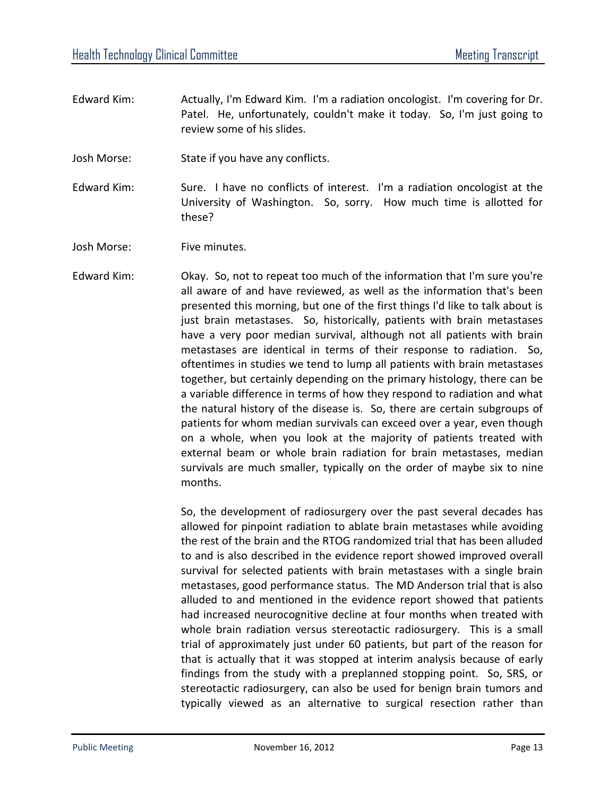- Edward Kim: Actually, I'm Edward Kim. I'm a radiation oncologist. I'm covering for Dr. Patel. He, unfortunately, couldn't make it today. So, I'm just going to review some of his slides.
- Josh Morse: State if you have any conflicts.
- Edward Kim: Sure. I have no conflicts of interest. I'm a radiation oncologist at the University of Washington. So, sorry. How much time is allotted for these?

Josh Morse: Five minutes.

Edward Kim: Okay. So, not to repeat too much of the information that I'm sure you're all aware of and have reviewed, as well as the information that's been presented this morning, but one of the first things I'd like to talk about is just brain metastases. So, historically, patients with brain metastases have a very poor median survival, although not all patients with brain metastases are identical in terms of their response to radiation. So, oftentimes in studies we tend to lump all patients with brain metastases together, but certainly depending on the primary histology, there can be a variable difference in terms of how they respond to radiation and what the natural history of the disease is. So, there are certain subgroups of patients for whom median survivals can exceed over a year, even though on a whole, when you look at the majority of patients treated with external beam or whole brain radiation for brain metastases, median survivals are much smaller, typically on the order of maybe six to nine months.

> So, the development of radiosurgery over the past several decades has allowed for pinpoint radiation to ablate brain metastases while avoiding the rest of the brain and the RTOG randomized trial that has been alluded to and is also described in the evidence report showed improved overall survival for selected patients with brain metastases with a single brain metastases, good performance status. The MD Anderson trial that is also alluded to and mentioned in the evidence report showed that patients had increased neurocognitive decline at four months when treated with whole brain radiation versus stereotactic radiosurgery. This is a small trial of approximately just under 60 patients, but part of the reason for that is actually that it was stopped at interim analysis because of early findings from the study with a preplanned stopping point. So, SRS, or stereotactic radiosurgery, can also be used for benign brain tumors and typically viewed as an alternative to surgical resection rather than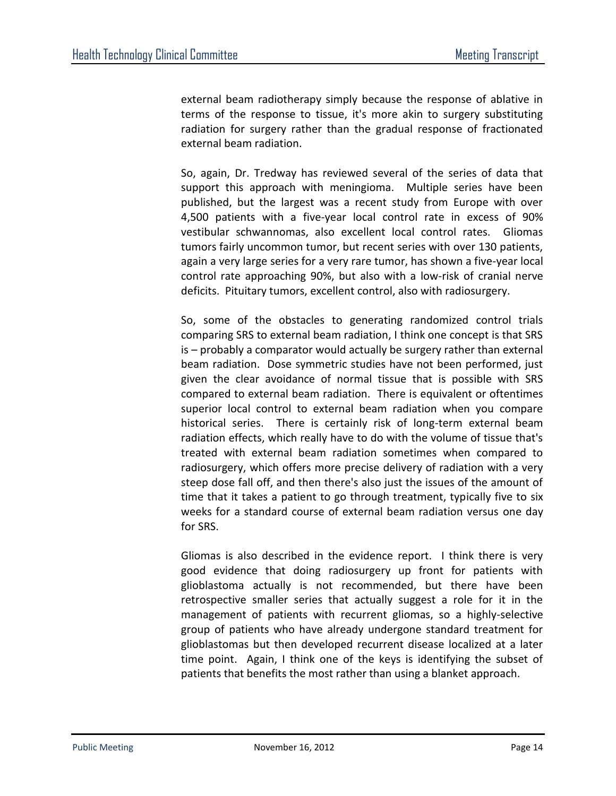external beam radiotherapy simply because the response of ablative in terms of the response to tissue, it's more akin to surgery substituting radiation for surgery rather than the gradual response of fractionated external beam radiation.

So, again, Dr. Tredway has reviewed several of the series of data that support this approach with meningioma. Multiple series have been published, but the largest was a recent study from Europe with over 4,500 patients with a five-year local control rate in excess of 90% vestibular schwannomas, also excellent local control rates. Gliomas tumors fairly uncommon tumor, but recent series with over 130 patients, again a very large series for a very rare tumor, has shown a five-year local control rate approaching 90%, but also with a low-risk of cranial nerve deficits. Pituitary tumors, excellent control, also with radiosurgery.

So, some of the obstacles to generating randomized control trials comparing SRS to external beam radiation, I think one concept is that SRS is – probably a comparator would actually be surgery rather than external beam radiation. Dose symmetric studies have not been performed, just given the clear avoidance of normal tissue that is possible with SRS compared to external beam radiation. There is equivalent or oftentimes superior local control to external beam radiation when you compare historical series. There is certainly risk of long-term external beam radiation effects, which really have to do with the volume of tissue that's treated with external beam radiation sometimes when compared to radiosurgery, which offers more precise delivery of radiation with a very steep dose fall off, and then there's also just the issues of the amount of time that it takes a patient to go through treatment, typically five to six weeks for a standard course of external beam radiation versus one day for SRS.

Gliomas is also described in the evidence report. I think there is very good evidence that doing radiosurgery up front for patients with glioblastoma actually is not recommended, but there have been retrospective smaller series that actually suggest a role for it in the management of patients with recurrent gliomas, so a highly-selective group of patients who have already undergone standard treatment for glioblastomas but then developed recurrent disease localized at a later time point. Again, I think one of the keys is identifying the subset of patients that benefits the most rather than using a blanket approach.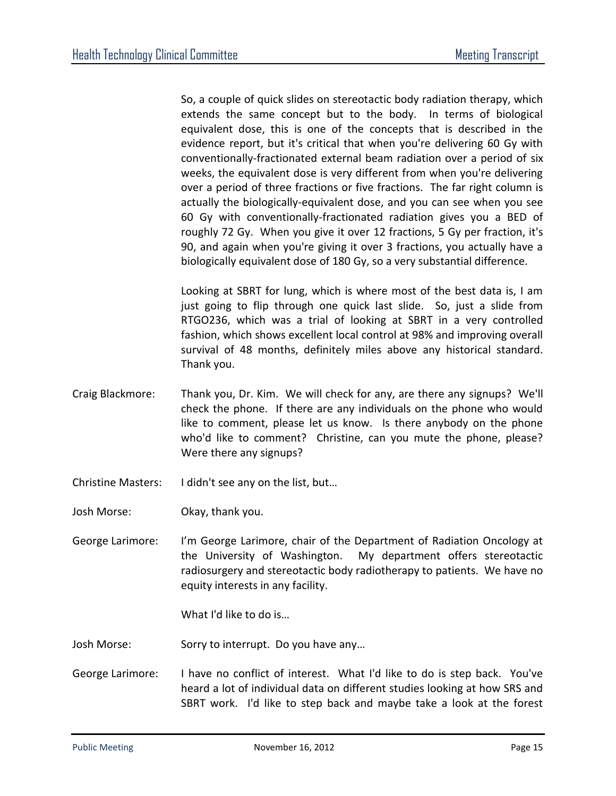So, a couple of quick slides on stereotactic body radiation therapy, which extends the same concept but to the body. In terms of biological equivalent dose, this is one of the concepts that is described in the evidence report, but it's critical that when you're delivering 60 Gy with conventionally-fractionated external beam radiation over a period of six weeks, the equivalent dose is very different from when you're delivering over a period of three fractions or five fractions. The far right column is actually the biologically-equivalent dose, and you can see when you see 60 Gy with conventionally-fractionated radiation gives you a BED of roughly 72 Gy. When you give it over 12 fractions, 5 Gy per fraction, it's 90, and again when you're giving it over 3 fractions, you actually have a biologically equivalent dose of 180 Gy, so a very substantial difference.

Looking at SBRT for lung, which is where most of the best data is, I am just going to flip through one quick last slide. So, just a slide from RTGO236, which was a trial of looking at SBRT in a very controlled fashion, which shows excellent local control at 98% and improving overall survival of 48 months, definitely miles above any historical standard. Thank you.

- Craig Blackmore: Thank you, Dr. Kim. We will check for any, are there any signups? We'll check the phone. If there are any individuals on the phone who would like to comment, please let us know. Is there anybody on the phone who'd like to comment? Christine, can you mute the phone, please? Were there any signups?
- Christine Masters: I didn't see any on the list, but…
- Josh Morse: Okay, thank you.
- George Larimore: I'm George Larimore, chair of the Department of Radiation Oncology at the University of Washington. My department offers stereotactic radiosurgery and stereotactic body radiotherapy to patients. We have no equity interests in any facility.

What I'd like to do is…

- Josh Morse: Sorry to interrupt. Do you have any…
- George Larimore: I have no conflict of interest. What I'd like to do is step back. You've heard a lot of individual data on different studies looking at how SRS and SBRT work. I'd like to step back and maybe take a look at the forest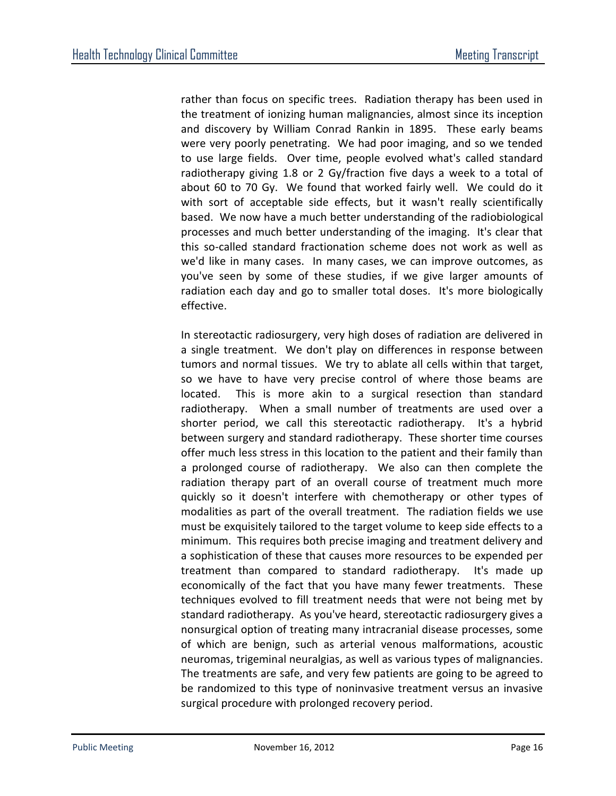rather than focus on specific trees. Radiation therapy has been used in the treatment of ionizing human malignancies, almost since its inception and discovery by William Conrad Rankin in 1895. These early beams were very poorly penetrating. We had poor imaging, and so we tended to use large fields. Over time, people evolved what's called standard radiotherapy giving 1.8 or 2 Gy/fraction five days a week to a total of about 60 to 70 Gy. We found that worked fairly well. We could do it with sort of acceptable side effects, but it wasn't really scientifically based. We now have a much better understanding of the radiobiological processes and much better understanding of the imaging. It's clear that this so-called standard fractionation scheme does not work as well as we'd like in many cases. In many cases, we can improve outcomes, as you've seen by some of these studies, if we give larger amounts of radiation each day and go to smaller total doses. It's more biologically effective.

In stereotactic radiosurgery, very high doses of radiation are delivered in a single treatment. We don't play on differences in response between tumors and normal tissues. We try to ablate all cells within that target, so we have to have very precise control of where those beams are located. This is more akin to a surgical resection than standard radiotherapy. When a small number of treatments are used over a shorter period, we call this stereotactic radiotherapy. It's a hybrid between surgery and standard radiotherapy. These shorter time courses offer much less stress in this location to the patient and their family than a prolonged course of radiotherapy. We also can then complete the radiation therapy part of an overall course of treatment much more quickly so it doesn't interfere with chemotherapy or other types of modalities as part of the overall treatment. The radiation fields we use must be exquisitely tailored to the target volume to keep side effects to a minimum. This requires both precise imaging and treatment delivery and a sophistication of these that causes more resources to be expended per treatment than compared to standard radiotherapy. It's made up economically of the fact that you have many fewer treatments. These techniques evolved to fill treatment needs that were not being met by standard radiotherapy. As you've heard, stereotactic radiosurgery gives a nonsurgical option of treating many intracranial disease processes, some of which are benign, such as arterial venous malformations, acoustic neuromas, trigeminal neuralgias, as well as various types of malignancies. The treatments are safe, and very few patients are going to be agreed to be randomized to this type of noninvasive treatment versus an invasive surgical procedure with prolonged recovery period.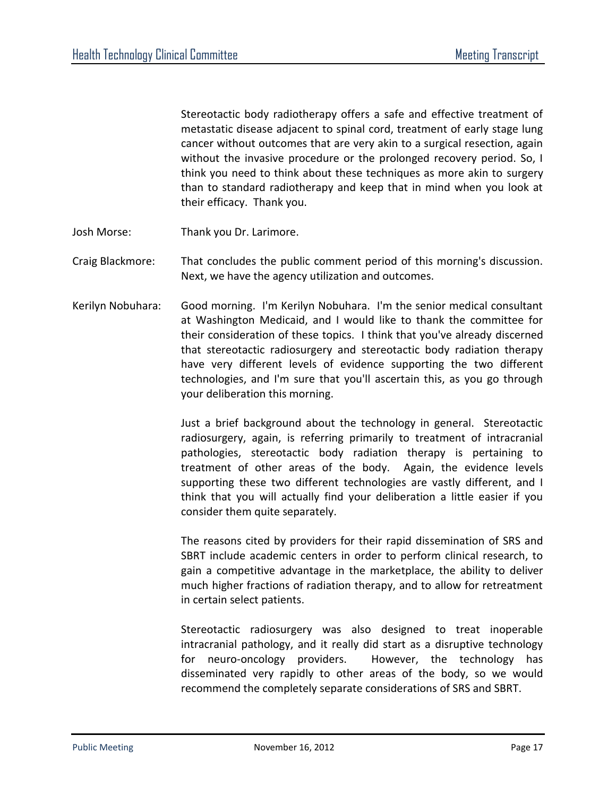Stereotactic body radiotherapy offers a safe and effective treatment of metastatic disease adjacent to spinal cord, treatment of early stage lung cancer without outcomes that are very akin to a surgical resection, again without the invasive procedure or the prolonged recovery period. So, I think you need to think about these techniques as more akin to surgery than to standard radiotherapy and keep that in mind when you look at their efficacy. Thank you.

- Josh Morse: Thank you Dr. Larimore.
- Craig Blackmore: That concludes the public comment period of this morning's discussion. Next, we have the agency utilization and outcomes.
- Kerilyn Nobuhara: Good morning. I'm Kerilyn Nobuhara. I'm the senior medical consultant at Washington Medicaid, and I would like to thank the committee for their consideration of these topics. I think that you've already discerned that stereotactic radiosurgery and stereotactic body radiation therapy have very different levels of evidence supporting the two different technologies, and I'm sure that you'll ascertain this, as you go through your deliberation this morning.

Just a brief background about the technology in general. Stereotactic radiosurgery, again, is referring primarily to treatment of intracranial pathologies, stereotactic body radiation therapy is pertaining to treatment of other areas of the body. Again, the evidence levels supporting these two different technologies are vastly different, and I think that you will actually find your deliberation a little easier if you consider them quite separately.

The reasons cited by providers for their rapid dissemination of SRS and SBRT include academic centers in order to perform clinical research, to gain a competitive advantage in the marketplace, the ability to deliver much higher fractions of radiation therapy, and to allow for retreatment in certain select patients.

Stereotactic radiosurgery was also designed to treat inoperable intracranial pathology, and it really did start as a disruptive technology for neuro-oncology providers. However, the technology has disseminated very rapidly to other areas of the body, so we would recommend the completely separate considerations of SRS and SBRT.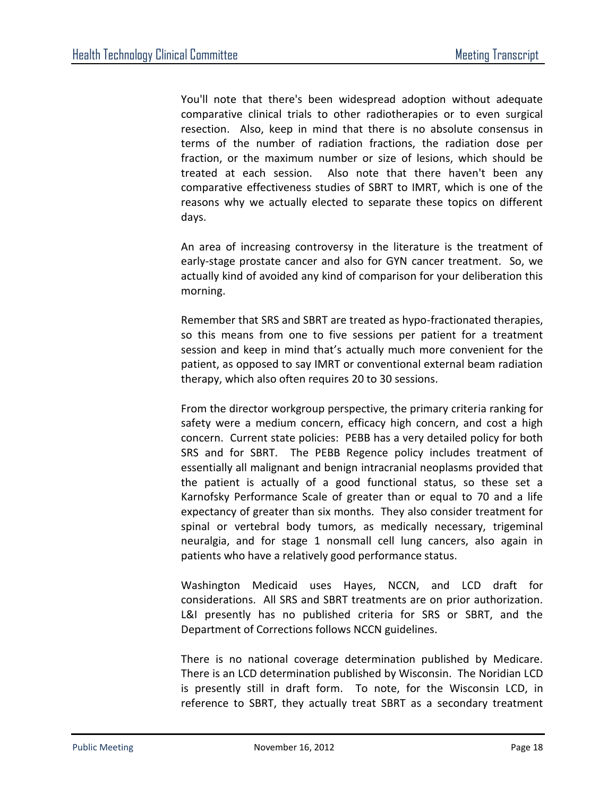You'll note that there's been widespread adoption without adequate comparative clinical trials to other radiotherapies or to even surgical resection. Also, keep in mind that there is no absolute consensus in terms of the number of radiation fractions, the radiation dose per fraction, or the maximum number or size of lesions, which should be treated at each session. Also note that there haven't been any comparative effectiveness studies of SBRT to IMRT, which is one of the reasons why we actually elected to separate these topics on different days.

An area of increasing controversy in the literature is the treatment of early-stage prostate cancer and also for GYN cancer treatment. So, we actually kind of avoided any kind of comparison for your deliberation this morning.

Remember that SRS and SBRT are treated as hypo-fractionated therapies, so this means from one to five sessions per patient for a treatment session and keep in mind that's actually much more convenient for the patient, as opposed to say IMRT or conventional external beam radiation therapy, which also often requires 20 to 30 sessions.

From the director workgroup perspective, the primary criteria ranking for safety were a medium concern, efficacy high concern, and cost a high concern. Current state policies: PEBB has a very detailed policy for both SRS and for SBRT. The PEBB Regence policy includes treatment of essentially all malignant and benign intracranial neoplasms provided that the patient is actually of a good functional status, so these set a Karnofsky Performance Scale of greater than or equal to 70 and a life expectancy of greater than six months. They also consider treatment for spinal or vertebral body tumors, as medically necessary, trigeminal neuralgia, and for stage 1 nonsmall cell lung cancers, also again in patients who have a relatively good performance status.

Washington Medicaid uses Hayes, NCCN, and LCD draft for considerations. All SRS and SBRT treatments are on prior authorization. L&I presently has no published criteria for SRS or SBRT, and the Department of Corrections follows NCCN guidelines.

There is no national coverage determination published by Medicare. There is an LCD determination published by Wisconsin. The Noridian LCD is presently still in draft form. To note, for the Wisconsin LCD, in reference to SBRT, they actually treat SBRT as a secondary treatment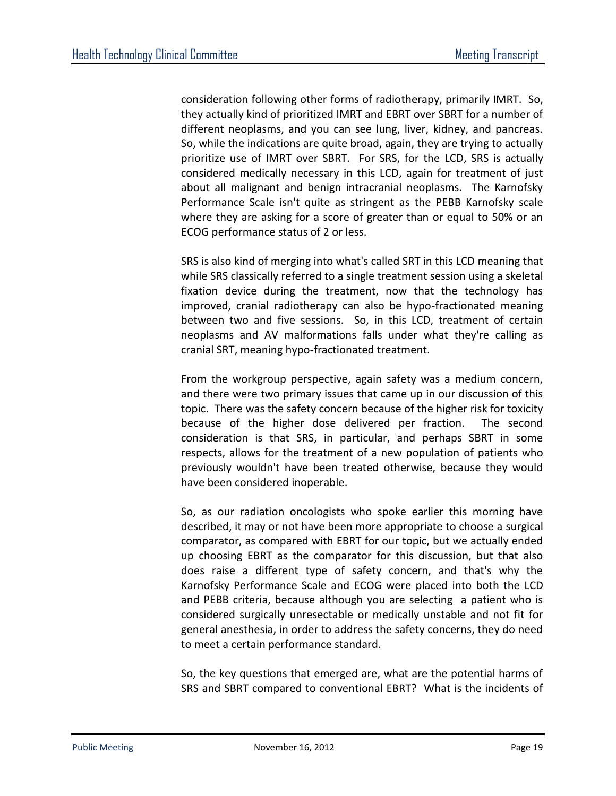consideration following other forms of radiotherapy, primarily IMRT. So, they actually kind of prioritized IMRT and EBRT over SBRT for a number of different neoplasms, and you can see lung, liver, kidney, and pancreas. So, while the indications are quite broad, again, they are trying to actually prioritize use of IMRT over SBRT. For SRS, for the LCD, SRS is actually considered medically necessary in this LCD, again for treatment of just about all malignant and benign intracranial neoplasms. The Karnofsky Performance Scale isn't quite as stringent as the PEBB Karnofsky scale where they are asking for a score of greater than or equal to 50% or an ECOG performance status of 2 or less.

SRS is also kind of merging into what's called SRT in this LCD meaning that while SRS classically referred to a single treatment session using a skeletal fixation device during the treatment, now that the technology has improved, cranial radiotherapy can also be hypo-fractionated meaning between two and five sessions. So, in this LCD, treatment of certain neoplasms and AV malformations falls under what they're calling as cranial SRT, meaning hypo-fractionated treatment.

From the workgroup perspective, again safety was a medium concern, and there were two primary issues that came up in our discussion of this topic. There was the safety concern because of the higher risk for toxicity because of the higher dose delivered per fraction. The second consideration is that SRS, in particular, and perhaps SBRT in some respects, allows for the treatment of a new population of patients who previously wouldn't have been treated otherwise, because they would have been considered inoperable.

So, as our radiation oncologists who spoke earlier this morning have described, it may or not have been more appropriate to choose a surgical comparator, as compared with EBRT for our topic, but we actually ended up choosing EBRT as the comparator for this discussion, but that also does raise a different type of safety concern, and that's why the Karnofsky Performance Scale and ECOG were placed into both the LCD and PEBB criteria, because although you are selecting a patient who is considered surgically unresectable or medically unstable and not fit for general anesthesia, in order to address the safety concerns, they do need to meet a certain performance standard.

So, the key questions that emerged are, what are the potential harms of SRS and SBRT compared to conventional EBRT? What is the incidents of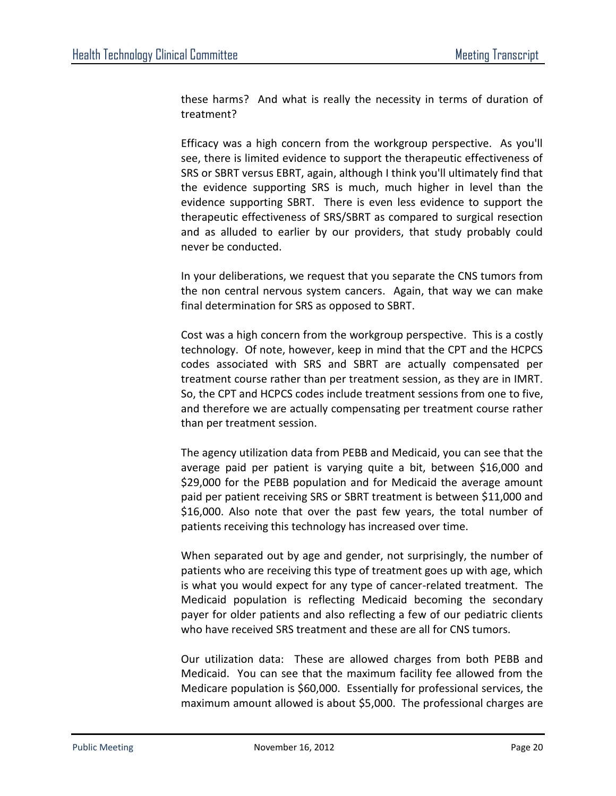these harms? And what is really the necessity in terms of duration of treatment?

Efficacy was a high concern from the workgroup perspective. As you'll see, there is limited evidence to support the therapeutic effectiveness of SRS or SBRT versus EBRT, again, although I think you'll ultimately find that the evidence supporting SRS is much, much higher in level than the evidence supporting SBRT. There is even less evidence to support the therapeutic effectiveness of SRS/SBRT as compared to surgical resection and as alluded to earlier by our providers, that study probably could never be conducted.

In your deliberations, we request that you separate the CNS tumors from the non central nervous system cancers. Again, that way we can make final determination for SRS as opposed to SBRT.

Cost was a high concern from the workgroup perspective. This is a costly technology. Of note, however, keep in mind that the CPT and the HCPCS codes associated with SRS and SBRT are actually compensated per treatment course rather than per treatment session, as they are in IMRT. So, the CPT and HCPCS codes include treatment sessions from one to five, and therefore we are actually compensating per treatment course rather than per treatment session.

The agency utilization data from PEBB and Medicaid, you can see that the average paid per patient is varying quite a bit, between \$16,000 and \$29,000 for the PEBB population and for Medicaid the average amount paid per patient receiving SRS or SBRT treatment is between \$11,000 and \$16,000. Also note that over the past few years, the total number of patients receiving this technology has increased over time.

When separated out by age and gender, not surprisingly, the number of patients who are receiving this type of treatment goes up with age, which is what you would expect for any type of cancer-related treatment. The Medicaid population is reflecting Medicaid becoming the secondary payer for older patients and also reflecting a few of our pediatric clients who have received SRS treatment and these are all for CNS tumors.

Our utilization data: These are allowed charges from both PEBB and Medicaid. You can see that the maximum facility fee allowed from the Medicare population is \$60,000. Essentially for professional services, the maximum amount allowed is about \$5,000. The professional charges are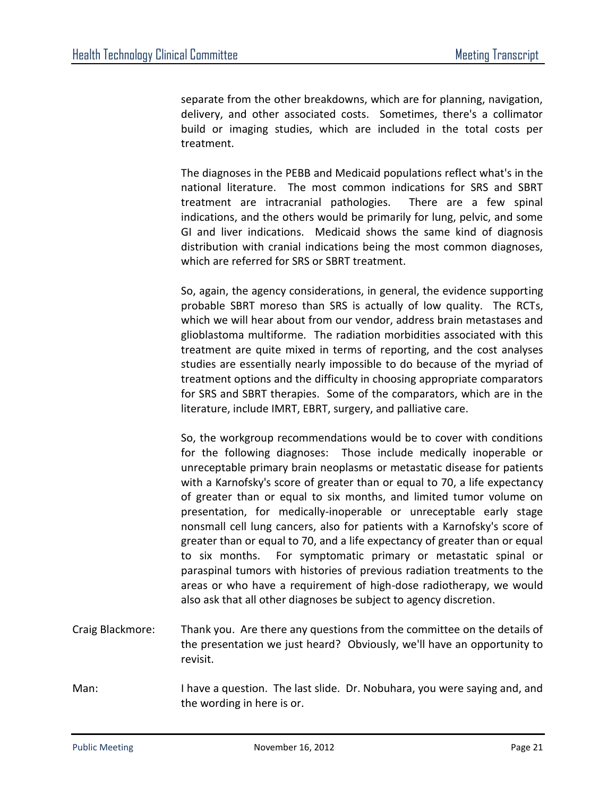separate from the other breakdowns, which are for planning, navigation, delivery, and other associated costs. Sometimes, there's a collimator build or imaging studies, which are included in the total costs per treatment.

The diagnoses in the PEBB and Medicaid populations reflect what's in the national literature. The most common indications for SRS and SBRT treatment are intracranial pathologies. There are a few spinal indications, and the others would be primarily for lung, pelvic, and some GI and liver indications. Medicaid shows the same kind of diagnosis distribution with cranial indications being the most common diagnoses, which are referred for SRS or SBRT treatment.

So, again, the agency considerations, in general, the evidence supporting probable SBRT moreso than SRS is actually of low quality. The RCTs, which we will hear about from our vendor, address brain metastases and glioblastoma multiforme. The radiation morbidities associated with this treatment are quite mixed in terms of reporting, and the cost analyses studies are essentially nearly impossible to do because of the myriad of treatment options and the difficulty in choosing appropriate comparators for SRS and SBRT therapies. Some of the comparators, which are in the literature, include IMRT, EBRT, surgery, and palliative care.

So, the workgroup recommendations would be to cover with conditions for the following diagnoses: Those include medically inoperable or unreceptable primary brain neoplasms or metastatic disease for patients with a Karnofsky's score of greater than or equal to 70, a life expectancy of greater than or equal to six months, and limited tumor volume on presentation, for medically-inoperable or unreceptable early stage nonsmall cell lung cancers, also for patients with a Karnofsky's score of greater than or equal to 70, and a life expectancy of greater than or equal to six months. For symptomatic primary or metastatic spinal or paraspinal tumors with histories of previous radiation treatments to the areas or who have a requirement of high-dose radiotherapy, we would also ask that all other diagnoses be subject to agency discretion.

- Craig Blackmore: Thank you. Are there any questions from the committee on the details of the presentation we just heard? Obviously, we'll have an opportunity to revisit.
- Man: I have a question. The last slide. Dr. Nobuhara, you were saying and, and the wording in here is or.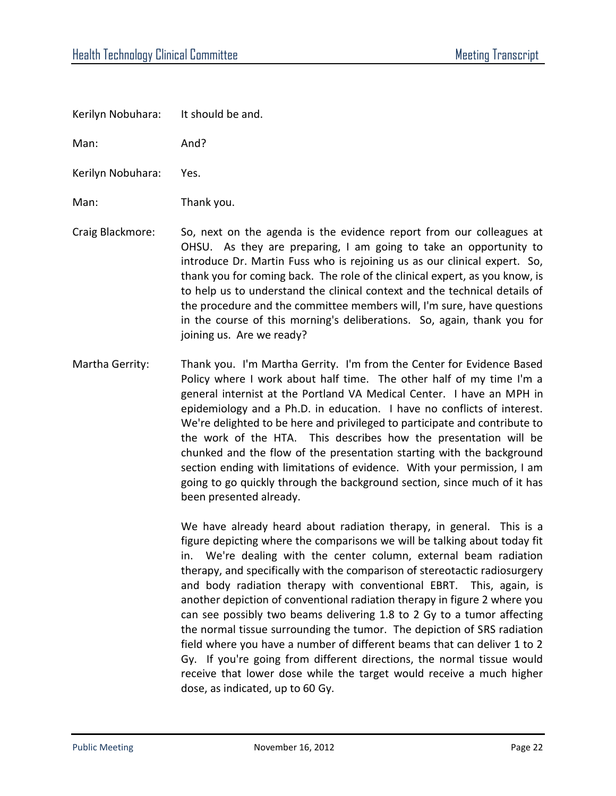Kerilyn Nobuhara: It should be and.

Man: And?

Kerilyn Nobuhara: Yes.

Man: Thank you.

- Craig Blackmore: So, next on the agenda is the evidence report from our colleagues at OHSU. As they are preparing, I am going to take an opportunity to introduce Dr. Martin Fuss who is rejoining us as our clinical expert. So, thank you for coming back. The role of the clinical expert, as you know, is to help us to understand the clinical context and the technical details of the procedure and the committee members will, I'm sure, have questions in the course of this morning's deliberations. So, again, thank you for joining us. Are we ready?
- Martha Gerrity: Thank you. I'm Martha Gerrity. I'm from the Center for Evidence Based Policy where I work about half time. The other half of my time I'm a general internist at the Portland VA Medical Center. I have an MPH in epidemiology and a Ph.D. in education. I have no conflicts of interest. We're delighted to be here and privileged to participate and contribute to the work of the HTA. This describes how the presentation will be chunked and the flow of the presentation starting with the background section ending with limitations of evidence. With your permission, I am going to go quickly through the background section, since much of it has been presented already.

We have already heard about radiation therapy, in general. This is a figure depicting where the comparisons we will be talking about today fit in. We're dealing with the center column, external beam radiation therapy, and specifically with the comparison of stereotactic radiosurgery and body radiation therapy with conventional EBRT. This, again, is another depiction of conventional radiation therapy in figure 2 where you can see possibly two beams delivering 1.8 to 2 Gy to a tumor affecting the normal tissue surrounding the tumor. The depiction of SRS radiation field where you have a number of different beams that can deliver 1 to 2 Gy. If you're going from different directions, the normal tissue would receive that lower dose while the target would receive a much higher dose, as indicated, up to 60 Gy.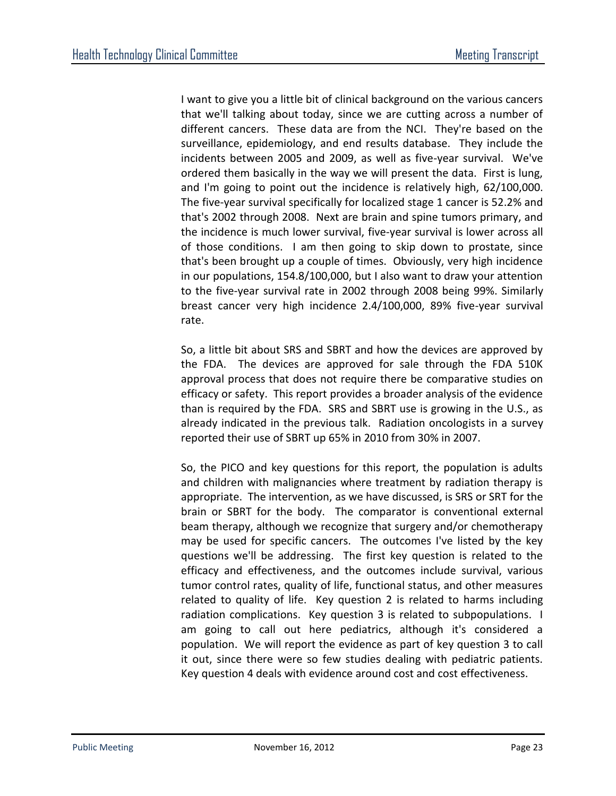I want to give you a little bit of clinical background on the various cancers that we'll talking about today, since we are cutting across a number of different cancers. These data are from the NCI. They're based on the surveillance, epidemiology, and end results database. They include the incidents between 2005 and 2009, as well as five-year survival. We've ordered them basically in the way we will present the data. First is lung, and I'm going to point out the incidence is relatively high, 62/100,000. The five-year survival specifically for localized stage 1 cancer is 52.2% and that's 2002 through 2008. Next are brain and spine tumors primary, and the incidence is much lower survival, five-year survival is lower across all of those conditions. I am then going to skip down to prostate, since that's been brought up a couple of times. Obviously, very high incidence in our populations, 154.8/100,000, but I also want to draw your attention to the five-year survival rate in 2002 through 2008 being 99%. Similarly breast cancer very high incidence 2.4/100,000, 89% five-year survival rate.

So, a little bit about SRS and SBRT and how the devices are approved by the FDA. The devices are approved for sale through the FDA 510K approval process that does not require there be comparative studies on efficacy or safety. This report provides a broader analysis of the evidence than is required by the FDA. SRS and SBRT use is growing in the U.S., as already indicated in the previous talk. Radiation oncologists in a survey reported their use of SBRT up 65% in 2010 from 30% in 2007.

So, the PICO and key questions for this report, the population is adults and children with malignancies where treatment by radiation therapy is appropriate. The intervention, as we have discussed, is SRS or SRT for the brain or SBRT for the body. The comparator is conventional external beam therapy, although we recognize that surgery and/or chemotherapy may be used for specific cancers. The outcomes I've listed by the key questions we'll be addressing. The first key question is related to the efficacy and effectiveness, and the outcomes include survival, various tumor control rates, quality of life, functional status, and other measures related to quality of life. Key question 2 is related to harms including radiation complications. Key question 3 is related to subpopulations. I am going to call out here pediatrics, although it's considered a population. We will report the evidence as part of key question 3 to call it out, since there were so few studies dealing with pediatric patients. Key question 4 deals with evidence around cost and cost effectiveness.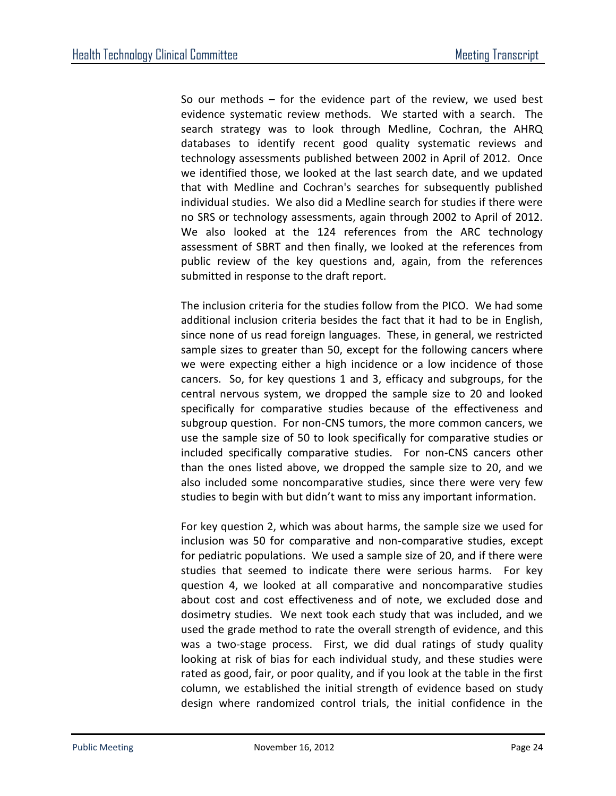So our methods – for the evidence part of the review, we used best evidence systematic review methods. We started with a search. The search strategy was to look through Medline, Cochran, the AHRQ databases to identify recent good quality systematic reviews and technology assessments published between 2002 in April of 2012. Once we identified those, we looked at the last search date, and we updated that with Medline and Cochran's searches for subsequently published individual studies. We also did a Medline search for studies if there were no SRS or technology assessments, again through 2002 to April of 2012. We also looked at the 124 references from the ARC technology assessment of SBRT and then finally, we looked at the references from public review of the key questions and, again, from the references submitted in response to the draft report.

The inclusion criteria for the studies follow from the PICO. We had some additional inclusion criteria besides the fact that it had to be in English, since none of us read foreign languages. These, in general, we restricted sample sizes to greater than 50, except for the following cancers where we were expecting either a high incidence or a low incidence of those cancers. So, for key questions 1 and 3, efficacy and subgroups, for the central nervous system, we dropped the sample size to 20 and looked specifically for comparative studies because of the effectiveness and subgroup question. For non-CNS tumors, the more common cancers, we use the sample size of 50 to look specifically for comparative studies or included specifically comparative studies. For non-CNS cancers other than the ones listed above, we dropped the sample size to 20, and we also included some noncomparative studies, since there were very few studies to begin with but didn't want to miss any important information.

For key question 2, which was about harms, the sample size we used for inclusion was 50 for comparative and non-comparative studies, except for pediatric populations. We used a sample size of 20, and if there were studies that seemed to indicate there were serious harms. For key question 4, we looked at all comparative and noncomparative studies about cost and cost effectiveness and of note, we excluded dose and dosimetry studies. We next took each study that was included, and we used the grade method to rate the overall strength of evidence, and this was a two-stage process. First, we did dual ratings of study quality looking at risk of bias for each individual study, and these studies were rated as good, fair, or poor quality, and if you look at the table in the first column, we established the initial strength of evidence based on study design where randomized control trials, the initial confidence in the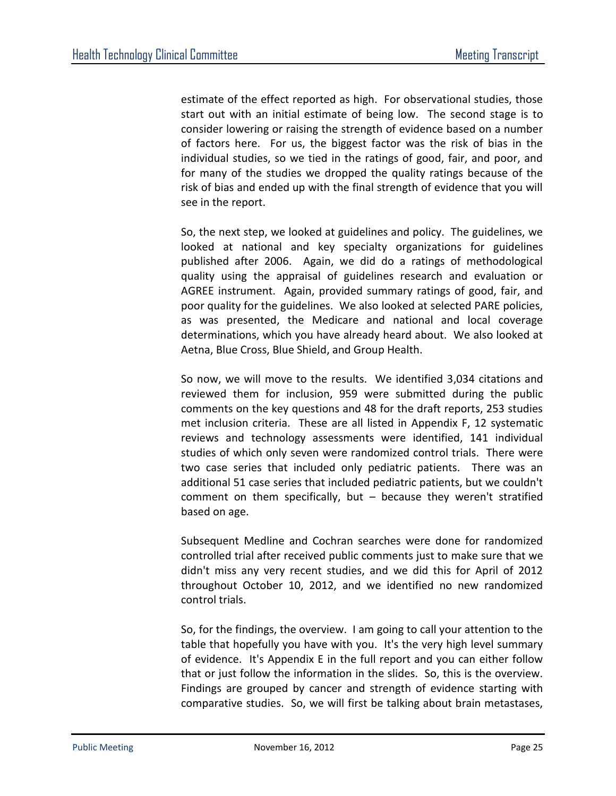estimate of the effect reported as high. For observational studies, those start out with an initial estimate of being low. The second stage is to consider lowering or raising the strength of evidence based on a number of factors here. For us, the biggest factor was the risk of bias in the individual studies, so we tied in the ratings of good, fair, and poor, and for many of the studies we dropped the quality ratings because of the risk of bias and ended up with the final strength of evidence that you will see in the report.

So, the next step, we looked at guidelines and policy. The guidelines, we looked at national and key specialty organizations for guidelines published after 2006. Again, we did do a ratings of methodological quality using the appraisal of guidelines research and evaluation or AGREE instrument. Again, provided summary ratings of good, fair, and poor quality for the guidelines. We also looked at selected PARE policies, as was presented, the Medicare and national and local coverage determinations, which you have already heard about. We also looked at Aetna, Blue Cross, Blue Shield, and Group Health.

So now, we will move to the results. We identified 3,034 citations and reviewed them for inclusion, 959 were submitted during the public comments on the key questions and 48 for the draft reports, 253 studies met inclusion criteria. These are all listed in Appendix F, 12 systematic reviews and technology assessments were identified, 141 individual studies of which only seven were randomized control trials. There were two case series that included only pediatric patients. There was an additional 51 case series that included pediatric patients, but we couldn't comment on them specifically, but – because they weren't stratified based on age.

Subsequent Medline and Cochran searches were done for randomized controlled trial after received public comments just to make sure that we didn't miss any very recent studies, and we did this for April of 2012 throughout October 10, 2012, and we identified no new randomized control trials.

So, for the findings, the overview. I am going to call your attention to the table that hopefully you have with you. It's the very high level summary of evidence. It's Appendix E in the full report and you can either follow that or just follow the information in the slides. So, this is the overview. Findings are grouped by cancer and strength of evidence starting with comparative studies. So, we will first be talking about brain metastases,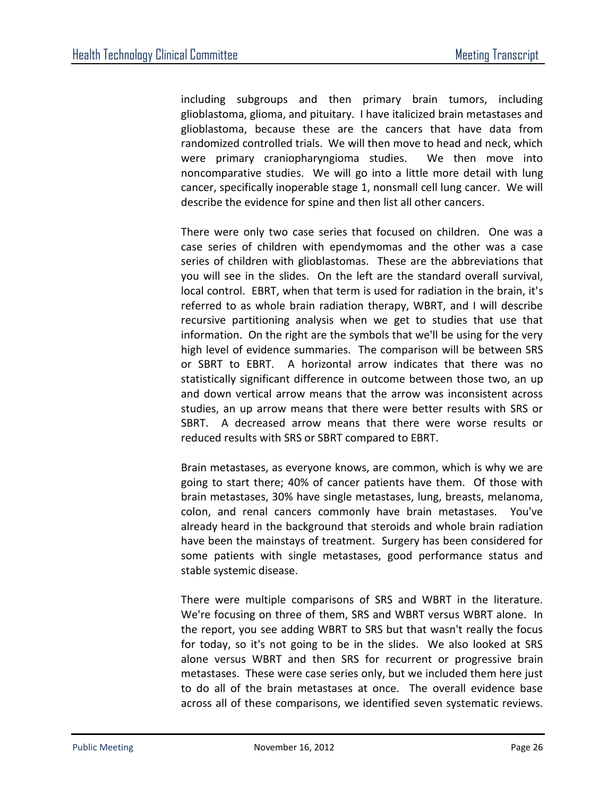including subgroups and then primary brain tumors, including glioblastoma, glioma, and pituitary. I have italicized brain metastases and glioblastoma, because these are the cancers that have data from randomized controlled trials. We will then move to head and neck, which were primary craniopharyngioma studies. We then move into noncomparative studies. We will go into a little more detail with lung cancer, specifically inoperable stage 1, nonsmall cell lung cancer. We will describe the evidence for spine and then list all other cancers.

There were only two case series that focused on children. One was a case series of children with ependymomas and the other was a case series of children with glioblastomas. These are the abbreviations that you will see in the slides. On the left are the standard overall survival, local control. EBRT, when that term is used for radiation in the brain, it's referred to as whole brain radiation therapy, WBRT, and I will describe recursive partitioning analysis when we get to studies that use that information. On the right are the symbols that we'll be using for the very high level of evidence summaries. The comparison will be between SRS or SBRT to EBRT. A horizontal arrow indicates that there was no statistically significant difference in outcome between those two, an up and down vertical arrow means that the arrow was inconsistent across studies, an up arrow means that there were better results with SRS or SBRT. A decreased arrow means that there were worse results or reduced results with SRS or SBRT compared to EBRT.

Brain metastases, as everyone knows, are common, which is why we are going to start there; 40% of cancer patients have them. Of those with brain metastases, 30% have single metastases, lung, breasts, melanoma, colon, and renal cancers commonly have brain metastases. You've already heard in the background that steroids and whole brain radiation have been the mainstays of treatment. Surgery has been considered for some patients with single metastases, good performance status and stable systemic disease.

There were multiple comparisons of SRS and WBRT in the literature. We're focusing on three of them, SRS and WBRT versus WBRT alone. In the report, you see adding WBRT to SRS but that wasn't really the focus for today, so it's not going to be in the slides. We also looked at SRS alone versus WBRT and then SRS for recurrent or progressive brain metastases. These were case series only, but we included them here just to do all of the brain metastases at once. The overall evidence base across all of these comparisons, we identified seven systematic reviews.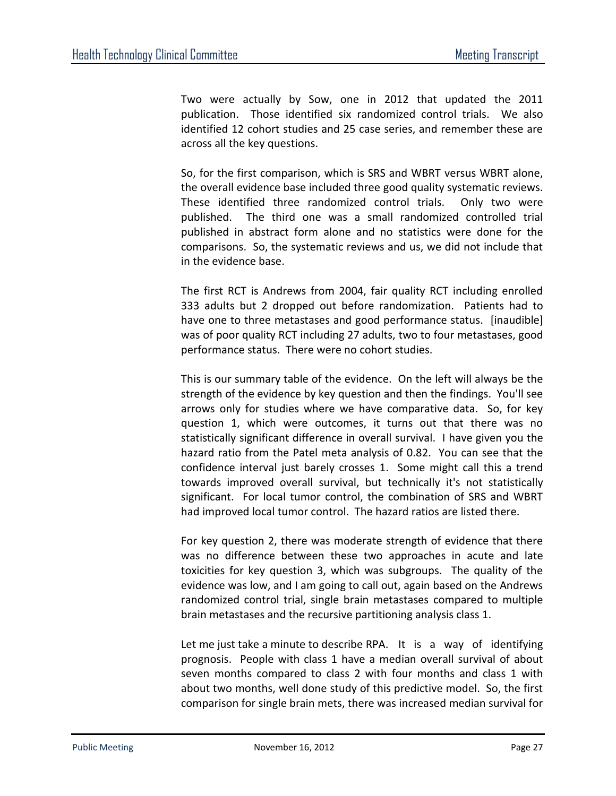Two were actually by Sow, one in 2012 that updated the 2011 publication. Those identified six randomized control trials. We also identified 12 cohort studies and 25 case series, and remember these are across all the key questions.

So, for the first comparison, which is SRS and WBRT versus WBRT alone, the overall evidence base included three good quality systematic reviews. These identified three randomized control trials. Only two were published. The third one was a small randomized controlled trial published in abstract form alone and no statistics were done for the comparisons. So, the systematic reviews and us, we did not include that in the evidence base.

The first RCT is Andrews from 2004, fair quality RCT including enrolled 333 adults but 2 dropped out before randomization. Patients had to have one to three metastases and good performance status. [inaudible] was of poor quality RCT including 27 adults, two to four metastases, good performance status. There were no cohort studies.

This is our summary table of the evidence. On the left will always be the strength of the evidence by key question and then the findings. You'll see arrows only for studies where we have comparative data. So, for key question 1, which were outcomes, it turns out that there was no statistically significant difference in overall survival. I have given you the hazard ratio from the Patel meta analysis of 0.82. You can see that the confidence interval just barely crosses 1. Some might call this a trend towards improved overall survival, but technically it's not statistically significant. For local tumor control, the combination of SRS and WBRT had improved local tumor control. The hazard ratios are listed there.

For key question 2, there was moderate strength of evidence that there was no difference between these two approaches in acute and late toxicities for key question 3, which was subgroups. The quality of the evidence was low, and I am going to call out, again based on the Andrews randomized control trial, single brain metastases compared to multiple brain metastases and the recursive partitioning analysis class 1.

Let me just take a minute to describe RPA. It is a way of identifying prognosis. People with class 1 have a median overall survival of about seven months compared to class 2 with four months and class 1 with about two months, well done study of this predictive model. So, the first comparison for single brain mets, there was increased median survival for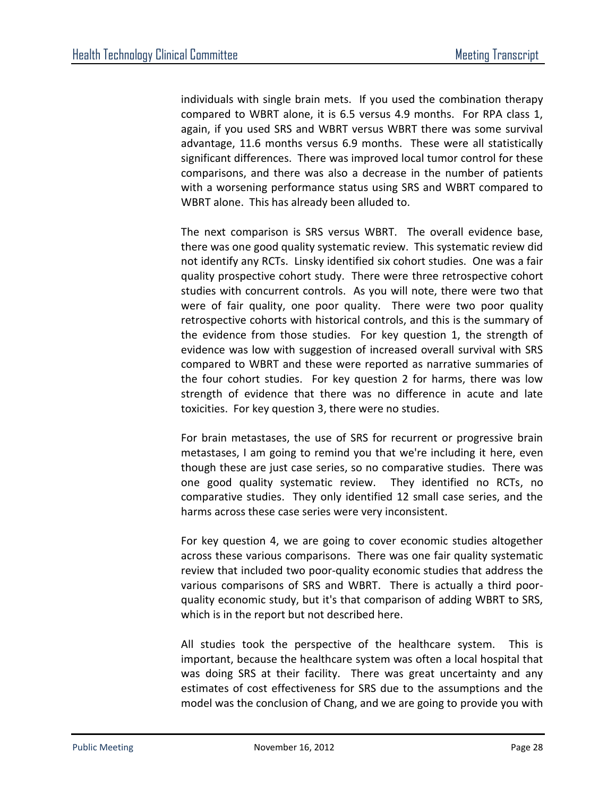individuals with single brain mets. If you used the combination therapy compared to WBRT alone, it is 6.5 versus 4.9 months. For RPA class 1, again, if you used SRS and WBRT versus WBRT there was some survival advantage, 11.6 months versus 6.9 months. These were all statistically significant differences. There was improved local tumor control for these comparisons, and there was also a decrease in the number of patients with a worsening performance status using SRS and WBRT compared to WBRT alone. This has already been alluded to.

The next comparison is SRS versus WBRT. The overall evidence base, there was one good quality systematic review. This systematic review did not identify any RCTs. Linsky identified six cohort studies. One was a fair quality prospective cohort study. There were three retrospective cohort studies with concurrent controls. As you will note, there were two that were of fair quality, one poor quality. There were two poor quality retrospective cohorts with historical controls, and this is the summary of the evidence from those studies. For key question 1, the strength of evidence was low with suggestion of increased overall survival with SRS compared to WBRT and these were reported as narrative summaries of the four cohort studies. For key question 2 for harms, there was low strength of evidence that there was no difference in acute and late toxicities. For key question 3, there were no studies.

For brain metastases, the use of SRS for recurrent or progressive brain metastases, I am going to remind you that we're including it here, even though these are just case series, so no comparative studies. There was one good quality systematic review. They identified no RCTs, no comparative studies. They only identified 12 small case series, and the harms across these case series were very inconsistent.

For key question 4, we are going to cover economic studies altogether across these various comparisons. There was one fair quality systematic review that included two poor-quality economic studies that address the various comparisons of SRS and WBRT. There is actually a third poorquality economic study, but it's that comparison of adding WBRT to SRS, which is in the report but not described here.

All studies took the perspective of the healthcare system. This is important, because the healthcare system was often a local hospital that was doing SRS at their facility. There was great uncertainty and any estimates of cost effectiveness for SRS due to the assumptions and the model was the conclusion of Chang, and we are going to provide you with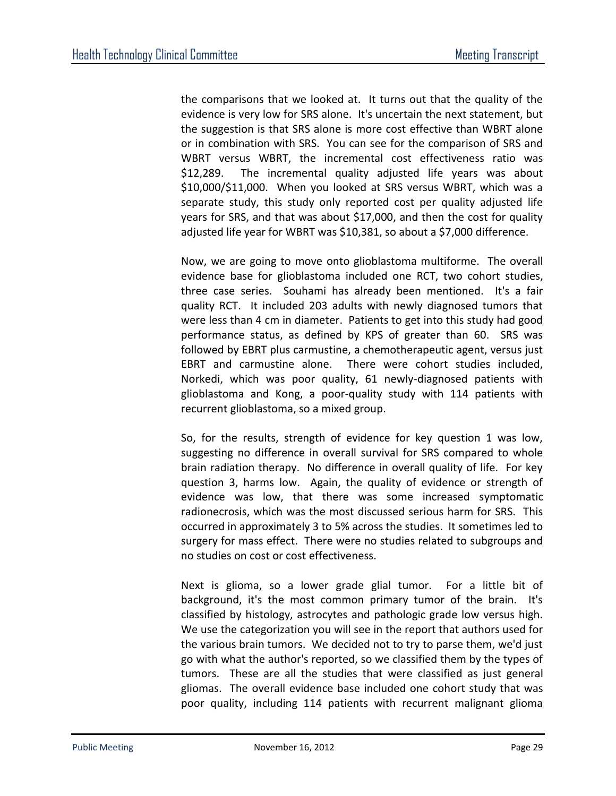the comparisons that we looked at. It turns out that the quality of the evidence is very low for SRS alone. It's uncertain the next statement, but the suggestion is that SRS alone is more cost effective than WBRT alone or in combination with SRS. You can see for the comparison of SRS and WBRT versus WBRT, the incremental cost effectiveness ratio was \$12,289. The incremental quality adjusted life years was about \$10,000/\$11,000. When you looked at SRS versus WBRT, which was a separate study, this study only reported cost per quality adjusted life years for SRS, and that was about \$17,000, and then the cost for quality adjusted life year for WBRT was \$10,381, so about a \$7,000 difference.

Now, we are going to move onto glioblastoma multiforme. The overall evidence base for glioblastoma included one RCT, two cohort studies, three case series. Souhami has already been mentioned. It's a fair quality RCT. It included 203 adults with newly diagnosed tumors that were less than 4 cm in diameter. Patients to get into this study had good performance status, as defined by KPS of greater than 60. SRS was followed by EBRT plus carmustine, a chemotherapeutic agent, versus just EBRT and carmustine alone. There were cohort studies included, Norkedi, which was poor quality, 61 newly-diagnosed patients with glioblastoma and Kong, a poor-quality study with 114 patients with recurrent glioblastoma, so a mixed group.

So, for the results, strength of evidence for key question 1 was low, suggesting no difference in overall survival for SRS compared to whole brain radiation therapy. No difference in overall quality of life. For key question 3, harms low. Again, the quality of evidence or strength of evidence was low, that there was some increased symptomatic radionecrosis, which was the most discussed serious harm for SRS. This occurred in approximately 3 to 5% across the studies. It sometimes led to surgery for mass effect. There were no studies related to subgroups and no studies on cost or cost effectiveness.

Next is glioma, so a lower grade glial tumor. For a little bit of background, it's the most common primary tumor of the brain. It's classified by histology, astrocytes and pathologic grade low versus high. We use the categorization you will see in the report that authors used for the various brain tumors. We decided not to try to parse them, we'd just go with what the author's reported, so we classified them by the types of tumors. These are all the studies that were classified as just general gliomas. The overall evidence base included one cohort study that was poor quality, including 114 patients with recurrent malignant glioma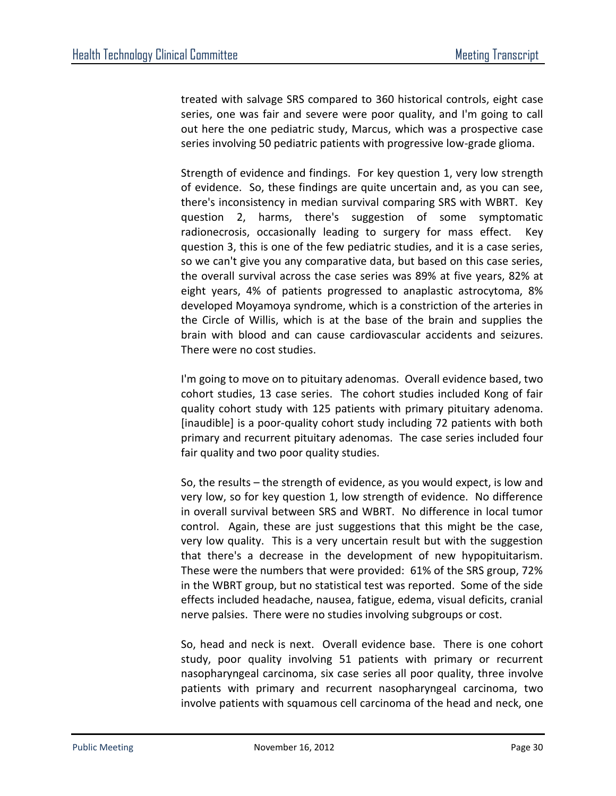treated with salvage SRS compared to 360 historical controls, eight case series, one was fair and severe were poor quality, and I'm going to call out here the one pediatric study, Marcus, which was a prospective case series involving 50 pediatric patients with progressive low-grade glioma.

Strength of evidence and findings. For key question 1, very low strength of evidence. So, these findings are quite uncertain and, as you can see, there's inconsistency in median survival comparing SRS with WBRT. Key question 2, harms, there's suggestion of some symptomatic radionecrosis, occasionally leading to surgery for mass effect. Key question 3, this is one of the few pediatric studies, and it is a case series, so we can't give you any comparative data, but based on this case series, the overall survival across the case series was 89% at five years, 82% at eight years, 4% of patients progressed to anaplastic astrocytoma, 8% developed Moyamoya syndrome, which is a constriction of the arteries in the Circle of Willis, which is at the base of the brain and supplies the brain with blood and can cause cardiovascular accidents and seizures. There were no cost studies.

I'm going to move on to pituitary adenomas. Overall evidence based, two cohort studies, 13 case series. The cohort studies included Kong of fair quality cohort study with 125 patients with primary pituitary adenoma. [inaudible] is a poor-quality cohort study including 72 patients with both primary and recurrent pituitary adenomas. The case series included four fair quality and two poor quality studies.

So, the results – the strength of evidence, as you would expect, is low and very low, so for key question 1, low strength of evidence. No difference in overall survival between SRS and WBRT. No difference in local tumor control. Again, these are just suggestions that this might be the case, very low quality. This is a very uncertain result but with the suggestion that there's a decrease in the development of new hypopituitarism. These were the numbers that were provided: 61% of the SRS group, 72% in the WBRT group, but no statistical test was reported. Some of the side effects included headache, nausea, fatigue, edema, visual deficits, cranial nerve palsies. There were no studies involving subgroups or cost.

So, head and neck is next. Overall evidence base. There is one cohort study, poor quality involving 51 patients with primary or recurrent nasopharyngeal carcinoma, six case series all poor quality, three involve patients with primary and recurrent nasopharyngeal carcinoma, two involve patients with squamous cell carcinoma of the head and neck, one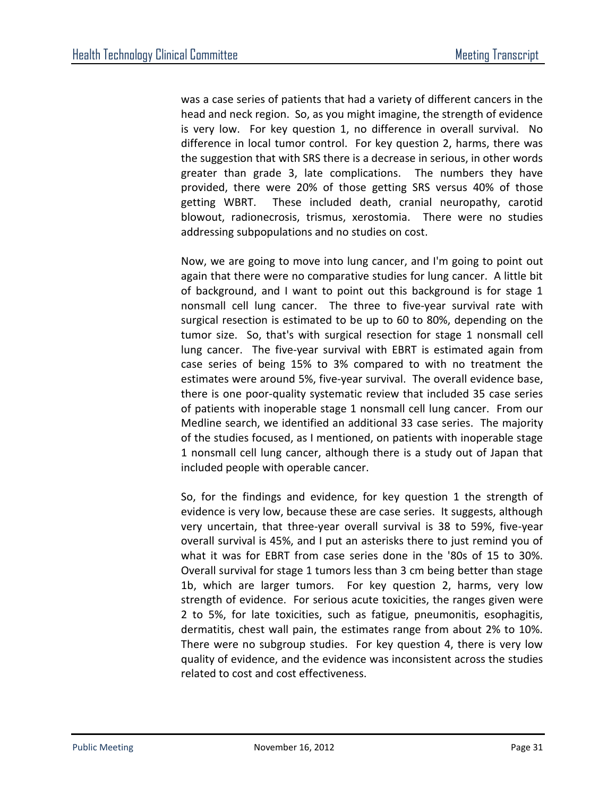was a case series of patients that had a variety of different cancers in the head and neck region. So, as you might imagine, the strength of evidence is very low. For key question 1, no difference in overall survival. No difference in local tumor control. For key question 2, harms, there was the suggestion that with SRS there is a decrease in serious, in other words greater than grade 3, late complications. The numbers they have provided, there were 20% of those getting SRS versus 40% of those getting WBRT. These included death, cranial neuropathy, carotid blowout, radionecrosis, trismus, xerostomia. There were no studies addressing subpopulations and no studies on cost.

Now, we are going to move into lung cancer, and I'm going to point out again that there were no comparative studies for lung cancer. A little bit of background, and I want to point out this background is for stage 1 nonsmall cell lung cancer. The three to five-year survival rate with surgical resection is estimated to be up to 60 to 80%, depending on the tumor size. So, that's with surgical resection for stage 1 nonsmall cell lung cancer. The five-year survival with EBRT is estimated again from case series of being 15% to 3% compared to with no treatment the estimates were around 5%, five-year survival. The overall evidence base, there is one poor-quality systematic review that included 35 case series of patients with inoperable stage 1 nonsmall cell lung cancer. From our Medline search, we identified an additional 33 case series. The majority of the studies focused, as I mentioned, on patients with inoperable stage 1 nonsmall cell lung cancer, although there is a study out of Japan that included people with operable cancer.

So, for the findings and evidence, for key question 1 the strength of evidence is very low, because these are case series. It suggests, although very uncertain, that three-year overall survival is 38 to 59%, five-year overall survival is 45%, and I put an asterisks there to just remind you of what it was for EBRT from case series done in the '80s of 15 to 30%. Overall survival for stage 1 tumors less than 3 cm being better than stage 1b, which are larger tumors. For key question 2, harms, very low strength of evidence. For serious acute toxicities, the ranges given were 2 to 5%, for late toxicities, such as fatigue, pneumonitis, esophagitis, dermatitis, chest wall pain, the estimates range from about 2% to 10%. There were no subgroup studies. For key question 4, there is very low quality of evidence, and the evidence was inconsistent across the studies related to cost and cost effectiveness.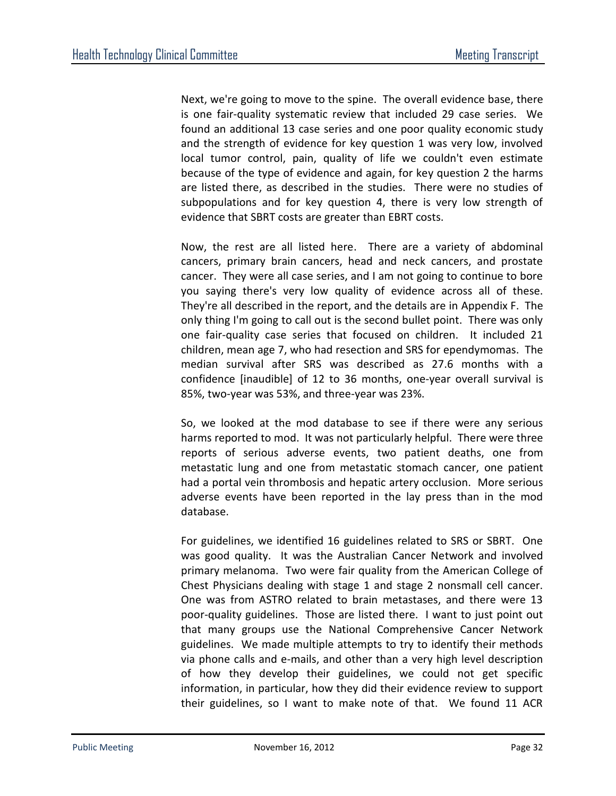Next, we're going to move to the spine. The overall evidence base, there is one fair-quality systematic review that included 29 case series. We found an additional 13 case series and one poor quality economic study and the strength of evidence for key question 1 was very low, involved local tumor control, pain, quality of life we couldn't even estimate because of the type of evidence and again, for key question 2 the harms are listed there, as described in the studies. There were no studies of subpopulations and for key question 4, there is very low strength of evidence that SBRT costs are greater than EBRT costs.

Now, the rest are all listed here. There are a variety of abdominal cancers, primary brain cancers, head and neck cancers, and prostate cancer. They were all case series, and I am not going to continue to bore you saying there's very low quality of evidence across all of these. They're all described in the report, and the details are in Appendix F. The only thing I'm going to call out is the second bullet point. There was only one fair-quality case series that focused on children. It included 21 children, mean age 7, who had resection and SRS for ependymomas. The median survival after SRS was described as 27.6 months with a confidence [inaudible] of 12 to 36 months, one-year overall survival is 85%, two-year was 53%, and three-year was 23%.

So, we looked at the mod database to see if there were any serious harms reported to mod. It was not particularly helpful. There were three reports of serious adverse events, two patient deaths, one from metastatic lung and one from metastatic stomach cancer, one patient had a portal vein thrombosis and hepatic artery occlusion. More serious adverse events have been reported in the lay press than in the mod database.

For guidelines, we identified 16 guidelines related to SRS or SBRT. One was good quality. It was the Australian Cancer Network and involved primary melanoma. Two were fair quality from the American College of Chest Physicians dealing with stage 1 and stage 2 nonsmall cell cancer. One was from ASTRO related to brain metastases, and there were 13 poor-quality guidelines. Those are listed there. I want to just point out that many groups use the National Comprehensive Cancer Network guidelines. We made multiple attempts to try to identify their methods via phone calls and e-mails, and other than a very high level description of how they develop their guidelines, we could not get specific information, in particular, how they did their evidence review to support their guidelines, so I want to make note of that. We found 11 ACR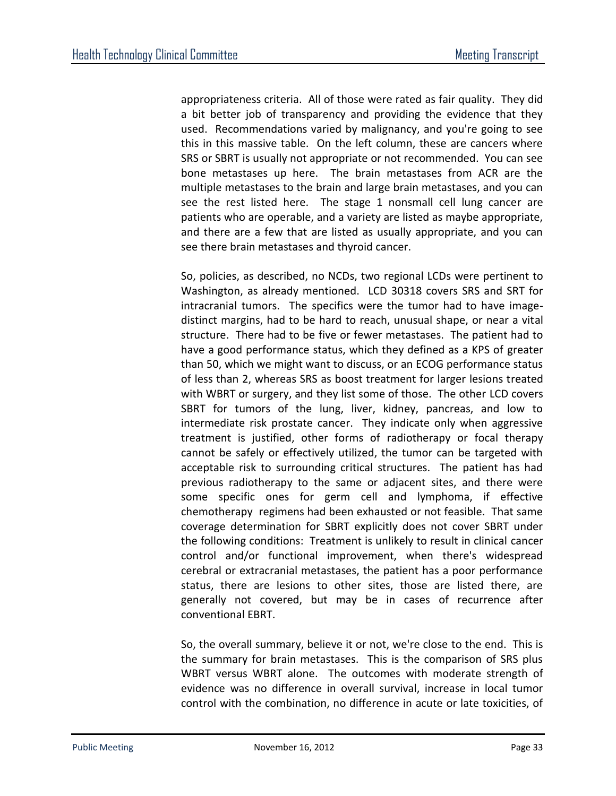appropriateness criteria. All of those were rated as fair quality. They did a bit better job of transparency and providing the evidence that they used. Recommendations varied by malignancy, and you're going to see this in this massive table. On the left column, these are cancers where SRS or SBRT is usually not appropriate or not recommended. You can see bone metastases up here. The brain metastases from ACR are the multiple metastases to the brain and large brain metastases, and you can see the rest listed here. The stage 1 nonsmall cell lung cancer are patients who are operable, and a variety are listed as maybe appropriate, and there are a few that are listed as usually appropriate, and you can see there brain metastases and thyroid cancer.

So, policies, as described, no NCDs, two regional LCDs were pertinent to Washington, as already mentioned. LCD 30318 covers SRS and SRT for intracranial tumors. The specifics were the tumor had to have imagedistinct margins, had to be hard to reach, unusual shape, or near a vital structure. There had to be five or fewer metastases. The patient had to have a good performance status, which they defined as a KPS of greater than 50, which we might want to discuss, or an ECOG performance status of less than 2, whereas SRS as boost treatment for larger lesions treated with WBRT or surgery, and they list some of those. The other LCD covers SBRT for tumors of the lung, liver, kidney, pancreas, and low to intermediate risk prostate cancer. They indicate only when aggressive treatment is justified, other forms of radiotherapy or focal therapy cannot be safely or effectively utilized, the tumor can be targeted with acceptable risk to surrounding critical structures. The patient has had previous radiotherapy to the same or adjacent sites, and there were some specific ones for germ cell and lymphoma, if effective chemotherapy regimens had been exhausted or not feasible. That same coverage determination for SBRT explicitly does not cover SBRT under the following conditions: Treatment is unlikely to result in clinical cancer control and/or functional improvement, when there's widespread cerebral or extracranial metastases, the patient has a poor performance status, there are lesions to other sites, those are listed there, are generally not covered, but may be in cases of recurrence after conventional EBRT.

So, the overall summary, believe it or not, we're close to the end. This is the summary for brain metastases. This is the comparison of SRS plus WBRT versus WBRT alone. The outcomes with moderate strength of evidence was no difference in overall survival, increase in local tumor control with the combination, no difference in acute or late toxicities, of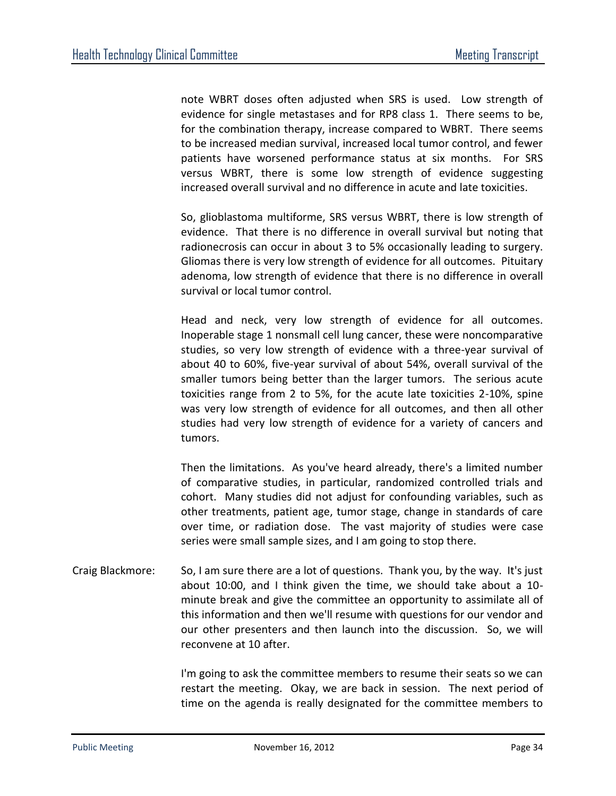note WBRT doses often adjusted when SRS is used. Low strength of evidence for single metastases and for RP8 class 1. There seems to be, for the combination therapy, increase compared to WBRT. There seems to be increased median survival, increased local tumor control, and fewer patients have worsened performance status at six months. For SRS versus WBRT, there is some low strength of evidence suggesting increased overall survival and no difference in acute and late toxicities.

So, glioblastoma multiforme, SRS versus WBRT, there is low strength of evidence. That there is no difference in overall survival but noting that radionecrosis can occur in about 3 to 5% occasionally leading to surgery. Gliomas there is very low strength of evidence for all outcomes. Pituitary adenoma, low strength of evidence that there is no difference in overall survival or local tumor control.

Head and neck, very low strength of evidence for all outcomes. Inoperable stage 1 nonsmall cell lung cancer, these were noncomparative studies, so very low strength of evidence with a three-year survival of about 40 to 60%, five-year survival of about 54%, overall survival of the smaller tumors being better than the larger tumors. The serious acute toxicities range from 2 to 5%, for the acute late toxicities 2-10%, spine was very low strength of evidence for all outcomes, and then all other studies had very low strength of evidence for a variety of cancers and tumors.

Then the limitations. As you've heard already, there's a limited number of comparative studies, in particular, randomized controlled trials and cohort. Many studies did not adjust for confounding variables, such as other treatments, patient age, tumor stage, change in standards of care over time, or radiation dose. The vast majority of studies were case series were small sample sizes, and I am going to stop there.

Craig Blackmore: So, I am sure there are a lot of questions. Thank you, by the way. It's just about 10:00, and I think given the time, we should take about a 10 minute break and give the committee an opportunity to assimilate all of this information and then we'll resume with questions for our vendor and our other presenters and then launch into the discussion. So, we will reconvene at 10 after.

> I'm going to ask the committee members to resume their seats so we can restart the meeting. Okay, we are back in session. The next period of time on the agenda is really designated for the committee members to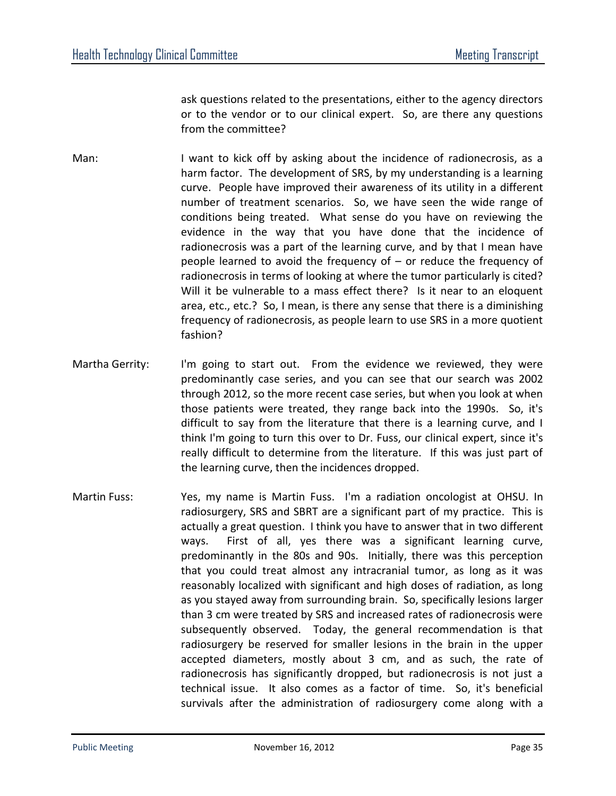ask questions related to the presentations, either to the agency directors or to the vendor or to our clinical expert. So, are there any questions from the committee?

- Man: I want to kick off by asking about the incidence of radionecrosis, as a harm factor. The development of SRS, by my understanding is a learning curve. People have improved their awareness of its utility in a different number of treatment scenarios. So, we have seen the wide range of conditions being treated. What sense do you have on reviewing the evidence in the way that you have done that the incidence of radionecrosis was a part of the learning curve, and by that I mean have people learned to avoid the frequency of – or reduce the frequency of radionecrosis in terms of looking at where the tumor particularly is cited? Will it be vulnerable to a mass effect there? Is it near to an eloquent area, etc., etc.? So, I mean, is there any sense that there is a diminishing frequency of radionecrosis, as people learn to use SRS in a more quotient fashion?
- Martha Gerrity: I'm going to start out. From the evidence we reviewed, they were predominantly case series, and you can see that our search was 2002 through 2012, so the more recent case series, but when you look at when those patients were treated, they range back into the 1990s. So, it's difficult to say from the literature that there is a learning curve, and I think I'm going to turn this over to Dr. Fuss, our clinical expert, since it's really difficult to determine from the literature. If this was just part of the learning curve, then the incidences dropped.
- Martin Fuss: Yes, my name is Martin Fuss. I'm a radiation oncologist at OHSU. In radiosurgery, SRS and SBRT are a significant part of my practice. This is actually a great question. I think you have to answer that in two different ways. First of all, yes there was a significant learning curve, predominantly in the 80s and 90s. Initially, there was this perception that you could treat almost any intracranial tumor, as long as it was reasonably localized with significant and high doses of radiation, as long as you stayed away from surrounding brain. So, specifically lesions larger than 3 cm were treated by SRS and increased rates of radionecrosis were subsequently observed. Today, the general recommendation is that radiosurgery be reserved for smaller lesions in the brain in the upper accepted diameters, mostly about 3 cm, and as such, the rate of radionecrosis has significantly dropped, but radionecrosis is not just a technical issue. It also comes as a factor of time. So, it's beneficial survivals after the administration of radiosurgery come along with a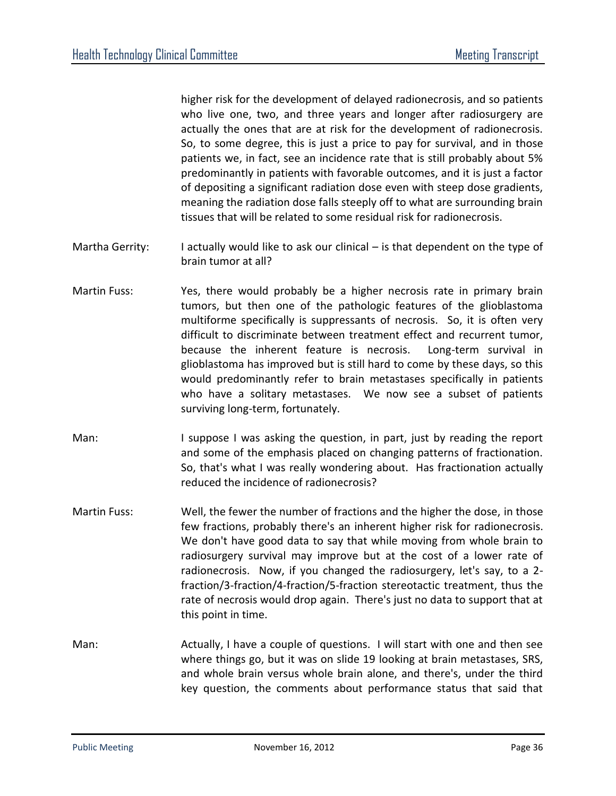higher risk for the development of delayed radionecrosis, and so patients who live one, two, and three years and longer after radiosurgery are actually the ones that are at risk for the development of radionecrosis. So, to some degree, this is just a price to pay for survival, and in those patients we, in fact, see an incidence rate that is still probably about 5% predominantly in patients with favorable outcomes, and it is just a factor of depositing a significant radiation dose even with steep dose gradients, meaning the radiation dose falls steeply off to what are surrounding brain tissues that will be related to some residual risk for radionecrosis.

- Martha Gerrity: I actually would like to ask our clinical is that dependent on the type of brain tumor at all?
- Martin Fuss: Yes, there would probably be a higher necrosis rate in primary brain tumors, but then one of the pathologic features of the glioblastoma multiforme specifically is suppressants of necrosis. So, it is often very difficult to discriminate between treatment effect and recurrent tumor, because the inherent feature is necrosis. Long-term survival in glioblastoma has improved but is still hard to come by these days, so this would predominantly refer to brain metastases specifically in patients who have a solitary metastases. We now see a subset of patients surviving long-term, fortunately.
- Man: I suppose I was asking the question, in part, just by reading the report and some of the emphasis placed on changing patterns of fractionation. So, that's what I was really wondering about. Has fractionation actually reduced the incidence of radionecrosis?
- Martin Fuss: Well, the fewer the number of fractions and the higher the dose, in those few fractions, probably there's an inherent higher risk for radionecrosis. We don't have good data to say that while moving from whole brain to radiosurgery survival may improve but at the cost of a lower rate of radionecrosis. Now, if you changed the radiosurgery, let's say, to a 2 fraction/3-fraction/4-fraction/5-fraction stereotactic treatment, thus the rate of necrosis would drop again. There's just no data to support that at this point in time.
- Man: Actually, I have a couple of questions. I will start with one and then see where things go, but it was on slide 19 looking at brain metastases, SRS, and whole brain versus whole brain alone, and there's, under the third key question, the comments about performance status that said that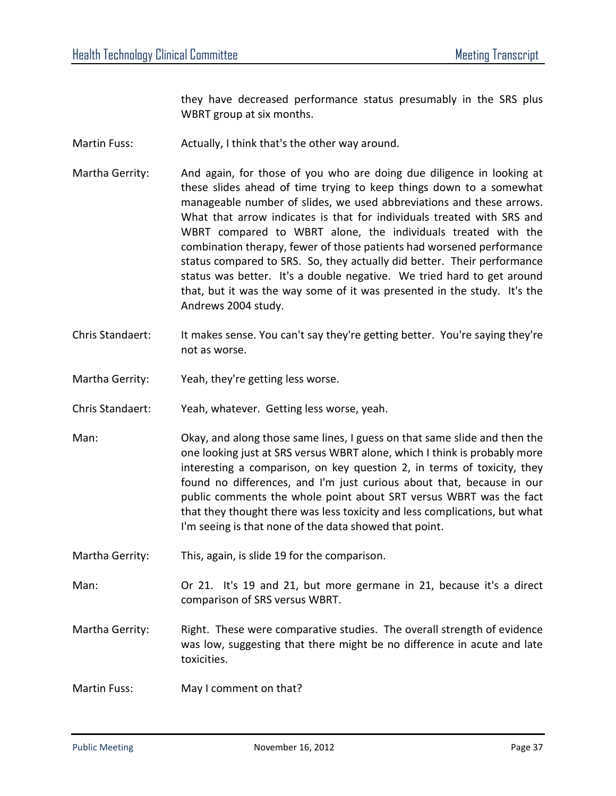they have decreased performance status presumably in the SRS plus WBRT group at six months.

- Martin Fuss: Actually, I think that's the other way around.
- Martha Gerrity: And again, for those of you who are doing due diligence in looking at these slides ahead of time trying to keep things down to a somewhat manageable number of slides, we used abbreviations and these arrows. What that arrow indicates is that for individuals treated with SRS and WBRT compared to WBRT alone, the individuals treated with the combination therapy, fewer of those patients had worsened performance status compared to SRS. So, they actually did better. Their performance status was better. It's a double negative. We tried hard to get around that, but it was the way some of it was presented in the study. It's the Andrews 2004 study.
- Chris Standaert: It makes sense. You can't say they're getting better. You're saying they're not as worse.
- Martha Gerrity: Yeah, they're getting less worse.
- Chris Standaert: Yeah, whatever. Getting less worse, yeah.
- Man: Okay, and along those same lines, I guess on that same slide and then the one looking just at SRS versus WBRT alone, which I think is probably more interesting a comparison, on key question 2, in terms of toxicity, they found no differences, and I'm just curious about that, because in our public comments the whole point about SRT versus WBRT was the fact that they thought there was less toxicity and less complications, but what I'm seeing is that none of the data showed that point.
- Martha Gerrity: This, again, is slide 19 for the comparison.
- Man: Or 21. It's 19 and 21, but more germane in 21, because it's a direct comparison of SRS versus WBRT.
- Martha Gerrity: Right. These were comparative studies. The overall strength of evidence was low, suggesting that there might be no difference in acute and late toxicities.
- Martin Fuss: May I comment on that?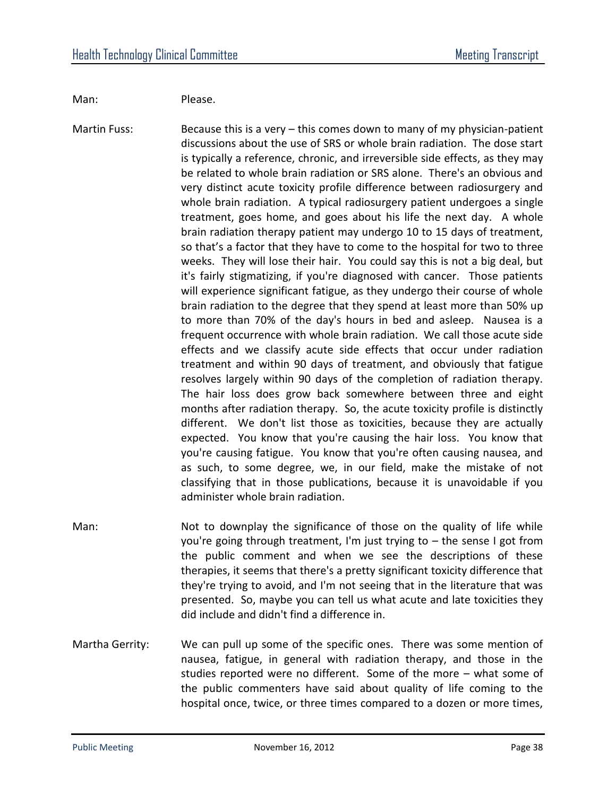Man: Please.

Martin Fuss: Because this is a very – this comes down to many of my physician-patient discussions about the use of SRS or whole brain radiation. The dose start is typically a reference, chronic, and irreversible side effects, as they may be related to whole brain radiation or SRS alone. There's an obvious and very distinct acute toxicity profile difference between radiosurgery and whole brain radiation. A typical radiosurgery patient undergoes a single treatment, goes home, and goes about his life the next day. A whole brain radiation therapy patient may undergo 10 to 15 days of treatment, so that's a factor that they have to come to the hospital for two to three weeks. They will lose their hair. You could say this is not a big deal, but it's fairly stigmatizing, if you're diagnosed with cancer. Those patients will experience significant fatigue, as they undergo their course of whole brain radiation to the degree that they spend at least more than 50% up to more than 70% of the day's hours in bed and asleep. Nausea is a frequent occurrence with whole brain radiation. We call those acute side effects and we classify acute side effects that occur under radiation treatment and within 90 days of treatment, and obviously that fatigue resolves largely within 90 days of the completion of radiation therapy. The hair loss does grow back somewhere between three and eight months after radiation therapy. So, the acute toxicity profile is distinctly different. We don't list those as toxicities, because they are actually expected. You know that you're causing the hair loss. You know that you're causing fatigue. You know that you're often causing nausea, and as such, to some degree, we, in our field, make the mistake of not classifying that in those publications, because it is unavoidable if you administer whole brain radiation.

- Man: Not to downplay the significance of those on the quality of life while you're going through treatment, I'm just trying to – the sense I got from the public comment and when we see the descriptions of these therapies, it seems that there's a pretty significant toxicity difference that they're trying to avoid, and I'm not seeing that in the literature that was presented. So, maybe you can tell us what acute and late toxicities they did include and didn't find a difference in.
- Martha Gerrity: We can pull up some of the specific ones. There was some mention of nausea, fatigue, in general with radiation therapy, and those in the studies reported were no different. Some of the more – what some of the public commenters have said about quality of life coming to the hospital once, twice, or three times compared to a dozen or more times,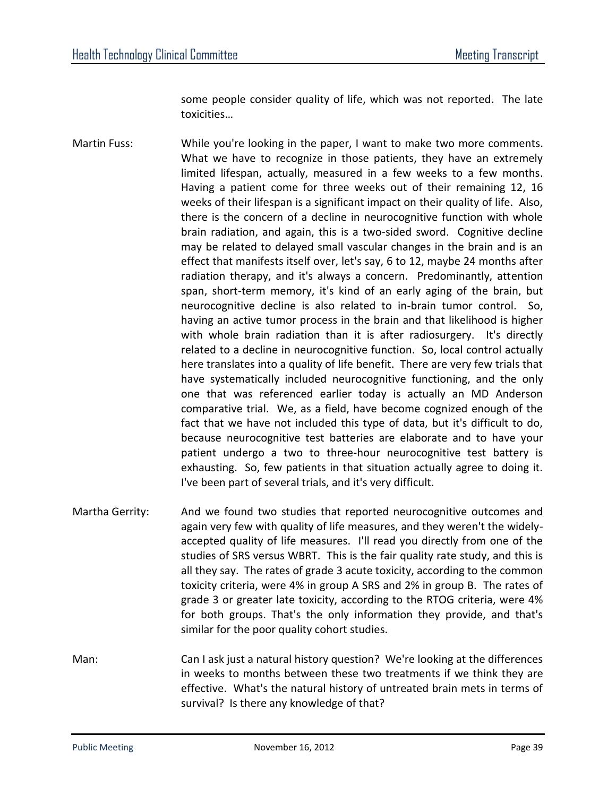some people consider quality of life, which was not reported. The late toxicities…

- Martin Fuss: While you're looking in the paper, I want to make two more comments. What we have to recognize in those patients, they have an extremely limited lifespan, actually, measured in a few weeks to a few months. Having a patient come for three weeks out of their remaining 12, 16 weeks of their lifespan is a significant impact on their quality of life. Also, there is the concern of a decline in neurocognitive function with whole brain radiation, and again, this is a two-sided sword. Cognitive decline may be related to delayed small vascular changes in the brain and is an effect that manifests itself over, let's say, 6 to 12, maybe 24 months after radiation therapy, and it's always a concern. Predominantly, attention span, short-term memory, it's kind of an early aging of the brain, but neurocognitive decline is also related to in-brain tumor control. So, having an active tumor process in the brain and that likelihood is higher with whole brain radiation than it is after radiosurgery. It's directly related to a decline in neurocognitive function. So, local control actually here translates into a quality of life benefit. There are very few trials that have systematically included neurocognitive functioning, and the only one that was referenced earlier today is actually an MD Anderson comparative trial. We, as a field, have become cognized enough of the fact that we have not included this type of data, but it's difficult to do, because neurocognitive test batteries are elaborate and to have your patient undergo a two to three-hour neurocognitive test battery is exhausting. So, few patients in that situation actually agree to doing it. I've been part of several trials, and it's very difficult.
- Martha Gerrity: And we found two studies that reported neurocognitive outcomes and again very few with quality of life measures, and they weren't the widelyaccepted quality of life measures. I'll read you directly from one of the studies of SRS versus WBRT. This is the fair quality rate study, and this is all they say. The rates of grade 3 acute toxicity, according to the common toxicity criteria, were 4% in group A SRS and 2% in group B. The rates of grade 3 or greater late toxicity, according to the RTOG criteria, were 4% for both groups. That's the only information they provide, and that's similar for the poor quality cohort studies.
- Man: Can I ask just a natural history question? We're looking at the differences in weeks to months between these two treatments if we think they are effective. What's the natural history of untreated brain mets in terms of survival? Is there any knowledge of that?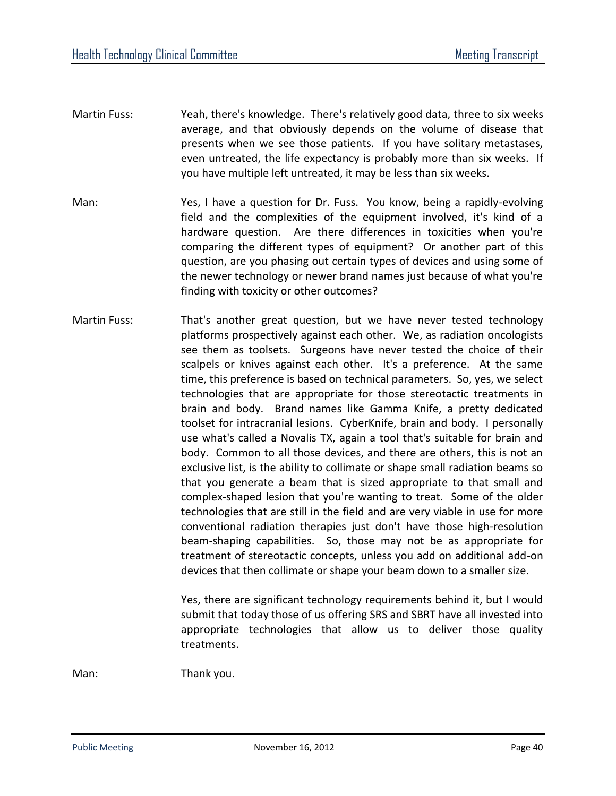- Martin Fuss: Yeah, there's knowledge. There's relatively good data, three to six weeks average, and that obviously depends on the volume of disease that presents when we see those patients. If you have solitary metastases, even untreated, the life expectancy is probably more than six weeks. If you have multiple left untreated, it may be less than six weeks.
- Man: Yes, I have a question for Dr. Fuss. You know, being a rapidly-evolving field and the complexities of the equipment involved, it's kind of a hardware question. Are there differences in toxicities when you're comparing the different types of equipment? Or another part of this question, are you phasing out certain types of devices and using some of the newer technology or newer brand names just because of what you're finding with toxicity or other outcomes?
- Martin Fuss: That's another great question, but we have never tested technology platforms prospectively against each other. We, as radiation oncologists see them as toolsets. Surgeons have never tested the choice of their scalpels or knives against each other. It's a preference. At the same time, this preference is based on technical parameters. So, yes, we select technologies that are appropriate for those stereotactic treatments in brain and body. Brand names like Gamma Knife, a pretty dedicated toolset for intracranial lesions. CyberKnife, brain and body. I personally use what's called a Novalis TX, again a tool that's suitable for brain and body. Common to all those devices, and there are others, this is not an exclusive list, is the ability to collimate or shape small radiation beams so that you generate a beam that is sized appropriate to that small and complex-shaped lesion that you're wanting to treat. Some of the older technologies that are still in the field and are very viable in use for more conventional radiation therapies just don't have those high-resolution beam-shaping capabilities. So, those may not be as appropriate for treatment of stereotactic concepts, unless you add on additional add-on devices that then collimate or shape your beam down to a smaller size.

Yes, there are significant technology requirements behind it, but I would submit that today those of us offering SRS and SBRT have all invested into appropriate technologies that allow us to deliver those quality treatments.

Man: Thank you.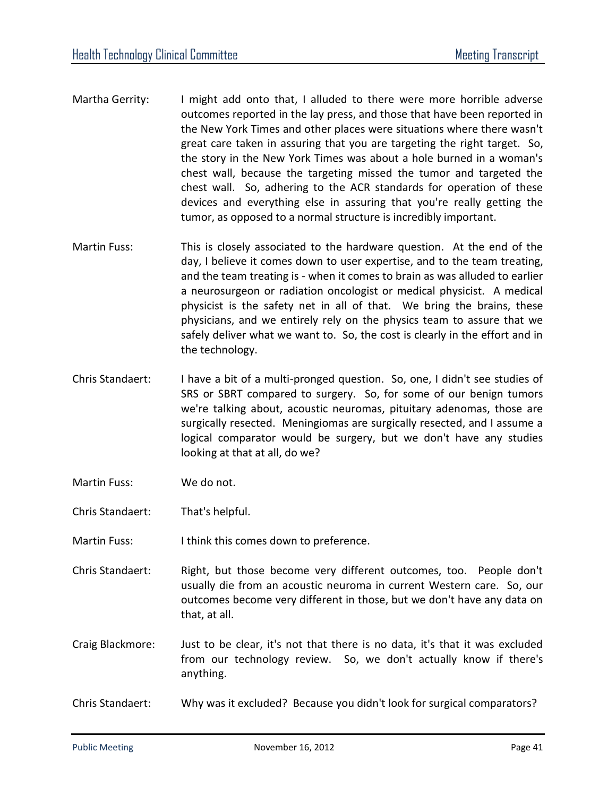- Martha Gerrity: I might add onto that, I alluded to there were more horrible adverse outcomes reported in the lay press, and those that have been reported in the New York Times and other places were situations where there wasn't great care taken in assuring that you are targeting the right target. So, the story in the New York Times was about a hole burned in a woman's chest wall, because the targeting missed the tumor and targeted the chest wall. So, adhering to the ACR standards for operation of these devices and everything else in assuring that you're really getting the tumor, as opposed to a normal structure is incredibly important.
- Martin Fuss: This is closely associated to the hardware question. At the end of the day, I believe it comes down to user expertise, and to the team treating, and the team treating is - when it comes to brain as was alluded to earlier a neurosurgeon or radiation oncologist or medical physicist. A medical physicist is the safety net in all of that. We bring the brains, these physicians, and we entirely rely on the physics team to assure that we safely deliver what we want to. So, the cost is clearly in the effort and in the technology.
- Chris Standaert: I have a bit of a multi-pronged question. So, one, I didn't see studies of SRS or SBRT compared to surgery. So, for some of our benign tumors we're talking about, acoustic neuromas, pituitary adenomas, those are surgically resected. Meningiomas are surgically resected, and I assume a logical comparator would be surgery, but we don't have any studies looking at that at all, do we?
- Martin Fuss: We do not.
- Chris Standaert: That's helpful.
- Martin Fuss: I think this comes down to preference.
- Chris Standaert: Right, but those become very different outcomes, too. People don't usually die from an acoustic neuroma in current Western care. So, our outcomes become very different in those, but we don't have any data on that, at all.
- Craig Blackmore: Just to be clear, it's not that there is no data, it's that it was excluded from our technology review. So, we don't actually know if there's anything.
- Chris Standaert: Why was it excluded? Because you didn't look for surgical comparators?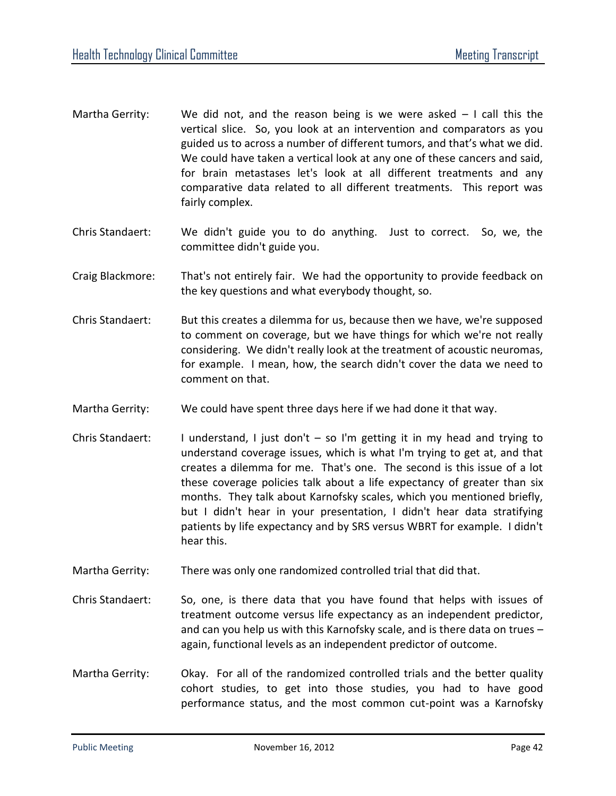- Martha Gerrity: We did not, and the reason being is we were asked  $-1$  call this the vertical slice. So, you look at an intervention and comparators as you guided us to across a number of different tumors, and that's what we did. We could have taken a vertical look at any one of these cancers and said, for brain metastases let's look at all different treatments and any comparative data related to all different treatments. This report was fairly complex.
- Chris Standaert: We didn't guide you to do anything. Just to correct. So, we, the committee didn't guide you.
- Craig Blackmore: That's not entirely fair. We had the opportunity to provide feedback on the key questions and what everybody thought, so.
- Chris Standaert: But this creates a dilemma for us, because then we have, we're supposed to comment on coverage, but we have things for which we're not really considering. We didn't really look at the treatment of acoustic neuromas, for example. I mean, how, the search didn't cover the data we need to comment on that.
- Martha Gerrity: We could have spent three days here if we had done it that way.
- Chris Standaert: I understand, I just don't  $-$  so I'm getting it in my head and trying to understand coverage issues, which is what I'm trying to get at, and that creates a dilemma for me. That's one. The second is this issue of a lot these coverage policies talk about a life expectancy of greater than six months. They talk about Karnofsky scales, which you mentioned briefly, but I didn't hear in your presentation, I didn't hear data stratifying patients by life expectancy and by SRS versus WBRT for example. I didn't hear this.
- Martha Gerrity: There was only one randomized controlled trial that did that.
- Chris Standaert: So, one, is there data that you have found that helps with issues of treatment outcome versus life expectancy as an independent predictor, and can you help us with this Karnofsky scale, and is there data on trues – again, functional levels as an independent predictor of outcome.
- Martha Gerrity: Okay. For all of the randomized controlled trials and the better quality cohort studies, to get into those studies, you had to have good performance status, and the most common cut-point was a Karnofsky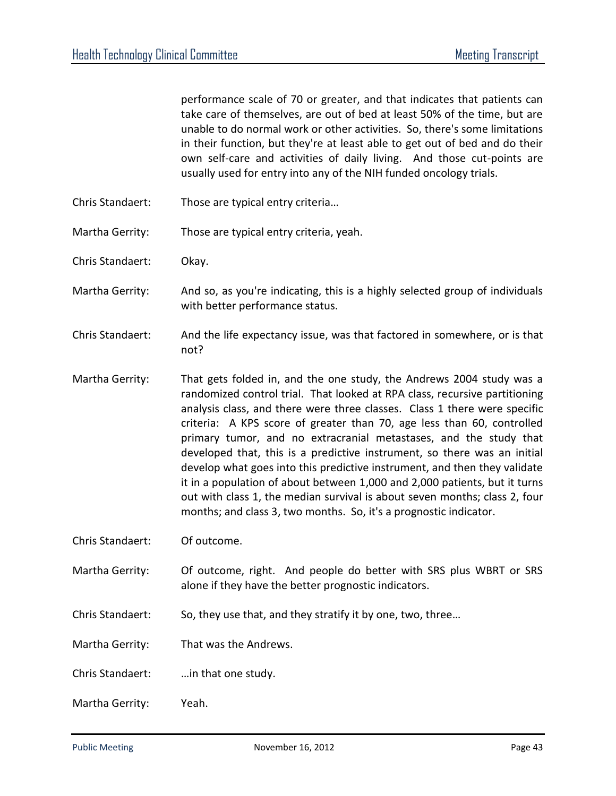performance scale of 70 or greater, and that indicates that patients can take care of themselves, are out of bed at least 50% of the time, but are unable to do normal work or other activities. So, there's some limitations in their function, but they're at least able to get out of bed and do their own self-care and activities of daily living. And those cut-points are usually used for entry into any of the NIH funded oncology trials.

- Chris Standaert: Those are typical entry criteria…
- Martha Gerrity: Those are typical entry criteria, yeah.
- Chris Standaert: Okay.
- Martha Gerrity: And so, as you're indicating, this is a highly selected group of individuals with better performance status.
- Chris Standaert: And the life expectancy issue, was that factored in somewhere, or is that not?
- Martha Gerrity: That gets folded in, and the one study, the Andrews 2004 study was a randomized control trial. That looked at RPA class, recursive partitioning analysis class, and there were three classes. Class 1 there were specific criteria: A KPS score of greater than 70, age less than 60, controlled primary tumor, and no extracranial metastases, and the study that developed that, this is a predictive instrument, so there was an initial develop what goes into this predictive instrument, and then they validate it in a population of about between 1,000 and 2,000 patients, but it turns out with class 1, the median survival is about seven months; class 2, four months; and class 3, two months. So, it's a prognostic indicator.
- Chris Standaert: Of outcome.
- Martha Gerrity: Of outcome, right. And people do better with SRS plus WBRT or SRS alone if they have the better prognostic indicators.
- Chris Standaert: So, they use that, and they stratify it by one, two, three…
- Martha Gerrity: That was the Andrews.
- Chris Standaert: …in that one study.
- Martha Gerrity: Yeah.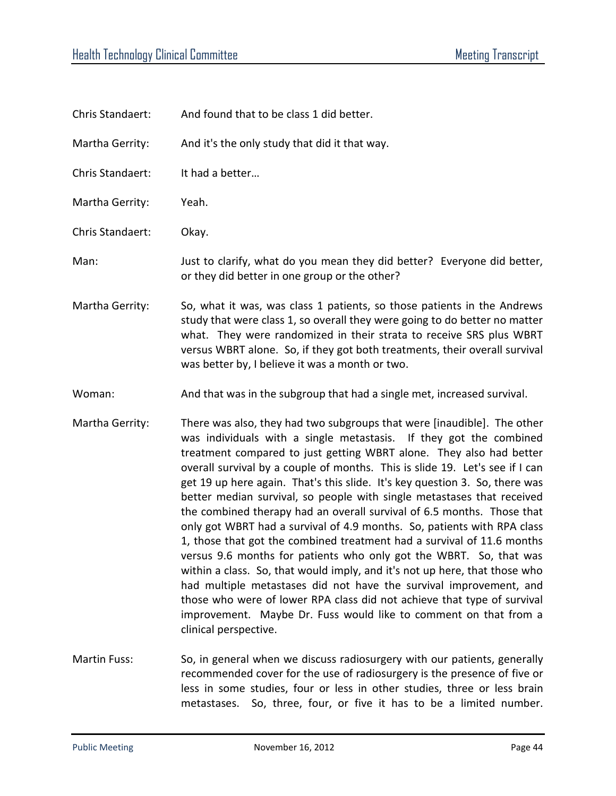| Chris Standaert: | And found that to be class 1 did better.                                                                                                                                                                                                                                                                                                                                                                                                                                                                                                                                                                                                                                                                                                                                                                                                                                                                                                                                                                                                                                                       |
|------------------|------------------------------------------------------------------------------------------------------------------------------------------------------------------------------------------------------------------------------------------------------------------------------------------------------------------------------------------------------------------------------------------------------------------------------------------------------------------------------------------------------------------------------------------------------------------------------------------------------------------------------------------------------------------------------------------------------------------------------------------------------------------------------------------------------------------------------------------------------------------------------------------------------------------------------------------------------------------------------------------------------------------------------------------------------------------------------------------------|
| Martha Gerrity:  | And it's the only study that did it that way.                                                                                                                                                                                                                                                                                                                                                                                                                                                                                                                                                                                                                                                                                                                                                                                                                                                                                                                                                                                                                                                  |
| Chris Standaert: | It had a better                                                                                                                                                                                                                                                                                                                                                                                                                                                                                                                                                                                                                                                                                                                                                                                                                                                                                                                                                                                                                                                                                |
| Martha Gerrity:  | Yeah.                                                                                                                                                                                                                                                                                                                                                                                                                                                                                                                                                                                                                                                                                                                                                                                                                                                                                                                                                                                                                                                                                          |
| Chris Standaert: | Okay.                                                                                                                                                                                                                                                                                                                                                                                                                                                                                                                                                                                                                                                                                                                                                                                                                                                                                                                                                                                                                                                                                          |
| Man:             | Just to clarify, what do you mean they did better? Everyone did better,<br>or they did better in one group or the other?                                                                                                                                                                                                                                                                                                                                                                                                                                                                                                                                                                                                                                                                                                                                                                                                                                                                                                                                                                       |
| Martha Gerrity:  | So, what it was, was class 1 patients, so those patients in the Andrews<br>study that were class 1, so overall they were going to do better no matter<br>what. They were randomized in their strata to receive SRS plus WBRT<br>versus WBRT alone. So, if they got both treatments, their overall survival<br>was better by, I believe it was a month or two.                                                                                                                                                                                                                                                                                                                                                                                                                                                                                                                                                                                                                                                                                                                                  |
| Woman:           | And that was in the subgroup that had a single met, increased survival.                                                                                                                                                                                                                                                                                                                                                                                                                                                                                                                                                                                                                                                                                                                                                                                                                                                                                                                                                                                                                        |
| Martha Gerrity:  | There was also, they had two subgroups that were [inaudible]. The other<br>was individuals with a single metastasis. If they got the combined<br>treatment compared to just getting WBRT alone. They also had better<br>overall survival by a couple of months. This is slide 19. Let's see if I can<br>get 19 up here again. That's this slide. It's key question 3. So, there was<br>better median survival, so people with single metastases that received<br>the combined therapy had an overall survival of 6.5 months. Those that<br>only got WBRT had a survival of 4.9 months. So, patients with RPA class<br>1, those that got the combined treatment had a survival of 11.6 months<br>versus 9.6 months for patients who only got the WBRT. So, that was<br>within a class. So, that would imply, and it's not up here, that those who<br>had multiple metastases did not have the survival improvement, and<br>those who were of lower RPA class did not achieve that type of survival<br>improvement. Maybe Dr. Fuss would like to comment on that from a<br>clinical perspective. |

Martin Fuss: So, in general when we discuss radiosurgery with our patients, generally recommended cover for the use of radiosurgery is the presence of five or less in some studies, four or less in other studies, three or less brain metastases. So, three, four, or five it has to be a limited number.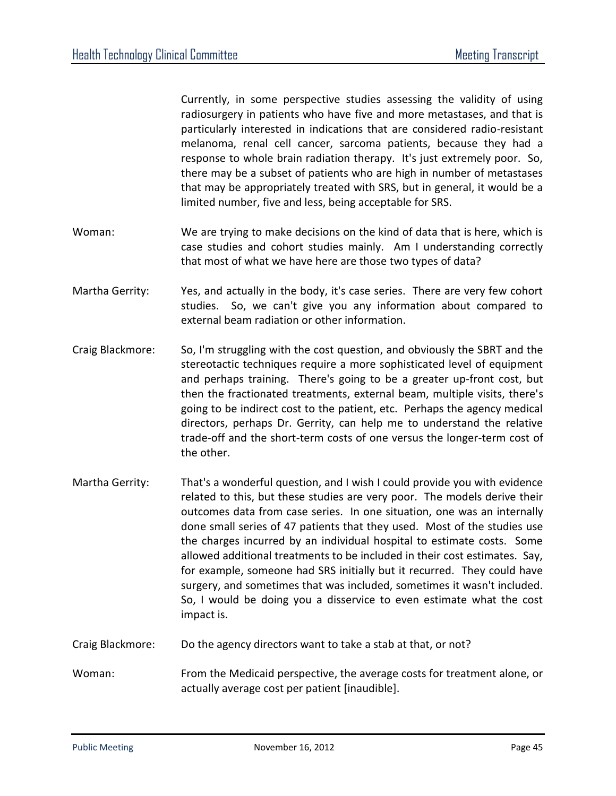Currently, in some perspective studies assessing the validity of using radiosurgery in patients who have five and more metastases, and that is particularly interested in indications that are considered radio-resistant melanoma, renal cell cancer, sarcoma patients, because they had a response to whole brain radiation therapy. It's just extremely poor. So, there may be a subset of patients who are high in number of metastases that may be appropriately treated with SRS, but in general, it would be a limited number, five and less, being acceptable for SRS.

- Woman: We are trying to make decisions on the kind of data that is here, which is case studies and cohort studies mainly. Am I understanding correctly that most of what we have here are those two types of data?
- Martha Gerrity: Yes, and actually in the body, it's case series. There are very few cohort studies. So, we can't give you any information about compared to external beam radiation or other information.
- Craig Blackmore: So, I'm struggling with the cost question, and obviously the SBRT and the stereotactic techniques require a more sophisticated level of equipment and perhaps training. There's going to be a greater up-front cost, but then the fractionated treatments, external beam, multiple visits, there's going to be indirect cost to the patient, etc. Perhaps the agency medical directors, perhaps Dr. Gerrity, can help me to understand the relative trade-off and the short-term costs of one versus the longer-term cost of the other.
- Martha Gerrity: That's a wonderful question, and I wish I could provide you with evidence related to this, but these studies are very poor. The models derive their outcomes data from case series. In one situation, one was an internally done small series of 47 patients that they used. Most of the studies use the charges incurred by an individual hospital to estimate costs. Some allowed additional treatments to be included in their cost estimates. Say, for example, someone had SRS initially but it recurred. They could have surgery, and sometimes that was included, sometimes it wasn't included. So, I would be doing you a disservice to even estimate what the cost impact is.
- Craig Blackmore: Do the agency directors want to take a stab at that, or not?
- Woman: From the Medicaid perspective, the average costs for treatment alone, or actually average cost per patient [inaudible].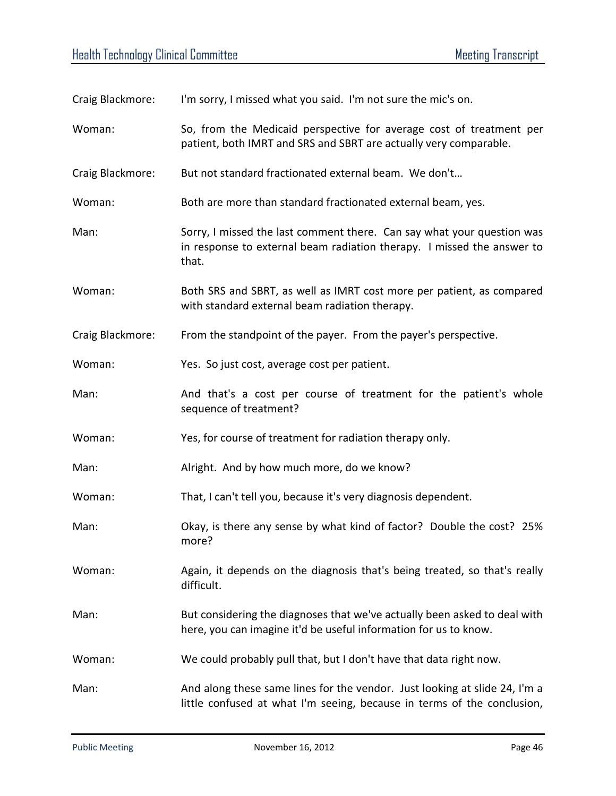| Craig Blackmore: | I'm sorry, I missed what you said. I'm not sure the mic's on.                                                                                             |
|------------------|-----------------------------------------------------------------------------------------------------------------------------------------------------------|
| Woman:           | So, from the Medicaid perspective for average cost of treatment per<br>patient, both IMRT and SRS and SBRT are actually very comparable.                  |
| Craig Blackmore: | But not standard fractionated external beam. We don't                                                                                                     |
| Woman:           | Both are more than standard fractionated external beam, yes.                                                                                              |
| Man:             | Sorry, I missed the last comment there. Can say what your question was<br>in response to external beam radiation therapy. I missed the answer to<br>that. |
| Woman:           | Both SRS and SBRT, as well as IMRT cost more per patient, as compared<br>with standard external beam radiation therapy.                                   |
| Craig Blackmore: | From the standpoint of the payer. From the payer's perspective.                                                                                           |
| Woman:           | Yes. So just cost, average cost per patient.                                                                                                              |
| Man:             | And that's a cost per course of treatment for the patient's whole<br>sequence of treatment?                                                               |
| Woman:           | Yes, for course of treatment for radiation therapy only.                                                                                                  |
| Man:             | Alright. And by how much more, do we know?                                                                                                                |
| Woman:           | That, I can't tell you, because it's very diagnosis dependent.                                                                                            |
| Man:             | Okay, is there any sense by what kind of factor? Double the cost? 25%<br>more?                                                                            |
| Woman:           | Again, it depends on the diagnosis that's being treated, so that's really<br>difficult.                                                                   |
| Man:             | But considering the diagnoses that we've actually been asked to deal with<br>here, you can imagine it'd be useful information for us to know.             |
| Woman:           | We could probably pull that, but I don't have that data right now.                                                                                        |
| Man:             | And along these same lines for the vendor. Just looking at slide 24, I'm a<br>little confused at what I'm seeing, because in terms of the conclusion,     |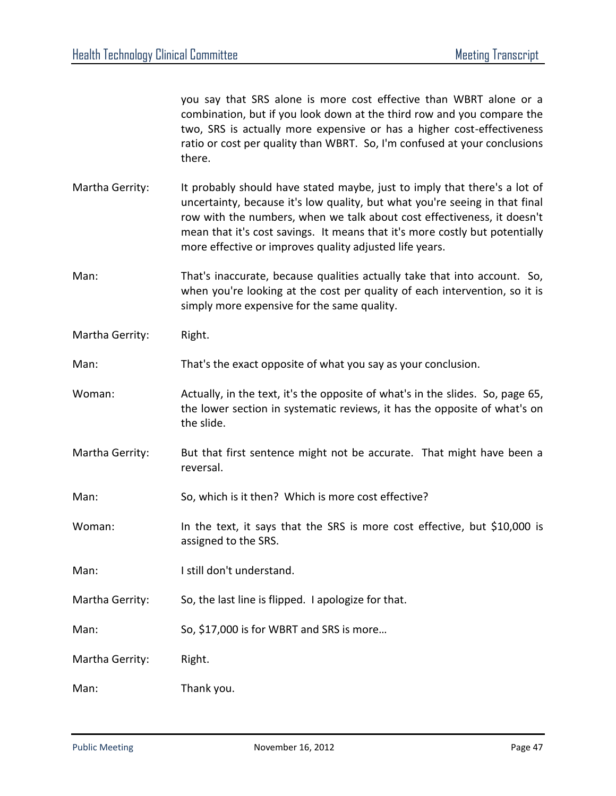you say that SRS alone is more cost effective than WBRT alone or a combination, but if you look down at the third row and you compare the two, SRS is actually more expensive or has a higher cost-effectiveness ratio or cost per quality than WBRT. So, I'm confused at your conclusions there.

- Martha Gerrity: It probably should have stated maybe, just to imply that there's a lot of uncertainty, because it's low quality, but what you're seeing in that final row with the numbers, when we talk about cost effectiveness, it doesn't mean that it's cost savings. It means that it's more costly but potentially more effective or improves quality adjusted life years.
- Man: That's inaccurate, because qualities actually take that into account. So, when you're looking at the cost per quality of each intervention, so it is simply more expensive for the same quality.
- Martha Gerrity: Right.
- Man: That's the exact opposite of what you say as your conclusion.
- Woman: Actually, in the text, it's the opposite of what's in the slides. So, page 65, the lower section in systematic reviews, it has the opposite of what's on the slide.
- Martha Gerrity: But that first sentence might not be accurate. That might have been a reversal.
- Man: So, which is it then? Which is more cost effective?
- Woman: In the text, it says that the SRS is more cost effective, but \$10,000 is assigned to the SRS.
- Man: I still don't understand.
- Martha Gerrity: So, the last line is flipped. I apologize for that.
- Man: So, \$17,000 is for WBRT and SRS is more...
- Martha Gerrity: Right.
- Man: Thank you.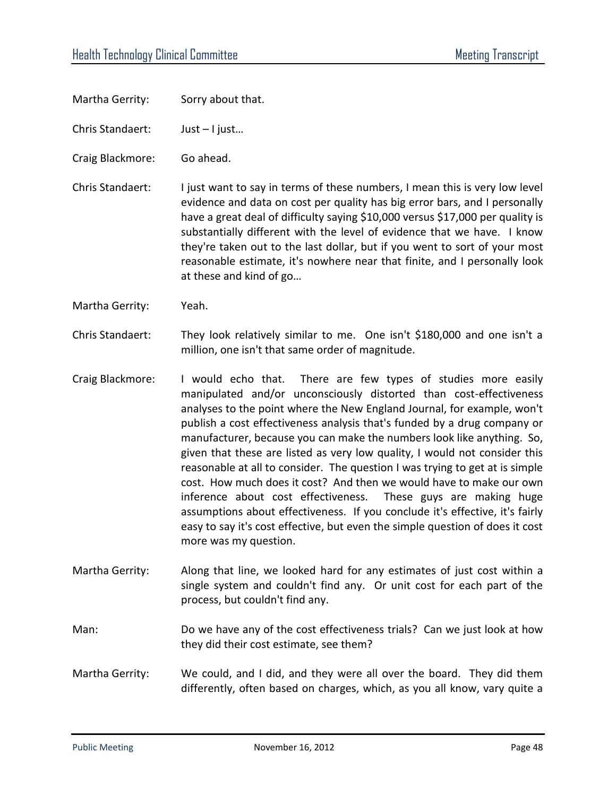- Martha Gerrity: Sorry about that.
- Chris Standaert: Just I just…
- Craig Blackmore: Go ahead.
- Chris Standaert: I just want to say in terms of these numbers, I mean this is very low level evidence and data on cost per quality has big error bars, and I personally have a great deal of difficulty saying \$10,000 versus \$17,000 per quality is substantially different with the level of evidence that we have. I know they're taken out to the last dollar, but if you went to sort of your most reasonable estimate, it's nowhere near that finite, and I personally look at these and kind of go…
- Martha Gerrity: Yeah.
- Chris Standaert: They look relatively similar to me. One isn't \$180,000 and one isn't a million, one isn't that same order of magnitude.
- Craig Blackmore: I would echo that. There are few types of studies more easily manipulated and/or unconsciously distorted than cost-effectiveness analyses to the point where the New England Journal, for example, won't publish a cost effectiveness analysis that's funded by a drug company or manufacturer, because you can make the numbers look like anything. So, given that these are listed as very low quality, I would not consider this reasonable at all to consider. The question I was trying to get at is simple cost. How much does it cost? And then we would have to make our own inference about cost effectiveness. These guys are making huge assumptions about effectiveness. If you conclude it's effective, it's fairly easy to say it's cost effective, but even the simple question of does it cost more was my question.
- Martha Gerrity: Along that line, we looked hard for any estimates of just cost within a single system and couldn't find any. Or unit cost for each part of the process, but couldn't find any.
- Man: Do we have any of the cost effectiveness trials? Can we just look at how they did their cost estimate, see them?
- Martha Gerrity: We could, and I did, and they were all over the board. They did them differently, often based on charges, which, as you all know, vary quite a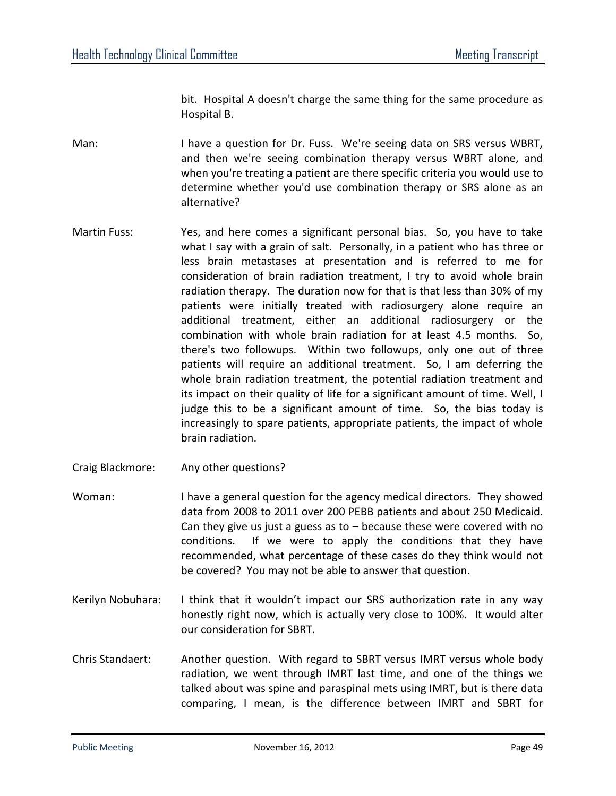bit. Hospital A doesn't charge the same thing for the same procedure as Hospital B.

Man: I have a question for Dr. Fuss. We're seeing data on SRS versus WBRT, and then we're seeing combination therapy versus WBRT alone, and when you're treating a patient are there specific criteria you would use to determine whether you'd use combination therapy or SRS alone as an alternative?

- Martin Fuss: Yes, and here comes a significant personal bias. So, you have to take what I say with a grain of salt. Personally, in a patient who has three or less brain metastases at presentation and is referred to me for consideration of brain radiation treatment, I try to avoid whole brain radiation therapy. The duration now for that is that less than 30% of my patients were initially treated with radiosurgery alone require an additional treatment, either an additional radiosurgery or the combination with whole brain radiation for at least 4.5 months. So, there's two followups. Within two followups, only one out of three patients will require an additional treatment. So, I am deferring the whole brain radiation treatment, the potential radiation treatment and its impact on their quality of life for a significant amount of time. Well, I judge this to be a significant amount of time. So, the bias today is increasingly to spare patients, appropriate patients, the impact of whole brain radiation.
- Craig Blackmore: Any other questions?
- Woman: I have a general question for the agency medical directors. They showed data from 2008 to 2011 over 200 PEBB patients and about 250 Medicaid. Can they give us just a guess as to  $-$  because these were covered with no conditions. If we were to apply the conditions that they have recommended, what percentage of these cases do they think would not be covered? You may not be able to answer that question.
- Kerilyn Nobuhara: I think that it wouldn't impact our SRS authorization rate in any way honestly right now, which is actually very close to 100%. It would alter our consideration for SBRT.
- Chris Standaert: Another question. With regard to SBRT versus IMRT versus whole body radiation, we went through IMRT last time, and one of the things we talked about was spine and paraspinal mets using IMRT, but is there data comparing, I mean, is the difference between IMRT and SBRT for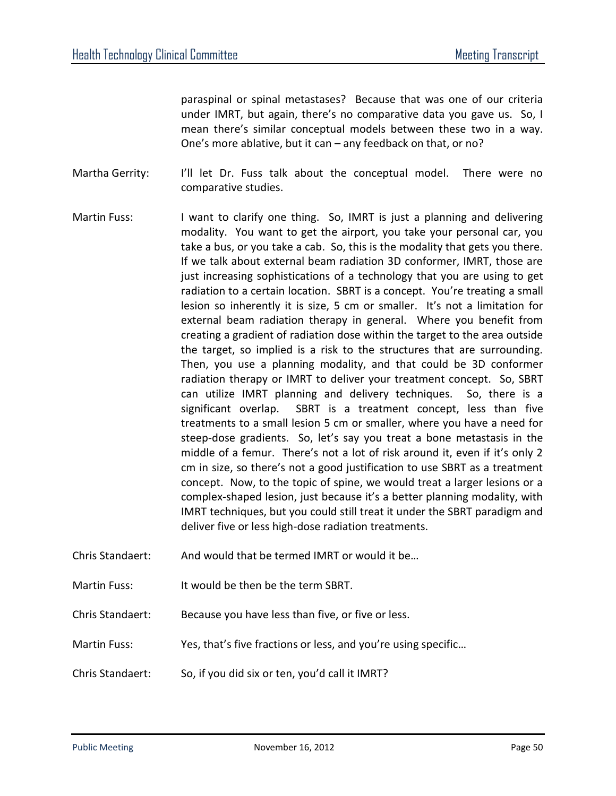paraspinal or spinal metastases? Because that was one of our criteria under IMRT, but again, there's no comparative data you gave us. So, I mean there's similar conceptual models between these two in a way. One's more ablative, but it can – any feedback on that, or no?

Martha Gerrity: I'll let Dr. Fuss talk about the conceptual model. There were no comparative studies.

- Martin Fuss: I want to clarify one thing. So, IMRT is just a planning and delivering modality. You want to get the airport, you take your personal car, you take a bus, or you take a cab. So, this is the modality that gets you there. If we talk about external beam radiation 3D conformer, IMRT, those are just increasing sophistications of a technology that you are using to get radiation to a certain location. SBRT is a concept. You're treating a small lesion so inherently it is size, 5 cm or smaller. It's not a limitation for external beam radiation therapy in general. Where you benefit from creating a gradient of radiation dose within the target to the area outside the target, so implied is a risk to the structures that are surrounding. Then, you use a planning modality, and that could be 3D conformer radiation therapy or IMRT to deliver your treatment concept. So, SBRT can utilize IMRT planning and delivery techniques. So, there is a significant overlap. SBRT is a treatment concept, less than five treatments to a small lesion 5 cm or smaller, where you have a need for steep-dose gradients. So, let's say you treat a bone metastasis in the middle of a femur. There's not a lot of risk around it, even if it's only 2 cm in size, so there's not a good justification to use SBRT as a treatment concept. Now, to the topic of spine, we would treat a larger lesions or a complex-shaped lesion, just because it's a better planning modality, with IMRT techniques, but you could still treat it under the SBRT paradigm and deliver five or less high-dose radiation treatments.
- Chris Standaert: And would that be termed IMRT or would it be…
- Martin Fuss: It would be then be the term SBRT.
- Chris Standaert: Because you have less than five, or five or less.
- Martin Fuss: Yes, that's five fractions or less, and you're using specific...
- Chris Standaert: So, if you did six or ten, you'd call it IMRT?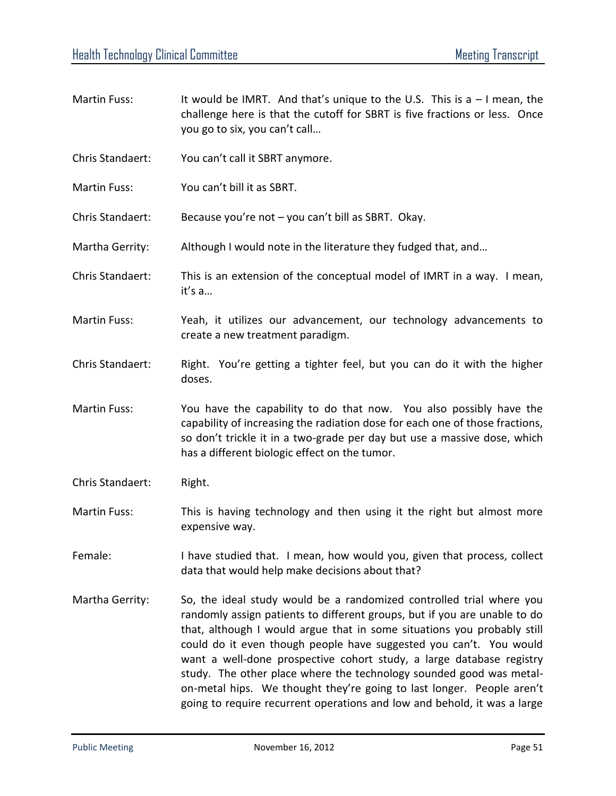- Martin Fuss: It would be IMRT. And that's unique to the U.S. This is a  $-1$  mean, the challenge here is that the cutoff for SBRT is five fractions or less. Once you go to six, you can't call… Chris Standaert: You can't call it SBRT anymore. Martin Fuss: You can't bill it as SBRT.
- 
- Chris Standaert: Because you're not you can't bill as SBRT. Okay.
- Martha Gerrity: Although I would note in the literature they fudged that, and...
- Chris Standaert: This is an extension of the conceptual model of IMRT in a way. I mean, it's a…
- Martin Fuss: Yeah, it utilizes our advancement, our technology advancements to create a new treatment paradigm.
- Chris Standaert: Right. You're getting a tighter feel, but you can do it with the higher doses.
- Martin Fuss: You have the capability to do that now. You also possibly have the capability of increasing the radiation dose for each one of those fractions, so don't trickle it in a two-grade per day but use a massive dose, which has a different biologic effect on the tumor.
- Chris Standaert: Right.
- Martin Fuss: This is having technology and then using it the right but almost more expensive way.
- Female: I have studied that. I mean, how would you, given that process, collect data that would help make decisions about that?
- Martha Gerrity: So, the ideal study would be a randomized controlled trial where you randomly assign patients to different groups, but if you are unable to do that, although I would argue that in some situations you probably still could do it even though people have suggested you can't. You would want a well-done prospective cohort study, a large database registry study. The other place where the technology sounded good was metalon-metal hips. We thought they're going to last longer. People aren't going to require recurrent operations and low and behold, it was a large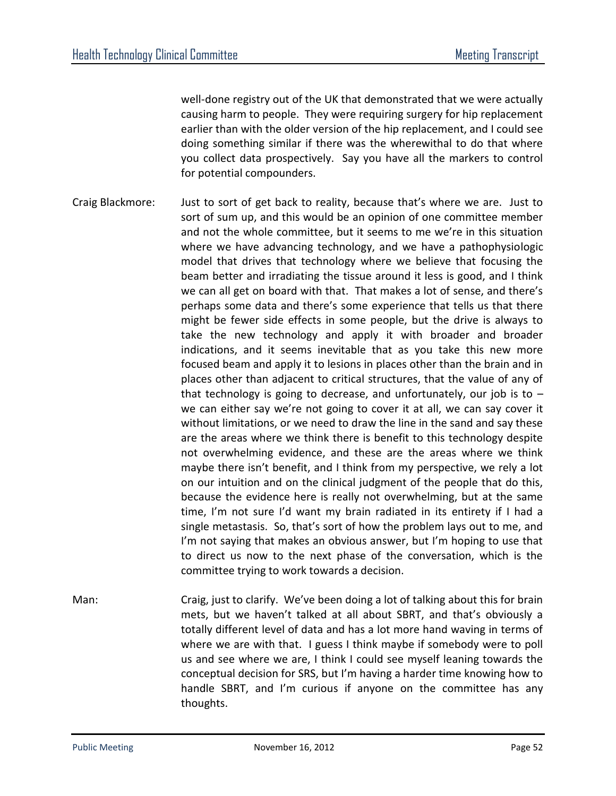well-done registry out of the UK that demonstrated that we were actually causing harm to people. They were requiring surgery for hip replacement earlier than with the older version of the hip replacement, and I could see doing something similar if there was the wherewithal to do that where you collect data prospectively. Say you have all the markers to control for potential compounders.

- Craig Blackmore: Just to sort of get back to reality, because that's where we are. Just to sort of sum up, and this would be an opinion of one committee member and not the whole committee, but it seems to me we're in this situation where we have advancing technology, and we have a pathophysiologic model that drives that technology where we believe that focusing the beam better and irradiating the tissue around it less is good, and I think we can all get on board with that. That makes a lot of sense, and there's perhaps some data and there's some experience that tells us that there might be fewer side effects in some people, but the drive is always to take the new technology and apply it with broader and broader indications, and it seems inevitable that as you take this new more focused beam and apply it to lesions in places other than the brain and in places other than adjacent to critical structures, that the value of any of that technology is going to decrease, and unfortunately, our job is to  $$ we can either say we're not going to cover it at all, we can say cover it without limitations, or we need to draw the line in the sand and say these are the areas where we think there is benefit to this technology despite not overwhelming evidence, and these are the areas where we think maybe there isn't benefit, and I think from my perspective, we rely a lot on our intuition and on the clinical judgment of the people that do this, because the evidence here is really not overwhelming, but at the same time, I'm not sure I'd want my brain radiated in its entirety if I had a single metastasis. So, that's sort of how the problem lays out to me, and I'm not saying that makes an obvious answer, but I'm hoping to use that to direct us now to the next phase of the conversation, which is the committee trying to work towards a decision.
- Man: Craig, just to clarify. We've been doing a lot of talking about this for brain mets, but we haven't talked at all about SBRT, and that's obviously a totally different level of data and has a lot more hand waving in terms of where we are with that. I guess I think maybe if somebody were to poll us and see where we are, I think I could see myself leaning towards the conceptual decision for SRS, but I'm having a harder time knowing how to handle SBRT, and I'm curious if anyone on the committee has any thoughts.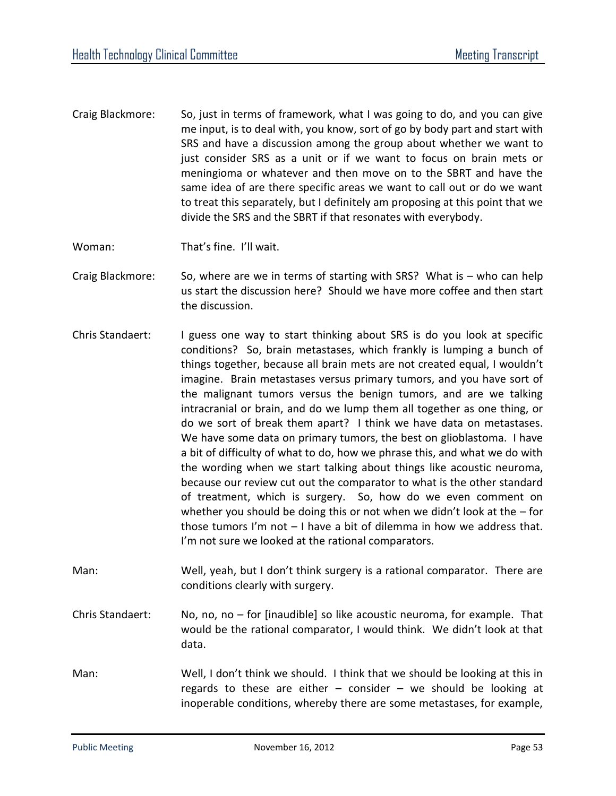Craig Blackmore: So, just in terms of framework, what I was going to do, and you can give me input, is to deal with, you know, sort of go by body part and start with SRS and have a discussion among the group about whether we want to just consider SRS as a unit or if we want to focus on brain mets or meningioma or whatever and then move on to the SBRT and have the same idea of are there specific areas we want to call out or do we want to treat this separately, but I definitely am proposing at this point that we divide the SRS and the SBRT if that resonates with everybody.

Woman: That's fine. I'll wait.

- Craig Blackmore: So, where are we in terms of starting with SRS? What is who can help us start the discussion here? Should we have more coffee and then start the discussion.
- Chris Standaert: I guess one way to start thinking about SRS is do you look at specific conditions? So, brain metastases, which frankly is lumping a bunch of things together, because all brain mets are not created equal, I wouldn't imagine. Brain metastases versus primary tumors, and you have sort of the malignant tumors versus the benign tumors, and are we talking intracranial or brain, and do we lump them all together as one thing, or do we sort of break them apart? I think we have data on metastases. We have some data on primary tumors, the best on glioblastoma. I have a bit of difficulty of what to do, how we phrase this, and what we do with the wording when we start talking about things like acoustic neuroma, because our review cut out the comparator to what is the other standard of treatment, which is surgery. So, how do we even comment on whether you should be doing this or not when we didn't look at the  $-$  for those tumors I'm not – I have a bit of dilemma in how we address that. I'm not sure we looked at the rational comparators.
- Man: Well, yeah, but I don't think surgery is a rational comparator. There are conditions clearly with surgery.
- Chris Standaert: No, no, no for [inaudible] so like acoustic neuroma, for example. That would be the rational comparator, I would think. We didn't look at that data.
- Man: Well, I don't think we should. I think that we should be looking at this in regards to these are either  $-$  consider  $-$  we should be looking at inoperable conditions, whereby there are some metastases, for example,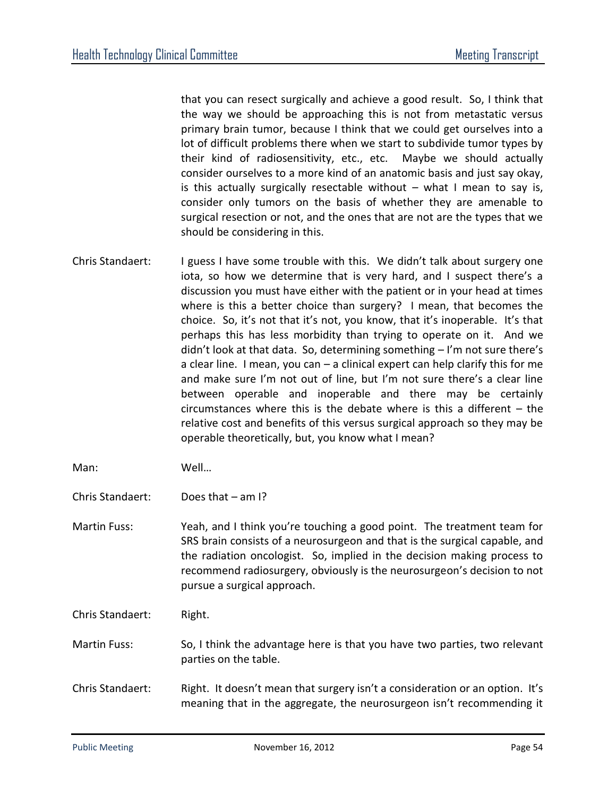that you can resect surgically and achieve a good result. So, I think that the way we should be approaching this is not from metastatic versus primary brain tumor, because I think that we could get ourselves into a lot of difficult problems there when we start to subdivide tumor types by their kind of radiosensitivity, etc., etc. Maybe we should actually consider ourselves to a more kind of an anatomic basis and just say okay, is this actually surgically resectable without  $-$  what I mean to say is, consider only tumors on the basis of whether they are amenable to surgical resection or not, and the ones that are not are the types that we should be considering in this.

- Chris Standaert: I guess I have some trouble with this. We didn't talk about surgery one iota, so how we determine that is very hard, and I suspect there's a discussion you must have either with the patient or in your head at times where is this a better choice than surgery? I mean, that becomes the choice. So, it's not that it's not, you know, that it's inoperable. It's that perhaps this has less morbidity than trying to operate on it. And we didn't look at that data. So, determining something – I'm not sure there's a clear line. I mean, you can – a clinical expert can help clarify this for me and make sure I'm not out of line, but I'm not sure there's a clear line between operable and inoperable and there may be certainly circumstances where this is the debate where is this a different – the relative cost and benefits of this versus surgical approach so they may be operable theoretically, but, you know what I mean?
- Man: Well…
- Chris Standaert: Does that am I?
- Martin Fuss: Yeah, and I think you're touching a good point. The treatment team for SRS brain consists of a neurosurgeon and that is the surgical capable, and the radiation oncologist. So, implied in the decision making process to recommend radiosurgery, obviously is the neurosurgeon's decision to not pursue a surgical approach.
- Chris Standaert: Right.
- Martin Fuss: So, I think the advantage here is that you have two parties, two relevant parties on the table.
- Chris Standaert: Right. It doesn't mean that surgery isn't a consideration or an option. It's meaning that in the aggregate, the neurosurgeon isn't recommending it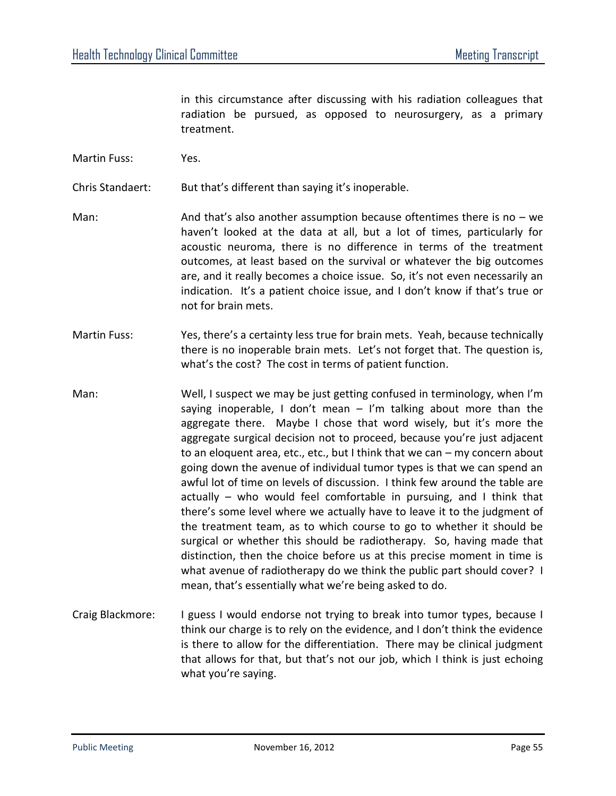in this circumstance after discussing with his radiation colleagues that radiation be pursued, as opposed to neurosurgery, as a primary treatment.

Martin Fuss: Yes.

Chris Standaert: But that's different than saying it's inoperable.

- Man: And that's also another assumption because oftentimes there is no we haven't looked at the data at all, but a lot of times, particularly for acoustic neuroma, there is no difference in terms of the treatment outcomes, at least based on the survival or whatever the big outcomes are, and it really becomes a choice issue. So, it's not even necessarily an indication. It's a patient choice issue, and I don't know if that's true or not for brain mets.
- Martin Fuss: Yes, there's a certainty less true for brain mets. Yeah, because technically there is no inoperable brain mets. Let's not forget that. The question is, what's the cost? The cost in terms of patient function.
- Man: Well, I suspect we may be just getting confused in terminology, when I'm saying inoperable, I don't mean  $-$  I'm talking about more than the aggregate there. Maybe I chose that word wisely, but it's more the aggregate surgical decision not to proceed, because you're just adjacent to an eloquent area, etc., etc., but I think that we can – my concern about going down the avenue of individual tumor types is that we can spend an awful lot of time on levels of discussion. I think few around the table are actually – who would feel comfortable in pursuing, and I think that there's some level where we actually have to leave it to the judgment of the treatment team, as to which course to go to whether it should be surgical or whether this should be radiotherapy. So, having made that distinction, then the choice before us at this precise moment in time is what avenue of radiotherapy do we think the public part should cover? I mean, that's essentially what we're being asked to do.
- Craig Blackmore: I guess I would endorse not trying to break into tumor types, because I think our charge is to rely on the evidence, and I don't think the evidence is there to allow for the differentiation. There may be clinical judgment that allows for that, but that's not our job, which I think is just echoing what you're saying.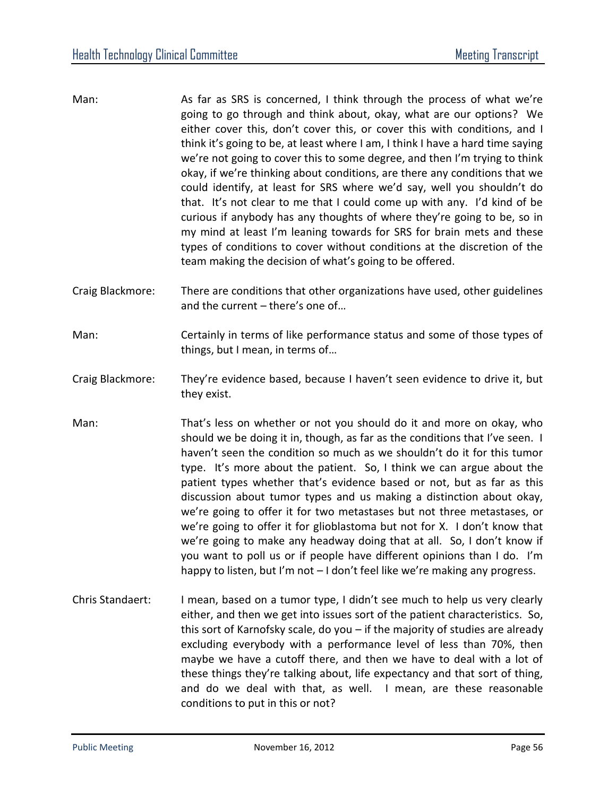- Man: As far as SRS is concerned, I think through the process of what we're going to go through and think about, okay, what are our options? We either cover this, don't cover this, or cover this with conditions, and I think it's going to be, at least where I am, I think I have a hard time saying we're not going to cover this to some degree, and then I'm trying to think okay, if we're thinking about conditions, are there any conditions that we could identify, at least for SRS where we'd say, well you shouldn't do that. It's not clear to me that I could come up with any. I'd kind of be curious if anybody has any thoughts of where they're going to be, so in my mind at least I'm leaning towards for SRS for brain mets and these types of conditions to cover without conditions at the discretion of the team making the decision of what's going to be offered.
- Craig Blackmore: There are conditions that other organizations have used, other guidelines and the current – there's one of…
- Man: Certainly in terms of like performance status and some of those types of things, but I mean, in terms of…
- Craig Blackmore: They're evidence based, because I haven't seen evidence to drive it, but they exist.
- Man: That's less on whether or not you should do it and more on okay, who should we be doing it in, though, as far as the conditions that I've seen. I haven't seen the condition so much as we shouldn't do it for this tumor type. It's more about the patient. So, I think we can argue about the patient types whether that's evidence based or not, but as far as this discussion about tumor types and us making a distinction about okay, we're going to offer it for two metastases but not three metastases, or we're going to offer it for glioblastoma but not for X. I don't know that we're going to make any headway doing that at all. So, I don't know if you want to poll us or if people have different opinions than I do. I'm happy to listen, but I'm not – I don't feel like we're making any progress.
- Chris Standaert: I mean, based on a tumor type, I didn't see much to help us very clearly either, and then we get into issues sort of the patient characteristics. So, this sort of Karnofsky scale, do you – if the majority of studies are already excluding everybody with a performance level of less than 70%, then maybe we have a cutoff there, and then we have to deal with a lot of these things they're talking about, life expectancy and that sort of thing, and do we deal with that, as well. I mean, are these reasonable conditions to put in this or not?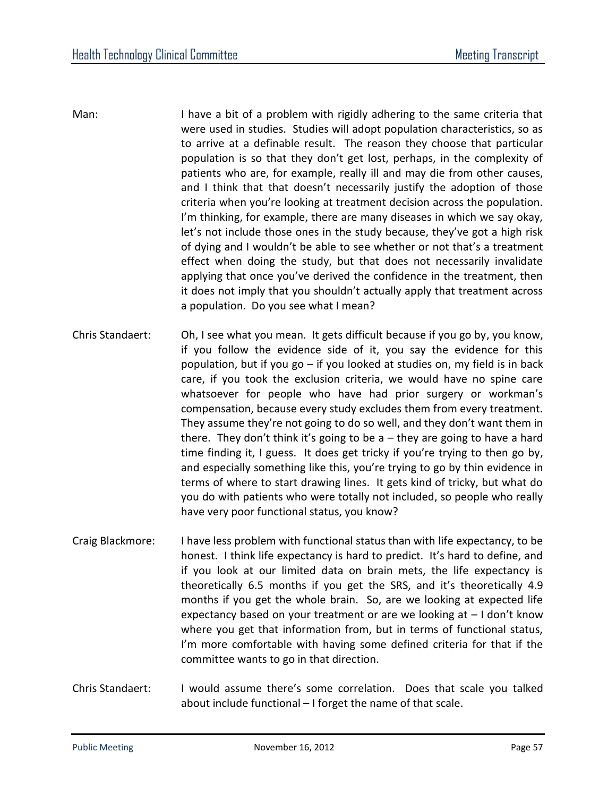- Man: I have a bit of a problem with rigidly adhering to the same criteria that were used in studies. Studies will adopt population characteristics, so as to arrive at a definable result. The reason they choose that particular population is so that they don't get lost, perhaps, in the complexity of patients who are, for example, really ill and may die from other causes, and I think that that doesn't necessarily justify the adoption of those criteria when you're looking at treatment decision across the population. I'm thinking, for example, there are many diseases in which we say okay, let's not include those ones in the study because, they've got a high risk of dying and I wouldn't be able to see whether or not that's a treatment effect when doing the study, but that does not necessarily invalidate applying that once you've derived the confidence in the treatment, then it does not imply that you shouldn't actually apply that treatment across a population. Do you see what I mean?
- Chris Standaert: Oh, I see what you mean. It gets difficult because if you go by, you know, if you follow the evidence side of it, you say the evidence for this population, but if you go – if you looked at studies on, my field is in back care, if you took the exclusion criteria, we would have no spine care whatsoever for people who have had prior surgery or workman's compensation, because every study excludes them from every treatment. They assume they're not going to do so well, and they don't want them in there. They don't think it's going to be  $a$  – they are going to have a hard time finding it, I guess. It does get tricky if you're trying to then go by, and especially something like this, you're trying to go by thin evidence in terms of where to start drawing lines. It gets kind of tricky, but what do you do with patients who were totally not included, so people who really have very poor functional status, you know?
- Craig Blackmore: I have less problem with functional status than with life expectancy, to be honest. I think life expectancy is hard to predict. It's hard to define, and if you look at our limited data on brain mets, the life expectancy is theoretically 6.5 months if you get the SRS, and it's theoretically 4.9 months if you get the whole brain. So, are we looking at expected life expectancy based on your treatment or are we looking at – I don't know where you get that information from, but in terms of functional status, I'm more comfortable with having some defined criteria for that if the committee wants to go in that direction.
- Chris Standaert: I would assume there's some correlation. Does that scale you talked about include functional – I forget the name of that scale.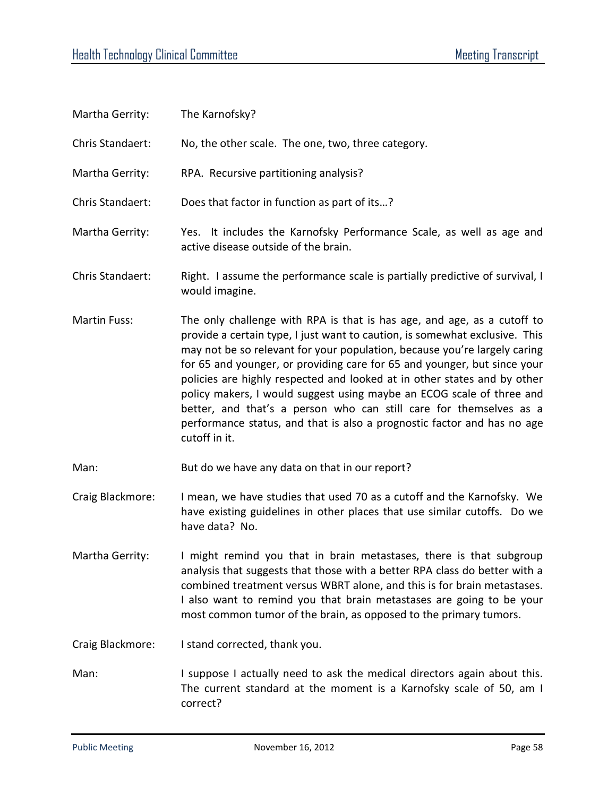| Martha Gerrity:     | The Karnofsky?                                                                                                                                                                                                                                                                                                                                                                                                                                                                                                                                                                                                                         |
|---------------------|----------------------------------------------------------------------------------------------------------------------------------------------------------------------------------------------------------------------------------------------------------------------------------------------------------------------------------------------------------------------------------------------------------------------------------------------------------------------------------------------------------------------------------------------------------------------------------------------------------------------------------------|
| Chris Standaert:    | No, the other scale. The one, two, three category.                                                                                                                                                                                                                                                                                                                                                                                                                                                                                                                                                                                     |
| Martha Gerrity:     | RPA. Recursive partitioning analysis?                                                                                                                                                                                                                                                                                                                                                                                                                                                                                                                                                                                                  |
| Chris Standaert:    | Does that factor in function as part of its?                                                                                                                                                                                                                                                                                                                                                                                                                                                                                                                                                                                           |
| Martha Gerrity:     | Yes. It includes the Karnofsky Performance Scale, as well as age and<br>active disease outside of the brain.                                                                                                                                                                                                                                                                                                                                                                                                                                                                                                                           |
| Chris Standaert:    | Right. I assume the performance scale is partially predictive of survival, I<br>would imagine.                                                                                                                                                                                                                                                                                                                                                                                                                                                                                                                                         |
| <b>Martin Fuss:</b> | The only challenge with RPA is that is has age, and age, as a cutoff to<br>provide a certain type, I just want to caution, is somewhat exclusive. This<br>may not be so relevant for your population, because you're largely caring<br>for 65 and younger, or providing care for 65 and younger, but since your<br>policies are highly respected and looked at in other states and by other<br>policy makers, I would suggest using maybe an ECOG scale of three and<br>better, and that's a person who can still care for themselves as a<br>performance status, and that is also a prognostic factor and has no age<br>cutoff in it. |
| Man:                | But do we have any data on that in our report?                                                                                                                                                                                                                                                                                                                                                                                                                                                                                                                                                                                         |
| Craig Blackmore:    | I mean, we have studies that used 70 as a cutoff and the Karnofsky. We<br>have existing guidelines in other places that use similar cutoffs. Do we<br>have data? No.                                                                                                                                                                                                                                                                                                                                                                                                                                                                   |
| Martha Gerrity:     | I might remind you that in brain metastases, there is that subgroup<br>analysis that suggests that those with a better RPA class do better with a<br>combined treatment versus WBRT alone, and this is for brain metastases.<br>I also want to remind you that brain metastases are going to be your<br>most common tumor of the brain, as opposed to the primary tumors.                                                                                                                                                                                                                                                              |
| Craig Blackmore:    | I stand corrected, thank you.                                                                                                                                                                                                                                                                                                                                                                                                                                                                                                                                                                                                          |
| Man:                | I suppose I actually need to ask the medical directors again about this.<br>The current standard at the moment is a Karnofsky scale of 50, am I<br>correct?                                                                                                                                                                                                                                                                                                                                                                                                                                                                            |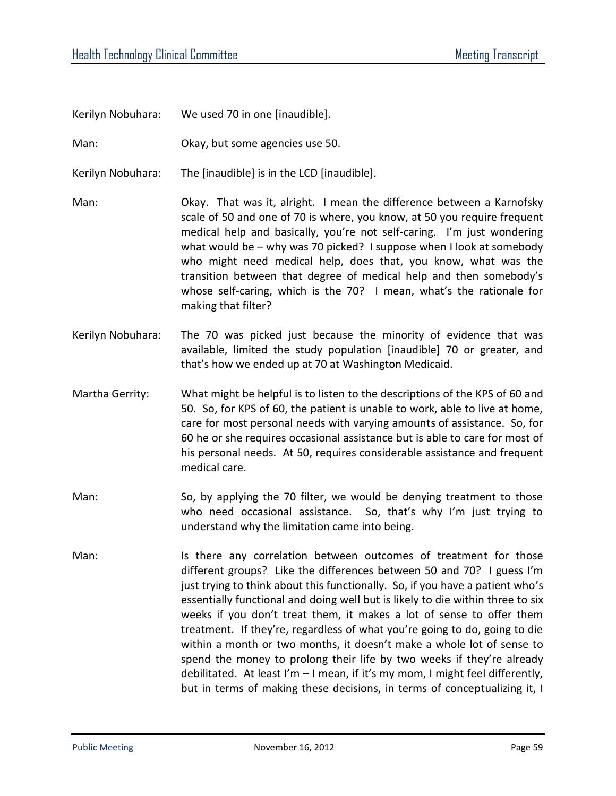Kerilyn Nobuhara: We used 70 in one [inaudible].

Man: Okay, but some agencies use 50.

Kerilyn Nobuhara: The [inaudible] is in the LCD [inaudible].

Man: Okay. That was it, alright. I mean the difference between a Karnofsky scale of 50 and one of 70 is where, you know, at 50 you require frequent medical help and basically, you're not self-caring. I'm just wondering what would be – why was 70 picked? I suppose when I look at somebody who might need medical help, does that, you know, what was the transition between that degree of medical help and then somebody's whose self-caring, which is the 70? I mean, what's the rationale for making that filter?

- Kerilyn Nobuhara: The 70 was picked just because the minority of evidence that was available, limited the study population [inaudible] 70 or greater, and that's how we ended up at 70 at Washington Medicaid.
- Martha Gerrity: What might be helpful is to listen to the descriptions of the KPS of 60 and 50. So, for KPS of 60, the patient is unable to work, able to live at home, care for most personal needs with varying amounts of assistance. So, for 60 he or she requires occasional assistance but is able to care for most of his personal needs. At 50, requires considerable assistance and frequent medical care.
- Man: So, by applying the 70 filter, we would be denying treatment to those who need occasional assistance. So, that's why I'm just trying to understand why the limitation came into being.
- Man: Is there any correlation between outcomes of treatment for those different groups? Like the differences between 50 and 70? I guess I'm just trying to think about this functionally. So, if you have a patient who's essentially functional and doing well but is likely to die within three to six weeks if you don't treat them, it makes a lot of sense to offer them treatment. If they're, regardless of what you're going to do, going to die within a month or two months, it doesn't make a whole lot of sense to spend the money to prolong their life by two weeks if they're already debilitated. At least I'm – I mean, if it's my mom, I might feel differently, but in terms of making these decisions, in terms of conceptualizing it, I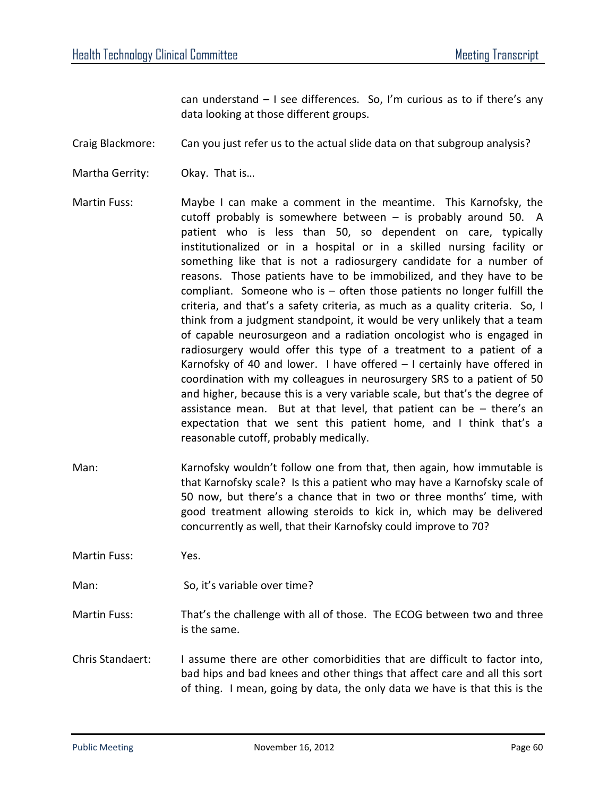can understand – I see differences. So, I'm curious as to if there's any data looking at those different groups.

Craig Blackmore: Can you just refer us to the actual slide data on that subgroup analysis?

- Martha Gerrity: Okay. That is…
- Martin Fuss: Maybe I can make a comment in the meantime. This Karnofsky, the cutoff probably is somewhere between – is probably around 50. A patient who is less than 50, so dependent on care, typically institutionalized or in a hospital or in a skilled nursing facility or something like that is not a radiosurgery candidate for a number of reasons. Those patients have to be immobilized, and they have to be compliant. Someone who is – often those patients no longer fulfill the criteria, and that's a safety criteria, as much as a quality criteria. So, I think from a judgment standpoint, it would be very unlikely that a team of capable neurosurgeon and a radiation oncologist who is engaged in radiosurgery would offer this type of a treatment to a patient of a Karnofsky of 40 and lower. I have offered – I certainly have offered in coordination with my colleagues in neurosurgery SRS to a patient of 50 and higher, because this is a very variable scale, but that's the degree of assistance mean. But at that level, that patient can be  $-$  there's an expectation that we sent this patient home, and I think that's a reasonable cutoff, probably medically.
- Man: Karnofsky wouldn't follow one from that, then again, how immutable is that Karnofsky scale? Is this a patient who may have a Karnofsky scale of 50 now, but there's a chance that in two or three months' time, with good treatment allowing steroids to kick in, which may be delivered concurrently as well, that their Karnofsky could improve to 70?

Martin Fuss: Yes.

Man: So, it's variable over time?

Martin Fuss: That's the challenge with all of those. The ECOG between two and three is the same.

Chris Standaert: I assume there are other comorbidities that are difficult to factor into, bad hips and bad knees and other things that affect care and all this sort of thing. I mean, going by data, the only data we have is that this is the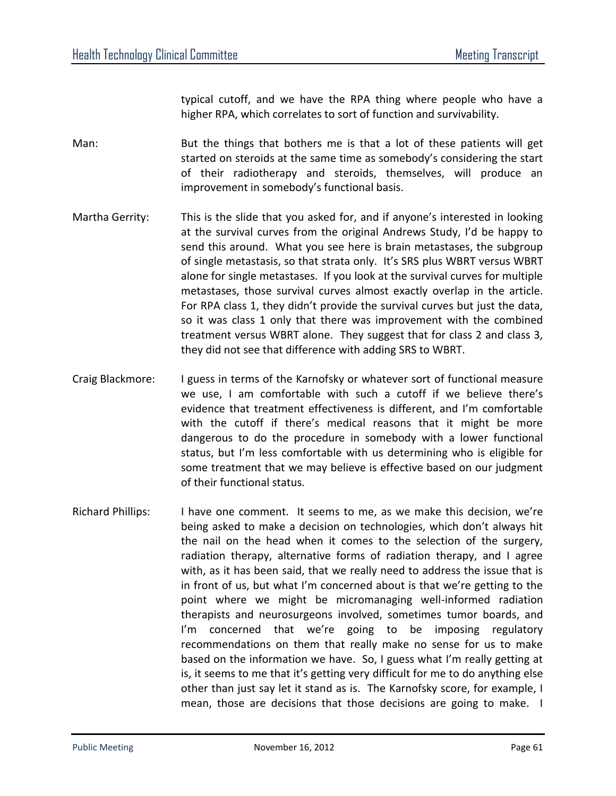typical cutoff, and we have the RPA thing where people who have a higher RPA, which correlates to sort of function and survivability.

- Man: But the things that bothers me is that a lot of these patients will get started on steroids at the same time as somebody's considering the start of their radiotherapy and steroids, themselves, will produce an improvement in somebody's functional basis.
- Martha Gerrity: This is the slide that you asked for, and if anyone's interested in looking at the survival curves from the original Andrews Study, I'd be happy to send this around. What you see here is brain metastases, the subgroup of single metastasis, so that strata only. It's SRS plus WBRT versus WBRT alone for single metastases. If you look at the survival curves for multiple metastases, those survival curves almost exactly overlap in the article. For RPA class 1, they didn't provide the survival curves but just the data, so it was class 1 only that there was improvement with the combined treatment versus WBRT alone. They suggest that for class 2 and class 3, they did not see that difference with adding SRS to WBRT.
- Craig Blackmore: I guess in terms of the Karnofsky or whatever sort of functional measure we use, I am comfortable with such a cutoff if we believe there's evidence that treatment effectiveness is different, and I'm comfortable with the cutoff if there's medical reasons that it might be more dangerous to do the procedure in somebody with a lower functional status, but I'm less comfortable with us determining who is eligible for some treatment that we may believe is effective based on our judgment of their functional status.
- Richard Phillips: I have one comment. It seems to me, as we make this decision, we're being asked to make a decision on technologies, which don't always hit the nail on the head when it comes to the selection of the surgery, radiation therapy, alternative forms of radiation therapy, and I agree with, as it has been said, that we really need to address the issue that is in front of us, but what I'm concerned about is that we're getting to the point where we might be micromanaging well-informed radiation therapists and neurosurgeons involved, sometimes tumor boards, and I'm concerned that we're going to be imposing regulatory recommendations on them that really make no sense for us to make based on the information we have. So, I guess what I'm really getting at is, it seems to me that it's getting very difficult for me to do anything else other than just say let it stand as is. The Karnofsky score, for example, I mean, those are decisions that those decisions are going to make. I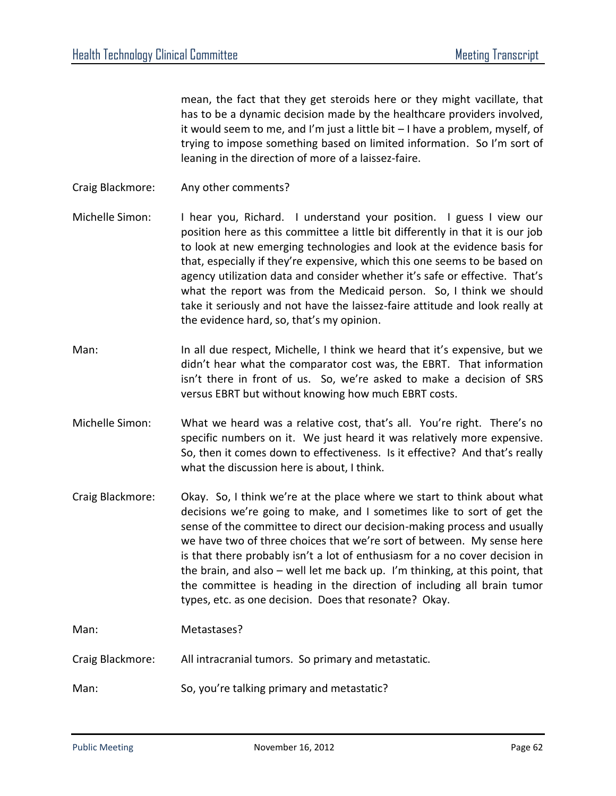mean, the fact that they get steroids here or they might vacillate, that has to be a dynamic decision made by the healthcare providers involved, it would seem to me, and I'm just a little bit – I have a problem, myself, of trying to impose something based on limited information. So I'm sort of leaning in the direction of more of a laissez-faire.

- Craig Blackmore: Any other comments?
- Michelle Simon: I hear you, Richard. I understand your position. I guess I view our position here as this committee a little bit differently in that it is our job to look at new emerging technologies and look at the evidence basis for that, especially if they're expensive, which this one seems to be based on agency utilization data and consider whether it's safe or effective. That's what the report was from the Medicaid person. So, I think we should take it seriously and not have the laissez-faire attitude and look really at the evidence hard, so, that's my opinion.
- Man: In all due respect, Michelle, I think we heard that it's expensive, but we didn't hear what the comparator cost was, the EBRT. That information isn't there in front of us. So, we're asked to make a decision of SRS versus EBRT but without knowing how much EBRT costs.
- Michelle Simon: What we heard was a relative cost, that's all. You're right. There's no specific numbers on it. We just heard it was relatively more expensive. So, then it comes down to effectiveness. Is it effective? And that's really what the discussion here is about, I think.
- Craig Blackmore: Okay. So, I think we're at the place where we start to think about what decisions we're going to make, and I sometimes like to sort of get the sense of the committee to direct our decision-making process and usually we have two of three choices that we're sort of between. My sense here is that there probably isn't a lot of enthusiasm for a no cover decision in the brain, and also – well let me back up. I'm thinking, at this point, that the committee is heading in the direction of including all brain tumor types, etc. as one decision. Does that resonate? Okay.

Man: Metastases?

Craig Blackmore: All intracranial tumors. So primary and metastatic.

Man: So, you're talking primary and metastatic?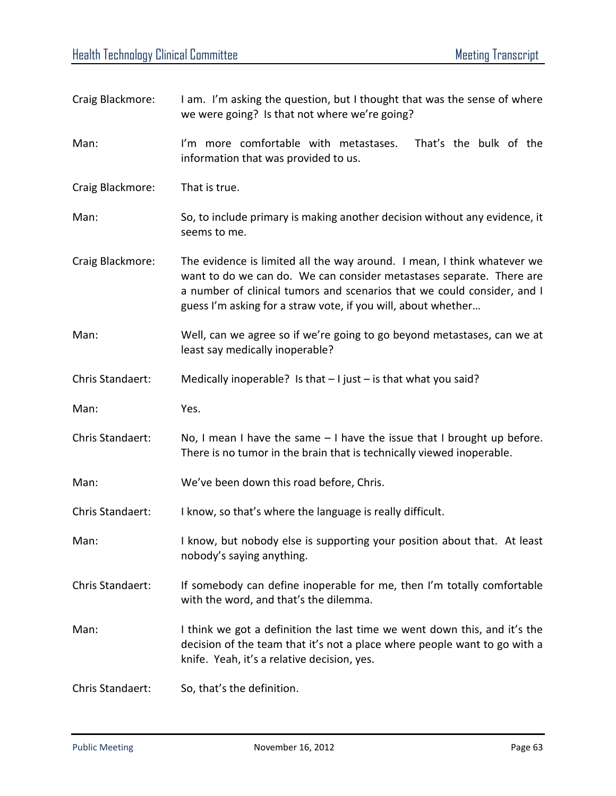| Craig Blackmore: | I am. I'm asking the question, but I thought that was the sense of where<br>we were going? Is that not where we're going?                                                                                                                                                                   |
|------------------|---------------------------------------------------------------------------------------------------------------------------------------------------------------------------------------------------------------------------------------------------------------------------------------------|
| Man:             | I'm more comfortable with metastases.<br>That's the bulk of the<br>information that was provided to us.                                                                                                                                                                                     |
| Craig Blackmore: | That is true.                                                                                                                                                                                                                                                                               |
| Man:             | So, to include primary is making another decision without any evidence, it<br>seems to me.                                                                                                                                                                                                  |
| Craig Blackmore: | The evidence is limited all the way around. I mean, I think whatever we<br>want to do we can do. We can consider metastases separate. There are<br>a number of clinical tumors and scenarios that we could consider, and I<br>guess I'm asking for a straw vote, if you will, about whether |
| Man:             | Well, can we agree so if we're going to go beyond metastases, can we at<br>least say medically inoperable?                                                                                                                                                                                  |
| Chris Standaert: | Medically inoperable? Is that $-1$ just $-$ is that what you said?                                                                                                                                                                                                                          |
| Man:             | Yes.                                                                                                                                                                                                                                                                                        |
| Chris Standaert: | No, I mean I have the same $-1$ have the issue that I brought up before.<br>There is no tumor in the brain that is technically viewed inoperable.                                                                                                                                           |
| Man:             | We've been down this road before, Chris.                                                                                                                                                                                                                                                    |
| Chris Standaert: | I know, so that's where the language is really difficult.                                                                                                                                                                                                                                   |
| Man:             | I know, but nobody else is supporting your position about that. At least<br>nobody's saying anything.                                                                                                                                                                                       |
| Chris Standaert: | If somebody can define inoperable for me, then I'm totally comfortable<br>with the word, and that's the dilemma.                                                                                                                                                                            |
| Man:             | I think we got a definition the last time we went down this, and it's the<br>decision of the team that it's not a place where people want to go with a<br>knife. Yeah, it's a relative decision, yes.                                                                                       |
| Chris Standaert: | So, that's the definition.                                                                                                                                                                                                                                                                  |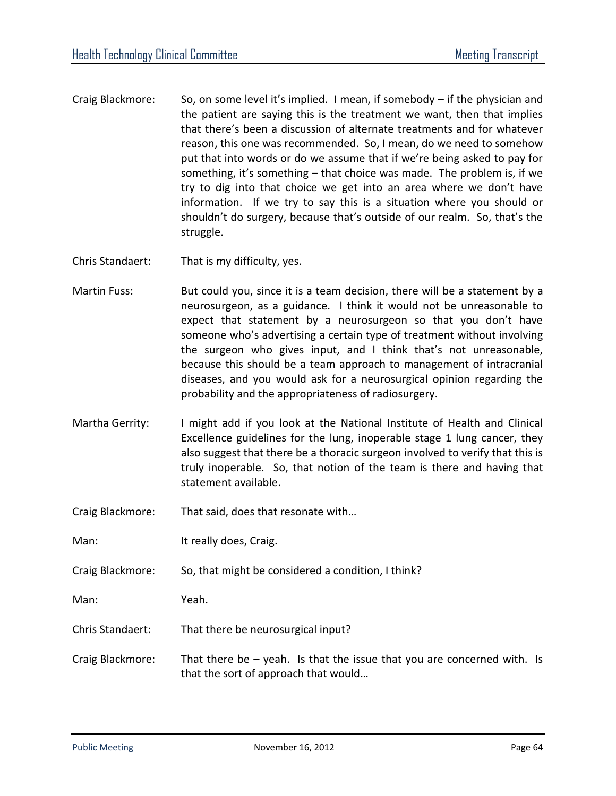- Craig Blackmore: So, on some level it's implied. I mean, if somebody if the physician and the patient are saying this is the treatment we want, then that implies that there's been a discussion of alternate treatments and for whatever reason, this one was recommended. So, I mean, do we need to somehow put that into words or do we assume that if we're being asked to pay for something, it's something – that choice was made. The problem is, if we try to dig into that choice we get into an area where we don't have information. If we try to say this is a situation where you should or shouldn't do surgery, because that's outside of our realm. So, that's the struggle.
- Chris Standaert: That is my difficulty, yes.
- Martin Fuss: But could you, since it is a team decision, there will be a statement by a neurosurgeon, as a guidance. I think it would not be unreasonable to expect that statement by a neurosurgeon so that you don't have someone who's advertising a certain type of treatment without involving the surgeon who gives input, and I think that's not unreasonable, because this should be a team approach to management of intracranial diseases, and you would ask for a neurosurgical opinion regarding the probability and the appropriateness of radiosurgery.
- Martha Gerrity: I might add if you look at the National Institute of Health and Clinical Excellence guidelines for the lung, inoperable stage 1 lung cancer, they also suggest that there be a thoracic surgeon involved to verify that this is truly inoperable. So, that notion of the team is there and having that statement available.
- Craig Blackmore: That said, does that resonate with…
- Man: It really does, Craig.
- Craig Blackmore: So, that might be considered a condition, I think?
- Man: Yeah.
- Chris Standaert: That there be neurosurgical input?
- Craig Blackmore: That there be yeah. Is that the issue that you are concerned with. Is that the sort of approach that would…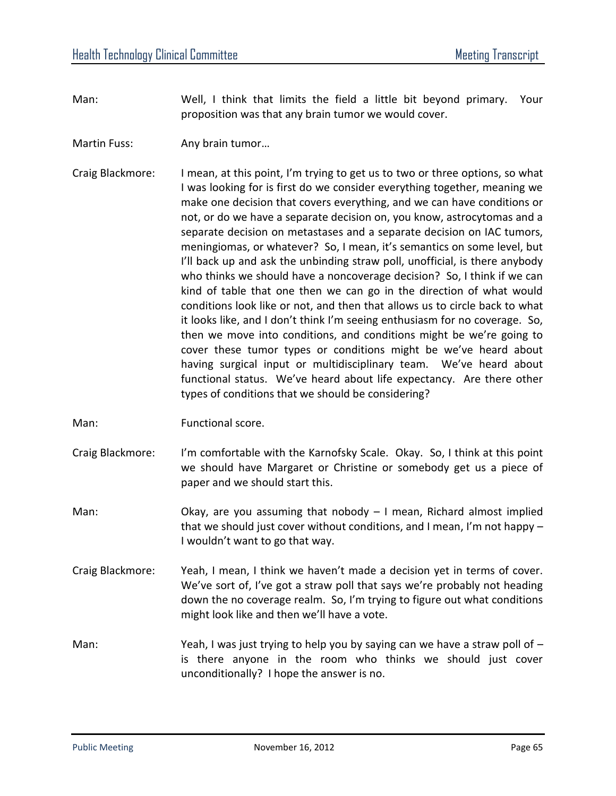- Man: Well, I think that limits the field a little bit beyond primary. Your proposition was that any brain tumor we would cover.
- Martin Fuss: Any brain tumor...
- Craig Blackmore: I mean, at this point, I'm trying to get us to two or three options, so what I was looking for is first do we consider everything together, meaning we make one decision that covers everything, and we can have conditions or not, or do we have a separate decision on, you know, astrocytomas and a separate decision on metastases and a separate decision on IAC tumors, meningiomas, or whatever? So, I mean, it's semantics on some level, but I'll back up and ask the unbinding straw poll, unofficial, is there anybody who thinks we should have a noncoverage decision? So, I think if we can kind of table that one then we can go in the direction of what would conditions look like or not, and then that allows us to circle back to what it looks like, and I don't think I'm seeing enthusiasm for no coverage. So, then we move into conditions, and conditions might be we're going to cover these tumor types or conditions might be we've heard about having surgical input or multidisciplinary team. We've heard about functional status. We've heard about life expectancy. Are there other types of conditions that we should be considering?
- Man: Functional score.
- Craig Blackmore: I'm comfortable with the Karnofsky Scale. Okay. So, I think at this point we should have Margaret or Christine or somebody get us a piece of paper and we should start this.
- Man:  $\blacksquare$  Okay, are you assuming that nobody  $-1$  mean, Richard almost implied that we should just cover without conditions, and I mean, I'm not happy – I wouldn't want to go that way.
- Craig Blackmore: Yeah, I mean, I think we haven't made a decision yet in terms of cover. We've sort of, I've got a straw poll that says we're probably not heading down the no coverage realm. So, I'm trying to figure out what conditions might look like and then we'll have a vote.
- Man: Yeah, I was just trying to help you by saying can we have a straw poll of  $$ is there anyone in the room who thinks we should just cover unconditionally? I hope the answer is no.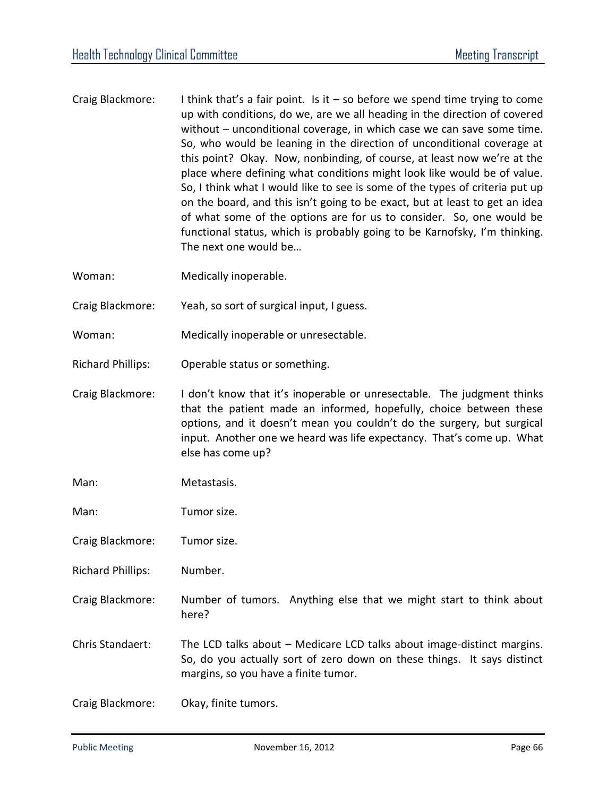- Craig Blackmore: I think that's a fair point. Is it  $-$  so before we spend time trying to come up with conditions, do we, are we all heading in the direction of covered without – unconditional coverage, in which case we can save some time. So, who would be leaning in the direction of unconditional coverage at this point? Okay. Now, nonbinding, of course, at least now we're at the place where defining what conditions might look like would be of value. So, I think what I would like to see is some of the types of criteria put up on the board, and this isn't going to be exact, but at least to get an idea of what some of the options are for us to consider. So, one would be functional status, which is probably going to be Karnofsky, I'm thinking. The next one would be…
- Woman: Medically inoperable.
- Craig Blackmore: Yeah, so sort of surgical input, I guess.
- Woman: Medically inoperable or unresectable.
- Richard Phillips: Operable status or something.
- Craig Blackmore: I don't know that it's inoperable or unresectable. The judgment thinks that the patient made an informed, hopefully, choice between these options, and it doesn't mean you couldn't do the surgery, but surgical input. Another one we heard was life expectancy. That's come up. What else has come up?
- Man: Metastasis.
- Man: Tumor size.
- Craig Blackmore: Tumor size.
- Richard Phillips: Number.
- Craig Blackmore: Number of tumors. Anything else that we might start to think about here?
- Chris Standaert: The LCD talks about Medicare LCD talks about image-distinct margins. So, do you actually sort of zero down on these things. It says distinct margins, so you have a finite tumor.
- Craig Blackmore: Okay, finite tumors.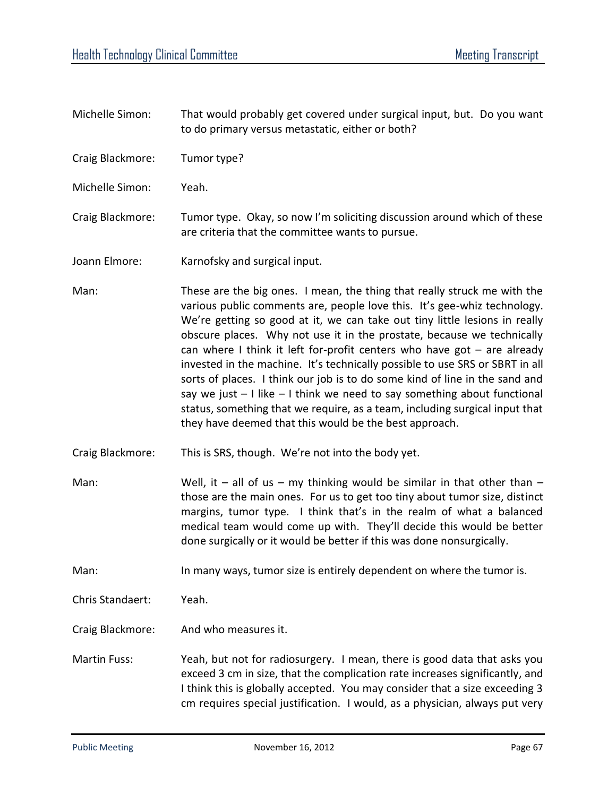- Michelle Simon: That would probably get covered under surgical input, but. Do you want to do primary versus metastatic, either or both?
- Craig Blackmore: Tumor type?
- Michelle Simon: Yeah.
- Craig Blackmore: Tumor type. Okay, so now I'm soliciting discussion around which of these are criteria that the committee wants to pursue.
- Joann Elmore: Karnofsky and surgical input.
- Man: These are the big ones. I mean, the thing that really struck me with the various public comments are, people love this. It's gee-whiz technology. We're getting so good at it, we can take out tiny little lesions in really obscure places. Why not use it in the prostate, because we technically can where I think it left for-profit centers who have got  $-$  are already invested in the machine. It's technically possible to use SRS or SBRT in all sorts of places. I think our job is to do some kind of line in the sand and say we just  $-1$  like  $-1$  think we need to say something about functional status, something that we require, as a team, including surgical input that they have deemed that this would be the best approach.
- Craig Blackmore: This is SRS, though. We're not into the body yet.
- Man: Well, it all of us my thinking would be similar in that other than those are the main ones. For us to get too tiny about tumor size, distinct margins, tumor type. I think that's in the realm of what a balanced medical team would come up with. They'll decide this would be better done surgically or it would be better if this was done nonsurgically.

Man: In many ways, tumor size is entirely dependent on where the tumor is.

Chris Standaert: Yeah.

- Craig Blackmore: And who measures it.
- Martin Fuss: Yeah, but not for radiosurgery. I mean, there is good data that asks you exceed 3 cm in size, that the complication rate increases significantly, and I think this is globally accepted. You may consider that a size exceeding 3 cm requires special justification. I would, as a physician, always put very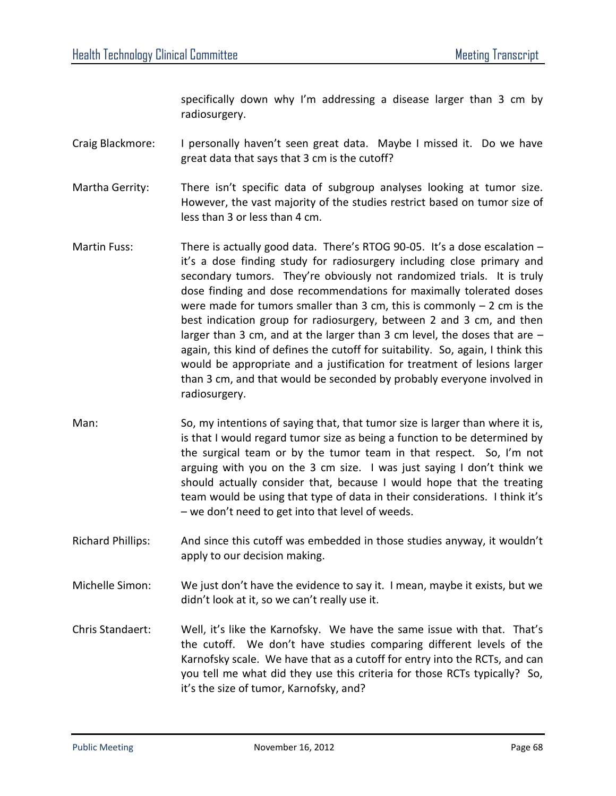specifically down why I'm addressing a disease larger than 3 cm by radiosurgery.

Craig Blackmore: I personally haven't seen great data. Maybe I missed it. Do we have great data that says that 3 cm is the cutoff?

Martha Gerrity: There isn't specific data of subgroup analyses looking at tumor size. However, the vast majority of the studies restrict based on tumor size of less than 3 or less than 4 cm.

- Martin Fuss: There is actually good data. There's RTOG 90-05. It's a dose escalation  $$ it's a dose finding study for radiosurgery including close primary and secondary tumors. They're obviously not randomized trials. It is truly dose finding and dose recommendations for maximally tolerated doses were made for tumors smaller than 3 cm, this is commonly  $-2$  cm is the best indication group for radiosurgery, between 2 and 3 cm, and then larger than 3 cm, and at the larger than 3 cm level, the doses that are – again, this kind of defines the cutoff for suitability. So, again, I think this would be appropriate and a justification for treatment of lesions larger than 3 cm, and that would be seconded by probably everyone involved in radiosurgery.
- Man: So, my intentions of saying that, that tumor size is larger than where it is, is that I would regard tumor size as being a function to be determined by the surgical team or by the tumor team in that respect. So, I'm not arguing with you on the 3 cm size. I was just saying I don't think we should actually consider that, because I would hope that the treating team would be using that type of data in their considerations. I think it's – we don't need to get into that level of weeds.
- Richard Phillips: And since this cutoff was embedded in those studies anyway, it wouldn't apply to our decision making.
- Michelle Simon: We just don't have the evidence to say it. I mean, maybe it exists, but we didn't look at it, so we can't really use it.
- Chris Standaert: Well, it's like the Karnofsky. We have the same issue with that. That's the cutoff. We don't have studies comparing different levels of the Karnofsky scale. We have that as a cutoff for entry into the RCTs, and can you tell me what did they use this criteria for those RCTs typically? So, it's the size of tumor, Karnofsky, and?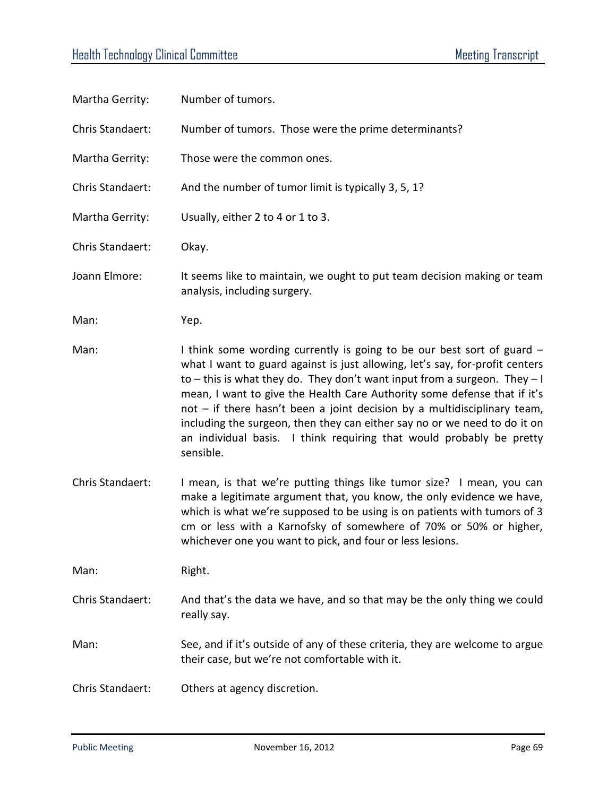| Martha Gerrity:  | Number of tumors.                                                                                                                                                                                                                                                                                                                                                                                                                                                                                                                                                |
|------------------|------------------------------------------------------------------------------------------------------------------------------------------------------------------------------------------------------------------------------------------------------------------------------------------------------------------------------------------------------------------------------------------------------------------------------------------------------------------------------------------------------------------------------------------------------------------|
| Chris Standaert: | Number of tumors. Those were the prime determinants?                                                                                                                                                                                                                                                                                                                                                                                                                                                                                                             |
| Martha Gerrity:  | Those were the common ones.                                                                                                                                                                                                                                                                                                                                                                                                                                                                                                                                      |
| Chris Standaert: | And the number of tumor limit is typically 3, 5, 1?                                                                                                                                                                                                                                                                                                                                                                                                                                                                                                              |
| Martha Gerrity:  | Usually, either 2 to 4 or 1 to 3.                                                                                                                                                                                                                                                                                                                                                                                                                                                                                                                                |
| Chris Standaert: | Okay.                                                                                                                                                                                                                                                                                                                                                                                                                                                                                                                                                            |
| Joann Elmore:    | It seems like to maintain, we ought to put team decision making or team<br>analysis, including surgery.                                                                                                                                                                                                                                                                                                                                                                                                                                                          |
| Man:             | Yep.                                                                                                                                                                                                                                                                                                                                                                                                                                                                                                                                                             |
| Man:             | I think some wording currently is going to be our best sort of guard –<br>what I want to guard against is just allowing, let's say, for-profit centers<br>to $-$ this is what they do. They don't want input from a surgeon. They $-1$<br>mean, I want to give the Health Care Authority some defense that if it's<br>not - if there hasn't been a joint decision by a multidisciplinary team,<br>including the surgeon, then they can either say no or we need to do it on<br>an individual basis. I think requiring that would probably be pretty<br>sensible. |
| Chris Standaert: | I mean, is that we're putting things like tumor size? I mean, you can<br>make a legitimate argument that, you know, the only evidence we have,<br>which is what we're supposed to be using is on patients with tumors of 3<br>cm or less with a Karnofsky of somewhere of 70% or 50% or higher,<br>whichever one you want to pick, and four or less lesions.                                                                                                                                                                                                     |
| Man:             | Right.                                                                                                                                                                                                                                                                                                                                                                                                                                                                                                                                                           |
| Chris Standaert: | And that's the data we have, and so that may be the only thing we could<br>really say.                                                                                                                                                                                                                                                                                                                                                                                                                                                                           |
| Man:             | See, and if it's outside of any of these criteria, they are welcome to argue<br>their case, but we're not comfortable with it.                                                                                                                                                                                                                                                                                                                                                                                                                                   |
| Chris Standaert: | Others at agency discretion.                                                                                                                                                                                                                                                                                                                                                                                                                                                                                                                                     |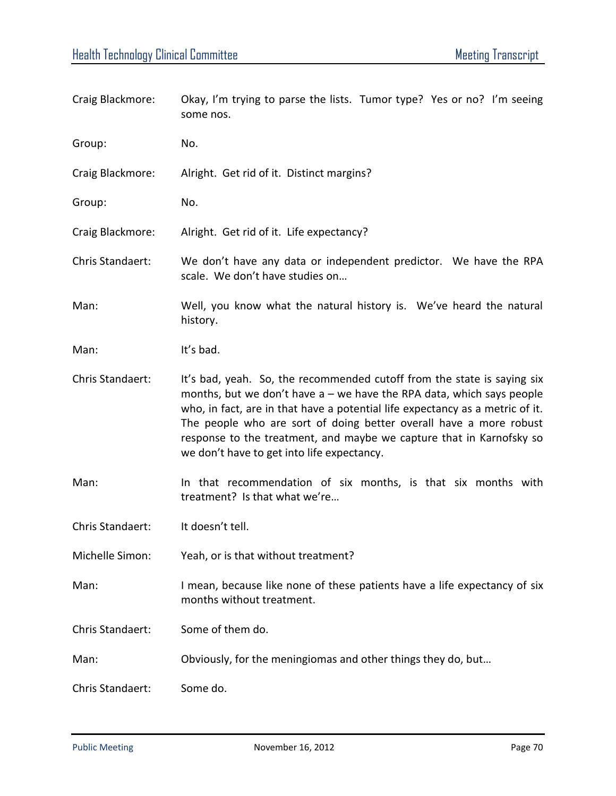| Craig Blackmore: | Okay, I'm trying to parse the lists. Tumor type? Yes or no? I'm seeing<br>some nos.                                                                                                                                                                                                                                                                                                                                             |
|------------------|---------------------------------------------------------------------------------------------------------------------------------------------------------------------------------------------------------------------------------------------------------------------------------------------------------------------------------------------------------------------------------------------------------------------------------|
| Group:           | No.                                                                                                                                                                                                                                                                                                                                                                                                                             |
| Craig Blackmore: | Alright. Get rid of it. Distinct margins?                                                                                                                                                                                                                                                                                                                                                                                       |
| Group:           | No.                                                                                                                                                                                                                                                                                                                                                                                                                             |
| Craig Blackmore: | Alright. Get rid of it. Life expectancy?                                                                                                                                                                                                                                                                                                                                                                                        |
| Chris Standaert: | We don't have any data or independent predictor. We have the RPA<br>scale. We don't have studies on                                                                                                                                                                                                                                                                                                                             |
| Man:             | Well, you know what the natural history is. We've heard the natural<br>history.                                                                                                                                                                                                                                                                                                                                                 |
| Man:             | It's bad.                                                                                                                                                                                                                                                                                                                                                                                                                       |
| Chris Standaert: | It's bad, yeah. So, the recommended cutoff from the state is saying six<br>months, but we don't have $a$ – we have the RPA data, which says people<br>who, in fact, are in that have a potential life expectancy as a metric of it.<br>The people who are sort of doing better overall have a more robust<br>response to the treatment, and maybe we capture that in Karnofsky so<br>we don't have to get into life expectancy. |
| Man:             | In that recommendation of six months, is that six months with<br>treatment? Is that what we're                                                                                                                                                                                                                                                                                                                                  |
| Chris Standaert: | It doesn't tell.                                                                                                                                                                                                                                                                                                                                                                                                                |
| Michelle Simon:  | Yeah, or is that without treatment?                                                                                                                                                                                                                                                                                                                                                                                             |
| Man:             | I mean, because like none of these patients have a life expectancy of six<br>months without treatment.                                                                                                                                                                                                                                                                                                                          |
| Chris Standaert: | Some of them do.                                                                                                                                                                                                                                                                                                                                                                                                                |
| Man:             | Obviously, for the meningiomas and other things they do, but                                                                                                                                                                                                                                                                                                                                                                    |
| Chris Standaert: | Some do.                                                                                                                                                                                                                                                                                                                                                                                                                        |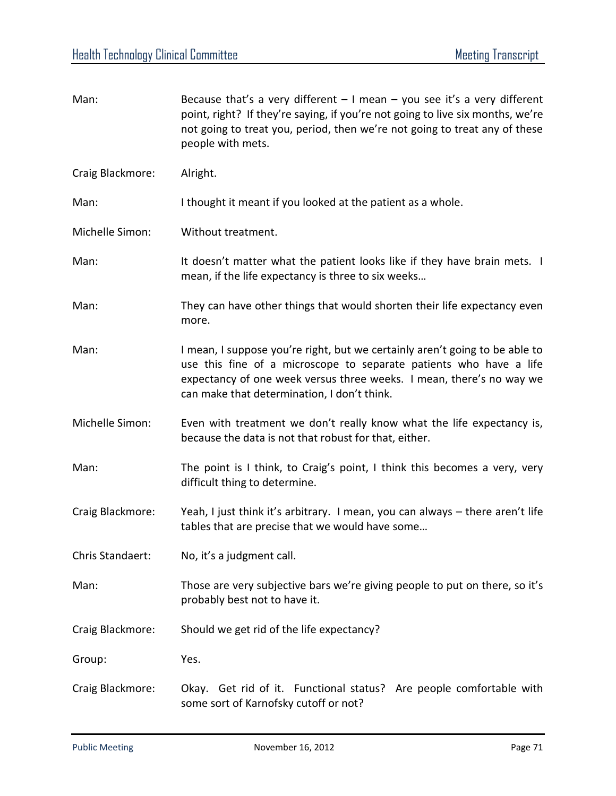| Man:             | Because that's a very different $-1$ mean $-$ you see it's a very different<br>point, right? If they're saying, if you're not going to live six months, we're<br>not going to treat you, period, then we're not going to treat any of these<br>people with mets.         |
|------------------|--------------------------------------------------------------------------------------------------------------------------------------------------------------------------------------------------------------------------------------------------------------------------|
| Craig Blackmore: | Alright.                                                                                                                                                                                                                                                                 |
| Man:             | I thought it meant if you looked at the patient as a whole.                                                                                                                                                                                                              |
| Michelle Simon:  | Without treatment.                                                                                                                                                                                                                                                       |
| Man:             | It doesn't matter what the patient looks like if they have brain mets. I<br>mean, if the life expectancy is three to six weeks                                                                                                                                           |
| Man:             | They can have other things that would shorten their life expectancy even<br>more.                                                                                                                                                                                        |
| Man:             | I mean, I suppose you're right, but we certainly aren't going to be able to<br>use this fine of a microscope to separate patients who have a life<br>expectancy of one week versus three weeks. I mean, there's no way we<br>can make that determination, I don't think. |
| Michelle Simon:  | Even with treatment we don't really know what the life expectancy is,<br>because the data is not that robust for that, either.                                                                                                                                           |
| Man:             | The point is I think, to Craig's point, I think this becomes a very, very<br>difficult thing to determine.                                                                                                                                                               |
| Craig Blackmore: | Yeah, I just think it's arbitrary. I mean, you can always - there aren't life<br>tables that are precise that we would have some                                                                                                                                         |
| Chris Standaert: | No, it's a judgment call.                                                                                                                                                                                                                                                |
| Man:             | Those are very subjective bars we're giving people to put on there, so it's<br>probably best not to have it.                                                                                                                                                             |
| Craig Blackmore: | Should we get rid of the life expectancy?                                                                                                                                                                                                                                |
| Group:           | Yes.                                                                                                                                                                                                                                                                     |
| Craig Blackmore: | Okay. Get rid of it. Functional status? Are people comfortable with<br>some sort of Karnofsky cutoff or not?                                                                                                                                                             |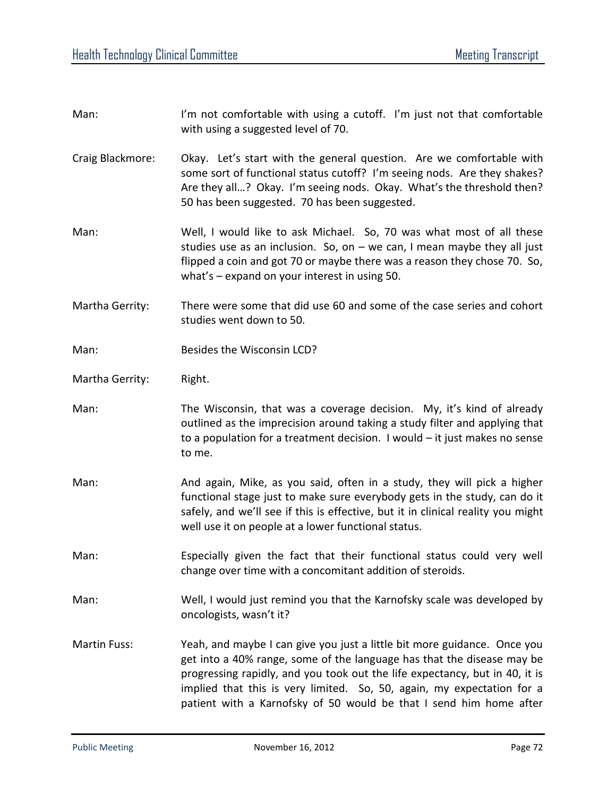| Man:                | I'm not comfortable with using a cutoff. I'm just not that comfortable<br>with using a suggested level of 70.                                                                                                                                                                                                                                                                     |
|---------------------|-----------------------------------------------------------------------------------------------------------------------------------------------------------------------------------------------------------------------------------------------------------------------------------------------------------------------------------------------------------------------------------|
| Craig Blackmore:    | Okay. Let's start with the general question. Are we comfortable with<br>some sort of functional status cutoff? I'm seeing nods. Are they shakes?<br>Are they all? Okay. I'm seeing nods. Okay. What's the threshold then?<br>50 has been suggested. 70 has been suggested.                                                                                                        |
| Man:                | Well, I would like to ask Michael. So, 70 was what most of all these<br>studies use as an inclusion. So, on $-$ we can, I mean maybe they all just<br>flipped a coin and got 70 or maybe there was a reason they chose 70. So,<br>what's $-$ expand on your interest in using 50.                                                                                                 |
| Martha Gerrity:     | There were some that did use 60 and some of the case series and cohort<br>studies went down to 50.                                                                                                                                                                                                                                                                                |
| Man:                | Besides the Wisconsin LCD?                                                                                                                                                                                                                                                                                                                                                        |
| Martha Gerrity:     | Right.                                                                                                                                                                                                                                                                                                                                                                            |
| Man:                | The Wisconsin, that was a coverage decision. My, it's kind of already<br>outlined as the imprecision around taking a study filter and applying that<br>to a population for a treatment decision. I would $-$ it just makes no sense<br>to me.                                                                                                                                     |
| Man:                | And again, Mike, as you said, often in a study, they will pick a higher<br>functional stage just to make sure everybody gets in the study, can do it<br>safely, and we'll see if this is effective, but it in clinical reality you might<br>well use it on people at a lower functional status.                                                                                   |
| Man:                | Especially given the fact that their functional status could very well<br>change over time with a concomitant addition of steroids.                                                                                                                                                                                                                                               |
| Man:                | Well, I would just remind you that the Karnofsky scale was developed by<br>oncologists, wasn't it?                                                                                                                                                                                                                                                                                |
| <b>Martin Fuss:</b> | Yeah, and maybe I can give you just a little bit more guidance. Once you<br>get into a 40% range, some of the language has that the disease may be<br>progressing rapidly, and you took out the life expectancy, but in 40, it is<br>implied that this is very limited. So, 50, again, my expectation for a<br>patient with a Karnofsky of 50 would be that I send him home after |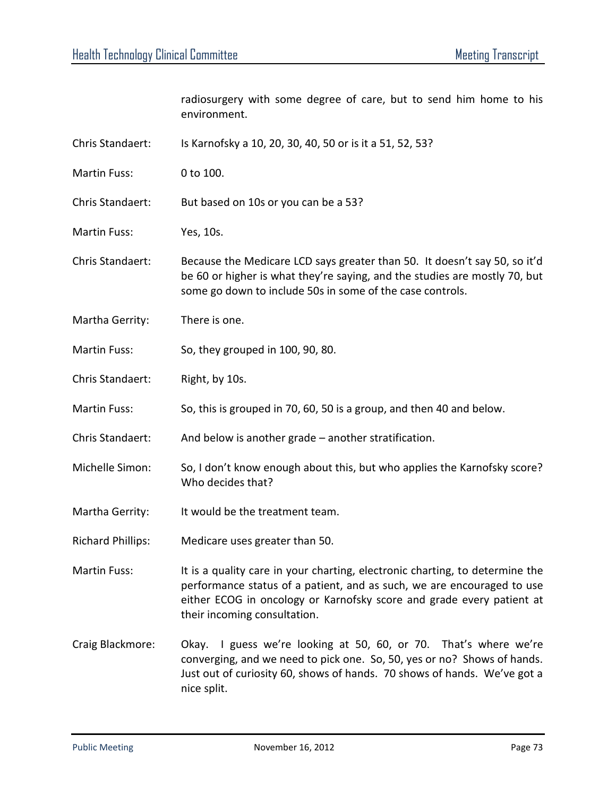radiosurgery with some degree of care, but to send him home to his environment. Chris Standaert: Is Karnofsky a 10, 20, 30, 40, 50 or is it a 51, 52, 53? Martin Fuss: 0 to 100.

Chris Standaert: But based on 10s or you can be a 53?

Martin Fuss: Yes, 10s.

- Chris Standaert: Because the Medicare LCD says greater than 50. It doesn't say 50, so it'd be 60 or higher is what they're saying, and the studies are mostly 70, but some go down to include 50s in some of the case controls.
- Martha Gerrity: There is one.
- Martin Fuss: So, they grouped in 100, 90, 80.
- Chris Standaert: Right, by 10s.
- Martin Fuss: So, this is grouped in 70, 60, 50 is a group, and then 40 and below.
- Chris Standaert: And below is another grade another stratification.
- Michelle Simon: So, I don't know enough about this, but who applies the Karnofsky score? Who decides that?
- Martha Gerrity: It would be the treatment team.
- Richard Phillips: Medicare uses greater than 50.

Martin Fuss: It is a quality care in your charting, electronic charting, to determine the performance status of a patient, and as such, we are encouraged to use either ECOG in oncology or Karnofsky score and grade every patient at their incoming consultation.

Craig Blackmore: Okay. I guess we're looking at 50, 60, or 70. That's where we're converging, and we need to pick one. So, 50, yes or no? Shows of hands. Just out of curiosity 60, shows of hands. 70 shows of hands. We've got a nice split.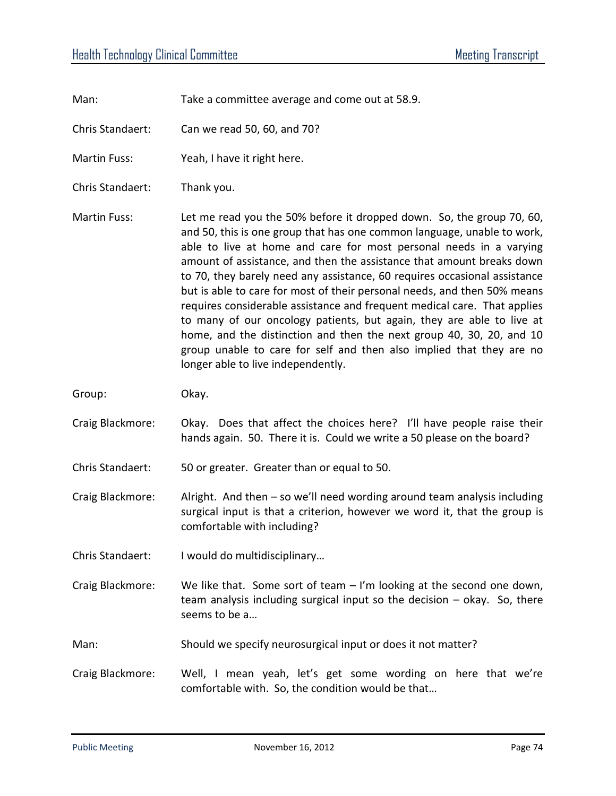Man: Take a committee average and come out at 58.9.

Chris Standaert: Can we read 50, 60, and 70?

Martin Fuss: Yeah, I have it right here.

Chris Standaert: Thank you.

Martin Fuss: Let me read you the 50% before it dropped down. So, the group 70, 60, and 50, this is one group that has one common language, unable to work, able to live at home and care for most personal needs in a varying amount of assistance, and then the assistance that amount breaks down to 70, they barely need any assistance, 60 requires occasional assistance but is able to care for most of their personal needs, and then 50% means requires considerable assistance and frequent medical care. That applies to many of our oncology patients, but again, they are able to live at home, and the distinction and then the next group 40, 30, 20, and 10 group unable to care for self and then also implied that they are no longer able to live independently.

Group: Okay.

Craig Blackmore: Okay. Does that affect the choices here? I'll have people raise their hands again. 50. There it is. Could we write a 50 please on the board?

Chris Standaert: 50 or greater. Greater than or equal to 50.

Craig Blackmore: Alright. And then – so we'll need wording around team analysis including surgical input is that a criterion, however we word it, that the group is comfortable with including?

Chris Standaert: I would do multidisciplinary…

Craig Blackmore: We like that. Some sort of team – I'm looking at the second one down, team analysis including surgical input so the decision – okay. So, there seems to be a…

Man: Should we specify neurosurgical input or does it not matter?

Craig Blackmore: Well, I mean yeah, let's get some wording on here that we're comfortable with. So, the condition would be that…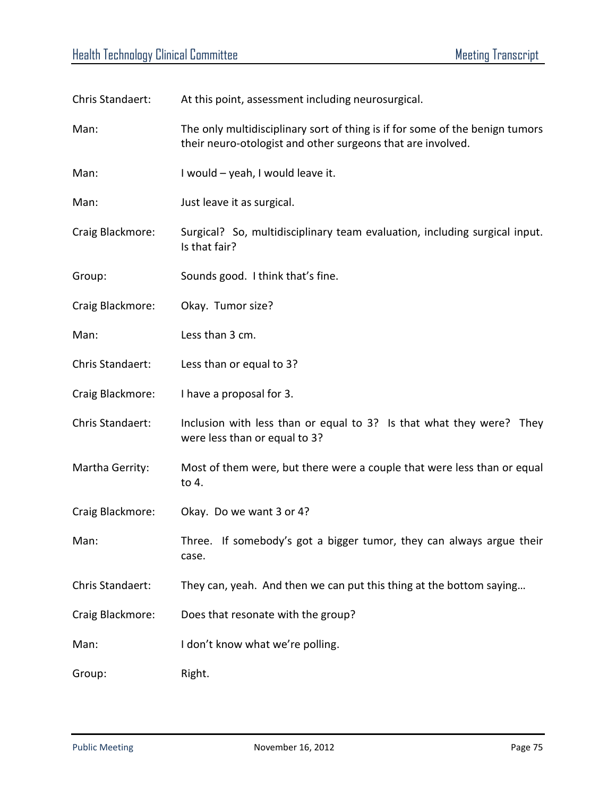| Chris Standaert: | At this point, assessment including neurosurgical.                                                                                          |
|------------------|---------------------------------------------------------------------------------------------------------------------------------------------|
| Man:             | The only multidisciplinary sort of thing is if for some of the benign tumors<br>their neuro-otologist and other surgeons that are involved. |
| Man:             | I would - yeah, I would leave it.                                                                                                           |
| Man:             | Just leave it as surgical.                                                                                                                  |
| Craig Blackmore: | Surgical? So, multidisciplinary team evaluation, including surgical input.<br>Is that fair?                                                 |
| Group:           | Sounds good. I think that's fine.                                                                                                           |
| Craig Blackmore: | Okay. Tumor size?                                                                                                                           |
| Man:             | Less than 3 cm.                                                                                                                             |
| Chris Standaert: | Less than or equal to 3?                                                                                                                    |
| Craig Blackmore: | I have a proposal for 3.                                                                                                                    |
| Chris Standaert: | Inclusion with less than or equal to 3? Is that what they were? They<br>were less than or equal to 3?                                       |
| Martha Gerrity:  | Most of them were, but there were a couple that were less than or equal<br>to 4.                                                            |
| Craig Blackmore: | Okay. Do we want 3 or 4?                                                                                                                    |
| Man:             | Three. If somebody's got a bigger tumor, they can always argue their<br>case.                                                               |
| Chris Standaert: | They can, yeah. And then we can put this thing at the bottom saying                                                                         |
| Craig Blackmore: | Does that resonate with the group?                                                                                                          |
| Man:             | I don't know what we're polling.                                                                                                            |
| Group:           | Right.                                                                                                                                      |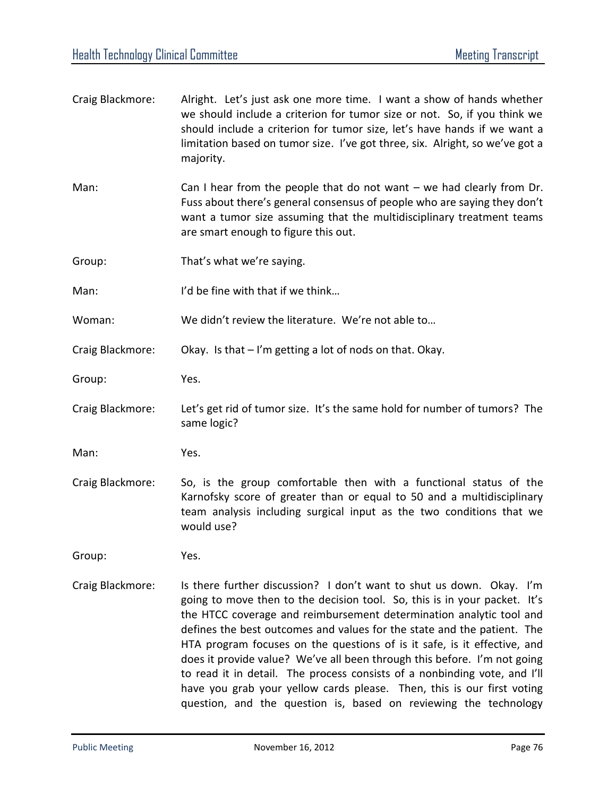| Craig Blackmore: | Alright. Let's just ask one more time. I want a show of hands whether<br>we should include a criterion for tumor size or not. So, if you think we<br>should include a criterion for tumor size, let's have hands if we want a<br>limitation based on tumor size. I've got three, six. Alright, so we've got a<br>majority. |
|------------------|----------------------------------------------------------------------------------------------------------------------------------------------------------------------------------------------------------------------------------------------------------------------------------------------------------------------------|
| Man:             | Can I hear from the people that do not want $-$ we had clearly from Dr.<br>Fuss about there's general consensus of people who are saying they don't<br>want a tumor size assuming that the multidisciplinary treatment teams<br>are smart enough to figure this out.                                                       |
| Group:           | That's what we're saying.                                                                                                                                                                                                                                                                                                  |
| Man:             | I'd be fine with that if we think                                                                                                                                                                                                                                                                                          |
| Woman:           | We didn't review the literature. We're not able to                                                                                                                                                                                                                                                                         |
| Craig Blackmore: | Okay. Is that - I'm getting a lot of nods on that. Okay.                                                                                                                                                                                                                                                                   |
| Group:           | Yes.                                                                                                                                                                                                                                                                                                                       |
| Craig Blackmore: | Let's get rid of tumor size. It's the same hold for number of tumors? The<br>same logic?                                                                                                                                                                                                                                   |
| Man:             | Yes.                                                                                                                                                                                                                                                                                                                       |
| Craig Blackmore: | So, is the group comfortable then with a functional status of the<br>Karnofsky score of greater than or equal to 50 and a multidisciplinary<br>team analysis including surgical input as the two conditions that we<br>would use?                                                                                          |
| Group:           | Yes.                                                                                                                                                                                                                                                                                                                       |
| Craig Blackmore: | Is there further discussion? I don't want to shut us down. Okay. I'm<br>going to move then to the decision tool. So, this is in your packet. It's<br>the HTCC coverage and reimbursement determination analytic tool and                                                                                                   |

defines the best outcomes and values for the state and the patient. The HTA program focuses on the questions of is it safe, is it effective, and does it provide value? We've all been through this before. I'm not going to read it in detail. The process consists of a nonbinding vote, and I'll have you grab your yellow cards please. Then, this is our first voting question, and the question is, based on reviewing the technology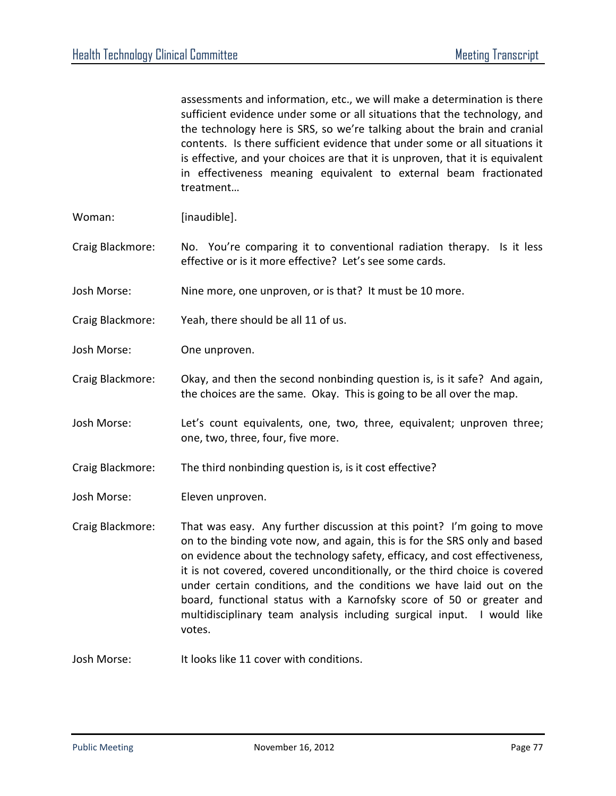assessments and information, etc., we will make a determination is there sufficient evidence under some or all situations that the technology, and the technology here is SRS, so we're talking about the brain and cranial contents. Is there sufficient evidence that under some or all situations it is effective, and your choices are that it is unproven, that it is equivalent in effectiveness meaning equivalent to external beam fractionated treatment…

- Woman: [inaudible].
- Craig Blackmore: No. You're comparing it to conventional radiation therapy. Is it less effective or is it more effective? Let's see some cards.
- Josh Morse: Nine more, one unproven, or is that? It must be 10 more.
- Craig Blackmore: Yeah, there should be all 11 of us.
- Josh Morse: One unproven.
- Craig Blackmore: Okay, and then the second nonbinding question is, is it safe? And again, the choices are the same. Okay. This is going to be all over the map.
- Josh Morse: Let's count equivalents, one, two, three, equivalent; unproven three; one, two, three, four, five more.
- Craig Blackmore: The third nonbinding question is, is it cost effective?
- Josh Morse: Eleven unproven.
- Craig Blackmore: That was easy. Any further discussion at this point? I'm going to move on to the binding vote now, and again, this is for the SRS only and based on evidence about the technology safety, efficacy, and cost effectiveness, it is not covered, covered unconditionally, or the third choice is covered under certain conditions, and the conditions we have laid out on the board, functional status with a Karnofsky score of 50 or greater and multidisciplinary team analysis including surgical input. I would like votes.
- Josh Morse: It looks like 11 cover with conditions.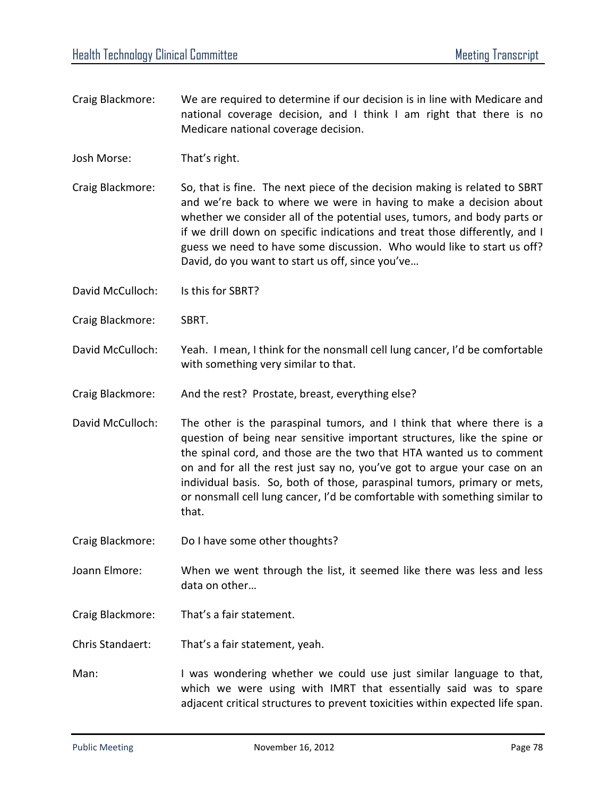- Craig Blackmore: We are required to determine if our decision is in line with Medicare and national coverage decision, and I think I am right that there is no Medicare national coverage decision.
- Josh Morse: That's right.
- Craig Blackmore: So, that is fine. The next piece of the decision making is related to SBRT and we're back to where we were in having to make a decision about whether we consider all of the potential uses, tumors, and body parts or if we drill down on specific indications and treat those differently, and I guess we need to have some discussion. Who would like to start us off? David, do you want to start us off, since you've…
- David McCulloch: Is this for SBRT?
- Craig Blackmore: SBRT.
- David McCulloch: Yeah. I mean, I think for the nonsmall cell lung cancer, I'd be comfortable with something very similar to that.
- Craig Blackmore: And the rest? Prostate, breast, everything else?
- David McCulloch: The other is the paraspinal tumors, and I think that where there is a question of being near sensitive important structures, like the spine or the spinal cord, and those are the two that HTA wanted us to comment on and for all the rest just say no, you've got to argue your case on an individual basis. So, both of those, paraspinal tumors, primary or mets, or nonsmall cell lung cancer, I'd be comfortable with something similar to that.
- Craig Blackmore: Do I have some other thoughts?
- Joann Elmore: When we went through the list, it seemed like there was less and less data on other…
- Craig Blackmore: That's a fair statement.
- Chris Standaert: That's a fair statement, yeah.
- Man: I was wondering whether we could use just similar language to that, which we were using with IMRT that essentially said was to spare adjacent critical structures to prevent toxicities within expected life span.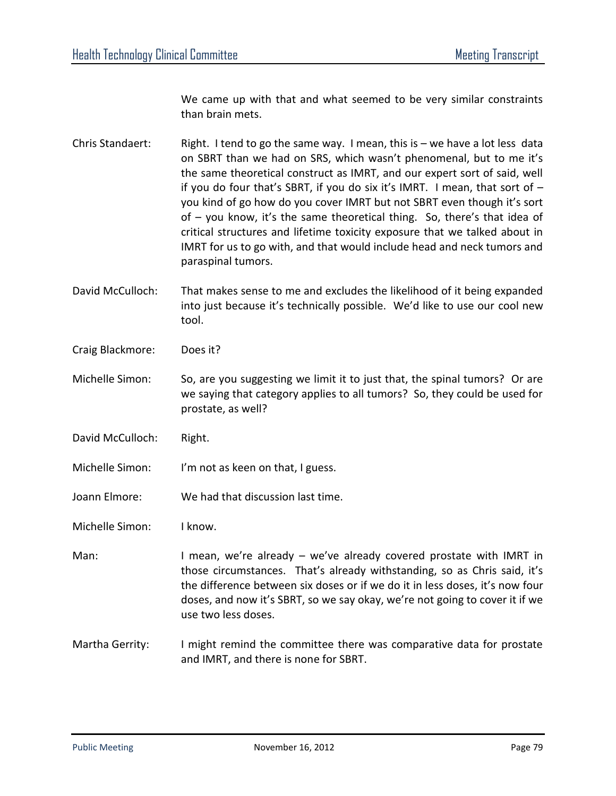We came up with that and what seemed to be very similar constraints than brain mets.

- Chris Standaert: Right. I tend to go the same way. I mean, this is we have a lot less data on SBRT than we had on SRS, which wasn't phenomenal, but to me it's the same theoretical construct as IMRT, and our expert sort of said, well if you do four that's SBRT, if you do six it's IMRT. I mean, that sort of – you kind of go how do you cover IMRT but not SBRT even though it's sort of – you know, it's the same theoretical thing. So, there's that idea of critical structures and lifetime toxicity exposure that we talked about in IMRT for us to go with, and that would include head and neck tumors and paraspinal tumors.
- David McCulloch: That makes sense to me and excludes the likelihood of it being expanded into just because it's technically possible. We'd like to use our cool new tool.
- Craig Blackmore: Does it?
- Michelle Simon: So, are you suggesting we limit it to just that, the spinal tumors? Or are we saying that category applies to all tumors? So, they could be used for prostate, as well?
- David McCulloch: Right.
- Michelle Simon: I'm not as keen on that, I guess.
- Joann Elmore: We had that discussion last time.
- Michelle Simon: I know.
- Man: I mean, we're already we've already covered prostate with IMRT in those circumstances. That's already withstanding, so as Chris said, it's the difference between six doses or if we do it in less doses, it's now four doses, and now it's SBRT, so we say okay, we're not going to cover it if we use two less doses.
- Martha Gerrity: I might remind the committee there was comparative data for prostate and IMRT, and there is none for SBRT.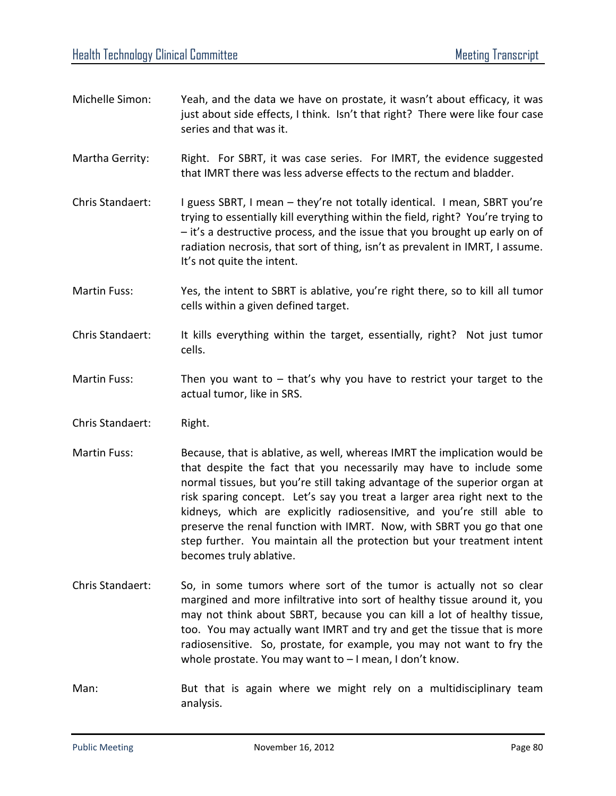- Michelle Simon: Yeah, and the data we have on prostate, it wasn't about efficacy, it was just about side effects, I think. Isn't that right? There were like four case series and that was it.
- Martha Gerrity: Right. For SBRT, it was case series. For IMRT, the evidence suggested that IMRT there was less adverse effects to the rectum and bladder.
- Chris Standaert: I guess SBRT, I mean they're not totally identical. I mean, SBRT you're trying to essentially kill everything within the field, right? You're trying to – it's a destructive process, and the issue that you brought up early on of radiation necrosis, that sort of thing, isn't as prevalent in IMRT, I assume. It's not quite the intent.
- Martin Fuss: Yes, the intent to SBRT is ablative, you're right there, so to kill all tumor cells within a given defined target.
- Chris Standaert: It kills everything within the target, essentially, right? Not just tumor cells.
- Martin Fuss: Then you want to  $-$  that's why you have to restrict your target to the actual tumor, like in SRS.
- Chris Standaert: Right.
- Martin Fuss: Because, that is ablative, as well, whereas IMRT the implication would be that despite the fact that you necessarily may have to include some normal tissues, but you're still taking advantage of the superior organ at risk sparing concept. Let's say you treat a larger area right next to the kidneys, which are explicitly radiosensitive, and you're still able to preserve the renal function with IMRT. Now, with SBRT you go that one step further. You maintain all the protection but your treatment intent becomes truly ablative.
- Chris Standaert: So, in some tumors where sort of the tumor is actually not so clear margined and more infiltrative into sort of healthy tissue around it, you may not think about SBRT, because you can kill a lot of healthy tissue, too. You may actually want IMRT and try and get the tissue that is more radiosensitive. So, prostate, for example, you may not want to fry the whole prostate. You may want to – I mean, I don't know.
- Man: But that is again where we might rely on a multidisciplinary team analysis.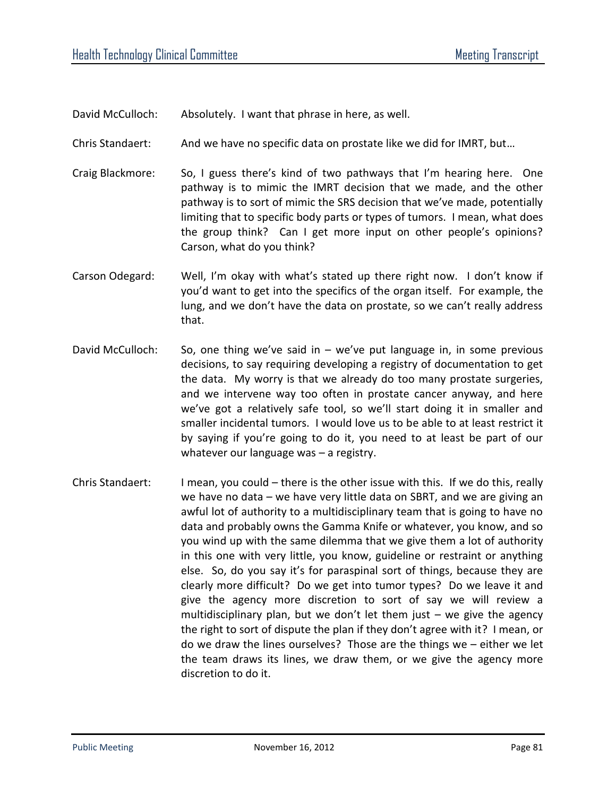David McCulloch: Absolutely. I want that phrase in here, as well.

Chris Standaert: And we have no specific data on prostate like we did for IMRT, but…

- Craig Blackmore: So, I guess there's kind of two pathways that I'm hearing here. One pathway is to mimic the IMRT decision that we made, and the other pathway is to sort of mimic the SRS decision that we've made, potentially limiting that to specific body parts or types of tumors. I mean, what does the group think? Can I get more input on other people's opinions? Carson, what do you think?
- Carson Odegard: Well, I'm okay with what's stated up there right now. I don't know if you'd want to get into the specifics of the organ itself. For example, the lung, and we don't have the data on prostate, so we can't really address that.
- David McCulloch: So, one thing we've said in we've put language in, in some previous decisions, to say requiring developing a registry of documentation to get the data. My worry is that we already do too many prostate surgeries, and we intervene way too often in prostate cancer anyway, and here we've got a relatively safe tool, so we'll start doing it in smaller and smaller incidental tumors. I would love us to be able to at least restrict it by saying if you're going to do it, you need to at least be part of our whatever our language was – a registry.
- Chris Standaert: I mean, you could there is the other issue with this. If we do this, really we have no data – we have very little data on SBRT, and we are giving an awful lot of authority to a multidisciplinary team that is going to have no data and probably owns the Gamma Knife or whatever, you know, and so you wind up with the same dilemma that we give them a lot of authority in this one with very little, you know, guideline or restraint or anything else. So, do you say it's for paraspinal sort of things, because they are clearly more difficult? Do we get into tumor types? Do we leave it and give the agency more discretion to sort of say we will review a multidisciplinary plan, but we don't let them just – we give the agency the right to sort of dispute the plan if they don't agree with it? I mean, or do we draw the lines ourselves? Those are the things we – either we let the team draws its lines, we draw them, or we give the agency more discretion to do it.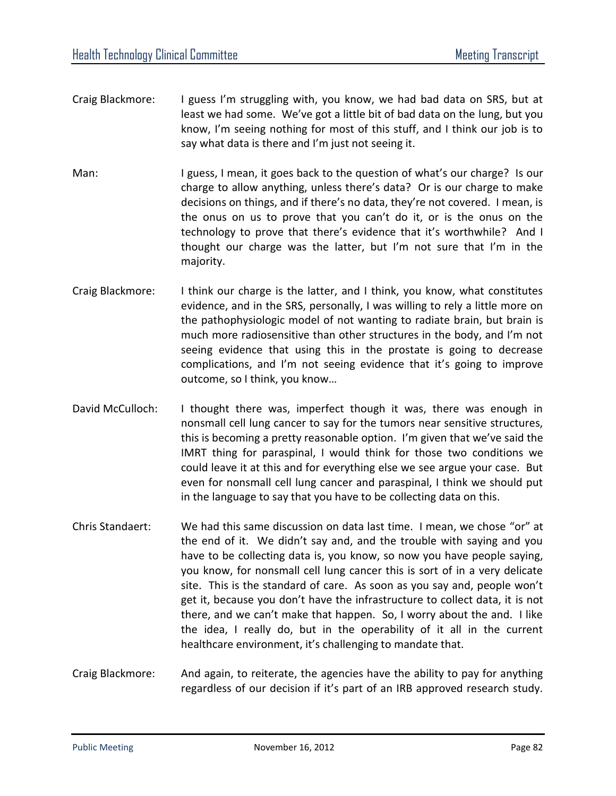- Craig Blackmore: I guess I'm struggling with, you know, we had bad data on SRS, but at least we had some. We've got a little bit of bad data on the lung, but you know, I'm seeing nothing for most of this stuff, and I think our job is to say what data is there and I'm just not seeing it.
- Man: I guess, I mean, it goes back to the question of what's our charge? Is our charge to allow anything, unless there's data? Or is our charge to make decisions on things, and if there's no data, they're not covered. I mean, is the onus on us to prove that you can't do it, or is the onus on the technology to prove that there's evidence that it's worthwhile? And I thought our charge was the latter, but I'm not sure that I'm in the majority.
- Craig Blackmore: I think our charge is the latter, and I think, you know, what constitutes evidence, and in the SRS, personally, I was willing to rely a little more on the pathophysiologic model of not wanting to radiate brain, but brain is much more radiosensitive than other structures in the body, and I'm not seeing evidence that using this in the prostate is going to decrease complications, and I'm not seeing evidence that it's going to improve outcome, so I think, you know…
- David McCulloch: I thought there was, imperfect though it was, there was enough in nonsmall cell lung cancer to say for the tumors near sensitive structures, this is becoming a pretty reasonable option. I'm given that we've said the IMRT thing for paraspinal, I would think for those two conditions we could leave it at this and for everything else we see argue your case. But even for nonsmall cell lung cancer and paraspinal, I think we should put in the language to say that you have to be collecting data on this.
- Chris Standaert: We had this same discussion on data last time. I mean, we chose "or" at the end of it. We didn't say and, and the trouble with saying and you have to be collecting data is, you know, so now you have people saying, you know, for nonsmall cell lung cancer this is sort of in a very delicate site. This is the standard of care. As soon as you say and, people won't get it, because you don't have the infrastructure to collect data, it is not there, and we can't make that happen. So, I worry about the and. I like the idea, I really do, but in the operability of it all in the current healthcare environment, it's challenging to mandate that.
- Craig Blackmore: And again, to reiterate, the agencies have the ability to pay for anything regardless of our decision if it's part of an IRB approved research study.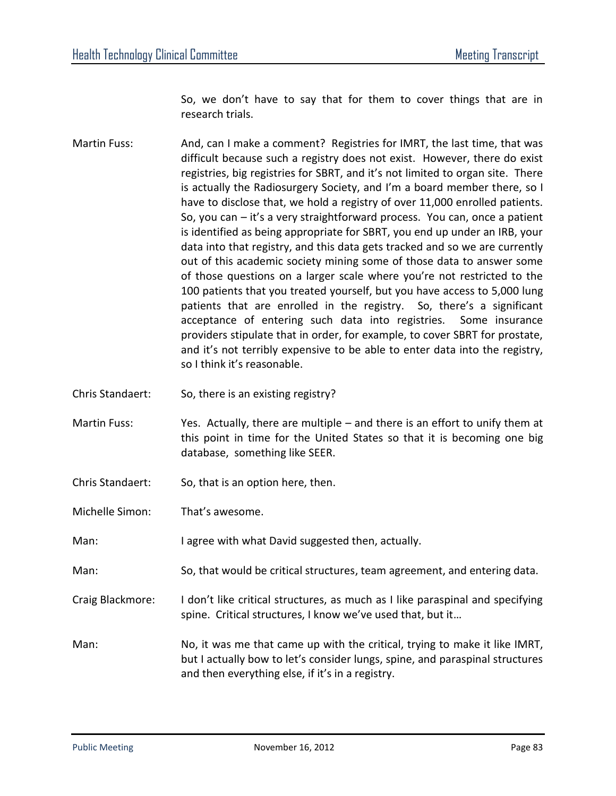So, we don't have to say that for them to cover things that are in research trials.

- Martin Fuss: And, can I make a comment? Registries for IMRT, the last time, that was difficult because such a registry does not exist. However, there do exist registries, big registries for SBRT, and it's not limited to organ site. There is actually the Radiosurgery Society, and I'm a board member there, so I have to disclose that, we hold a registry of over 11,000 enrolled patients. So, you can – it's a very straightforward process. You can, once a patient is identified as being appropriate for SBRT, you end up under an IRB, your data into that registry, and this data gets tracked and so we are currently out of this academic society mining some of those data to answer some of those questions on a larger scale where you're not restricted to the 100 patients that you treated yourself, but you have access to 5,000 lung patients that are enrolled in the registry. So, there's a significant acceptance of entering such data into registries. Some insurance providers stipulate that in order, for example, to cover SBRT for prostate, and it's not terribly expensive to be able to enter data into the registry, so I think it's reasonable.
- Chris Standaert: So, there is an existing registry?
- Martin Fuss: Yes. Actually, there are multiple and there is an effort to unify them at this point in time for the United States so that it is becoming one big database, something like SEER.
- Chris Standaert: So, that is an option here, then.
- Michelle Simon: That's awesome.
- Man: I agree with what David suggested then, actually.
- Man: So, that would be critical structures, team agreement, and entering data.
- Craig Blackmore: I don't like critical structures, as much as I like paraspinal and specifying spine. Critical structures, I know we've used that, but it…
- Man: No, it was me that came up with the critical, trying to make it like IMRT, but I actually bow to let's consider lungs, spine, and paraspinal structures and then everything else, if it's in a registry.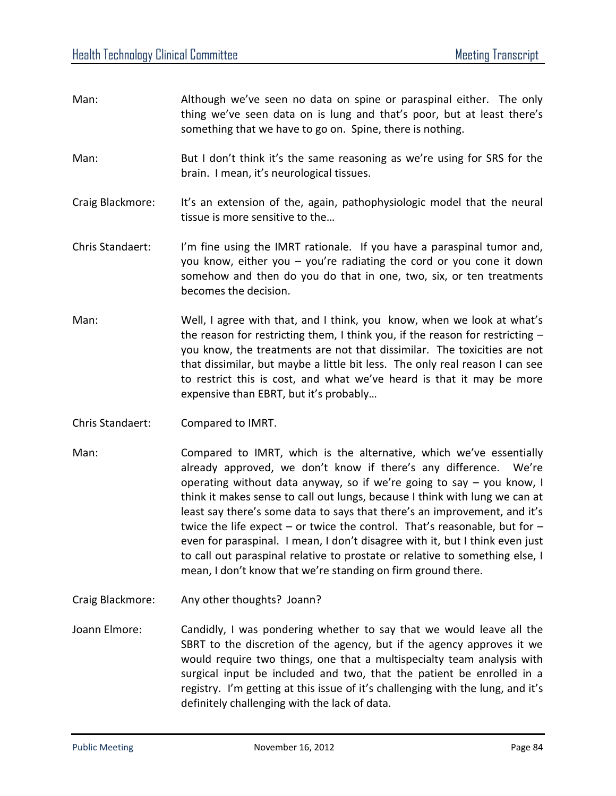| Man:                    | Although we've seen no data on spine or paraspinal either. The only<br>thing we've seen data on is lung and that's poor, but at least there's<br>something that we have to go on. Spine, there is nothing.                                                                                                                                                                                                                             |
|-------------------------|----------------------------------------------------------------------------------------------------------------------------------------------------------------------------------------------------------------------------------------------------------------------------------------------------------------------------------------------------------------------------------------------------------------------------------------|
| Man:                    | But I don't think it's the same reasoning as we're using for SRS for the<br>brain. I mean, it's neurological tissues.                                                                                                                                                                                                                                                                                                                  |
| Craig Blackmore:        | It's an extension of the, again, pathophysiologic model that the neural<br>tissue is more sensitive to the                                                                                                                                                                                                                                                                                                                             |
| <b>Chris Standaert:</b> | I'm fine using the IMRT rationale. If you have a paraspinal tumor and,<br>you know, either you $-$ you're radiating the cord or you cone it down<br>somehow and then do you do that in one, two, six, or ten treatments<br>becomes the decision.                                                                                                                                                                                       |
| Man:                    | Well, I agree with that, and I think, you know, when we look at what's<br>the reason for restricting them, I think you, if the reason for restricting -<br>you know, the treatments are not that dissimilar. The toxicities are not<br>that dissimilar, but maybe a little bit less. The only real reason I can see<br>to restrict this is cost, and what we've heard is that it may be more<br>expensive than EBRT, but it's probably |
| Chris Standaert:        | Compared to IMRT.                                                                                                                                                                                                                                                                                                                                                                                                                      |

- Man: Compared to IMRT, which is the alternative, which we've essentially already approved, we don't know if there's any difference. We're operating without data anyway, so if we're going to say – you know, I think it makes sense to call out lungs, because I think with lung we can at least say there's some data to says that there's an improvement, and it's twice the life expect – or twice the control. That's reasonable, but for – even for paraspinal. I mean, I don't disagree with it, but I think even just to call out paraspinal relative to prostate or relative to something else, I mean, I don't know that we're standing on firm ground there.
- Craig Blackmore: Any other thoughts? Joann?
- Joann Elmore: Candidly, I was pondering whether to say that we would leave all the SBRT to the discretion of the agency, but if the agency approves it we would require two things, one that a multispecialty team analysis with surgical input be included and two, that the patient be enrolled in a registry. I'm getting at this issue of it's challenging with the lung, and it's definitely challenging with the lack of data.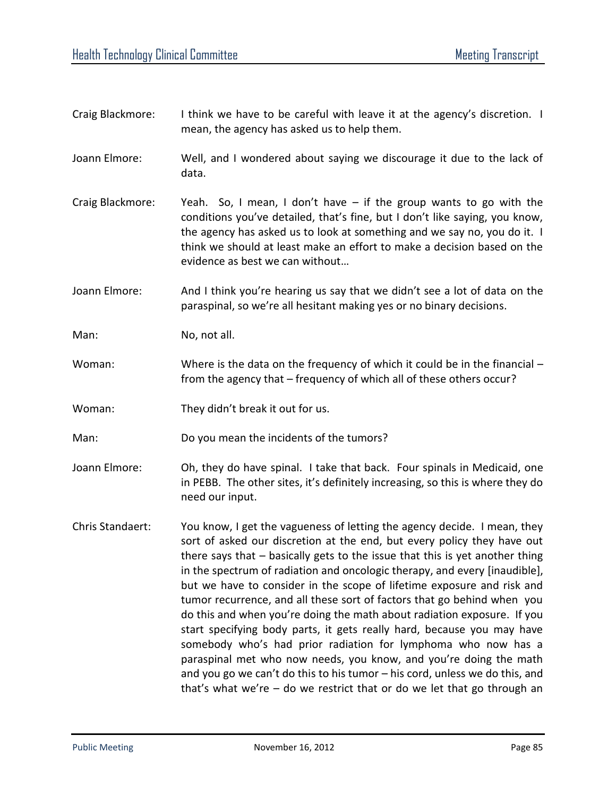| Craig Blackmore: | I think we have to be careful with leave it at the agency's discretion. I<br>mean, the agency has asked us to help them.                                                                                                                                                                                                                                                                                                                                                                                                                                                                                                                                                                                                                                                                                                                                                                                                        |
|------------------|---------------------------------------------------------------------------------------------------------------------------------------------------------------------------------------------------------------------------------------------------------------------------------------------------------------------------------------------------------------------------------------------------------------------------------------------------------------------------------------------------------------------------------------------------------------------------------------------------------------------------------------------------------------------------------------------------------------------------------------------------------------------------------------------------------------------------------------------------------------------------------------------------------------------------------|
| Joann Elmore:    | Well, and I wondered about saying we discourage it due to the lack of<br>data.                                                                                                                                                                                                                                                                                                                                                                                                                                                                                                                                                                                                                                                                                                                                                                                                                                                  |
| Craig Blackmore: | Yeah. So, I mean, I don't have $-$ if the group wants to go with the<br>conditions you've detailed, that's fine, but I don't like saying, you know,<br>the agency has asked us to look at something and we say no, you do it. I<br>think we should at least make an effort to make a decision based on the<br>evidence as best we can without                                                                                                                                                                                                                                                                                                                                                                                                                                                                                                                                                                                   |
| Joann Elmore:    | And I think you're hearing us say that we didn't see a lot of data on the<br>paraspinal, so we're all hesitant making yes or no binary decisions.                                                                                                                                                                                                                                                                                                                                                                                                                                                                                                                                                                                                                                                                                                                                                                               |
| Man:             | No, not all.                                                                                                                                                                                                                                                                                                                                                                                                                                                                                                                                                                                                                                                                                                                                                                                                                                                                                                                    |
| Woman:           | Where is the data on the frequency of which it could be in the financial $-$<br>from the agency that - frequency of which all of these others occur?                                                                                                                                                                                                                                                                                                                                                                                                                                                                                                                                                                                                                                                                                                                                                                            |
| Woman:           | They didn't break it out for us.                                                                                                                                                                                                                                                                                                                                                                                                                                                                                                                                                                                                                                                                                                                                                                                                                                                                                                |
| Man:             | Do you mean the incidents of the tumors?                                                                                                                                                                                                                                                                                                                                                                                                                                                                                                                                                                                                                                                                                                                                                                                                                                                                                        |
| Joann Elmore:    | Oh, they do have spinal. I take that back. Four spinals in Medicaid, one<br>in PEBB. The other sites, it's definitely increasing, so this is where they do<br>need our input.                                                                                                                                                                                                                                                                                                                                                                                                                                                                                                                                                                                                                                                                                                                                                   |
| Chris Standaert: | You know, I get the vagueness of letting the agency decide. I mean, they<br>sort of asked our discretion at the end, but every policy they have out<br>there says that $-$ basically gets to the issue that this is yet another thing<br>in the spectrum of radiation and oncologic therapy, and every [inaudible],<br>but we have to consider in the scope of lifetime exposure and risk and<br>tumor recurrence, and all these sort of factors that go behind when you<br>do this and when you're doing the math about radiation exposure. If you<br>start specifying body parts, it gets really hard, because you may have<br>somebody who's had prior radiation for lymphoma who now has a<br>paraspinal met who now needs, you know, and you're doing the math<br>and you go we can't do this to his tumor - his cord, unless we do this, and<br>that's what we're $-$ do we restrict that or do we let that go through an |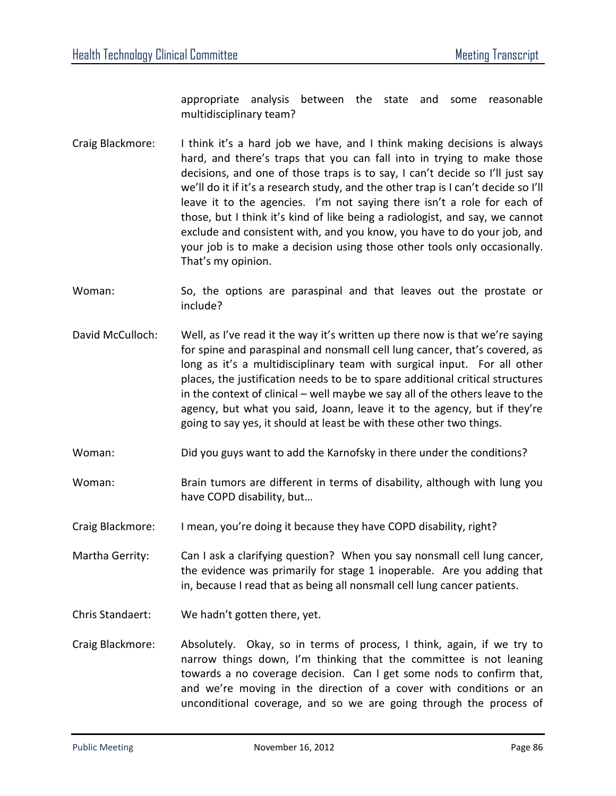appropriate analysis between the state and some reasonable multidisciplinary team?

- Craig Blackmore: I think it's a hard job we have, and I think making decisions is always hard, and there's traps that you can fall into in trying to make those decisions, and one of those traps is to say, I can't decide so I'll just say we'll do it if it's a research study, and the other trap is I can't decide so I'll leave it to the agencies. I'm not saying there isn't a role for each of those, but I think it's kind of like being a radiologist, and say, we cannot exclude and consistent with, and you know, you have to do your job, and your job is to make a decision using those other tools only occasionally. That's my opinion.
- Woman: So, the options are paraspinal and that leaves out the prostate or include?
- David McCulloch: Well, as I've read it the way it's written up there now is that we're saying for spine and paraspinal and nonsmall cell lung cancer, that's covered, as long as it's a multidisciplinary team with surgical input. For all other places, the justification needs to be to spare additional critical structures in the context of clinical – well maybe we say all of the others leave to the agency, but what you said, Joann, leave it to the agency, but if they're going to say yes, it should at least be with these other two things.
- Woman: Did you guys want to add the Karnofsky in there under the conditions?
- Woman: Brain tumors are different in terms of disability, although with lung you have COPD disability, but…
- Craig Blackmore: I mean, you're doing it because they have COPD disability, right?
- Martha Gerrity: Can I ask a clarifying question? When you say nonsmall cell lung cancer, the evidence was primarily for stage 1 inoperable. Are you adding that in, because I read that as being all nonsmall cell lung cancer patients.
- Chris Standaert: We hadn't gotten there, yet.
- Craig Blackmore: Absolutely. Okay, so in terms of process, I think, again, if we try to narrow things down, I'm thinking that the committee is not leaning towards a no coverage decision. Can I get some nods to confirm that, and we're moving in the direction of a cover with conditions or an unconditional coverage, and so we are going through the process of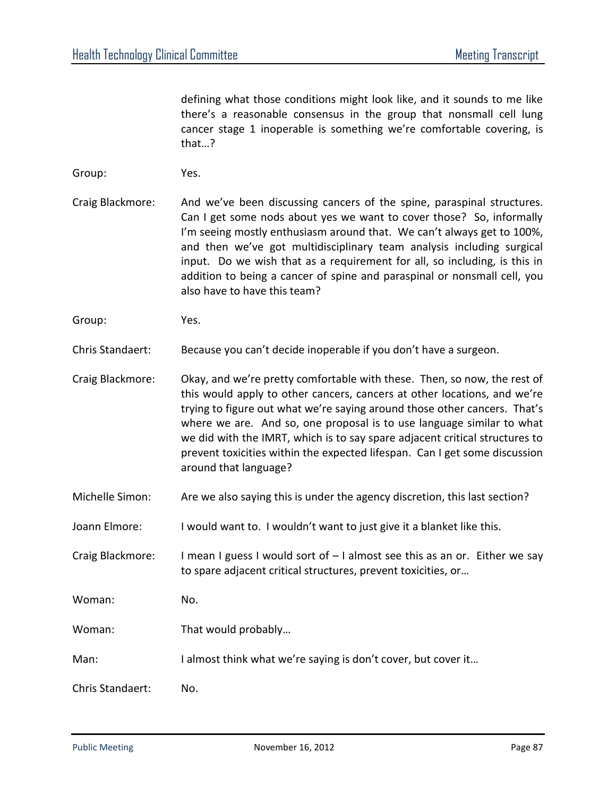defining what those conditions might look like, and it sounds to me like there's a reasonable consensus in the group that nonsmall cell lung cancer stage 1 inoperable is something we're comfortable covering, is that…?

- Group: Yes.
- Craig Blackmore: And we've been discussing cancers of the spine, paraspinal structures. Can I get some nods about yes we want to cover those? So, informally I'm seeing mostly enthusiasm around that. We can't always get to 100%, and then we've got multidisciplinary team analysis including surgical input. Do we wish that as a requirement for all, so including, is this in addition to being a cancer of spine and paraspinal or nonsmall cell, you also have to have this team?
- Group: Yes.

Chris Standaert: Because you can't decide inoperable if you don't have a surgeon.

Craig Blackmore: Okay, and we're pretty comfortable with these. Then, so now, the rest of this would apply to other cancers, cancers at other locations, and we're trying to figure out what we're saying around those other cancers. That's where we are. And so, one proposal is to use language similar to what we did with the IMRT, which is to say spare adjacent critical structures to prevent toxicities within the expected lifespan. Can I get some discussion around that language?

- Michelle Simon: Are we also saying this is under the agency discretion, this last section?
- Joann Elmore: I would want to. I wouldn't want to just give it a blanket like this.
- Craig Blackmore: I mean I guess I would sort of  $-1$  almost see this as an or. Either we say to spare adjacent critical structures, prevent toxicities, or…
- Woman: No.
- Woman: That would probably...
- Man: I almost think what we're saying is don't cover, but cover it...
- Chris Standaert: No.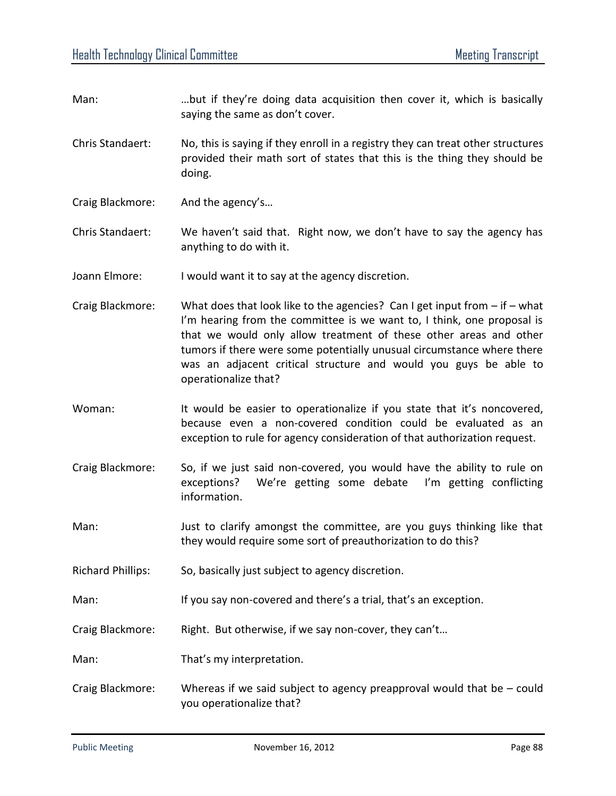- Man: …but if they're doing data acquisition then cover it, which is basically saying the same as don't cover.
- Chris Standaert: No, this is saying if they enroll in a registry they can treat other structures provided their math sort of states that this is the thing they should be doing.
- Craig Blackmore: And the agency's…

Chris Standaert: We haven't said that. Right now, we don't have to say the agency has anything to do with it.

- Joann Elmore: I would want it to say at the agency discretion.
- Craig Blackmore: What does that look like to the agencies? Can I get input from if what I'm hearing from the committee is we want to, I think, one proposal is that we would only allow treatment of these other areas and other tumors if there were some potentially unusual circumstance where there was an adjacent critical structure and would you guys be able to operationalize that?
- Woman: It would be easier to operationalize if you state that it's noncovered, because even a non-covered condition could be evaluated as an exception to rule for agency consideration of that authorization request.
- Craig Blackmore: So, if we just said non-covered, you would have the ability to rule on exceptions? We're getting some debate I'm getting conflicting information.
- Man: Just to clarify amongst the committee, are you guys thinking like that they would require some sort of preauthorization to do this?
- Richard Phillips: So, basically just subject to agency discretion.
- Man: If you say non-covered and there's a trial, that's an exception.
- Craig Blackmore: Right. But otherwise, if we say non-cover, they can't...
- Man: That's my interpretation.
- Craig Blackmore: Whereas if we said subject to agency preapproval would that be could you operationalize that?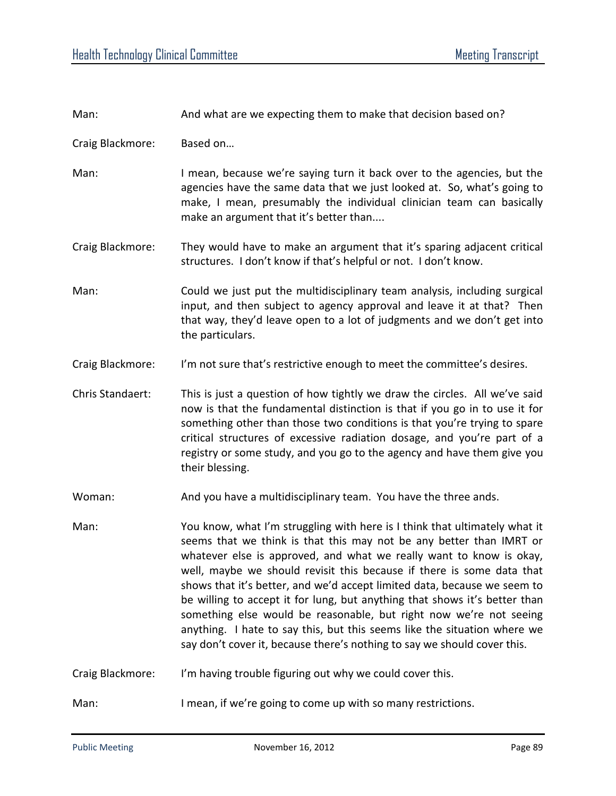| Man:             | And what are we expecting them to make that decision based on?                                                                                                                                                                                                                                                                                                                                                                                                                                                                                                                                                                                                                            |
|------------------|-------------------------------------------------------------------------------------------------------------------------------------------------------------------------------------------------------------------------------------------------------------------------------------------------------------------------------------------------------------------------------------------------------------------------------------------------------------------------------------------------------------------------------------------------------------------------------------------------------------------------------------------------------------------------------------------|
| Craig Blackmore: | Based on                                                                                                                                                                                                                                                                                                                                                                                                                                                                                                                                                                                                                                                                                  |
| Man:             | I mean, because we're saying turn it back over to the agencies, but the<br>agencies have the same data that we just looked at. So, what's going to<br>make, I mean, presumably the individual clinician team can basically<br>make an argument that it's better than                                                                                                                                                                                                                                                                                                                                                                                                                      |
| Craig Blackmore: | They would have to make an argument that it's sparing adjacent critical<br>structures. I don't know if that's helpful or not. I don't know.                                                                                                                                                                                                                                                                                                                                                                                                                                                                                                                                               |
| Man:             | Could we just put the multidisciplinary team analysis, including surgical<br>input, and then subject to agency approval and leave it at that? Then<br>that way, they'd leave open to a lot of judgments and we don't get into<br>the particulars.                                                                                                                                                                                                                                                                                                                                                                                                                                         |
| Craig Blackmore: | I'm not sure that's restrictive enough to meet the committee's desires.                                                                                                                                                                                                                                                                                                                                                                                                                                                                                                                                                                                                                   |
| Chris Standaert: | This is just a question of how tightly we draw the circles. All we've said<br>now is that the fundamental distinction is that if you go in to use it for<br>something other than those two conditions is that you're trying to spare<br>critical structures of excessive radiation dosage, and you're part of a<br>registry or some study, and you go to the agency and have them give you<br>their blessing.                                                                                                                                                                                                                                                                             |
| Woman:           | And you have a multidisciplinary team. You have the three ands.                                                                                                                                                                                                                                                                                                                                                                                                                                                                                                                                                                                                                           |
| Man:             | You know, what I'm struggling with here is I think that ultimately what it<br>seems that we think is that this may not be any better than IMRT or<br>whatever else is approved, and what we really want to know is okay,<br>well, maybe we should revisit this because if there is some data that<br>shows that it's better, and we'd accept limited data, because we seem to<br>be willing to accept it for lung, but anything that shows it's better than<br>something else would be reasonable, but right now we're not seeing<br>anything. I hate to say this, but this seems like the situation where we<br>say don't cover it, because there's nothing to say we should cover this. |
| Craig Blackmore: | I'm having trouble figuring out why we could cover this.                                                                                                                                                                                                                                                                                                                                                                                                                                                                                                                                                                                                                                  |
| Man:             | I mean, if we're going to come up with so many restrictions.                                                                                                                                                                                                                                                                                                                                                                                                                                                                                                                                                                                                                              |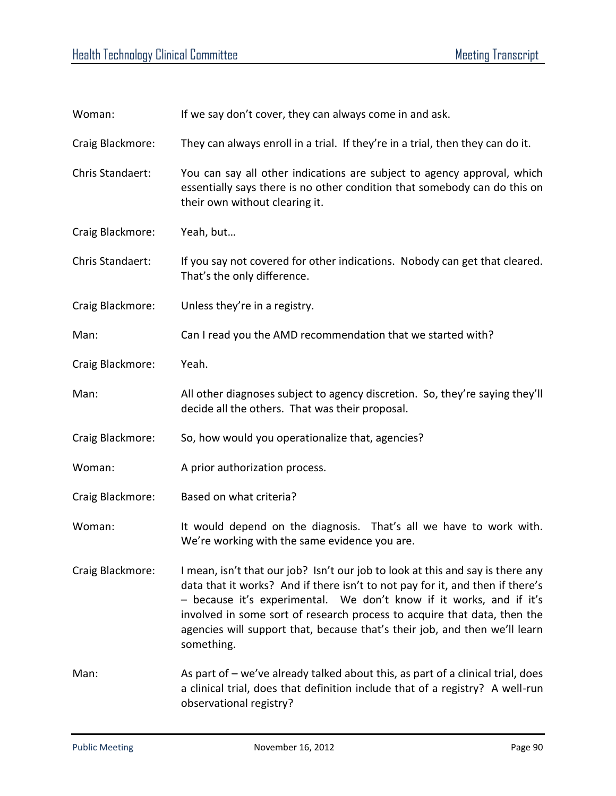| Woman:           | If we say don't cover, they can always come in and ask.                                                                                                                                                                                                                                                                                                                                                        |
|------------------|----------------------------------------------------------------------------------------------------------------------------------------------------------------------------------------------------------------------------------------------------------------------------------------------------------------------------------------------------------------------------------------------------------------|
| Craig Blackmore: | They can always enroll in a trial. If they're in a trial, then they can do it.                                                                                                                                                                                                                                                                                                                                 |
| Chris Standaert: | You can say all other indications are subject to agency approval, which<br>essentially says there is no other condition that somebody can do this on<br>their own without clearing it.                                                                                                                                                                                                                         |
| Craig Blackmore: | Yeah, but                                                                                                                                                                                                                                                                                                                                                                                                      |
| Chris Standaert: | If you say not covered for other indications. Nobody can get that cleared.<br>That's the only difference.                                                                                                                                                                                                                                                                                                      |
| Craig Blackmore: | Unless they're in a registry.                                                                                                                                                                                                                                                                                                                                                                                  |
| Man:             | Can I read you the AMD recommendation that we started with?                                                                                                                                                                                                                                                                                                                                                    |
| Craig Blackmore: | Yeah.                                                                                                                                                                                                                                                                                                                                                                                                          |
| Man:             | All other diagnoses subject to agency discretion. So, they're saying they'll<br>decide all the others. That was their proposal.                                                                                                                                                                                                                                                                                |
| Craig Blackmore: | So, how would you operationalize that, agencies?                                                                                                                                                                                                                                                                                                                                                               |
| Woman:           | A prior authorization process.                                                                                                                                                                                                                                                                                                                                                                                 |
| Craig Blackmore: | Based on what criteria?                                                                                                                                                                                                                                                                                                                                                                                        |
| Woman:           | It would depend on the diagnosis. That's all we have to work with.<br>We're working with the same evidence you are.                                                                                                                                                                                                                                                                                            |
| Craig Blackmore: | I mean, isn't that our job? Isn't our job to look at this and say is there any<br>data that it works? And if there isn't to not pay for it, and then if there's<br>- because it's experimental. We don't know if it works, and if it's<br>involved in some sort of research process to acquire that data, then the<br>agencies will support that, because that's their job, and then we'll learn<br>something. |
| Man:             | As part of – we've already talked about this, as part of a clinical trial, does<br>a clinical trial, does that definition include that of a registry? A well-run<br>observational registry?                                                                                                                                                                                                                    |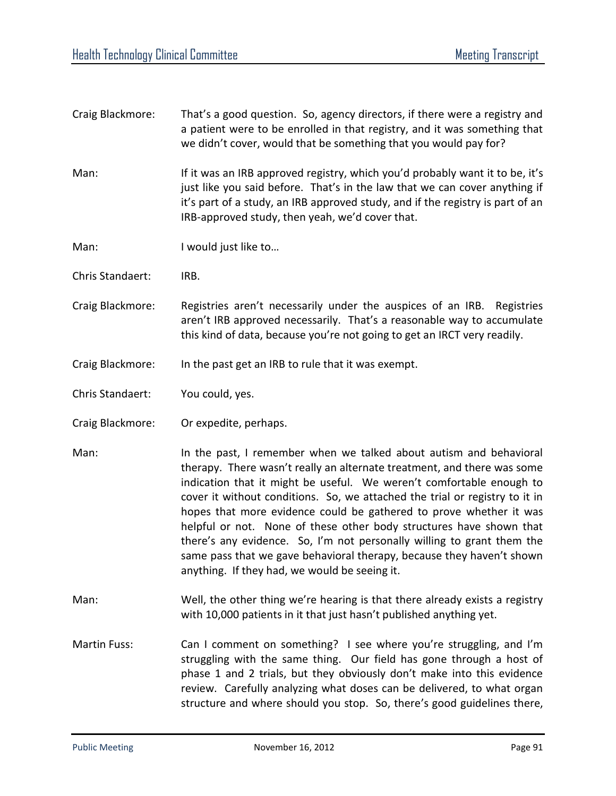- Craig Blackmore: That's a good question. So, agency directors, if there were a registry and a patient were to be enrolled in that registry, and it was something that we didn't cover, would that be something that you would pay for?
- Man: If it was an IRB approved registry, which you'd probably want it to be, it's just like you said before. That's in the law that we can cover anything if it's part of a study, an IRB approved study, and if the registry is part of an IRB-approved study, then yeah, we'd cover that.
- Man: I would just like to...
- Chris Standaert: IRB.
- Craig Blackmore: Registries aren't necessarily under the auspices of an IRB. Registries aren't IRB approved necessarily. That's a reasonable way to accumulate this kind of data, because you're not going to get an IRCT very readily.
- Craig Blackmore: In the past get an IRB to rule that it was exempt.
- Chris Standaert: You could, yes.
- Craig Blackmore: Or expedite, perhaps.
- Man: In the past, I remember when we talked about autism and behavioral therapy. There wasn't really an alternate treatment, and there was some indication that it might be useful. We weren't comfortable enough to cover it without conditions. So, we attached the trial or registry to it in hopes that more evidence could be gathered to prove whether it was helpful or not. None of these other body structures have shown that there's any evidence. So, I'm not personally willing to grant them the same pass that we gave behavioral therapy, because they haven't shown anything. If they had, we would be seeing it.
- Man: Well, the other thing we're hearing is that there already exists a registry with 10,000 patients in it that just hasn't published anything yet.
- Martin Fuss: Can I comment on something? I see where you're struggling, and I'm struggling with the same thing. Our field has gone through a host of phase 1 and 2 trials, but they obviously don't make into this evidence review. Carefully analyzing what doses can be delivered, to what organ structure and where should you stop. So, there's good guidelines there,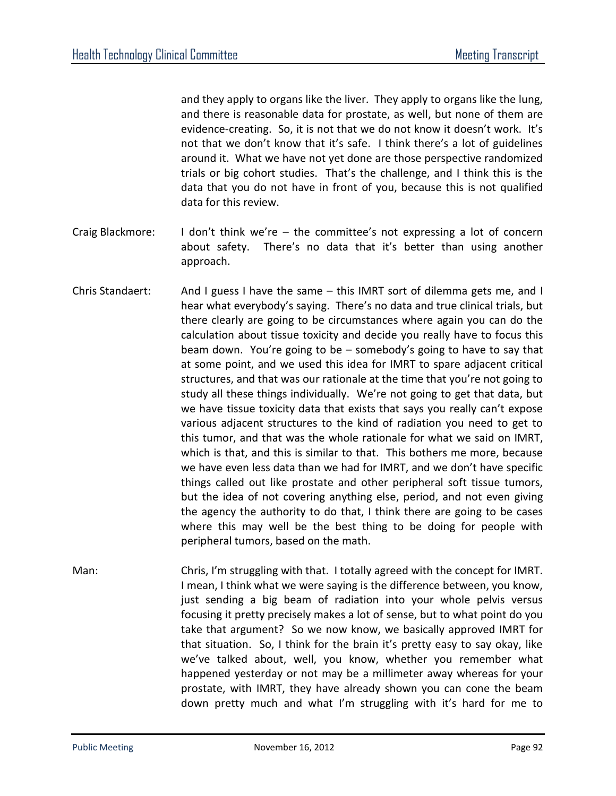and they apply to organs like the liver. They apply to organs like the lung, and there is reasonable data for prostate, as well, but none of them are evidence-creating. So, it is not that we do not know it doesn't work. It's not that we don't know that it's safe. I think there's a lot of guidelines around it. What we have not yet done are those perspective randomized trials or big cohort studies. That's the challenge, and I think this is the data that you do not have in front of you, because this is not qualified data for this review.

- Craig Blackmore: I don't think we're the committee's not expressing a lot of concern about safety. There's no data that it's better than using another approach.
- Chris Standaert: And I guess I have the same this IMRT sort of dilemma gets me, and I hear what everybody's saying. There's no data and true clinical trials, but there clearly are going to be circumstances where again you can do the calculation about tissue toxicity and decide you really have to focus this beam down. You're going to be – somebody's going to have to say that at some point, and we used this idea for IMRT to spare adjacent critical structures, and that was our rationale at the time that you're not going to study all these things individually. We're not going to get that data, but we have tissue toxicity data that exists that says you really can't expose various adjacent structures to the kind of radiation you need to get to this tumor, and that was the whole rationale for what we said on IMRT, which is that, and this is similar to that. This bothers me more, because we have even less data than we had for IMRT, and we don't have specific things called out like prostate and other peripheral soft tissue tumors, but the idea of not covering anything else, period, and not even giving the agency the authority to do that, I think there are going to be cases where this may well be the best thing to be doing for people with peripheral tumors, based on the math.
- Man: Chris, I'm struggling with that. I totally agreed with the concept for IMRT. I mean, I think what we were saying is the difference between, you know, just sending a big beam of radiation into your whole pelvis versus focusing it pretty precisely makes a lot of sense, but to what point do you take that argument? So we now know, we basically approved IMRT for that situation. So, I think for the brain it's pretty easy to say okay, like we've talked about, well, you know, whether you remember what happened yesterday or not may be a millimeter away whereas for your prostate, with IMRT, they have already shown you can cone the beam down pretty much and what I'm struggling with it's hard for me to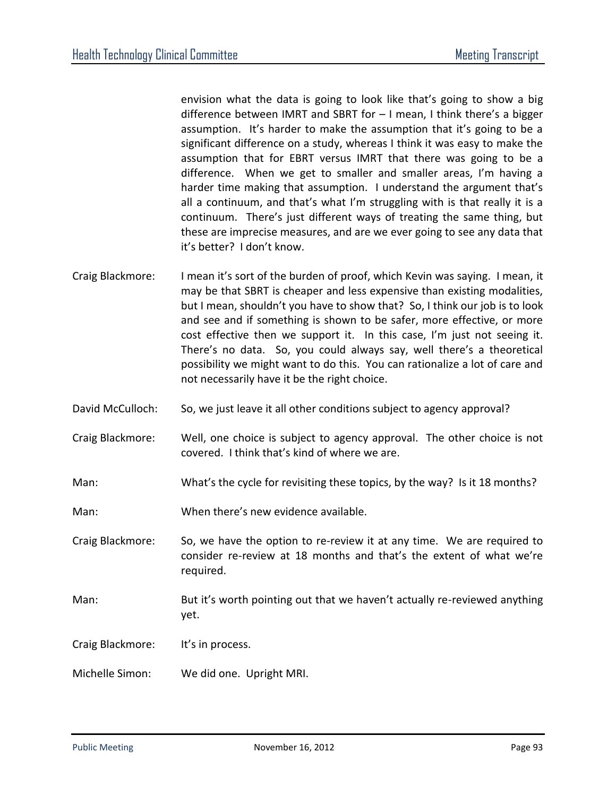envision what the data is going to look like that's going to show a big difference between IMRT and SBRT for – I mean, I think there's a bigger assumption. It's harder to make the assumption that it's going to be a significant difference on a study, whereas I think it was easy to make the assumption that for EBRT versus IMRT that there was going to be a difference. When we get to smaller and smaller areas, I'm having a harder time making that assumption. I understand the argument that's all a continuum, and that's what I'm struggling with is that really it is a continuum. There's just different ways of treating the same thing, but these are imprecise measures, and are we ever going to see any data that it's better? I don't know.

- Craig Blackmore: I mean it's sort of the burden of proof, which Kevin was saying. I mean, it may be that SBRT is cheaper and less expensive than existing modalities, but I mean, shouldn't you have to show that? So, I think our job is to look and see and if something is shown to be safer, more effective, or more cost effective then we support it. In this case, I'm just not seeing it. There's no data. So, you could always say, well there's a theoretical possibility we might want to do this. You can rationalize a lot of care and not necessarily have it be the right choice.
- David McCulloch: So, we just leave it all other conditions subject to agency approval?
- Craig Blackmore: Well, one choice is subject to agency approval. The other choice is not covered. I think that's kind of where we are.
- Man: What's the cycle for revisiting these topics, by the way? Is it 18 months?
- Man: When there's new evidence available.

Craig Blackmore: So, we have the option to re-review it at any time. We are required to consider re-review at 18 months and that's the extent of what we're required.

- Man: But it's worth pointing out that we haven't actually re-reviewed anything yet.
- Craig Blackmore: It's in process.
- Michelle Simon: We did one. Upright MRI.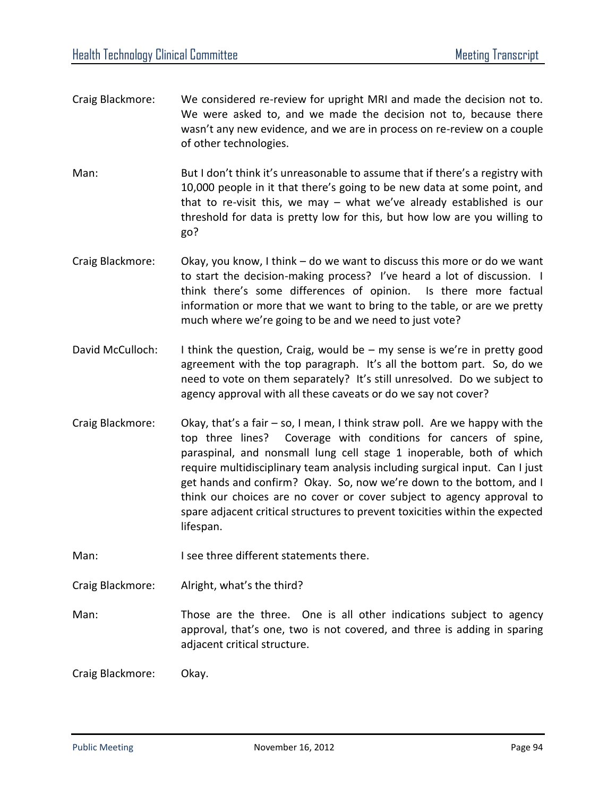- Craig Blackmore: We considered re-review for upright MRI and made the decision not to. We were asked to, and we made the decision not to, because there wasn't any new evidence, and we are in process on re-review on a couple of other technologies.
- Man: But I don't think it's unreasonable to assume that if there's a registry with 10,000 people in it that there's going to be new data at some point, and that to re-visit this, we may – what we've already established is our threshold for data is pretty low for this, but how low are you willing to go?
- Craig Blackmore: Okay, you know, I think do we want to discuss this more or do we want to start the decision-making process? I've heard a lot of discussion. I think there's some differences of opinion. Is there more factual information or more that we want to bring to the table, or are we pretty much where we're going to be and we need to just vote?
- David McCulloch: I think the question, Craig, would be my sense is we're in pretty good agreement with the top paragraph. It's all the bottom part. So, do we need to vote on them separately? It's still unresolved. Do we subject to agency approval with all these caveats or do we say not cover?
- Craig Blackmore: Okay, that's a fair so, I mean, I think straw poll. Are we happy with the top three lines? Coverage with conditions for cancers of spine, paraspinal, and nonsmall lung cell stage 1 inoperable, both of which require multidisciplinary team analysis including surgical input. Can I just get hands and confirm? Okay. So, now we're down to the bottom, and I think our choices are no cover or cover subject to agency approval to spare adjacent critical structures to prevent toxicities within the expected lifespan.
- Man: I see three different statements there.
- Craig Blackmore: Alright, what's the third?

Man: Those are the three. One is all other indications subject to agency approval, that's one, two is not covered, and three is adding in sparing adjacent critical structure.

Craig Blackmore: Okay.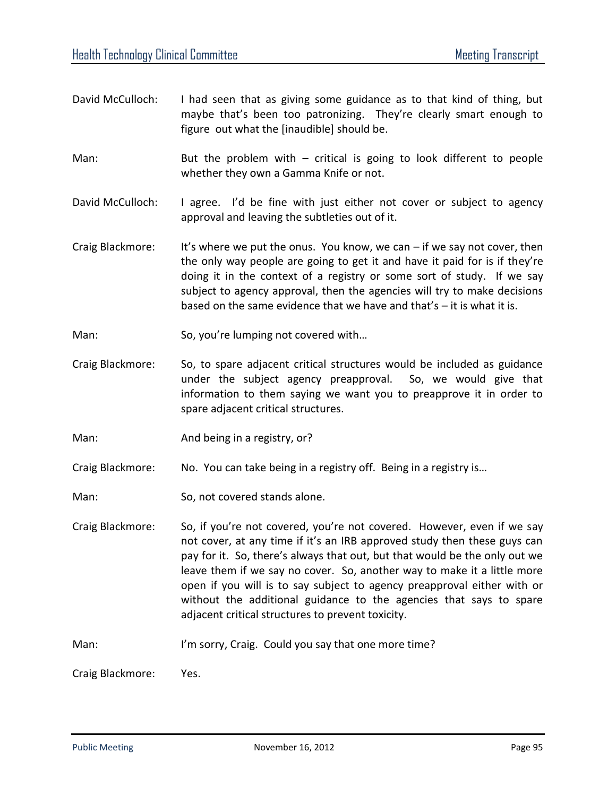- David McCulloch: I had seen that as giving some guidance as to that kind of thing, but maybe that's been too patronizing. They're clearly smart enough to figure out what the [inaudible] should be.
- Man: But the problem with  $-$  critical is going to look different to people whether they own a Gamma Knife or not.
- David McCulloch: I agree. I'd be fine with just either not cover or subject to agency approval and leaving the subtleties out of it.
- Craig Blackmore: It's where we put the onus. You know, we can  $-$  if we say not cover, then the only way people are going to get it and have it paid for is if they're doing it in the context of a registry or some sort of study. If we say subject to agency approval, then the agencies will try to make decisions based on the same evidence that we have and that's – it is what it is.
- Man: So, you're lumping not covered with...
- Craig Blackmore: So, to spare adjacent critical structures would be included as guidance under the subject agency preapproval. So, we would give that information to them saying we want you to preapprove it in order to spare adjacent critical structures.
- Man: Man: And being in a registry, or?
- Craig Blackmore: No. You can take being in a registry off. Being in a registry is…
- Man: So, not covered stands alone.
- Craig Blackmore: So, if you're not covered, you're not covered. However, even if we say not cover, at any time if it's an IRB approved study then these guys can pay for it. So, there's always that out, but that would be the only out we leave them if we say no cover. So, another way to make it a little more open if you will is to say subject to agency preapproval either with or without the additional guidance to the agencies that says to spare adjacent critical structures to prevent toxicity.
- Man: I'm sorry, Craig. Could you say that one more time?

Craig Blackmore: Yes.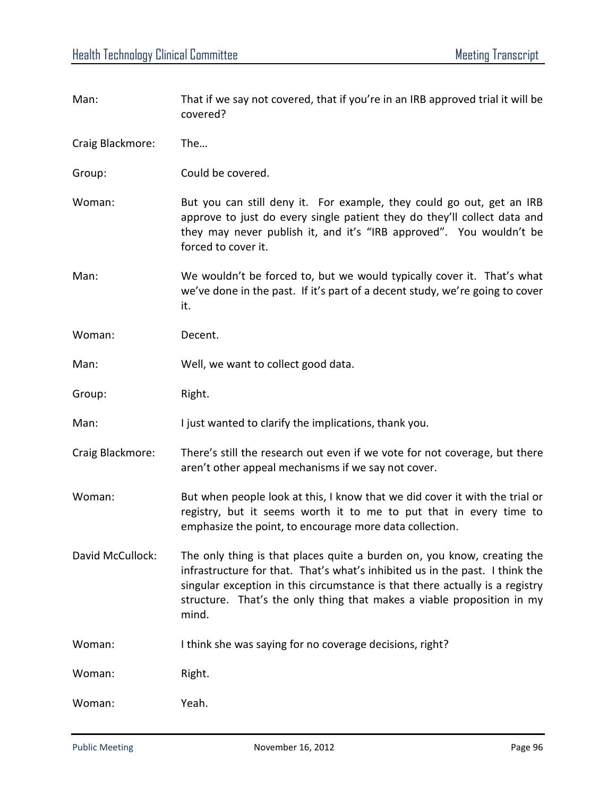| Man:             | That if we say not covered, that if you're in an IRB approved trial it will be<br>covered?                                                                                                                                                                                                                                 |
|------------------|----------------------------------------------------------------------------------------------------------------------------------------------------------------------------------------------------------------------------------------------------------------------------------------------------------------------------|
| Craig Blackmore: | The                                                                                                                                                                                                                                                                                                                        |
| Group:           | Could be covered.                                                                                                                                                                                                                                                                                                          |
| Woman:           | But you can still deny it. For example, they could go out, get an IRB<br>approve to just do every single patient they do they'll collect data and<br>they may never publish it, and it's "IRB approved". You wouldn't be<br>forced to cover it.                                                                            |
| Man:             | We wouldn't be forced to, but we would typically cover it. That's what<br>we've done in the past. If it's part of a decent study, we're going to cover<br>it.                                                                                                                                                              |
| Woman:           | Decent.                                                                                                                                                                                                                                                                                                                    |
| Man:             | Well, we want to collect good data.                                                                                                                                                                                                                                                                                        |
| Group:           | Right.                                                                                                                                                                                                                                                                                                                     |
| Man:             | I just wanted to clarify the implications, thank you.                                                                                                                                                                                                                                                                      |
| Craig Blackmore: | There's still the research out even if we vote for not coverage, but there<br>aren't other appeal mechanisms if we say not cover.                                                                                                                                                                                          |
| Woman:           | But when people look at this, I know that we did cover it with the trial or<br>registry, but it seems worth it to me to put that in every time to<br>emphasize the point, to encourage more data collection.                                                                                                               |
| David McCullock: | The only thing is that places quite a burden on, you know, creating the<br>infrastructure for that. That's what's inhibited us in the past. I think the<br>singular exception in this circumstance is that there actually is a registry<br>structure. That's the only thing that makes a viable proposition in my<br>mind. |
| Woman:           | I think she was saying for no coverage decisions, right?                                                                                                                                                                                                                                                                   |
| Woman:           | Right.                                                                                                                                                                                                                                                                                                                     |
| Woman:           | Yeah.                                                                                                                                                                                                                                                                                                                      |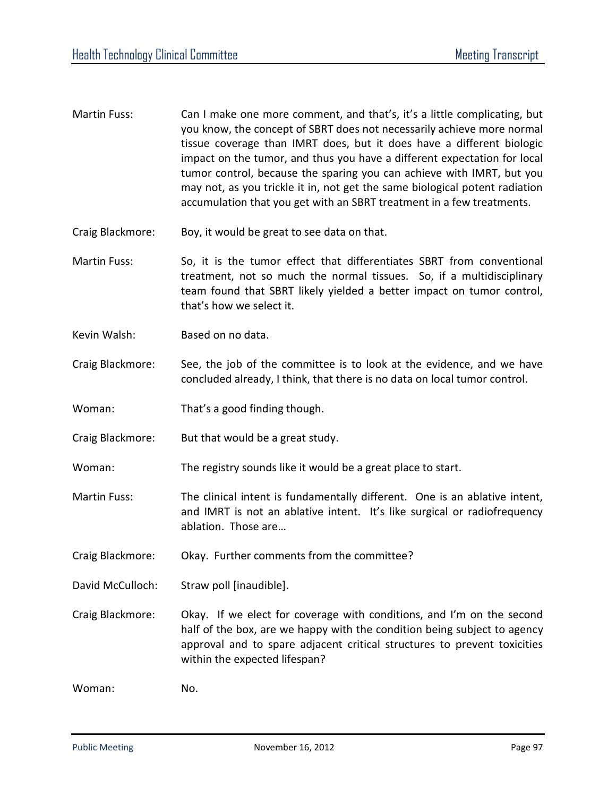- Martin Fuss: Can I make one more comment, and that's, it's a little complicating, but you know, the concept of SBRT does not necessarily achieve more normal tissue coverage than IMRT does, but it does have a different biologic impact on the tumor, and thus you have a different expectation for local tumor control, because the sparing you can achieve with IMRT, but you may not, as you trickle it in, not get the same biological potent radiation accumulation that you get with an SBRT treatment in a few treatments.
- Craig Blackmore: Boy, it would be great to see data on that.
- Martin Fuss: So, it is the tumor effect that differentiates SBRT from conventional treatment, not so much the normal tissues. So, if a multidisciplinary team found that SBRT likely yielded a better impact on tumor control, that's how we select it.
- Kevin Walsh: Based on no data.
- Craig Blackmore: See, the job of the committee is to look at the evidence, and we have concluded already, I think, that there is no data on local tumor control.
- Woman: That's a good finding though.
- Craig Blackmore: But that would be a great study.
- Woman: The registry sounds like it would be a great place to start.
- Martin Fuss: The clinical intent is fundamentally different. One is an ablative intent, and IMRT is not an ablative intent. It's like surgical or radiofrequency ablation. Those are…
- Craig Blackmore: Okay. Further comments from the committee?
- David McCulloch: Straw poll [inaudible].
- Craig Blackmore: Okay. If we elect for coverage with conditions, and I'm on the second half of the box, are we happy with the condition being subject to agency approval and to spare adjacent critical structures to prevent toxicities within the expected lifespan?

Woman: No.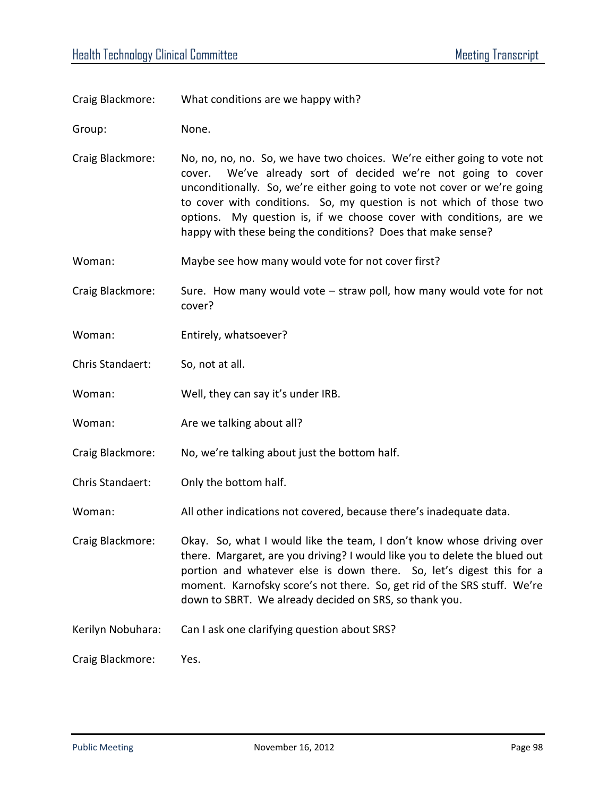Craig Blackmore: What conditions are we happy with?

Group: None.

- Craig Blackmore: No, no, no, no. So, we have two choices. We're either going to vote not cover. We've already sort of decided we're not going to cover unconditionally. So, we're either going to vote not cover or we're going to cover with conditions. So, my question is not which of those two options. My question is, if we choose cover with conditions, are we happy with these being the conditions? Does that make sense?
- Woman: Maybe see how many would vote for not cover first?
- Craig Blackmore: Sure. How many would vote straw poll, how many would vote for not cover?
- Woman: Entirely, whatsoever?
- Chris Standaert: So, not at all.
- Woman: Well, they can say it's under IRB.
- Woman: Moman: Are we talking about all?
- Craig Blackmore: No, we're talking about just the bottom half.
- Chris Standaert: Only the bottom half.
- Woman: All other indications not covered, because there's inadequate data.
- Craig Blackmore: Okay. So, what I would like the team, I don't know whose driving over there. Margaret, are you driving? I would like you to delete the blued out portion and whatever else is down there. So, let's digest this for a moment. Karnofsky score's not there. So, get rid of the SRS stuff. We're down to SBRT. We already decided on SRS, so thank you.
- Kerilyn Nobuhara: Can I ask one clarifying question about SRS?

Craig Blackmore: Yes.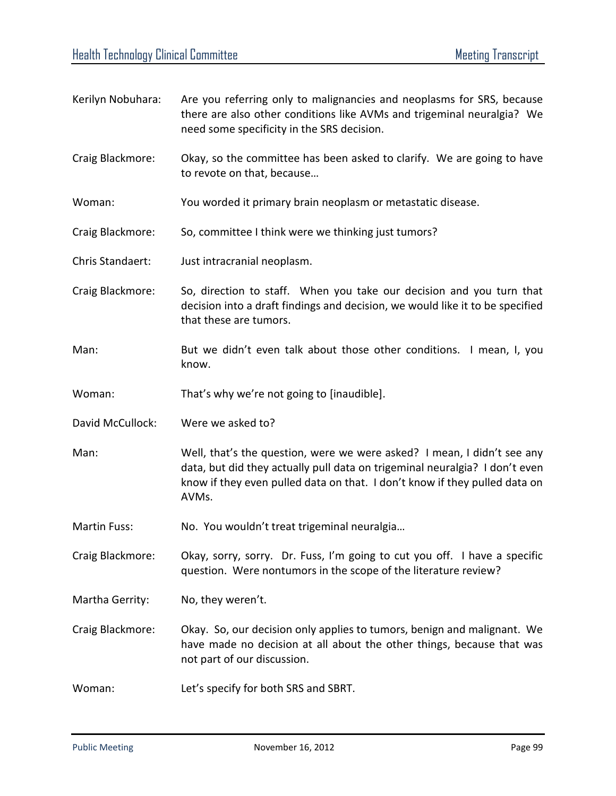Kerilyn Nobuhara: Are you referring only to malignancies and neoplasms for SRS, because there are also other conditions like AVMs and trigeminal neuralgia? We need some specificity in the SRS decision. Craig Blackmore: Okay, so the committee has been asked to clarify. We are going to have to revote on that, because… Woman: You worded it primary brain neoplasm or metastatic disease. Craig Blackmore: So, committee I think were we thinking just tumors? Chris Standaert: Just intracranial neoplasm. Craig Blackmore: So, direction to staff. When you take our decision and you turn that decision into a draft findings and decision, we would like it to be specified that these are tumors. Man: But we didn't even talk about those other conditions. I mean, I, you know. Woman: That's why we're not going to [inaudible]. David McCullock: Were we asked to? Man: Well, that's the question, were we were asked? I mean, I didn't see any data, but did they actually pull data on trigeminal neuralgia? I don't even know if they even pulled data on that. I don't know if they pulled data on AVMs. Martin Fuss: No. You wouldn't treat trigeminal neuralgia... Craig Blackmore: Okay, sorry, sorry. Dr. Fuss, I'm going to cut you off. I have a specific question. Were nontumors in the scope of the literature review? Martha Gerrity: No, they weren't. Craig Blackmore: Okay. So, our decision only applies to tumors, benign and malignant. We have made no decision at all about the other things, because that was not part of our discussion. Woman: Let's specify for both SRS and SBRT.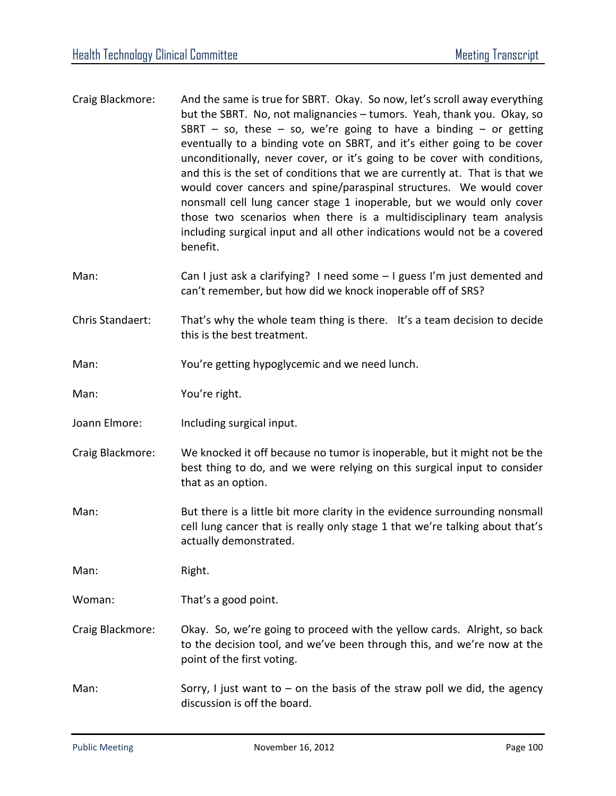- Craig Blackmore: And the same is true for SBRT. Okay. So now, let's scroll away everything but the SBRT. No, not malignancies – tumors. Yeah, thank you. Okay, so SBRT – so, these – so, we're going to have a binding – or getting eventually to a binding vote on SBRT, and it's either going to be cover unconditionally, never cover, or it's going to be cover with conditions, and this is the set of conditions that we are currently at. That is that we would cover cancers and spine/paraspinal structures. We would cover nonsmall cell lung cancer stage 1 inoperable, but we would only cover those two scenarios when there is a multidisciplinary team analysis including surgical input and all other indications would not be a covered benefit.
- Man: Can I just ask a clarifying? I need some I guess I'm just demented and can't remember, but how did we knock inoperable off of SRS?
- Chris Standaert: That's why the whole team thing is there. It's a team decision to decide this is the best treatment.
- Man: You're getting hypoglycemic and we need lunch.
- Man: You're right.
- Joann Elmore: Including surgical input.
- Craig Blackmore: We knocked it off because no tumor is inoperable, but it might not be the best thing to do, and we were relying on this surgical input to consider that as an option.
- Man: But there is a little bit more clarity in the evidence surrounding nonsmall cell lung cancer that is really only stage 1 that we're talking about that's actually demonstrated.

Man: Right.

- Woman: That's a good point.
- Craig Blackmore: Okay. So, we're going to proceed with the yellow cards. Alright, so back to the decision tool, and we've been through this, and we're now at the point of the first voting.
- Man: Sorry, I just want to on the basis of the straw poll we did, the agency discussion is off the board.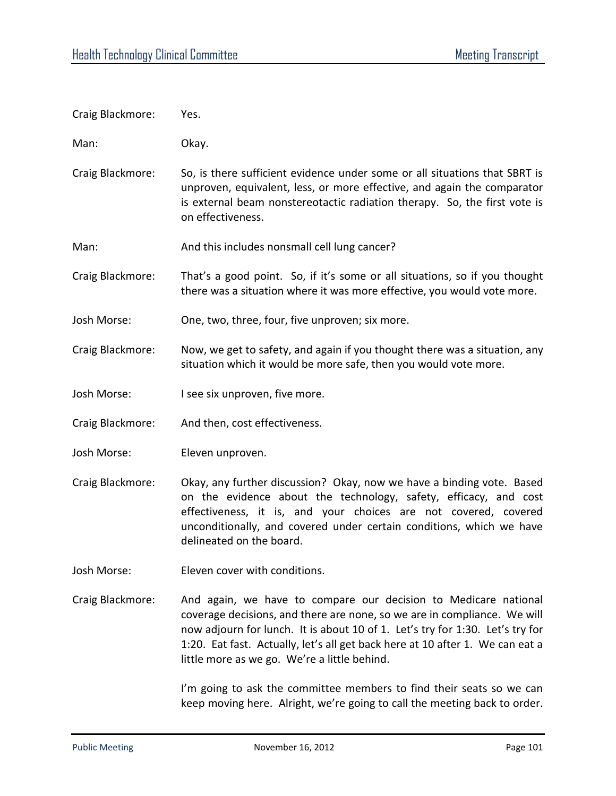| Craig Blackmore: | Yes.                                                                                                                                                                                                                                                                                                                                                          |
|------------------|---------------------------------------------------------------------------------------------------------------------------------------------------------------------------------------------------------------------------------------------------------------------------------------------------------------------------------------------------------------|
| Man:             | Okay.                                                                                                                                                                                                                                                                                                                                                         |
| Craig Blackmore: | So, is there sufficient evidence under some or all situations that SBRT is<br>unproven, equivalent, less, or more effective, and again the comparator<br>is external beam nonstereotactic radiation therapy. So, the first vote is<br>on effectiveness.                                                                                                       |
| Man:             | And this includes nonsmall cell lung cancer?                                                                                                                                                                                                                                                                                                                  |
| Craig Blackmore: | That's a good point. So, if it's some or all situations, so if you thought<br>there was a situation where it was more effective, you would vote more.                                                                                                                                                                                                         |
| Josh Morse:      | One, two, three, four, five unproven; six more.                                                                                                                                                                                                                                                                                                               |
| Craig Blackmore: | Now, we get to safety, and again if you thought there was a situation, any<br>situation which it would be more safe, then you would vote more.                                                                                                                                                                                                                |
| Josh Morse:      | I see six unproven, five more.                                                                                                                                                                                                                                                                                                                                |
| Craig Blackmore: | And then, cost effectiveness.                                                                                                                                                                                                                                                                                                                                 |
| Josh Morse:      | Eleven unproven.                                                                                                                                                                                                                                                                                                                                              |
| Craig Blackmore: | Okay, any further discussion? Okay, now we have a binding vote. Based<br>on the evidence about the technology, safety, efficacy, and cost<br>effectiveness, it is, and your choices are not covered, covered<br>unconditionally, and covered under certain conditions, which we have<br>delineated on the board.                                              |
| Josh Morse:      | Eleven cover with conditions.                                                                                                                                                                                                                                                                                                                                 |
| Craig Blackmore: | And again, we have to compare our decision to Medicare national<br>coverage decisions, and there are none, so we are in compliance. We will<br>now adjourn for lunch. It is about 10 of 1. Let's try for 1:30. Let's try for<br>1:20. Eat fast. Actually, let's all get back here at 10 after 1. We can eat a<br>little more as we go. We're a little behind. |
|                  | I'm going to ask the committee members to find their seats so we can                                                                                                                                                                                                                                                                                          |

keep moving here. Alright, we're going to call the meeting back to order.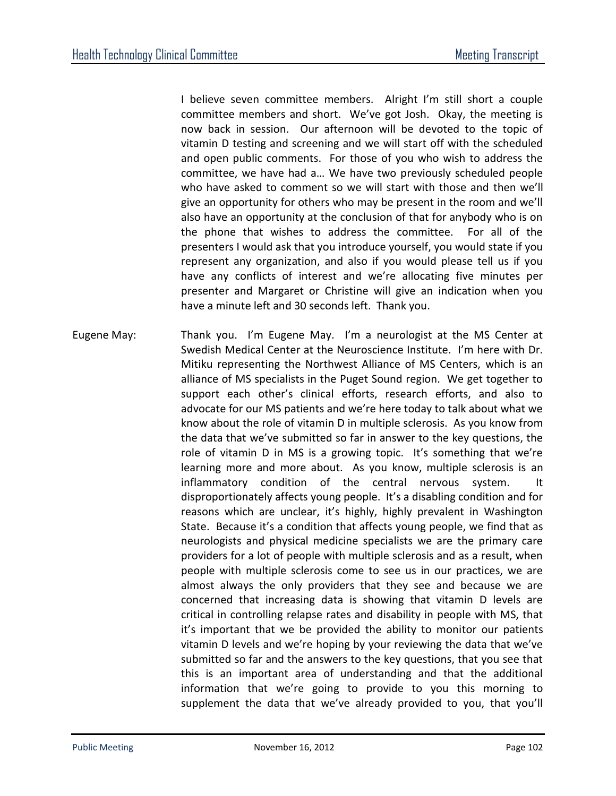I believe seven committee members. Alright I'm still short a couple committee members and short. We've got Josh. Okay, the meeting is now back in session. Our afternoon will be devoted to the topic of vitamin D testing and screening and we will start off with the scheduled and open public comments. For those of you who wish to address the committee, we have had a… We have two previously scheduled people who have asked to comment so we will start with those and then we'll give an opportunity for others who may be present in the room and we'll also have an opportunity at the conclusion of that for anybody who is on the phone that wishes to address the committee. For all of the presenters I would ask that you introduce yourself, you would state if you represent any organization, and also if you would please tell us if you have any conflicts of interest and we're allocating five minutes per presenter and Margaret or Christine will give an indication when you have a minute left and 30 seconds left. Thank you.

Eugene May: Thank you. I'm Eugene May. I'm a neurologist at the MS Center at Swedish Medical Center at the Neuroscience Institute. I'm here with Dr. Mitiku representing the Northwest Alliance of MS Centers, which is an alliance of MS specialists in the Puget Sound region. We get together to support each other's clinical efforts, research efforts, and also to advocate for our MS patients and we're here today to talk about what we know about the role of vitamin D in multiple sclerosis. As you know from the data that we've submitted so far in answer to the key questions, the role of vitamin D in MS is a growing topic. It's something that we're learning more and more about. As you know, multiple sclerosis is an inflammatory condition of the central nervous system. It disproportionately affects young people. It's a disabling condition and for reasons which are unclear, it's highly, highly prevalent in Washington State. Because it's a condition that affects young people, we find that as neurologists and physical medicine specialists we are the primary care providers for a lot of people with multiple sclerosis and as a result, when people with multiple sclerosis come to see us in our practices, we are almost always the only providers that they see and because we are concerned that increasing data is showing that vitamin D levels are critical in controlling relapse rates and disability in people with MS, that it's important that we be provided the ability to monitor our patients vitamin D levels and we're hoping by your reviewing the data that we've submitted so far and the answers to the key questions, that you see that this is an important area of understanding and that the additional information that we're going to provide to you this morning to supplement the data that we've already provided to you, that you'll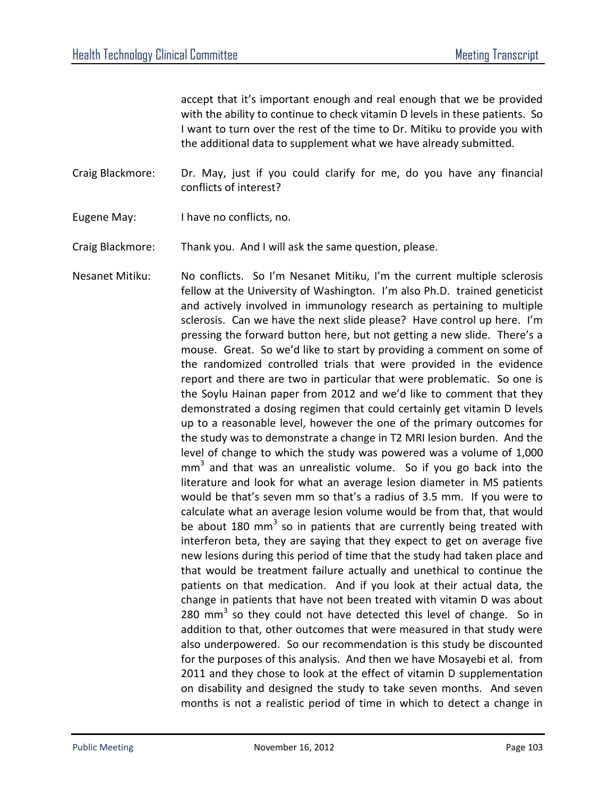accept that it's important enough and real enough that we be provided with the ability to continue to check vitamin D levels in these patients. So I want to turn over the rest of the time to Dr. Mitiku to provide you with the additional data to supplement what we have already submitted.

Craig Blackmore: Dr. May, just if you could clarify for me, do you have any financial conflicts of interest?

Eugene May: I have no conflicts, no.

Craig Blackmore: Thank you. And I will ask the same question, please.

Nesanet Mitiku: No conflicts. So I'm Nesanet Mitiku, I'm the current multiple sclerosis fellow at the University of Washington. I'm also Ph.D. trained geneticist and actively involved in immunology research as pertaining to multiple sclerosis. Can we have the next slide please? Have control up here. I'm pressing the forward button here, but not getting a new slide. There's a mouse. Great. So we'd like to start by providing a comment on some of the randomized controlled trials that were provided in the evidence report and there are two in particular that were problematic. So one is the Soylu Hainan paper from 2012 and we'd like to comment that they demonstrated a dosing regimen that could certainly get vitamin D levels up to a reasonable level, however the one of the primary outcomes for the study was to demonstrate a change in T2 MRI lesion burden. And the level of change to which the study was powered was a volume of 1,000  $mm<sup>3</sup>$  and that was an unrealistic volume. So if you go back into the literature and look for what an average lesion diameter in MS patients would be that's seven mm so that's a radius of 3.5 mm. If you were to calculate what an average lesion volume would be from that, that would be about 180 mm<sup>3</sup> so in patients that are currently being treated with interferon beta, they are saying that they expect to get on average five new lesions during this period of time that the study had taken place and that would be treatment failure actually and unethical to continue the patients on that medication. And if you look at their actual data, the change in patients that have not been treated with vitamin D was about 280  $mm<sup>3</sup>$  so they could not have detected this level of change. So in addition to that, other outcomes that were measured in that study were also underpowered. So our recommendation is this study be discounted for the purposes of this analysis. And then we have Mosayebi et al. from 2011 and they chose to look at the effect of vitamin D supplementation on disability and designed the study to take seven months. And seven months is not a realistic period of time in which to detect a change in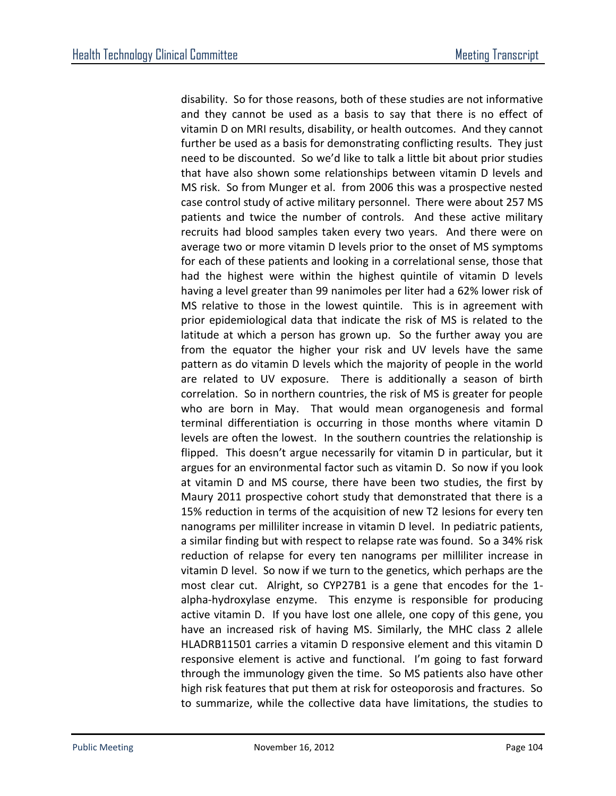disability. So for those reasons, both of these studies are not informative and they cannot be used as a basis to say that there is no effect of vitamin D on MRI results, disability, or health outcomes. And they cannot further be used as a basis for demonstrating conflicting results. They just need to be discounted. So we'd like to talk a little bit about prior studies that have also shown some relationships between vitamin D levels and MS risk. So from Munger et al. from 2006 this was a prospective nested case control study of active military personnel. There were about 257 MS patients and twice the number of controls. And these active military recruits had blood samples taken every two years. And there were on average two or more vitamin D levels prior to the onset of MS symptoms for each of these patients and looking in a correlational sense, those that had the highest were within the highest quintile of vitamin D levels having a level greater than 99 nanimoles per liter had a 62% lower risk of MS relative to those in the lowest quintile. This is in agreement with prior epidemiological data that indicate the risk of MS is related to the latitude at which a person has grown up. So the further away you are from the equator the higher your risk and UV levels have the same pattern as do vitamin D levels which the majority of people in the world are related to UV exposure. There is additionally a season of birth correlation. So in northern countries, the risk of MS is greater for people who are born in May. That would mean organogenesis and formal terminal differentiation is occurring in those months where vitamin D levels are often the lowest. In the southern countries the relationship is flipped. This doesn't argue necessarily for vitamin D in particular, but it argues for an environmental factor such as vitamin D. So now if you look at vitamin D and MS course, there have been two studies, the first by Maury 2011 prospective cohort study that demonstrated that there is a 15% reduction in terms of the acquisition of new T2 lesions for every ten nanograms per milliliter increase in vitamin D level. In pediatric patients, a similar finding but with respect to relapse rate was found. So a 34% risk reduction of relapse for every ten nanograms per milliliter increase in vitamin D level. So now if we turn to the genetics, which perhaps are the most clear cut. Alright, so CYP27B1 is a gene that encodes for the 1 alpha-hydroxylase enzyme. This enzyme is responsible for producing active vitamin D. If you have lost one allele, one copy of this gene, you have an increased risk of having MS. Similarly, the MHC class 2 allele HLADRB11501 carries a vitamin D responsive element and this vitamin D responsive element is active and functional. I'm going to fast forward through the immunology given the time. So MS patients also have other high risk features that put them at risk for osteoporosis and fractures. So to summarize, while the collective data have limitations, the studies to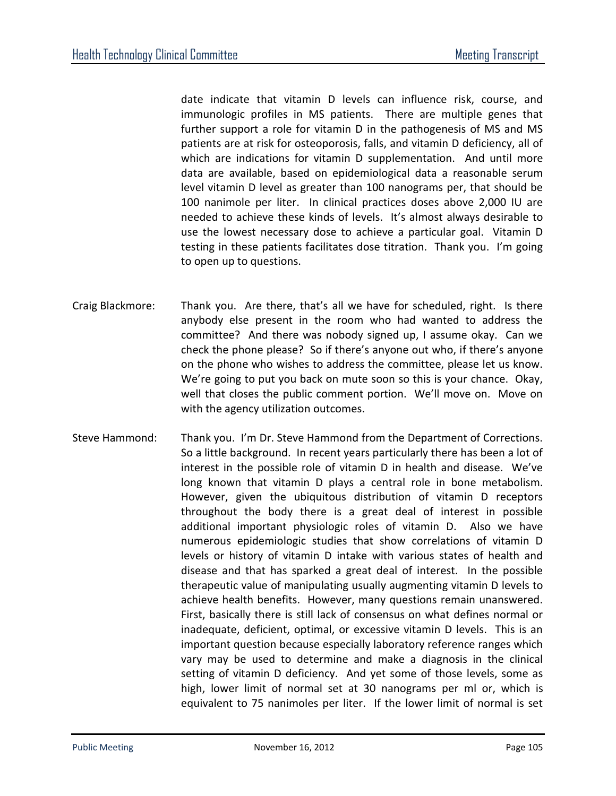date indicate that vitamin D levels can influence risk, course, and immunologic profiles in MS patients. There are multiple genes that further support a role for vitamin D in the pathogenesis of MS and MS patients are at risk for osteoporosis, falls, and vitamin D deficiency, all of which are indications for vitamin D supplementation. And until more data are available, based on epidemiological data a reasonable serum level vitamin D level as greater than 100 nanograms per, that should be 100 nanimole per liter. In clinical practices doses above 2,000 IU are needed to achieve these kinds of levels. It's almost always desirable to use the lowest necessary dose to achieve a particular goal. Vitamin D testing in these patients facilitates dose titration. Thank you. I'm going to open up to questions.

- Craig Blackmore: Thank you. Are there, that's all we have for scheduled, right. Is there anybody else present in the room who had wanted to address the committee? And there was nobody signed up, I assume okay. Can we check the phone please? So if there's anyone out who, if there's anyone on the phone who wishes to address the committee, please let us know. We're going to put you back on mute soon so this is your chance. Okay, well that closes the public comment portion. We'll move on. Move on with the agency utilization outcomes.
- Steve Hammond: Thank you. I'm Dr. Steve Hammond from the Department of Corrections. So a little background. In recent years particularly there has been a lot of interest in the possible role of vitamin D in health and disease. We've long known that vitamin D plays a central role in bone metabolism. However, given the ubiquitous distribution of vitamin D receptors throughout the body there is a great deal of interest in possible additional important physiologic roles of vitamin D. Also we have numerous epidemiologic studies that show correlations of vitamin D levels or history of vitamin D intake with various states of health and disease and that has sparked a great deal of interest. In the possible therapeutic value of manipulating usually augmenting vitamin D levels to achieve health benefits. However, many questions remain unanswered. First, basically there is still lack of consensus on what defines normal or inadequate, deficient, optimal, or excessive vitamin D levels. This is an important question because especially laboratory reference ranges which vary may be used to determine and make a diagnosis in the clinical setting of vitamin D deficiency. And yet some of those levels, some as high, lower limit of normal set at 30 nanograms per ml or, which is equivalent to 75 nanimoles per liter. If the lower limit of normal is set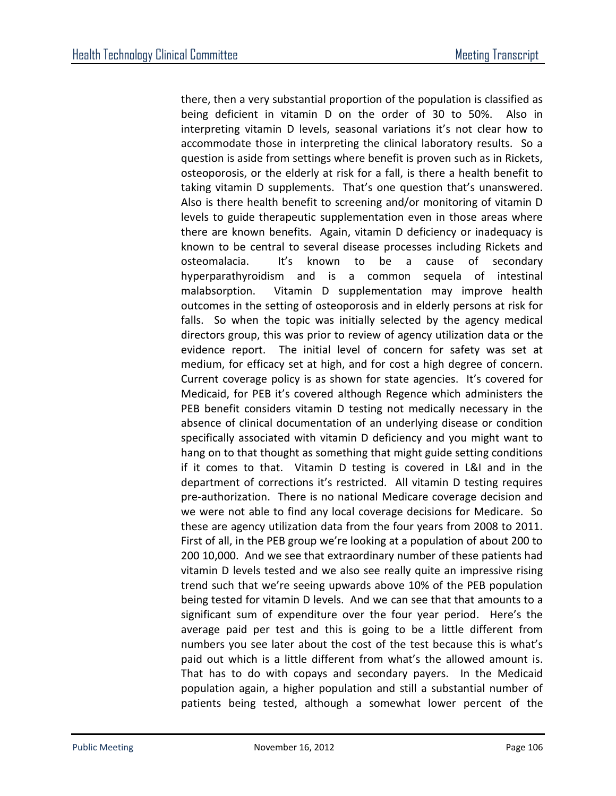there, then a very substantial proportion of the population is classified as being deficient in vitamin D on the order of 30 to 50%. Also in interpreting vitamin D levels, seasonal variations it's not clear how to accommodate those in interpreting the clinical laboratory results. So a question is aside from settings where benefit is proven such as in Rickets, osteoporosis, or the elderly at risk for a fall, is there a health benefit to taking vitamin D supplements. That's one question that's unanswered. Also is there health benefit to screening and/or monitoring of vitamin D levels to guide therapeutic supplementation even in those areas where there are known benefits. Again, vitamin D deficiency or inadequacy is known to be central to several disease processes including Rickets and osteomalacia. It's known to be a cause of secondary hyperparathyroidism and is a common sequela of intestinal malabsorption. Vitamin D supplementation may improve health outcomes in the setting of osteoporosis and in elderly persons at risk for falls. So when the topic was initially selected by the agency medical directors group, this was prior to review of agency utilization data or the evidence report. The initial level of concern for safety was set at medium, for efficacy set at high, and for cost a high degree of concern. Current coverage policy is as shown for state agencies. It's covered for Medicaid, for PEB it's covered although Regence which administers the PEB benefit considers vitamin D testing not medically necessary in the absence of clinical documentation of an underlying disease or condition specifically associated with vitamin D deficiency and you might want to hang on to that thought as something that might guide setting conditions if it comes to that. Vitamin D testing is covered in L&I and in the department of corrections it's restricted. All vitamin D testing requires pre-authorization. There is no national Medicare coverage decision and we were not able to find any local coverage decisions for Medicare. So these are agency utilization data from the four years from 2008 to 2011. First of all, in the PEB group we're looking at a population of about 200 to 200 10,000. And we see that extraordinary number of these patients had vitamin D levels tested and we also see really quite an impressive rising trend such that we're seeing upwards above 10% of the PEB population being tested for vitamin D levels. And we can see that that amounts to a significant sum of expenditure over the four year period. Here's the average paid per test and this is going to be a little different from numbers you see later about the cost of the test because this is what's paid out which is a little different from what's the allowed amount is. That has to do with copays and secondary payers. In the Medicaid population again, a higher population and still a substantial number of patients being tested, although a somewhat lower percent of the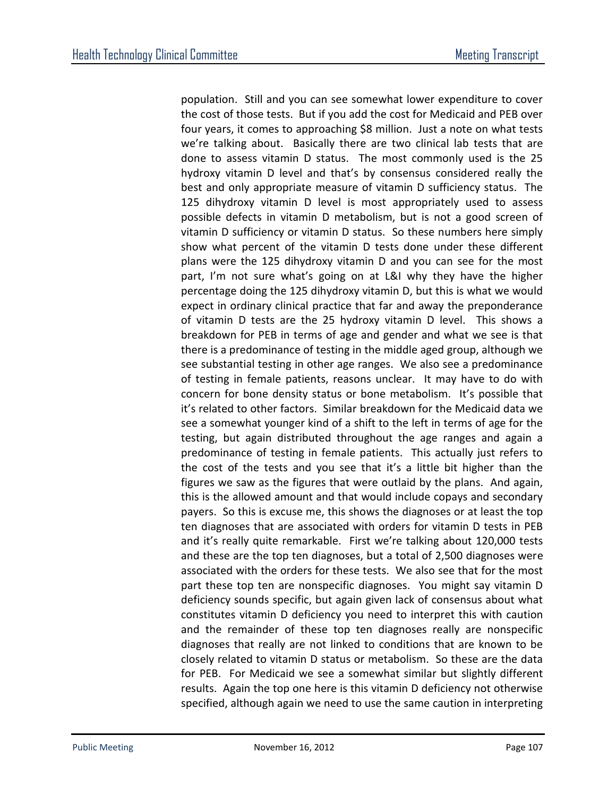population. Still and you can see somewhat lower expenditure to cover the cost of those tests. But if you add the cost for Medicaid and PEB over four years, it comes to approaching \$8 million. Just a note on what tests we're talking about. Basically there are two clinical lab tests that are done to assess vitamin D status. The most commonly used is the 25 hydroxy vitamin D level and that's by consensus considered really the best and only appropriate measure of vitamin D sufficiency status. The 125 dihydroxy vitamin D level is most appropriately used to assess possible defects in vitamin D metabolism, but is not a good screen of vitamin D sufficiency or vitamin D status. So these numbers here simply show what percent of the vitamin D tests done under these different plans were the 125 dihydroxy vitamin D and you can see for the most part, I'm not sure what's going on at L&I why they have the higher percentage doing the 125 dihydroxy vitamin D, but this is what we would expect in ordinary clinical practice that far and away the preponderance of vitamin D tests are the 25 hydroxy vitamin D level. This shows a breakdown for PEB in terms of age and gender and what we see is that there is a predominance of testing in the middle aged group, although we see substantial testing in other age ranges. We also see a predominance of testing in female patients, reasons unclear. It may have to do with concern for bone density status or bone metabolism. It's possible that it's related to other factors. Similar breakdown for the Medicaid data we see a somewhat younger kind of a shift to the left in terms of age for the testing, but again distributed throughout the age ranges and again a predominance of testing in female patients. This actually just refers to the cost of the tests and you see that it's a little bit higher than the figures we saw as the figures that were outlaid by the plans. And again, this is the allowed amount and that would include copays and secondary payers. So this is excuse me, this shows the diagnoses or at least the top ten diagnoses that are associated with orders for vitamin D tests in PEB and it's really quite remarkable. First we're talking about 120,000 tests and these are the top ten diagnoses, but a total of 2,500 diagnoses were associated with the orders for these tests. We also see that for the most part these top ten are nonspecific diagnoses. You might say vitamin D deficiency sounds specific, but again given lack of consensus about what constitutes vitamin D deficiency you need to interpret this with caution and the remainder of these top ten diagnoses really are nonspecific diagnoses that really are not linked to conditions that are known to be closely related to vitamin D status or metabolism. So these are the data for PEB. For Medicaid we see a somewhat similar but slightly different results. Again the top one here is this vitamin D deficiency not otherwise specified, although again we need to use the same caution in interpreting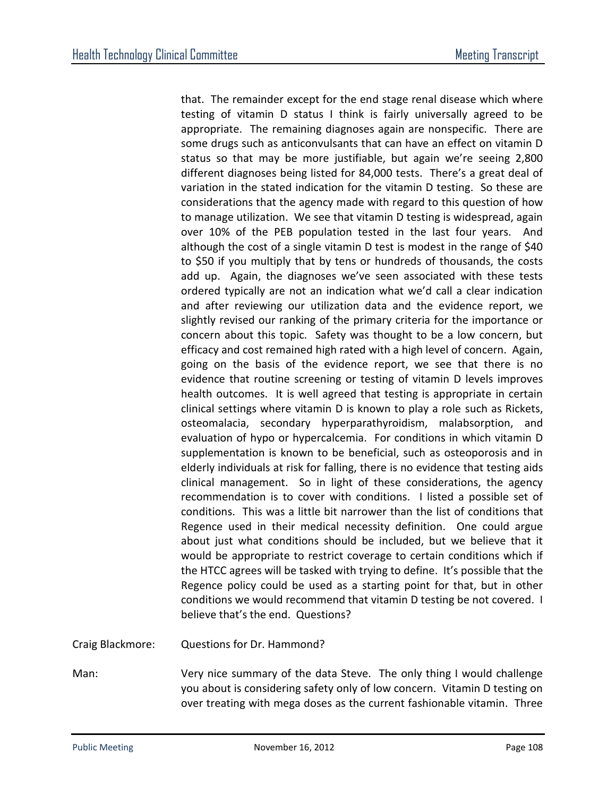that. The remainder except for the end stage renal disease which where testing of vitamin D status I think is fairly universally agreed to be appropriate. The remaining diagnoses again are nonspecific. There are some drugs such as anticonvulsants that can have an effect on vitamin D status so that may be more justifiable, but again we're seeing 2,800 different diagnoses being listed for 84,000 tests. There's a great deal of variation in the stated indication for the vitamin D testing. So these are considerations that the agency made with regard to this question of how to manage utilization. We see that vitamin D testing is widespread, again over 10% of the PEB population tested in the last four years. And although the cost of a single vitamin D test is modest in the range of \$40 to \$50 if you multiply that by tens or hundreds of thousands, the costs add up. Again, the diagnoses we've seen associated with these tests ordered typically are not an indication what we'd call a clear indication and after reviewing our utilization data and the evidence report, we slightly revised our ranking of the primary criteria for the importance or concern about this topic. Safety was thought to be a low concern, but efficacy and cost remained high rated with a high level of concern. Again, going on the basis of the evidence report, we see that there is no evidence that routine screening or testing of vitamin D levels improves health outcomes. It is well agreed that testing is appropriate in certain clinical settings where vitamin D is known to play a role such as Rickets, osteomalacia, secondary hyperparathyroidism, malabsorption, and evaluation of hypo or hypercalcemia. For conditions in which vitamin D supplementation is known to be beneficial, such as osteoporosis and in elderly individuals at risk for falling, there is no evidence that testing aids clinical management. So in light of these considerations, the agency recommendation is to cover with conditions. I listed a possible set of conditions. This was a little bit narrower than the list of conditions that Regence used in their medical necessity definition. One could argue about just what conditions should be included, but we believe that it would be appropriate to restrict coverage to certain conditions which if the HTCC agrees will be tasked with trying to define. It's possible that the Regence policy could be used as a starting point for that, but in other conditions we would recommend that vitamin D testing be not covered. I believe that's the end. Questions?

Craig Blackmore: Questions for Dr. Hammond?

Man: Very nice summary of the data Steve. The only thing I would challenge you about is considering safety only of low concern. Vitamin D testing on over treating with mega doses as the current fashionable vitamin. Three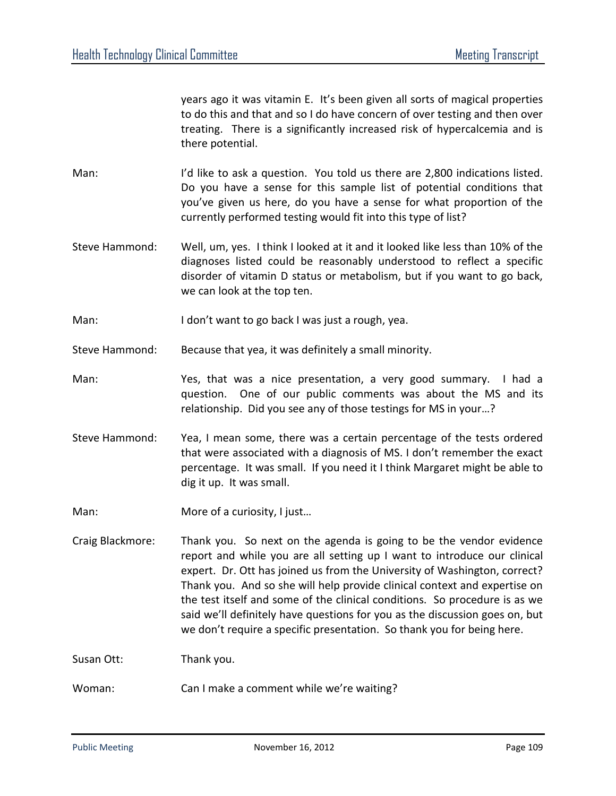years ago it was vitamin E. It's been given all sorts of magical properties to do this and that and so I do have concern of over testing and then over treating. There is a significantly increased risk of hypercalcemia and is there potential.

- Man: I'd like to ask a question. You told us there are 2,800 indications listed. Do you have a sense for this sample list of potential conditions that you've given us here, do you have a sense for what proportion of the currently performed testing would fit into this type of list?
- Steve Hammond: Well, um, yes. I think I looked at it and it looked like less than 10% of the diagnoses listed could be reasonably understood to reflect a specific disorder of vitamin D status or metabolism, but if you want to go back, we can look at the top ten.
- Man: I don't want to go back I was just a rough, yea.

Steve Hammond: Because that yea, it was definitely a small minority.

- Man: Yes, that was a nice presentation, a very good summary. I had a question. One of our public comments was about the MS and its relationship. Did you see any of those testings for MS in your…?
- Steve Hammond: Yea, I mean some, there was a certain percentage of the tests ordered that were associated with a diagnosis of MS. I don't remember the exact percentage. It was small. If you need it I think Margaret might be able to dig it up. It was small.
- Man: More of a curiosity, I just...
- Craig Blackmore: Thank you. So next on the agenda is going to be the vendor evidence report and while you are all setting up I want to introduce our clinical expert. Dr. Ott has joined us from the University of Washington, correct? Thank you. And so she will help provide clinical context and expertise on the test itself and some of the clinical conditions. So procedure is as we said we'll definitely have questions for you as the discussion goes on, but we don't require a specific presentation. So thank you for being here.

Susan Ott: Thank you.

Woman: Can I make a comment while we're waiting?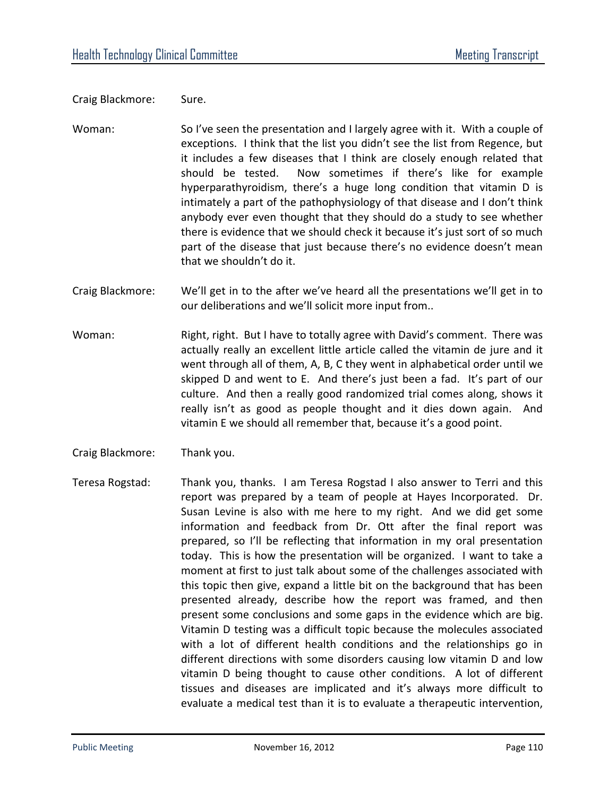Craig Blackmore: Sure.

- Woman: So I've seen the presentation and I largely agree with it. With a couple of exceptions. I think that the list you didn't see the list from Regence, but it includes a few diseases that I think are closely enough related that should be tested. Now sometimes if there's like for example hyperparathyroidism, there's a huge long condition that vitamin D is intimately a part of the pathophysiology of that disease and I don't think anybody ever even thought that they should do a study to see whether there is evidence that we should check it because it's just sort of so much part of the disease that just because there's no evidence doesn't mean that we shouldn't do it.
- Craig Blackmore: We'll get in to the after we've heard all the presentations we'll get in to our deliberations and we'll solicit more input from..
- Woman: Right, right. But I have to totally agree with David's comment. There was actually really an excellent little article called the vitamin de jure and it went through all of them, A, B, C they went in alphabetical order until we skipped D and went to E. And there's just been a fad. It's part of our culture. And then a really good randomized trial comes along, shows it really isn't as good as people thought and it dies down again. And vitamin E we should all remember that, because it's a good point.
- Craig Blackmore: Thank you.
- Teresa Rogstad: Thank you, thanks. I am Teresa Rogstad I also answer to Terri and this report was prepared by a team of people at Hayes Incorporated. Dr. Susan Levine is also with me here to my right. And we did get some information and feedback from Dr. Ott after the final report was prepared, so I'll be reflecting that information in my oral presentation today. This is how the presentation will be organized. I want to take a moment at first to just talk about some of the challenges associated with this topic then give, expand a little bit on the background that has been presented already, describe how the report was framed, and then present some conclusions and some gaps in the evidence which are big. Vitamin D testing was a difficult topic because the molecules associated with a lot of different health conditions and the relationships go in different directions with some disorders causing low vitamin D and low vitamin D being thought to cause other conditions. A lot of different tissues and diseases are implicated and it's always more difficult to evaluate a medical test than it is to evaluate a therapeutic intervention,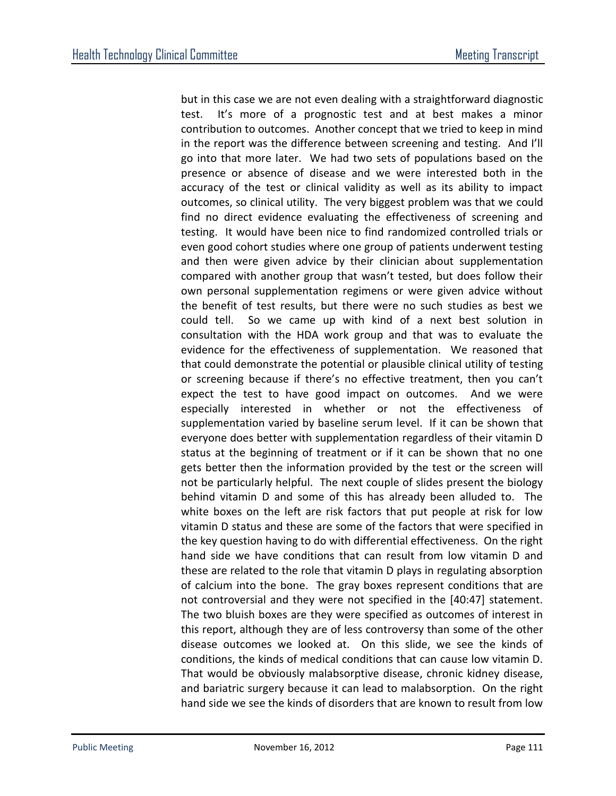but in this case we are not even dealing with a straightforward diagnostic test. It's more of a prognostic test and at best makes a minor contribution to outcomes. Another concept that we tried to keep in mind in the report was the difference between screening and testing. And I'll go into that more later. We had two sets of populations based on the presence or absence of disease and we were interested both in the accuracy of the test or clinical validity as well as its ability to impact outcomes, so clinical utility. The very biggest problem was that we could find no direct evidence evaluating the effectiveness of screening and testing. It would have been nice to find randomized controlled trials or even good cohort studies where one group of patients underwent testing and then were given advice by their clinician about supplementation compared with another group that wasn't tested, but does follow their own personal supplementation regimens or were given advice without the benefit of test results, but there were no such studies as best we could tell. So we came up with kind of a next best solution in consultation with the HDA work group and that was to evaluate the evidence for the effectiveness of supplementation. We reasoned that that could demonstrate the potential or plausible clinical utility of testing or screening because if there's no effective treatment, then you can't expect the test to have good impact on outcomes. And we were especially interested in whether or not the effectiveness of supplementation varied by baseline serum level. If it can be shown that everyone does better with supplementation regardless of their vitamin D status at the beginning of treatment or if it can be shown that no one gets better then the information provided by the test or the screen will not be particularly helpful. The next couple of slides present the biology behind vitamin D and some of this has already been alluded to. The white boxes on the left are risk factors that put people at risk for low vitamin D status and these are some of the factors that were specified in the key question having to do with differential effectiveness. On the right hand side we have conditions that can result from low vitamin D and these are related to the role that vitamin D plays in regulating absorption of calcium into the bone. The gray boxes represent conditions that are not controversial and they were not specified in the [40:47] statement. The two bluish boxes are they were specified as outcomes of interest in this report, although they are of less controversy than some of the other disease outcomes we looked at. On this slide, we see the kinds of conditions, the kinds of medical conditions that can cause low vitamin D. That would be obviously malabsorptive disease, chronic kidney disease, and bariatric surgery because it can lead to malabsorption. On the right hand side we see the kinds of disorders that are known to result from low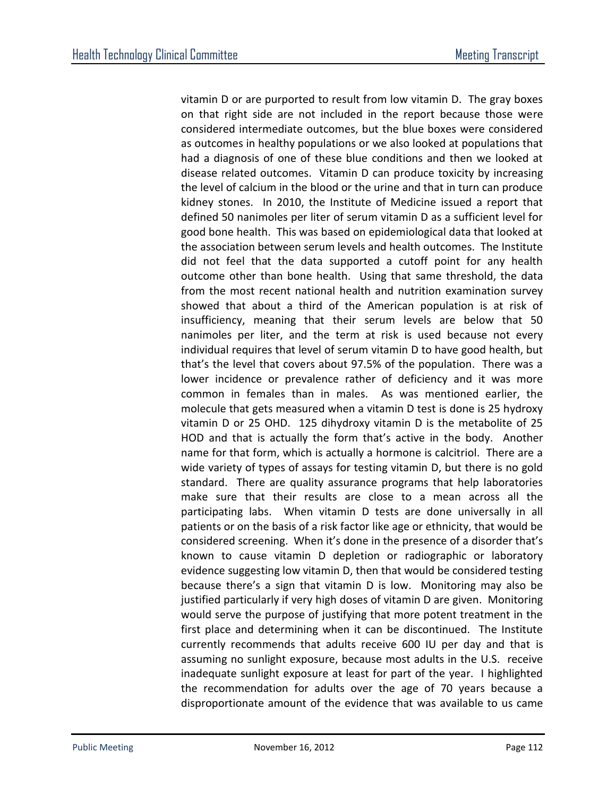vitamin D or are purported to result from low vitamin D. The gray boxes on that right side are not included in the report because those were considered intermediate outcomes, but the blue boxes were considered as outcomes in healthy populations or we also looked at populations that had a diagnosis of one of these blue conditions and then we looked at disease related outcomes. Vitamin D can produce toxicity by increasing the level of calcium in the blood or the urine and that in turn can produce kidney stones. In 2010, the Institute of Medicine issued a report that defined 50 nanimoles per liter of serum vitamin D as a sufficient level for good bone health. This was based on epidemiological data that looked at the association between serum levels and health outcomes. The Institute did not feel that the data supported a cutoff point for any health outcome other than bone health. Using that same threshold, the data from the most recent national health and nutrition examination survey showed that about a third of the American population is at risk of insufficiency, meaning that their serum levels are below that 50 nanimoles per liter, and the term at risk is used because not every individual requires that level of serum vitamin D to have good health, but that's the level that covers about 97.5% of the population. There was a lower incidence or prevalence rather of deficiency and it was more common in females than in males. As was mentioned earlier, the molecule that gets measured when a vitamin D test is done is 25 hydroxy vitamin D or 25 OHD. 125 dihydroxy vitamin D is the metabolite of 25 HOD and that is actually the form that's active in the body. Another name for that form, which is actually a hormone is calcitriol. There are a wide variety of types of assays for testing vitamin D, but there is no gold standard. There are quality assurance programs that help laboratories make sure that their results are close to a mean across all the participating labs. When vitamin D tests are done universally in all patients or on the basis of a risk factor like age or ethnicity, that would be considered screening. When it's done in the presence of a disorder that's known to cause vitamin D depletion or radiographic or laboratory evidence suggesting low vitamin D, then that would be considered testing because there's a sign that vitamin D is low. Monitoring may also be justified particularly if very high doses of vitamin D are given. Monitoring would serve the purpose of justifying that more potent treatment in the first place and determining when it can be discontinued. The Institute currently recommends that adults receive 600 IU per day and that is assuming no sunlight exposure, because most adults in the U.S. receive inadequate sunlight exposure at least for part of the year. I highlighted the recommendation for adults over the age of 70 years because a disproportionate amount of the evidence that was available to us came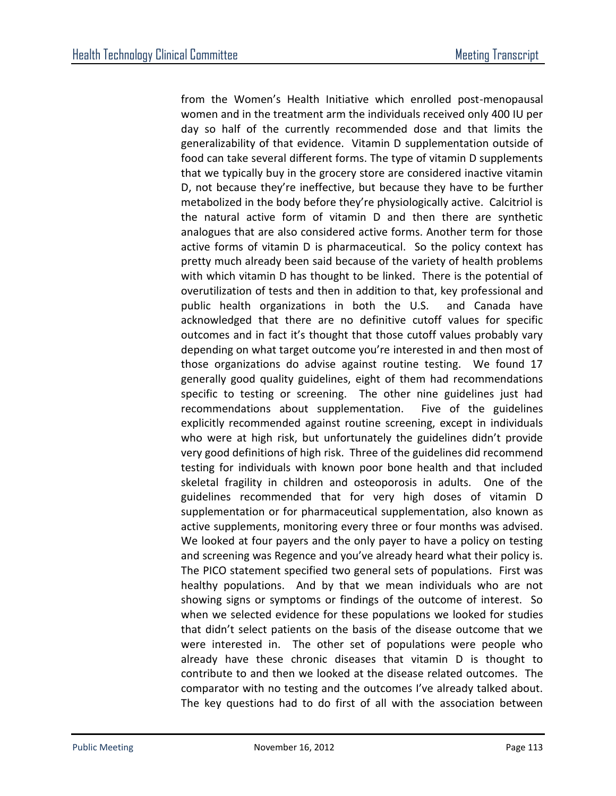from the Women's Health Initiative which enrolled post-menopausal women and in the treatment arm the individuals received only 400 IU per day so half of the currently recommended dose and that limits the generalizability of that evidence. Vitamin D supplementation outside of food can take several different forms. The type of vitamin D supplements that we typically buy in the grocery store are considered inactive vitamin D, not because they're ineffective, but because they have to be further metabolized in the body before they're physiologically active. Calcitriol is the natural active form of vitamin D and then there are synthetic analogues that are also considered active forms. Another term for those active forms of vitamin D is pharmaceutical. So the policy context has pretty much already been said because of the variety of health problems with which vitamin D has thought to be linked. There is the potential of overutilization of tests and then in addition to that, key professional and public health organizations in both the U.S. and Canada have acknowledged that there are no definitive cutoff values for specific outcomes and in fact it's thought that those cutoff values probably vary depending on what target outcome you're interested in and then most of those organizations do advise against routine testing. We found 17 generally good quality guidelines, eight of them had recommendations specific to testing or screening. The other nine guidelines just had recommendations about supplementation. Five of the guidelines explicitly recommended against routine screening, except in individuals who were at high risk, but unfortunately the guidelines didn't provide very good definitions of high risk. Three of the guidelines did recommend testing for individuals with known poor bone health and that included skeletal fragility in children and osteoporosis in adults. One of the guidelines recommended that for very high doses of vitamin D supplementation or for pharmaceutical supplementation, also known as active supplements, monitoring every three or four months was advised. We looked at four payers and the only payer to have a policy on testing and screening was Regence and you've already heard what their policy is. The PICO statement specified two general sets of populations. First was healthy populations. And by that we mean individuals who are not showing signs or symptoms or findings of the outcome of interest. So when we selected evidence for these populations we looked for studies that didn't select patients on the basis of the disease outcome that we were interested in. The other set of populations were people who already have these chronic diseases that vitamin D is thought to contribute to and then we looked at the disease related outcomes. The comparator with no testing and the outcomes I've already talked about. The key questions had to do first of all with the association between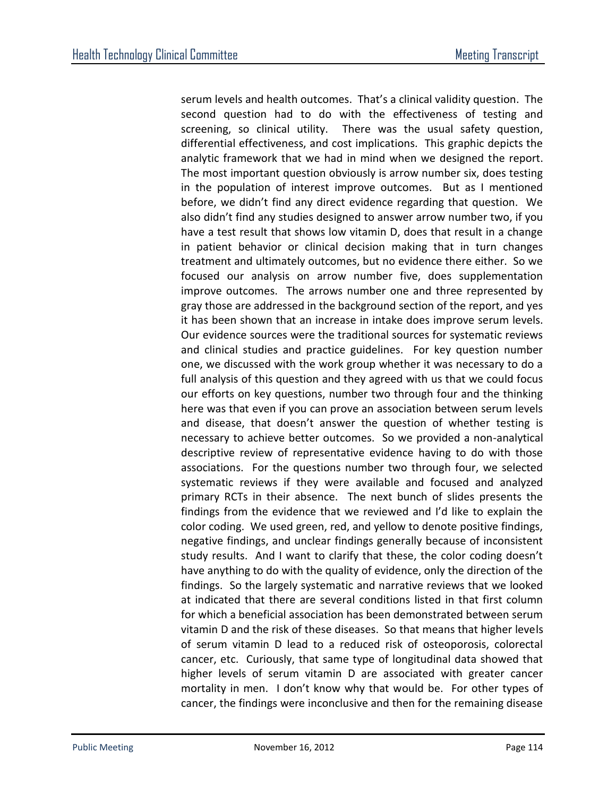serum levels and health outcomes. That's a clinical validity question. The second question had to do with the effectiveness of testing and screening, so clinical utility. There was the usual safety question, differential effectiveness, and cost implications. This graphic depicts the analytic framework that we had in mind when we designed the report. The most important question obviously is arrow number six, does testing in the population of interest improve outcomes. But as I mentioned before, we didn't find any direct evidence regarding that question. We also didn't find any studies designed to answer arrow number two, if you have a test result that shows low vitamin D, does that result in a change in patient behavior or clinical decision making that in turn changes treatment and ultimately outcomes, but no evidence there either. So we focused our analysis on arrow number five, does supplementation improve outcomes. The arrows number one and three represented by gray those are addressed in the background section of the report, and yes it has been shown that an increase in intake does improve serum levels. Our evidence sources were the traditional sources for systematic reviews and clinical studies and practice guidelines. For key question number one, we discussed with the work group whether it was necessary to do a full analysis of this question and they agreed with us that we could focus our efforts on key questions, number two through four and the thinking here was that even if you can prove an association between serum levels and disease, that doesn't answer the question of whether testing is necessary to achieve better outcomes. So we provided a non-analytical descriptive review of representative evidence having to do with those associations. For the questions number two through four, we selected systematic reviews if they were available and focused and analyzed primary RCTs in their absence. The next bunch of slides presents the findings from the evidence that we reviewed and I'd like to explain the color coding. We used green, red, and yellow to denote positive findings, negative findings, and unclear findings generally because of inconsistent study results. And I want to clarify that these, the color coding doesn't have anything to do with the quality of evidence, only the direction of the findings. So the largely systematic and narrative reviews that we looked at indicated that there are several conditions listed in that first column for which a beneficial association has been demonstrated between serum vitamin D and the risk of these diseases. So that means that higher levels of serum vitamin D lead to a reduced risk of osteoporosis, colorectal cancer, etc. Curiously, that same type of longitudinal data showed that higher levels of serum vitamin D are associated with greater cancer mortality in men. I don't know why that would be. For other types of cancer, the findings were inconclusive and then for the remaining disease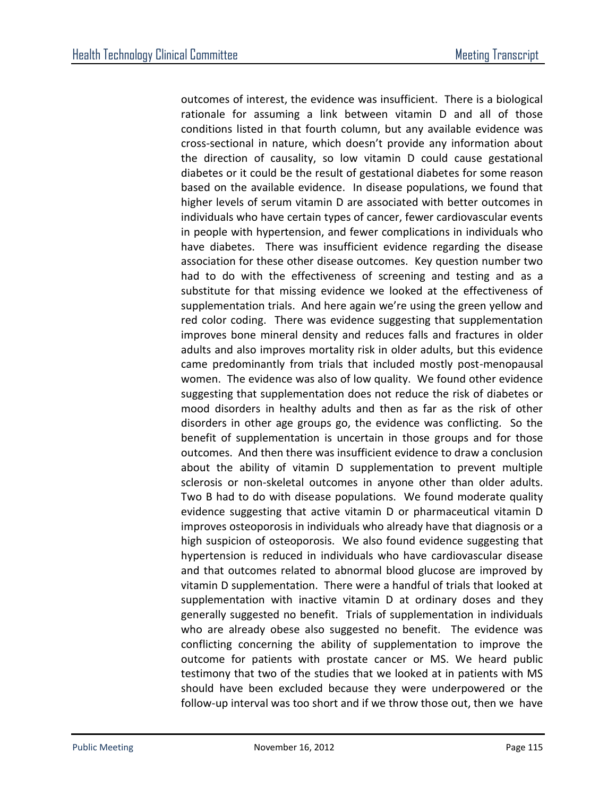outcomes of interest, the evidence was insufficient. There is a biological rationale for assuming a link between vitamin D and all of those conditions listed in that fourth column, but any available evidence was cross-sectional in nature, which doesn't provide any information about the direction of causality, so low vitamin D could cause gestational diabetes or it could be the result of gestational diabetes for some reason based on the available evidence. In disease populations, we found that higher levels of serum vitamin D are associated with better outcomes in individuals who have certain types of cancer, fewer cardiovascular events in people with hypertension, and fewer complications in individuals who have diabetes. There was insufficient evidence regarding the disease association for these other disease outcomes. Key question number two had to do with the effectiveness of screening and testing and as a substitute for that missing evidence we looked at the effectiveness of supplementation trials. And here again we're using the green yellow and red color coding. There was evidence suggesting that supplementation improves bone mineral density and reduces falls and fractures in older adults and also improves mortality risk in older adults, but this evidence came predominantly from trials that included mostly post-menopausal women. The evidence was also of low quality. We found other evidence suggesting that supplementation does not reduce the risk of diabetes or mood disorders in healthy adults and then as far as the risk of other disorders in other age groups go, the evidence was conflicting. So the benefit of supplementation is uncertain in those groups and for those outcomes. And then there was insufficient evidence to draw a conclusion about the ability of vitamin D supplementation to prevent multiple sclerosis or non-skeletal outcomes in anyone other than older adults. Two B had to do with disease populations. We found moderate quality evidence suggesting that active vitamin D or pharmaceutical vitamin D improves osteoporosis in individuals who already have that diagnosis or a high suspicion of osteoporosis. We also found evidence suggesting that hypertension is reduced in individuals who have cardiovascular disease and that outcomes related to abnormal blood glucose are improved by vitamin D supplementation. There were a handful of trials that looked at supplementation with inactive vitamin D at ordinary doses and they generally suggested no benefit. Trials of supplementation in individuals who are already obese also suggested no benefit. The evidence was conflicting concerning the ability of supplementation to improve the outcome for patients with prostate cancer or MS. We heard public testimony that two of the studies that we looked at in patients with MS should have been excluded because they were underpowered or the follow-up interval was too short and if we throw those out, then we have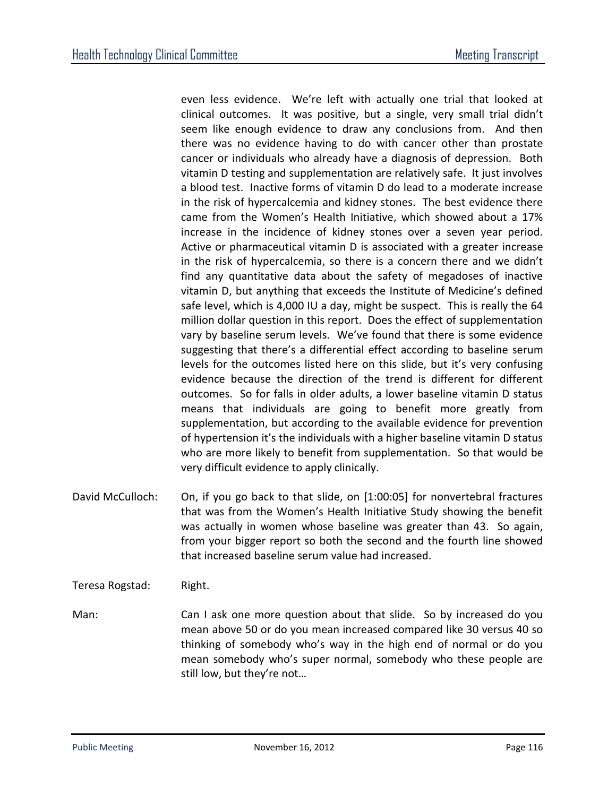even less evidence. We're left with actually one trial that looked at clinical outcomes. It was positive, but a single, very small trial didn't seem like enough evidence to draw any conclusions from. And then there was no evidence having to do with cancer other than prostate cancer or individuals who already have a diagnosis of depression. Both vitamin D testing and supplementation are relatively safe. It just involves a blood test. Inactive forms of vitamin D do lead to a moderate increase in the risk of hypercalcemia and kidney stones. The best evidence there came from the Women's Health Initiative, which showed about a 17% increase in the incidence of kidney stones over a seven year period. Active or pharmaceutical vitamin D is associated with a greater increase in the risk of hypercalcemia, so there is a concern there and we didn't find any quantitative data about the safety of megadoses of inactive vitamin D, but anything that exceeds the Institute of Medicine's defined safe level, which is 4,000 IU a day, might be suspect. This is really the 64 million dollar question in this report. Does the effect of supplementation vary by baseline serum levels. We've found that there is some evidence suggesting that there's a differential effect according to baseline serum levels for the outcomes listed here on this slide, but it's very confusing evidence because the direction of the trend is different for different outcomes. So for falls in older adults, a lower baseline vitamin D status means that individuals are going to benefit more greatly from supplementation, but according to the available evidence for prevention of hypertension it's the individuals with a higher baseline vitamin D status who are more likely to benefit from supplementation. So that would be very difficult evidence to apply clinically.

- David McCulloch: On, if you go back to that slide, on [1:00:05] for nonvertebral fractures that was from the Women's Health Initiative Study showing the benefit was actually in women whose baseline was greater than 43. So again, from your bigger report so both the second and the fourth line showed that increased baseline serum value had increased.
- Teresa Rogstad: Right.

Man: Can I ask one more question about that slide. So by increased do you mean above 50 or do you mean increased compared like 30 versus 40 so thinking of somebody who's way in the high end of normal or do you mean somebody who's super normal, somebody who these people are still low, but they're not…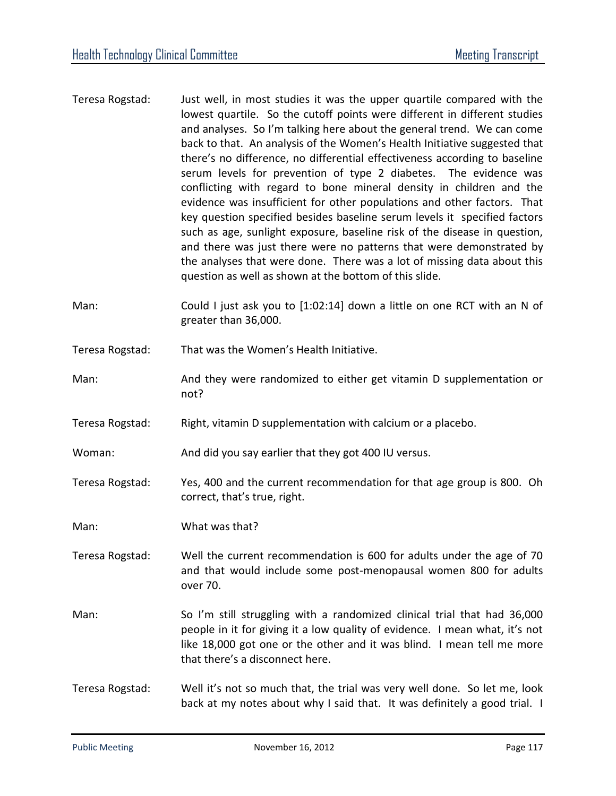- Teresa Rogstad: Just well, in most studies it was the upper quartile compared with the lowest quartile. So the cutoff points were different in different studies and analyses. So I'm talking here about the general trend. We can come back to that. An analysis of the Women's Health Initiative suggested that there's no difference, no differential effectiveness according to baseline serum levels for prevention of type 2 diabetes. The evidence was conflicting with regard to bone mineral density in children and the evidence was insufficient for other populations and other factors. That key question specified besides baseline serum levels it specified factors such as age, sunlight exposure, baseline risk of the disease in question, and there was just there were no patterns that were demonstrated by the analyses that were done. There was a lot of missing data about this question as well as shown at the bottom of this slide.
- Man: Could I just ask you to [1:02:14] down a little on one RCT with an N of greater than 36,000.
- Teresa Rogstad: That was the Women's Health Initiative.
- Man: And they were randomized to either get vitamin D supplementation or not?
- Teresa Rogstad: Right, vitamin D supplementation with calcium or a placebo.
- Woman: And did you say earlier that they got 400 IU versus.
- Teresa Rogstad: Yes, 400 and the current recommendation for that age group is 800. Oh correct, that's true, right.
- Man: What was that?
- Teresa Rogstad: Well the current recommendation is 600 for adults under the age of 70 and that would include some post-menopausal women 800 for adults over 70.
- Man: So I'm still struggling with a randomized clinical trial that had 36,000 people in it for giving it a low quality of evidence. I mean what, it's not like 18,000 got one or the other and it was blind. I mean tell me more that there's a disconnect here.
- Teresa Rogstad: Well it's not so much that, the trial was very well done. So let me, look back at my notes about why I said that. It was definitely a good trial. I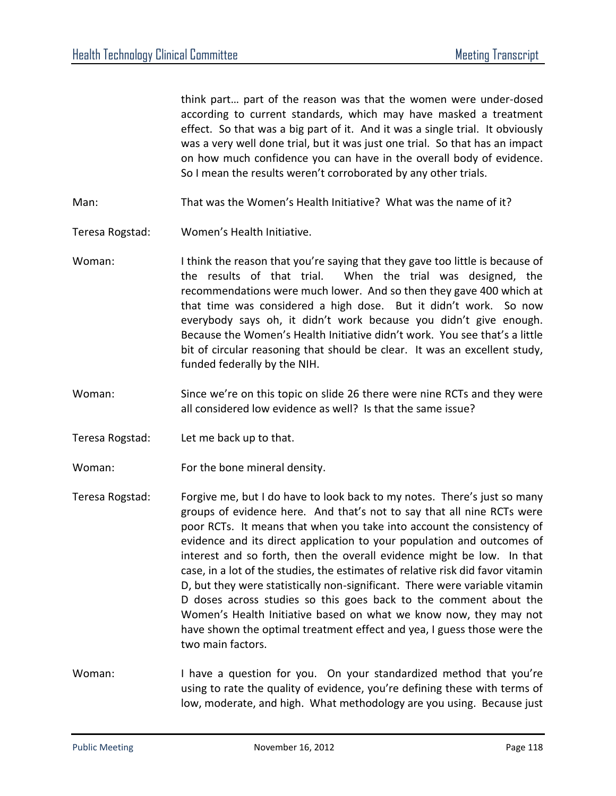think part… part of the reason was that the women were under-dosed according to current standards, which may have masked a treatment effect. So that was a big part of it. And it was a single trial. It obviously was a very well done trial, but it was just one trial. So that has an impact on how much confidence you can have in the overall body of evidence. So I mean the results weren't corroborated by any other trials.

- Man: That was the Women's Health Initiative? What was the name of it?
- Teresa Rogstad: Women's Health Initiative.
- Woman: I think the reason that you're saying that they gave too little is because of the results of that trial. When the trial was designed, the recommendations were much lower. And so then they gave 400 which at that time was considered a high dose. But it didn't work. So now everybody says oh, it didn't work because you didn't give enough. Because the Women's Health Initiative didn't work. You see that's a little bit of circular reasoning that should be clear. It was an excellent study, funded federally by the NIH.
- Woman: Since we're on this topic on slide 26 there were nine RCTs and they were all considered low evidence as well? Is that the same issue?
- Teresa Rogstad: Let me back up to that.
- Woman: For the bone mineral density.
- Teresa Rogstad: Forgive me, but I do have to look back to my notes. There's just so many groups of evidence here. And that's not to say that all nine RCTs were poor RCTs. It means that when you take into account the consistency of evidence and its direct application to your population and outcomes of interest and so forth, then the overall evidence might be low. In that case, in a lot of the studies, the estimates of relative risk did favor vitamin D, but they were statistically non-significant. There were variable vitamin D doses across studies so this goes back to the comment about the Women's Health Initiative based on what we know now, they may not have shown the optimal treatment effect and yea, I guess those were the two main factors.
- Woman: I have a question for you. On your standardized method that you're using to rate the quality of evidence, you're defining these with terms of low, moderate, and high. What methodology are you using. Because just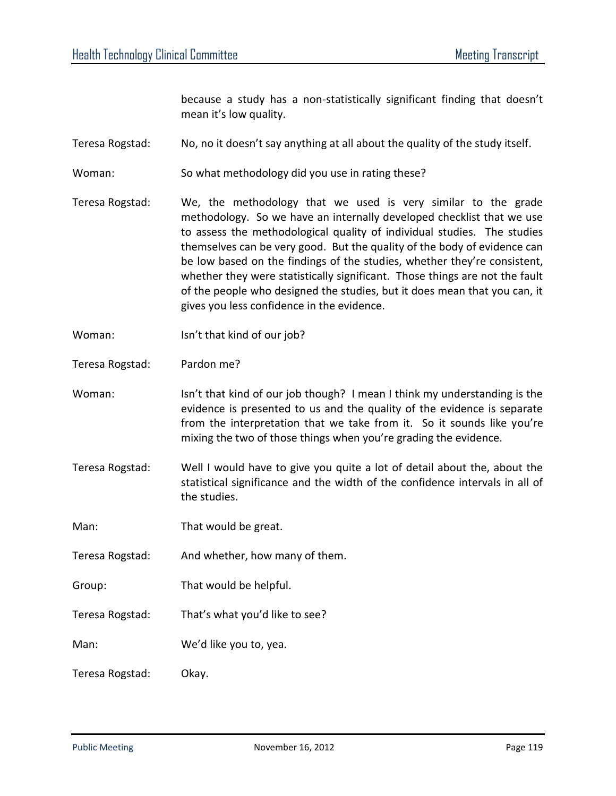because a study has a non-statistically significant finding that doesn't mean it's low quality.

- Teresa Rogstad: No, no it doesn't say anything at all about the quality of the study itself.
- Woman: So what methodology did you use in rating these?
- Teresa Rogstad: We, the methodology that we used is very similar to the grade methodology. So we have an internally developed checklist that we use to assess the methodological quality of individual studies. The studies themselves can be very good. But the quality of the body of evidence can be low based on the findings of the studies, whether they're consistent, whether they were statistically significant. Those things are not the fault of the people who designed the studies, but it does mean that you can, it gives you less confidence in the evidence.
- Woman: Isn't that kind of our job?
- Teresa Rogstad: Pardon me?
- Woman: Isn't that kind of our job though? I mean I think my understanding is the evidence is presented to us and the quality of the evidence is separate from the interpretation that we take from it. So it sounds like you're mixing the two of those things when you're grading the evidence.
- Teresa Rogstad: Well I would have to give you quite a lot of detail about the, about the statistical significance and the width of the confidence intervals in all of the studies.
- Man: That would be great.
- Teresa Rogstad: And whether, how many of them.
- Group: That would be helpful.
- Teresa Rogstad: That's what you'd like to see?
- Man: We'd like you to, yea.
- Teresa Rogstad: Okay.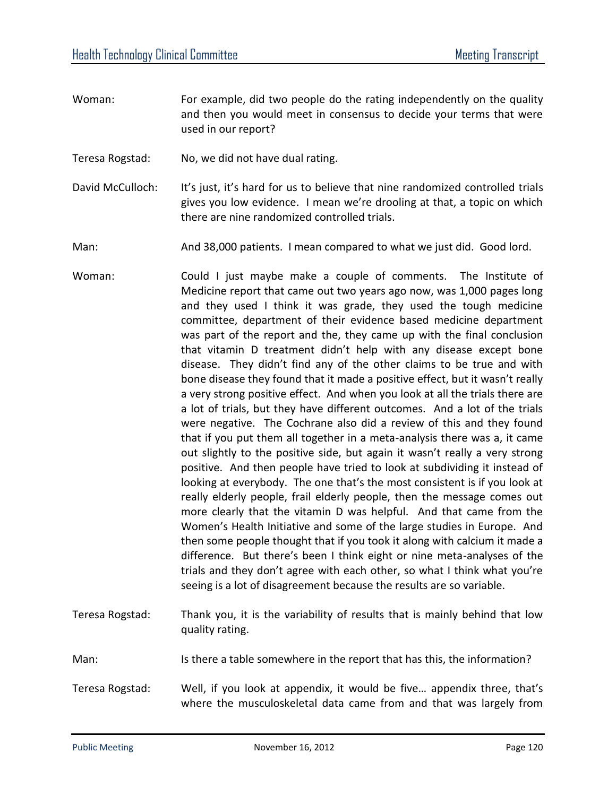- Woman: For example, did two people do the rating independently on the quality and then you would meet in consensus to decide your terms that were used in our report?
- Teresa Rogstad: No, we did not have dual rating.
- David McCulloch: It's just, it's hard for us to believe that nine randomized controlled trials gives you low evidence. I mean we're drooling at that, a topic on which there are nine randomized controlled trials.
- Man: And 38,000 patients. I mean compared to what we just did. Good lord.
- Woman: Could I just maybe make a couple of comments. The Institute of Medicine report that came out two years ago now, was 1,000 pages long and they used I think it was grade, they used the tough medicine committee, department of their evidence based medicine department was part of the report and the, they came up with the final conclusion that vitamin D treatment didn't help with any disease except bone disease. They didn't find any of the other claims to be true and with bone disease they found that it made a positive effect, but it wasn't really a very strong positive effect. And when you look at all the trials there are a lot of trials, but they have different outcomes. And a lot of the trials were negative. The Cochrane also did a review of this and they found that if you put them all together in a meta-analysis there was a, it came out slightly to the positive side, but again it wasn't really a very strong positive. And then people have tried to look at subdividing it instead of looking at everybody. The one that's the most consistent is if you look at really elderly people, frail elderly people, then the message comes out more clearly that the vitamin D was helpful. And that came from the Women's Health Initiative and some of the large studies in Europe. And then some people thought that if you took it along with calcium it made a difference. But there's been I think eight or nine meta-analyses of the trials and they don't agree with each other, so what I think what you're seeing is a lot of disagreement because the results are so variable.
- Teresa Rogstad: Thank you, it is the variability of results that is mainly behind that low quality rating.
- Man: Is there a table somewhere in the report that has this, the information?
- Teresa Rogstad: Well, if you look at appendix, it would be five… appendix three, that's where the musculoskeletal data came from and that was largely from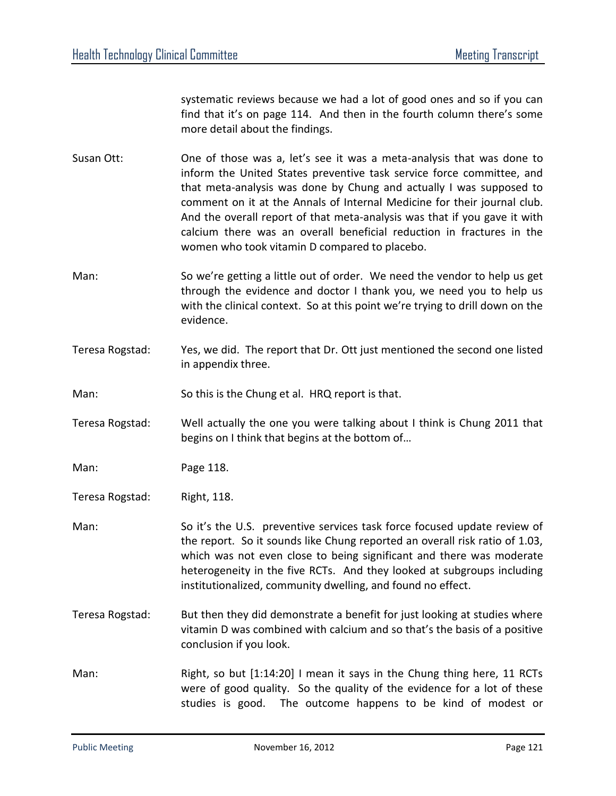systematic reviews because we had a lot of good ones and so if you can find that it's on page 114. And then in the fourth column there's some more detail about the findings.

- Susan Ott: One of those was a, let's see it was a meta-analysis that was done to inform the United States preventive task service force committee, and that meta-analysis was done by Chung and actually I was supposed to comment on it at the Annals of Internal Medicine for their journal club. And the overall report of that meta-analysis was that if you gave it with calcium there was an overall beneficial reduction in fractures in the women who took vitamin D compared to placebo.
- Man: So we're getting a little out of order. We need the vendor to help us get through the evidence and doctor I thank you, we need you to help us with the clinical context. So at this point we're trying to drill down on the evidence.
- Teresa Rogstad: Yes, we did. The report that Dr. Ott just mentioned the second one listed in appendix three.

Man: So this is the Chung et al. HRQ report is that.

Teresa Rogstad: Well actually the one you were talking about I think is Chung 2011 that begins on I think that begins at the bottom of…

Man: Page 118.

Teresa Rogstad: Right, 118.

- Man: So it's the U.S. preventive services task force focused update review of the report. So it sounds like Chung reported an overall risk ratio of 1.03, which was not even close to being significant and there was moderate heterogeneity in the five RCTs. And they looked at subgroups including institutionalized, community dwelling, and found no effect.
- Teresa Rogstad: But then they did demonstrate a benefit for just looking at studies where vitamin D was combined with calcium and so that's the basis of a positive conclusion if you look.
- Man: Right, so but [1:14:20] I mean it says in the Chung thing here, 11 RCTs were of good quality. So the quality of the evidence for a lot of these studies is good. The outcome happens to be kind of modest or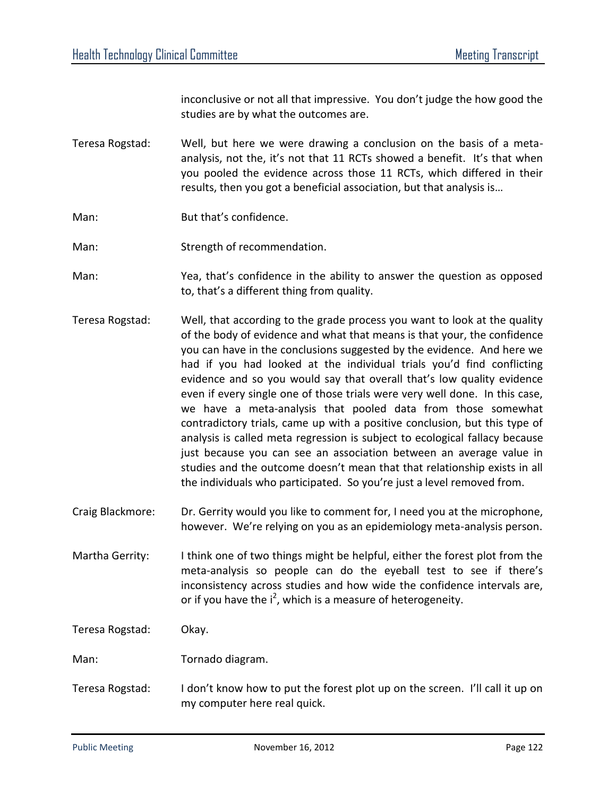inconclusive or not all that impressive. You don't judge the how good the studies are by what the outcomes are.

- Teresa Rogstad: Well, but here we were drawing a conclusion on the basis of a metaanalysis, not the, it's not that 11 RCTs showed a benefit. It's that when you pooled the evidence across those 11 RCTs, which differed in their results, then you got a beneficial association, but that analysis is…
- Man: But that's confidence.
- Man: Strength of recommendation.
- Man: Yea, that's confidence in the ability to answer the question as opposed to, that's a different thing from quality.
- Teresa Rogstad: Well, that according to the grade process you want to look at the quality of the body of evidence and what that means is that your, the confidence you can have in the conclusions suggested by the evidence. And here we had if you had looked at the individual trials you'd find conflicting evidence and so you would say that overall that's low quality evidence even if every single one of those trials were very well done. In this case, we have a meta-analysis that pooled data from those somewhat contradictory trials, came up with a positive conclusion, but this type of analysis is called meta regression is subject to ecological fallacy because just because you can see an association between an average value in studies and the outcome doesn't mean that that relationship exists in all the individuals who participated. So you're just a level removed from.
- Craig Blackmore: Dr. Gerrity would you like to comment for, I need you at the microphone, however. We're relying on you as an epidemiology meta-analysis person.

Martha Gerrity: I think one of two things might be helpful, either the forest plot from the meta-analysis so people can do the eyeball test to see if there's inconsistency across studies and how wide the confidence intervals are, or if you have the  $i^2$ , which is a measure of heterogeneity.

Teresa Rogstad: Okay.

- Man: Tornado diagram.
- Teresa Rogstad: I don't know how to put the forest plot up on the screen. I'll call it up on my computer here real quick.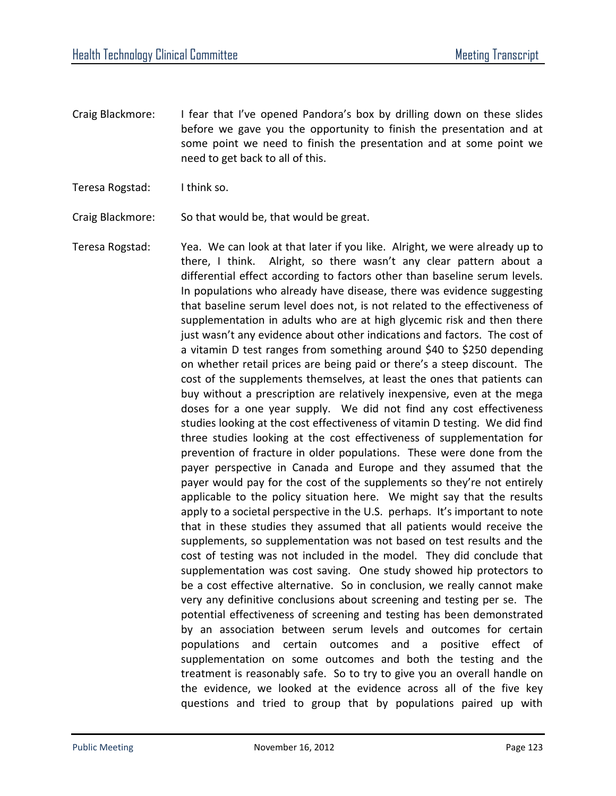- Craig Blackmore: I fear that I've opened Pandora's box by drilling down on these slides before we gave you the opportunity to finish the presentation and at some point we need to finish the presentation and at some point we need to get back to all of this.
- Teresa Rogstad: I think so.

Craig Blackmore: So that would be, that would be great.

Teresa Rogstad: Yea. We can look at that later if you like. Alright, we were already up to there, I think. Alright, so there wasn't any clear pattern about a differential effect according to factors other than baseline serum levels. In populations who already have disease, there was evidence suggesting that baseline serum level does not, is not related to the effectiveness of supplementation in adults who are at high glycemic risk and then there just wasn't any evidence about other indications and factors. The cost of a vitamin D test ranges from something around \$40 to \$250 depending on whether retail prices are being paid or there's a steep discount. The cost of the supplements themselves, at least the ones that patients can buy without a prescription are relatively inexpensive, even at the mega doses for a one year supply. We did not find any cost effectiveness studies looking at the cost effectiveness of vitamin D testing. We did find three studies looking at the cost effectiveness of supplementation for prevention of fracture in older populations. These were done from the payer perspective in Canada and Europe and they assumed that the payer would pay for the cost of the supplements so they're not entirely applicable to the policy situation here. We might say that the results apply to a societal perspective in the U.S. perhaps. It's important to note that in these studies they assumed that all patients would receive the supplements, so supplementation was not based on test results and the cost of testing was not included in the model. They did conclude that supplementation was cost saving. One study showed hip protectors to be a cost effective alternative. So in conclusion, we really cannot make very any definitive conclusions about screening and testing per se. The potential effectiveness of screening and testing has been demonstrated by an association between serum levels and outcomes for certain populations and certain outcomes and a positive effect of supplementation on some outcomes and both the testing and the treatment is reasonably safe. So to try to give you an overall handle on the evidence, we looked at the evidence across all of the five key questions and tried to group that by populations paired up with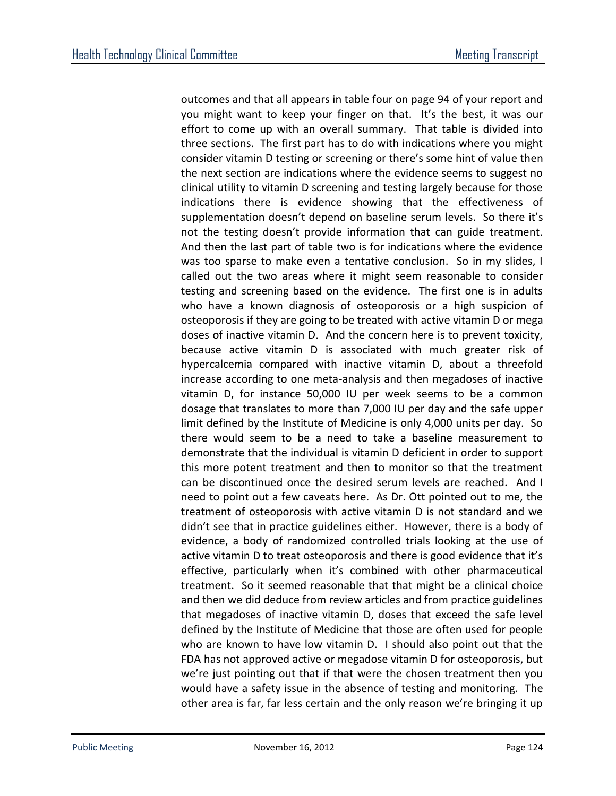outcomes and that all appears in table four on page 94 of your report and you might want to keep your finger on that. It's the best, it was our effort to come up with an overall summary. That table is divided into three sections. The first part has to do with indications where you might consider vitamin D testing or screening or there's some hint of value then the next section are indications where the evidence seems to suggest no clinical utility to vitamin D screening and testing largely because for those indications there is evidence showing that the effectiveness of supplementation doesn't depend on baseline serum levels. So there it's not the testing doesn't provide information that can guide treatment. And then the last part of table two is for indications where the evidence was too sparse to make even a tentative conclusion. So in my slides, I called out the two areas where it might seem reasonable to consider testing and screening based on the evidence. The first one is in adults who have a known diagnosis of osteoporosis or a high suspicion of osteoporosis if they are going to be treated with active vitamin D or mega doses of inactive vitamin D. And the concern here is to prevent toxicity, because active vitamin D is associated with much greater risk of hypercalcemia compared with inactive vitamin D, about a threefold increase according to one meta-analysis and then megadoses of inactive vitamin D, for instance 50,000 IU per week seems to be a common dosage that translates to more than 7,000 IU per day and the safe upper limit defined by the Institute of Medicine is only 4,000 units per day. So there would seem to be a need to take a baseline measurement to demonstrate that the individual is vitamin D deficient in order to support this more potent treatment and then to monitor so that the treatment can be discontinued once the desired serum levels are reached. And I need to point out a few caveats here. As Dr. Ott pointed out to me, the treatment of osteoporosis with active vitamin D is not standard and we didn't see that in practice guidelines either. However, there is a body of evidence, a body of randomized controlled trials looking at the use of active vitamin D to treat osteoporosis and there is good evidence that it's effective, particularly when it's combined with other pharmaceutical treatment. So it seemed reasonable that that might be a clinical choice and then we did deduce from review articles and from practice guidelines that megadoses of inactive vitamin D, doses that exceed the safe level defined by the Institute of Medicine that those are often used for people who are known to have low vitamin D. I should also point out that the FDA has not approved active or megadose vitamin D for osteoporosis, but we're just pointing out that if that were the chosen treatment then you would have a safety issue in the absence of testing and monitoring. The other area is far, far less certain and the only reason we're bringing it up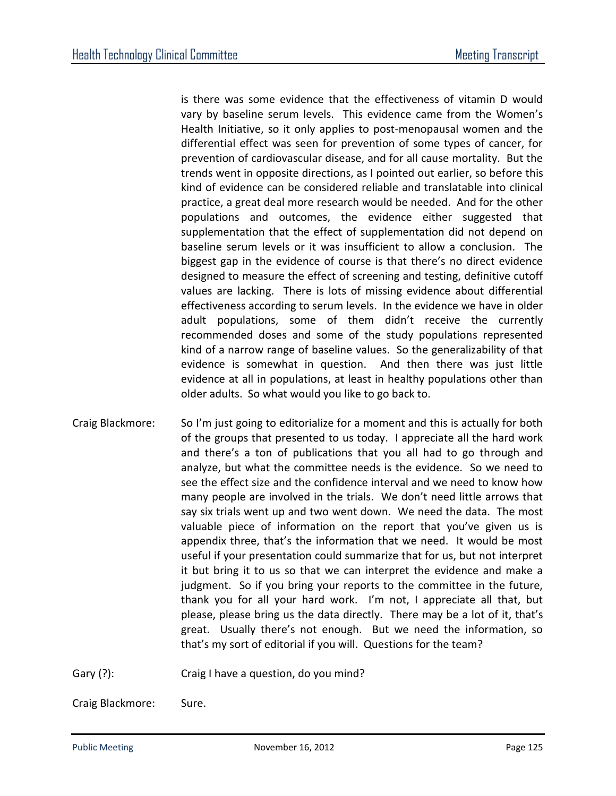is there was some evidence that the effectiveness of vitamin D would vary by baseline serum levels. This evidence came from the Women's Health Initiative, so it only applies to post-menopausal women and the differential effect was seen for prevention of some types of cancer, for prevention of cardiovascular disease, and for all cause mortality. But the trends went in opposite directions, as I pointed out earlier, so before this kind of evidence can be considered reliable and translatable into clinical practice, a great deal more research would be needed. And for the other populations and outcomes, the evidence either suggested that supplementation that the effect of supplementation did not depend on baseline serum levels or it was insufficient to allow a conclusion. The biggest gap in the evidence of course is that there's no direct evidence designed to measure the effect of screening and testing, definitive cutoff values are lacking. There is lots of missing evidence about differential effectiveness according to serum levels. In the evidence we have in older adult populations, some of them didn't receive the currently recommended doses and some of the study populations represented kind of a narrow range of baseline values. So the generalizability of that evidence is somewhat in question. And then there was just little evidence at all in populations, at least in healthy populations other than older adults. So what would you like to go back to.

Craig Blackmore: So I'm just going to editorialize for a moment and this is actually for both of the groups that presented to us today. I appreciate all the hard work and there's a ton of publications that you all had to go through and analyze, but what the committee needs is the evidence. So we need to see the effect size and the confidence interval and we need to know how many people are involved in the trials. We don't need little arrows that say six trials went up and two went down. We need the data. The most valuable piece of information on the report that you've given us is appendix three, that's the information that we need. It would be most useful if your presentation could summarize that for us, but not interpret it but bring it to us so that we can interpret the evidence and make a judgment. So if you bring your reports to the committee in the future, thank you for all your hard work. I'm not, I appreciate all that, but please, please bring us the data directly. There may be a lot of it, that's great. Usually there's not enough. But we need the information, so that's my sort of editorial if you will. Questions for the team?

Gary (?): Craig I have a question, do you mind?

Craig Blackmore: Sure.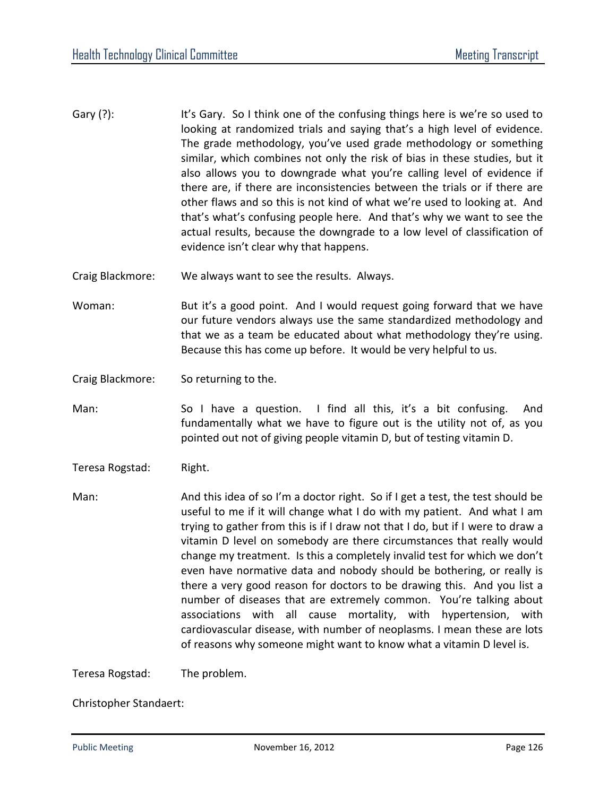- Gary (?): It's Gary. So I think one of the confusing things here is we're so used to looking at randomized trials and saying that's a high level of evidence. The grade methodology, you've used grade methodology or something similar, which combines not only the risk of bias in these studies, but it also allows you to downgrade what you're calling level of evidence if there are, if there are inconsistencies between the trials or if there are other flaws and so this is not kind of what we're used to looking at. And that's what's confusing people here. And that's why we want to see the actual results, because the downgrade to a low level of classification of evidence isn't clear why that happens.
- Craig Blackmore: We always want to see the results. Always.
- Woman: But it's a good point. And I would request going forward that we have our future vendors always use the same standardized methodology and that we as a team be educated about what methodology they're using. Because this has come up before. It would be very helpful to us.
- Craig Blackmore: So returning to the.
- Man: So I have a question. I find all this, it's a bit confusing. And fundamentally what we have to figure out is the utility not of, as you pointed out not of giving people vitamin D, but of testing vitamin D.
- Teresa Rogstad: Right.

Man: And this idea of so I'm a doctor right. So if I get a test, the test should be useful to me if it will change what I do with my patient. And what I am trying to gather from this is if I draw not that I do, but if I were to draw a vitamin D level on somebody are there circumstances that really would change my treatment. Is this a completely invalid test for which we don't even have normative data and nobody should be bothering, or really is there a very good reason for doctors to be drawing this. And you list a number of diseases that are extremely common. You're talking about associations with all cause mortality, with hypertension, with cardiovascular disease, with number of neoplasms. I mean these are lots of reasons why someone might want to know what a vitamin D level is.

Teresa Rogstad: The problem.

Christopher Standaert: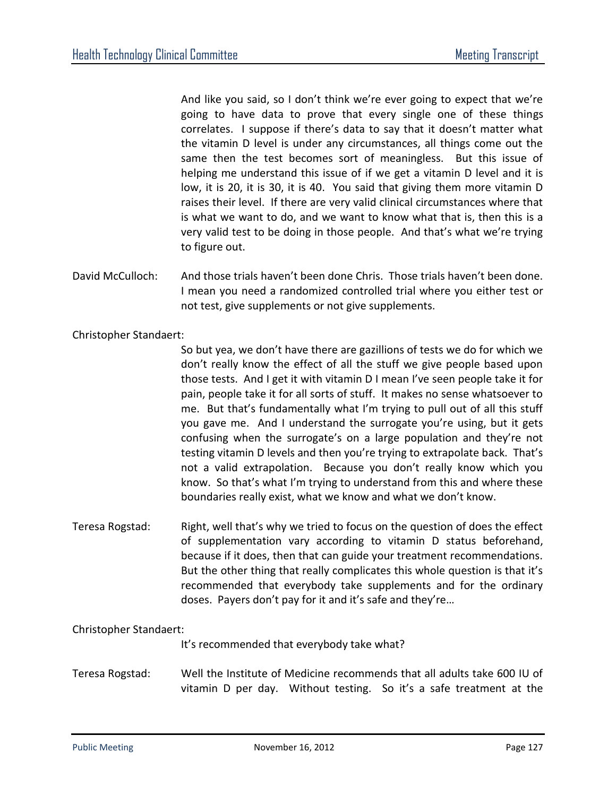And like you said, so I don't think we're ever going to expect that we're going to have data to prove that every single one of these things correlates. I suppose if there's data to say that it doesn't matter what the vitamin D level is under any circumstances, all things come out the same then the test becomes sort of meaningless. But this issue of helping me understand this issue of if we get a vitamin D level and it is low, it is 20, it is 30, it is 40. You said that giving them more vitamin D raises their level. If there are very valid clinical circumstances where that is what we want to do, and we want to know what that is, then this is a very valid test to be doing in those people. And that's what we're trying to figure out.

David McCulloch: And those trials haven't been done Chris. Those trials haven't been done. I mean you need a randomized controlled trial where you either test or not test, give supplements or not give supplements.

Christopher Standaert:

So but yea, we don't have there are gazillions of tests we do for which we don't really know the effect of all the stuff we give people based upon those tests. And I get it with vitamin D I mean I've seen people take it for pain, people take it for all sorts of stuff. It makes no sense whatsoever to me. But that's fundamentally what I'm trying to pull out of all this stuff you gave me. And I understand the surrogate you're using, but it gets confusing when the surrogate's on a large population and they're not testing vitamin D levels and then you're trying to extrapolate back. That's not a valid extrapolation. Because you don't really know which you know. So that's what I'm trying to understand from this and where these boundaries really exist, what we know and what we don't know.

Teresa Rogstad: Right, well that's why we tried to focus on the question of does the effect of supplementation vary according to vitamin D status beforehand, because if it does, then that can guide your treatment recommendations. But the other thing that really complicates this whole question is that it's recommended that everybody take supplements and for the ordinary doses. Payers don't pay for it and it's safe and they're…

## Christopher Standaert:

It's recommended that everybody take what?

Teresa Rogstad: Well the Institute of Medicine recommends that all adults take 600 IU of vitamin D per day. Without testing. So it's a safe treatment at the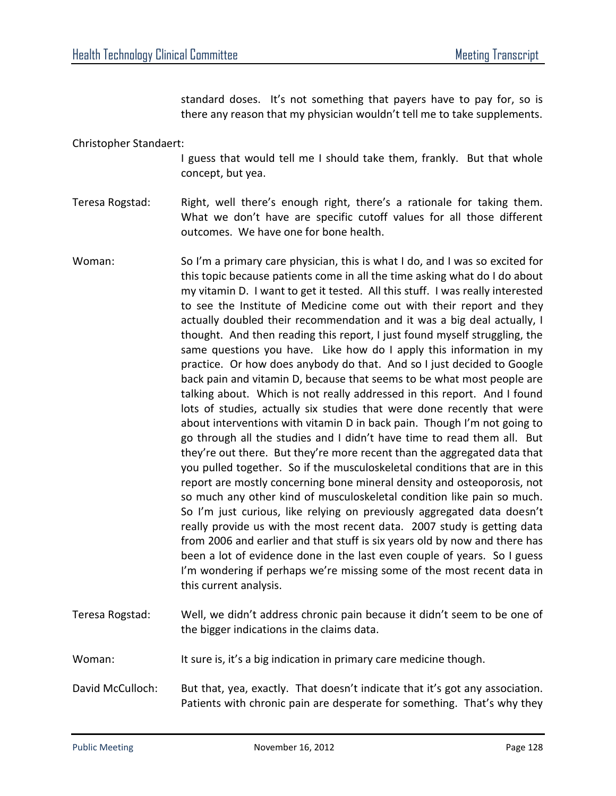standard doses. It's not something that payers have to pay for, so is there any reason that my physician wouldn't tell me to take supplements.

Christopher Standaert:

I guess that would tell me I should take them, frankly. But that whole concept, but yea.

Teresa Rogstad: Right, well there's enough right, there's a rationale for taking them. What we don't have are specific cutoff values for all those different outcomes. We have one for bone health.

- Woman: So I'm a primary care physician, this is what I do, and I was so excited for this topic because patients come in all the time asking what do I do about my vitamin D. I want to get it tested. All this stuff. I was really interested to see the Institute of Medicine come out with their report and they actually doubled their recommendation and it was a big deal actually, I thought. And then reading this report, I just found myself struggling, the same questions you have. Like how do I apply this information in my practice. Or how does anybody do that. And so I just decided to Google back pain and vitamin D, because that seems to be what most people are talking about. Which is not really addressed in this report. And I found lots of studies, actually six studies that were done recently that were about interventions with vitamin D in back pain. Though I'm not going to go through all the studies and I didn't have time to read them all. But they're out there. But they're more recent than the aggregated data that you pulled together. So if the musculoskeletal conditions that are in this report are mostly concerning bone mineral density and osteoporosis, not so much any other kind of musculoskeletal condition like pain so much. So I'm just curious, like relying on previously aggregated data doesn't really provide us with the most recent data. 2007 study is getting data from 2006 and earlier and that stuff is six years old by now and there has been a lot of evidence done in the last even couple of years. So I guess I'm wondering if perhaps we're missing some of the most recent data in this current analysis.
- Teresa Rogstad: Well, we didn't address chronic pain because it didn't seem to be one of the bigger indications in the claims data.
- Woman: It sure is, it's a big indication in primary care medicine though.

David McCulloch: But that, yea, exactly. That doesn't indicate that it's got any association. Patients with chronic pain are desperate for something. That's why they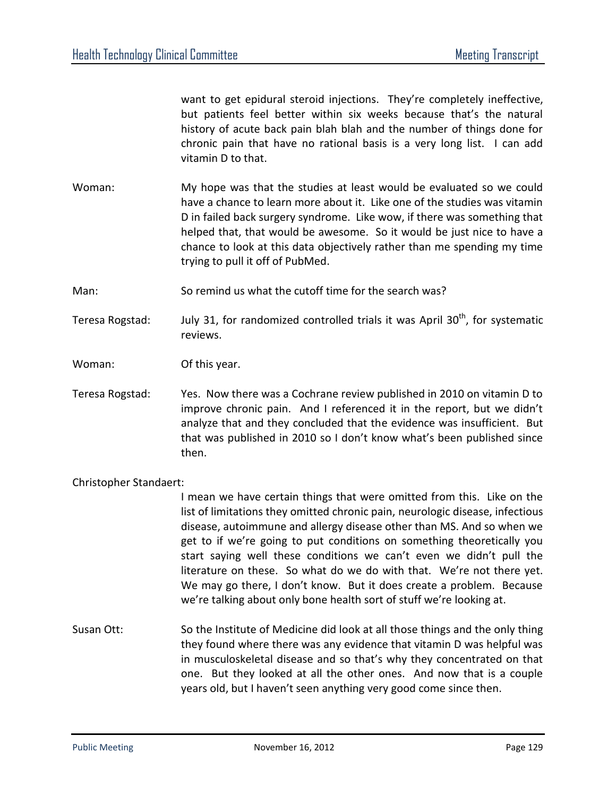want to get epidural steroid injections. They're completely ineffective, but patients feel better within six weeks because that's the natural history of acute back pain blah blah and the number of things done for chronic pain that have no rational basis is a very long list. I can add vitamin D to that.

Woman: My hope was that the studies at least would be evaluated so we could have a chance to learn more about it. Like one of the studies was vitamin D in failed back surgery syndrome. Like wow, if there was something that helped that, that would be awesome. So it would be just nice to have a chance to look at this data objectively rather than me spending my time trying to pull it off of PubMed.

Man: So remind us what the cutoff time for the search was?

Teresa Rogstad: July 31, for randomized controlled trials it was April  $30<sup>th</sup>$ , for systematic reviews.

Woman: Of this year.

Teresa Rogstad: Yes. Now there was a Cochrane review published in 2010 on vitamin D to improve chronic pain. And I referenced it in the report, but we didn't analyze that and they concluded that the evidence was insufficient. But that was published in 2010 so I don't know what's been published since then.

## Christopher Standaert:

I mean we have certain things that were omitted from this. Like on the list of limitations they omitted chronic pain, neurologic disease, infectious disease, autoimmune and allergy disease other than MS. And so when we get to if we're going to put conditions on something theoretically you start saying well these conditions we can't even we didn't pull the literature on these. So what do we do with that. We're not there yet. We may go there, I don't know. But it does create a problem. Because we're talking about only bone health sort of stuff we're looking at.

Susan Ott: So the Institute of Medicine did look at all those things and the only thing they found where there was any evidence that vitamin D was helpful was in musculoskeletal disease and so that's why they concentrated on that one. But they looked at all the other ones. And now that is a couple years old, but I haven't seen anything very good come since then.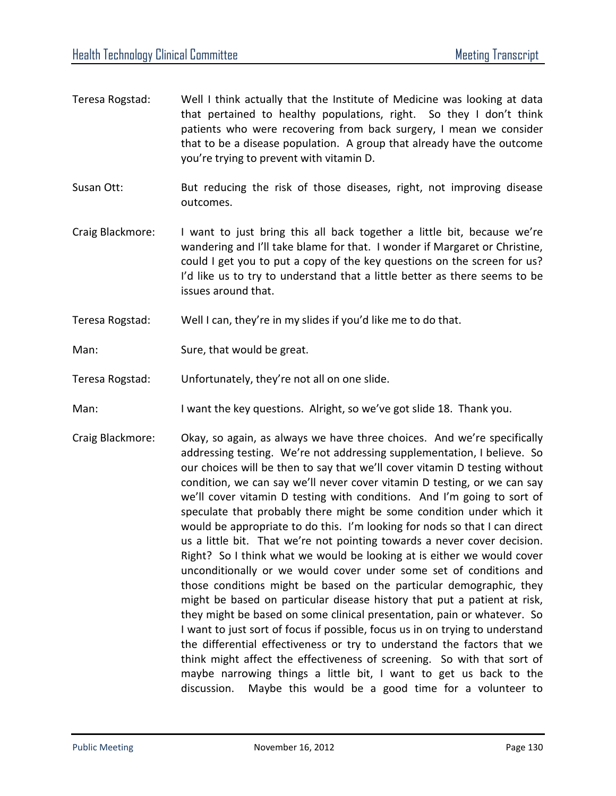- Teresa Rogstad: Well I think actually that the Institute of Medicine was looking at data that pertained to healthy populations, right. So they I don't think patients who were recovering from back surgery, I mean we consider that to be a disease population. A group that already have the outcome you're trying to prevent with vitamin D.
- Susan Ott: But reducing the risk of those diseases, right, not improving disease outcomes.
- Craig Blackmore: I want to just bring this all back together a little bit, because we're wandering and I'll take blame for that. I wonder if Margaret or Christine, could I get you to put a copy of the key questions on the screen for us? I'd like us to try to understand that a little better as there seems to be issues around that.
- Teresa Rogstad: Well I can, they're in my slides if you'd like me to do that.
- Man: Sure, that would be great.
- Teresa Rogstad: Unfortunately, they're not all on one slide.
- Man: I want the key questions. Alright, so we've got slide 18. Thank you.
- Craig Blackmore: Okay, so again, as always we have three choices. And we're specifically addressing testing. We're not addressing supplementation, I believe. So our choices will be then to say that we'll cover vitamin D testing without condition, we can say we'll never cover vitamin D testing, or we can say we'll cover vitamin D testing with conditions. And I'm going to sort of speculate that probably there might be some condition under which it would be appropriate to do this. I'm looking for nods so that I can direct us a little bit. That we're not pointing towards a never cover decision. Right? So I think what we would be looking at is either we would cover unconditionally or we would cover under some set of conditions and those conditions might be based on the particular demographic, they might be based on particular disease history that put a patient at risk, they might be based on some clinical presentation, pain or whatever. So I want to just sort of focus if possible, focus us in on trying to understand the differential effectiveness or try to understand the factors that we think might affect the effectiveness of screening. So with that sort of maybe narrowing things a little bit, I want to get us back to the discussion. Maybe this would be a good time for a volunteer to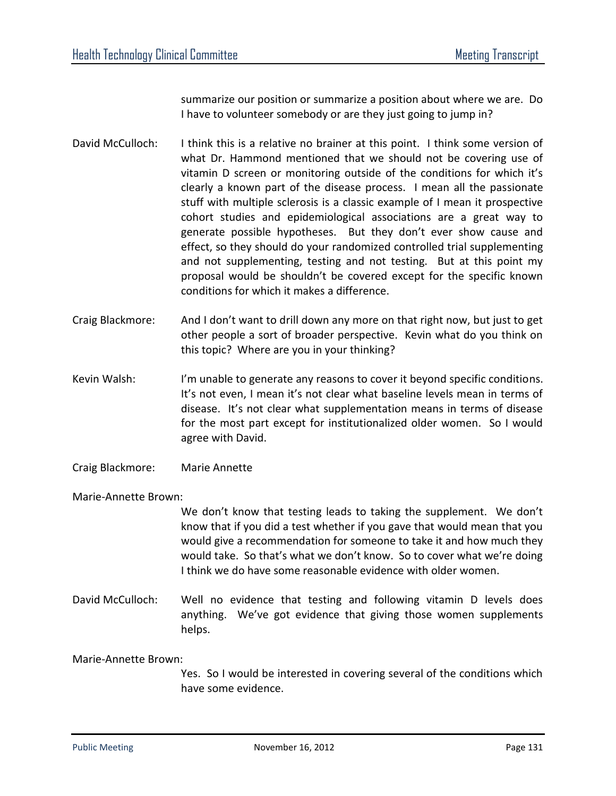summarize our position or summarize a position about where we are. Do I have to volunteer somebody or are they just going to jump in?

- David McCulloch: I think this is a relative no brainer at this point. I think some version of what Dr. Hammond mentioned that we should not be covering use of vitamin D screen or monitoring outside of the conditions for which it's clearly a known part of the disease process. I mean all the passionate stuff with multiple sclerosis is a classic example of I mean it prospective cohort studies and epidemiological associations are a great way to generate possible hypotheses. But they don't ever show cause and effect, so they should do your randomized controlled trial supplementing and not supplementing, testing and not testing. But at this point my proposal would be shouldn't be covered except for the specific known conditions for which it makes a difference.
- Craig Blackmore: And I don't want to drill down any more on that right now, but just to get other people a sort of broader perspective. Kevin what do you think on this topic? Where are you in your thinking?
- Kevin Walsh: I'm unable to generate any reasons to cover it beyond specific conditions. It's not even, I mean it's not clear what baseline levels mean in terms of disease. It's not clear what supplementation means in terms of disease for the most part except for institutionalized older women. So I would agree with David.
- Craig Blackmore: Marie Annette

## Marie-Annette Brown:

We don't know that testing leads to taking the supplement. We don't know that if you did a test whether if you gave that would mean that you would give a recommendation for someone to take it and how much they would take. So that's what we don't know. So to cover what we're doing I think we do have some reasonable evidence with older women.

David McCulloch: Well no evidence that testing and following vitamin D levels does anything. We've got evidence that giving those women supplements helps.

## Marie-Annette Brown:

Yes. So I would be interested in covering several of the conditions which have some evidence.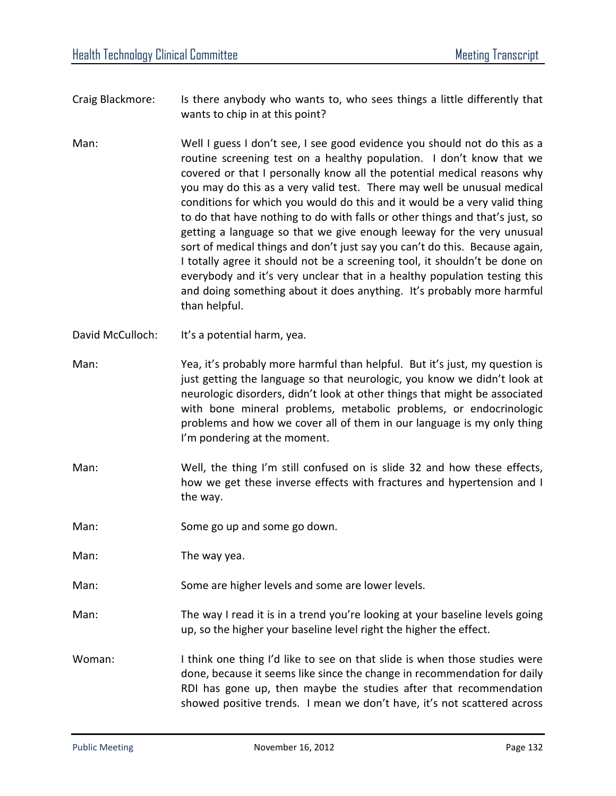- Craig Blackmore: Is there anybody who wants to, who sees things a little differently that wants to chip in at this point?
- Man: Well I guess I don't see, I see good evidence you should not do this as a routine screening test on a healthy population. I don't know that we covered or that I personally know all the potential medical reasons why you may do this as a very valid test. There may well be unusual medical conditions for which you would do this and it would be a very valid thing to do that have nothing to do with falls or other things and that's just, so getting a language so that we give enough leeway for the very unusual sort of medical things and don't just say you can't do this. Because again, I totally agree it should not be a screening tool, it shouldn't be done on everybody and it's very unclear that in a healthy population testing this and doing something about it does anything. It's probably more harmful than helpful.
- David McCulloch: It's a potential harm, yea.
- Man: Yea, it's probably more harmful than helpful. But it's just, my question is just getting the language so that neurologic, you know we didn't look at neurologic disorders, didn't look at other things that might be associated with bone mineral problems, metabolic problems, or endocrinologic problems and how we cover all of them in our language is my only thing I'm pondering at the moment.
- Man: Well, the thing I'm still confused on is slide 32 and how these effects, how we get these inverse effects with fractures and hypertension and I the way.
- Man: Some go up and some go down.

Man: The way yea.

- Man: Some are higher levels and some are lower levels.
- Man: The way I read it is in a trend you're looking at your baseline levels going up, so the higher your baseline level right the higher the effect.
- Woman: I think one thing I'd like to see on that slide is when those studies were done, because it seems like since the change in recommendation for daily RDI has gone up, then maybe the studies after that recommendation showed positive trends. I mean we don't have, it's not scattered across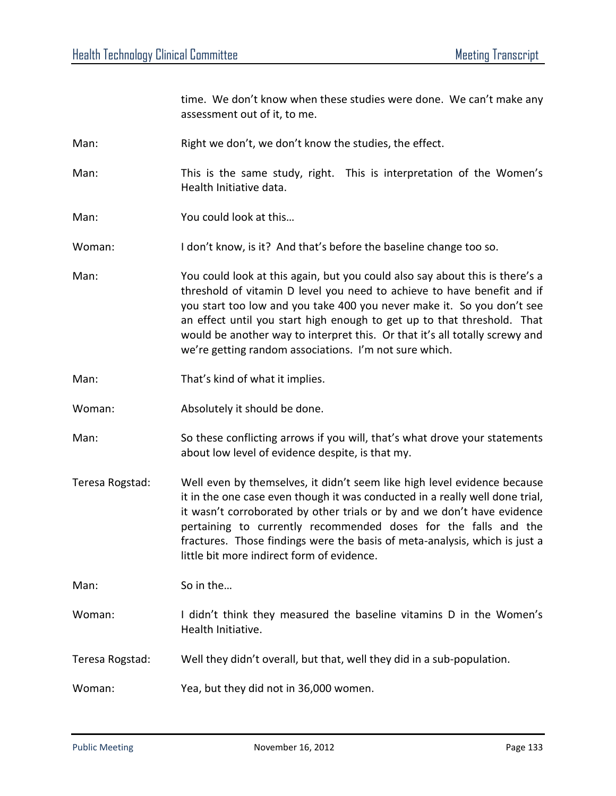time. We don't know when these studies were done. We can't make any assessment out of it, to me.

- Man: Right we don't, we don't know the studies, the effect.
- Man: This is the same study, right. This is interpretation of the Women's Health Initiative data.
- Man: You could look at this…

Woman: I don't know, is it? And that's before the baseline change too so.

- Man: You could look at this again, but you could also say about this is there's a threshold of vitamin D level you need to achieve to have benefit and if you start too low and you take 400 you never make it. So you don't see an effect until you start high enough to get up to that threshold. That would be another way to interpret this. Or that it's all totally screwy and we're getting random associations. I'm not sure which.
- Man: That's kind of what it implies.
- Woman: Absolutely it should be done.
- Man: So these conflicting arrows if you will, that's what drove your statements about low level of evidence despite, is that my.
- Teresa Rogstad: Well even by themselves, it didn't seem like high level evidence because it in the one case even though it was conducted in a really well done trial, it wasn't corroborated by other trials or by and we don't have evidence pertaining to currently recommended doses for the falls and the fractures. Those findings were the basis of meta-analysis, which is just a little bit more indirect form of evidence.

Man: So in the...

- Woman: I didn't think they measured the baseline vitamins D in the Women's Health Initiative.
- Teresa Rogstad: Well they didn't overall, but that, well they did in a sub-population.

Woman: Yea, but they did not in 36,000 women.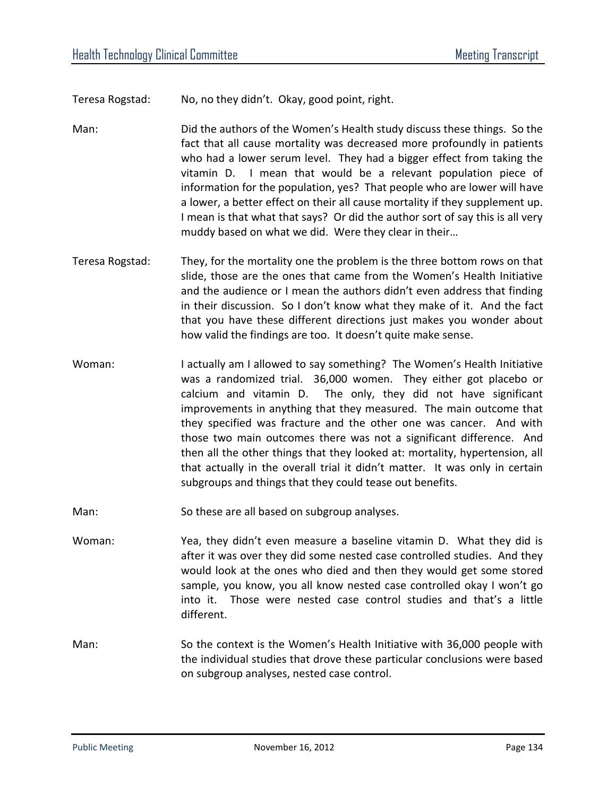Teresa Rogstad: No, no they didn't. Okay, good point, right.

- Man: Did the authors of the Women's Health study discuss these things. So the fact that all cause mortality was decreased more profoundly in patients who had a lower serum level. They had a bigger effect from taking the vitamin D. I mean that would be a relevant population piece of information for the population, yes? That people who are lower will have a lower, a better effect on their all cause mortality if they supplement up. I mean is that what that says? Or did the author sort of say this is all very muddy based on what we did. Were they clear in their…
- Teresa Rogstad: They, for the mortality one the problem is the three bottom rows on that slide, those are the ones that came from the Women's Health Initiative and the audience or I mean the authors didn't even address that finding in their discussion. So I don't know what they make of it. And the fact that you have these different directions just makes you wonder about how valid the findings are too. It doesn't quite make sense.
- Woman: I actually am I allowed to say something? The Women's Health Initiative was a randomized trial. 36,000 women. They either got placebo or calcium and vitamin D. The only, they did not have significant improvements in anything that they measured. The main outcome that they specified was fracture and the other one was cancer. And with those two main outcomes there was not a significant difference. And then all the other things that they looked at: mortality, hypertension, all that actually in the overall trial it didn't matter. It was only in certain subgroups and things that they could tease out benefits.
- Man: So these are all based on subgroup analyses.
- Woman: Yea, they didn't even measure a baseline vitamin D. What they did is after it was over they did some nested case controlled studies. And they would look at the ones who died and then they would get some stored sample, you know, you all know nested case controlled okay I won't go into it. Those were nested case control studies and that's a little different.
- Man: So the context is the Women's Health Initiative with 36,000 people with the individual studies that drove these particular conclusions were based on subgroup analyses, nested case control.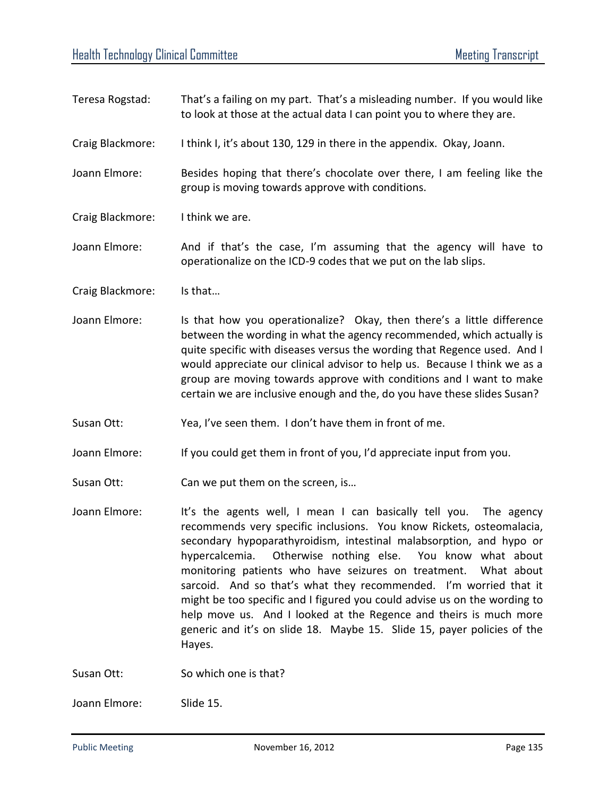- Teresa Rogstad: That's a failing on my part. That's a misleading number. If you would like to look at those at the actual data I can point you to where they are.
- Craig Blackmore: I think I, it's about 130, 129 in there in the appendix. Okay, Joann.
- Joann Elmore: Besides hoping that there's chocolate over there, I am feeling like the group is moving towards approve with conditions.
- Craig Blackmore: I think we are.
- Joann Elmore: And if that's the case, I'm assuming that the agency will have to operationalize on the ICD-9 codes that we put on the lab slips.
- Craig Blackmore: Is that…
- Joann Elmore: Is that how you operationalize? Okay, then there's a little difference between the wording in what the agency recommended, which actually is quite specific with diseases versus the wording that Regence used. And I would appreciate our clinical advisor to help us. Because I think we as a group are moving towards approve with conditions and I want to make certain we are inclusive enough and the, do you have these slides Susan?
- Susan Ott: Yea, I've seen them. I don't have them in front of me.
- Joann Elmore: If you could get them in front of you, I'd appreciate input from you.
- Susan Ott: Can we put them on the screen, is...
- Joann Elmore: It's the agents well, I mean I can basically tell you. The agency recommends very specific inclusions. You know Rickets, osteomalacia, secondary hypoparathyroidism, intestinal malabsorption, and hypo or hypercalcemia. Otherwise nothing else. You know what about monitoring patients who have seizures on treatment. What about sarcoid. And so that's what they recommended. I'm worried that it might be too specific and I figured you could advise us on the wording to help move us. And I looked at the Regence and theirs is much more generic and it's on slide 18. Maybe 15. Slide 15, payer policies of the Hayes.

Susan Ott: So which one is that?

Joann Elmore: Slide 15.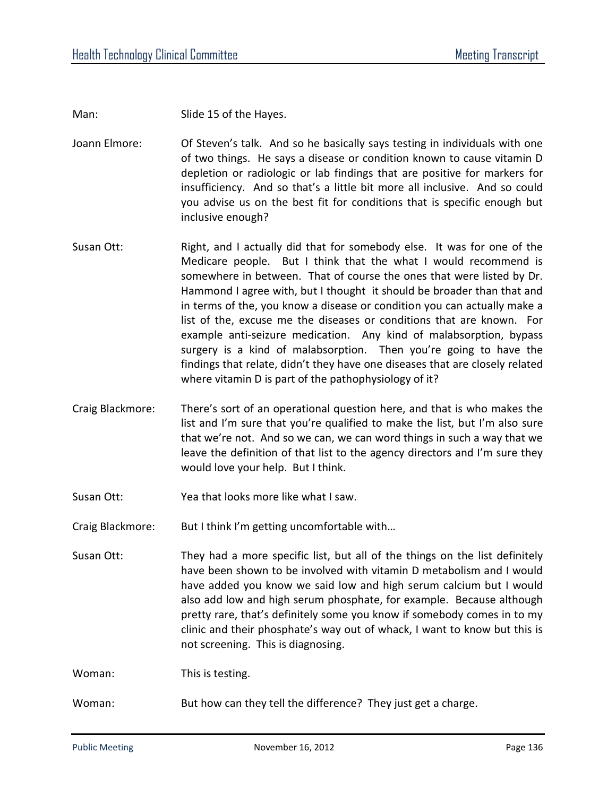Man: Slide 15 of the Hayes.

Joann Elmore: Of Steven's talk. And so he basically says testing in individuals with one of two things. He says a disease or condition known to cause vitamin D depletion or radiologic or lab findings that are positive for markers for insufficiency. And so that's a little bit more all inclusive. And so could you advise us on the best fit for conditions that is specific enough but inclusive enough?

- Susan Ott: Right, and I actually did that for somebody else. It was for one of the Medicare people. But I think that the what I would recommend is somewhere in between. That of course the ones that were listed by Dr. Hammond I agree with, but I thought it should be broader than that and in terms of the, you know a disease or condition you can actually make a list of the, excuse me the diseases or conditions that are known. For example anti-seizure medication. Any kind of malabsorption, bypass surgery is a kind of malabsorption. Then you're going to have the findings that relate, didn't they have one diseases that are closely related where vitamin D is part of the pathophysiology of it?
- Craig Blackmore: There's sort of an operational question here, and that is who makes the list and I'm sure that you're qualified to make the list, but I'm also sure that we're not. And so we can, we can word things in such a way that we leave the definition of that list to the agency directors and I'm sure they would love your help. But I think.
- Susan Ott: Yea that looks more like what I saw.
- Craig Blackmore: But I think I'm getting uncomfortable with…
- Susan Ott: They had a more specific list, but all of the things on the list definitely have been shown to be involved with vitamin D metabolism and I would have added you know we said low and high serum calcium but I would also add low and high serum phosphate, for example. Because although pretty rare, that's definitely some you know if somebody comes in to my clinic and their phosphate's way out of whack, I want to know but this is not screening. This is diagnosing.

Woman: This is testing.

Woman: But how can they tell the difference? They just get a charge.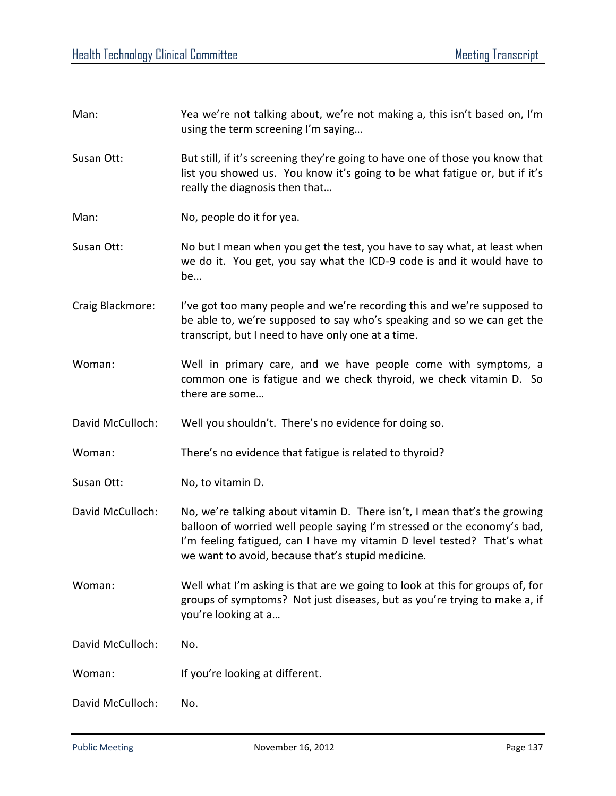| Man:             | Yea we're not talking about, we're not making a, this isn't based on, I'm<br>using the term screening I'm saying                                                                                                                                                                      |
|------------------|---------------------------------------------------------------------------------------------------------------------------------------------------------------------------------------------------------------------------------------------------------------------------------------|
| Susan Ott:       | But still, if it's screening they're going to have one of those you know that<br>list you showed us. You know it's going to be what fatigue or, but if it's<br>really the diagnosis then that                                                                                         |
| Man:             | No, people do it for yea.                                                                                                                                                                                                                                                             |
| Susan Ott:       | No but I mean when you get the test, you have to say what, at least when<br>we do it. You get, you say what the ICD-9 code is and it would have to<br>be                                                                                                                              |
| Craig Blackmore: | I've got too many people and we're recording this and we're supposed to<br>be able to, we're supposed to say who's speaking and so we can get the<br>transcript, but I need to have only one at a time.                                                                               |
| Woman:           | Well in primary care, and we have people come with symptoms, a<br>common one is fatigue and we check thyroid, we check vitamin D. So<br>there are some                                                                                                                                |
| David McCulloch: | Well you shouldn't. There's no evidence for doing so.                                                                                                                                                                                                                                 |
| Woman:           | There's no evidence that fatigue is related to thyroid?                                                                                                                                                                                                                               |
| Susan Ott:       | No, to vitamin D.                                                                                                                                                                                                                                                                     |
| David McCulloch: | No, we're talking about vitamin D. There isn't, I mean that's the growing<br>balloon of worried well people saying I'm stressed or the economy's bad,<br>I'm feeling fatigued, can I have my vitamin D level tested? That's what<br>we want to avoid, because that's stupid medicine. |
| Woman:           | Well what I'm asking is that are we going to look at this for groups of, for<br>groups of symptoms? Not just diseases, but as you're trying to make a, if<br>you're looking at a                                                                                                      |
| David McCulloch: | No.                                                                                                                                                                                                                                                                                   |
| Woman:           | If you're looking at different.                                                                                                                                                                                                                                                       |
| David McCulloch: | No.                                                                                                                                                                                                                                                                                   |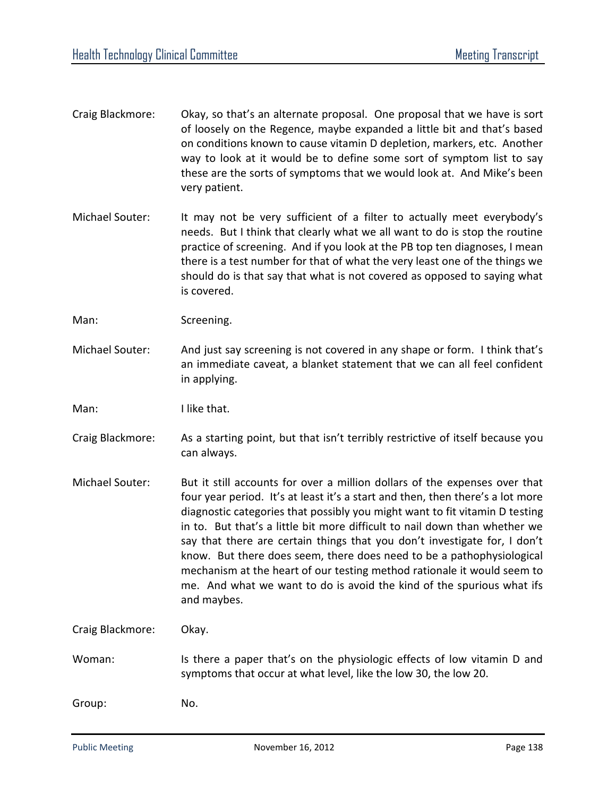- Craig Blackmore: Okay, so that's an alternate proposal. One proposal that we have is sort of loosely on the Regence, maybe expanded a little bit and that's based on conditions known to cause vitamin D depletion, markers, etc. Another way to look at it would be to define some sort of symptom list to say these are the sorts of symptoms that we would look at. And Mike's been very patient.
- Michael Souter: It may not be very sufficient of a filter to actually meet everybody's needs. But I think that clearly what we all want to do is stop the routine practice of screening. And if you look at the PB top ten diagnoses, I mean there is a test number for that of what the very least one of the things we should do is that say that what is not covered as opposed to saying what is covered.
- Man: Screening.
- Michael Souter: And just say screening is not covered in any shape or form. I think that's an immediate caveat, a blanket statement that we can all feel confident in applying.
- Man: I like that.
- Craig Blackmore: As a starting point, but that isn't terribly restrictive of itself because you can always.
- Michael Souter: But it still accounts for over a million dollars of the expenses over that four year period. It's at least it's a start and then, then there's a lot more diagnostic categories that possibly you might want to fit vitamin D testing in to. But that's a little bit more difficult to nail down than whether we say that there are certain things that you don't investigate for, I don't know. But there does seem, there does need to be a pathophysiological mechanism at the heart of our testing method rationale it would seem to me. And what we want to do is avoid the kind of the spurious what ifs and maybes.

Craig Blackmore: Okay.

Woman: Is there a paper that's on the physiologic effects of low vitamin D and symptoms that occur at what level, like the low 30, the low 20.

Group: No.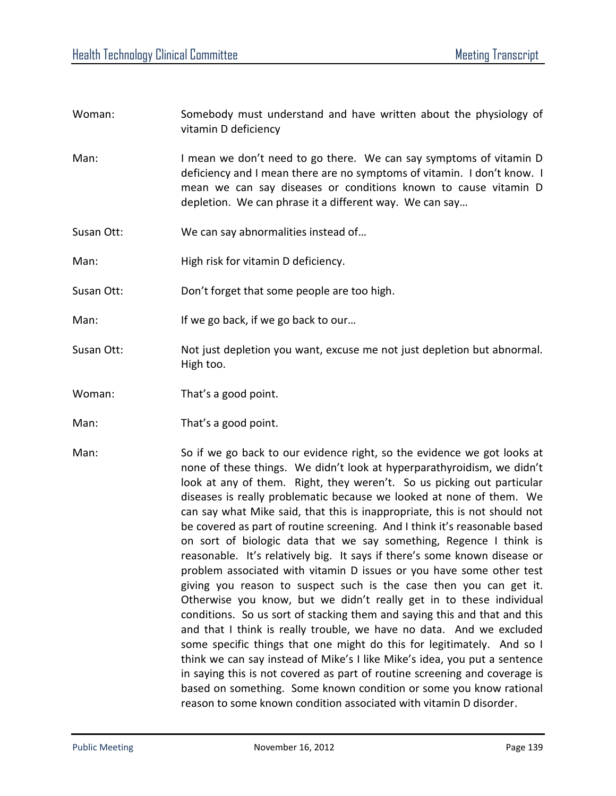- Woman: Somebody must understand and have written about the physiology of vitamin D deficiency
- Man: I mean we don't need to go there. We can say symptoms of vitamin D deficiency and I mean there are no symptoms of vitamin. I don't know. I mean we can say diseases or conditions known to cause vitamin D depletion. We can phrase it a different way. We can say…
- Susan Ott: We can say abnormalities instead of…
- Man: High risk for vitamin D deficiency.
- Susan Ott: Don't forget that some people are too high.
- Man: If we go back, if we go back to our...
- Susan Ott: Not just depletion you want, excuse me not just depletion but abnormal. High too.
- Woman: That's a good point.
- Man: That's a good point.
- Man: So if we go back to our evidence right, so the evidence we got looks at none of these things. We didn't look at hyperparathyroidism, we didn't look at any of them. Right, they weren't. So us picking out particular diseases is really problematic because we looked at none of them. We can say what Mike said, that this is inappropriate, this is not should not be covered as part of routine screening. And I think it's reasonable based on sort of biologic data that we say something, Regence I think is reasonable. It's relatively big. It says if there's some known disease or problem associated with vitamin D issues or you have some other test giving you reason to suspect such is the case then you can get it. Otherwise you know, but we didn't really get in to these individual conditions. So us sort of stacking them and saying this and that and this and that I think is really trouble, we have no data. And we excluded some specific things that one might do this for legitimately. And so I think we can say instead of Mike's I like Mike's idea, you put a sentence in saying this is not covered as part of routine screening and coverage is based on something. Some known condition or some you know rational reason to some known condition associated with vitamin D disorder.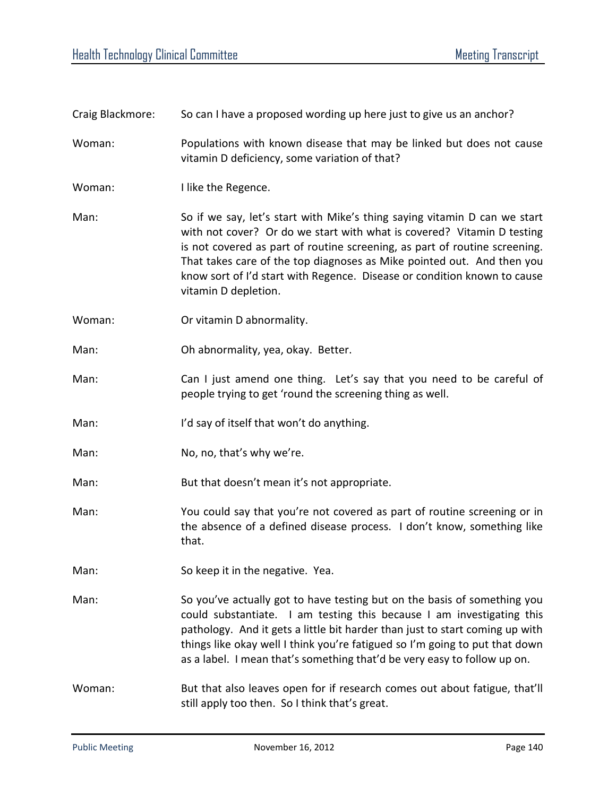| Craig Blackmore: | So can I have a proposed wording up here just to give us an anchor?                                                                                                                                                                                                                                                                                                                                             |
|------------------|-----------------------------------------------------------------------------------------------------------------------------------------------------------------------------------------------------------------------------------------------------------------------------------------------------------------------------------------------------------------------------------------------------------------|
| Woman:           | Populations with known disease that may be linked but does not cause<br>vitamin D deficiency, some variation of that?                                                                                                                                                                                                                                                                                           |
| Woman:           | I like the Regence.                                                                                                                                                                                                                                                                                                                                                                                             |
| Man:             | So if we say, let's start with Mike's thing saying vitamin D can we start<br>with not cover? Or do we start with what is covered? Vitamin D testing<br>is not covered as part of routine screening, as part of routine screening.<br>That takes care of the top diagnoses as Mike pointed out. And then you<br>know sort of I'd start with Regence. Disease or condition known to cause<br>vitamin D depletion. |
| Woman:           | Or vitamin D abnormality.                                                                                                                                                                                                                                                                                                                                                                                       |
| Man:             | Oh abnormality, yea, okay. Better.                                                                                                                                                                                                                                                                                                                                                                              |
| Man:             | Can I just amend one thing. Let's say that you need to be careful of<br>people trying to get 'round the screening thing as well.                                                                                                                                                                                                                                                                                |
| Man:             | I'd say of itself that won't do anything.                                                                                                                                                                                                                                                                                                                                                                       |
| Man:             | No, no, that's why we're.                                                                                                                                                                                                                                                                                                                                                                                       |
| Man:             | But that doesn't mean it's not appropriate.                                                                                                                                                                                                                                                                                                                                                                     |
| Man:             | You could say that you're not covered as part of routine screening or in<br>the absence of a defined disease process. I don't know, something like<br>that.                                                                                                                                                                                                                                                     |
| Man:             | So keep it in the negative. Yea.                                                                                                                                                                                                                                                                                                                                                                                |
| Man:             | So you've actually got to have testing but on the basis of something you<br>could substantiate. I am testing this because I am investigating this<br>pathology. And it gets a little bit harder than just to start coming up with<br>things like okay well I think you're fatigued so I'm going to put that down<br>as a label. I mean that's something that'd be very easy to follow up on.                    |
| Woman:           | But that also leaves open for if research comes out about fatigue, that'll<br>still apply too then. So I think that's great.                                                                                                                                                                                                                                                                                    |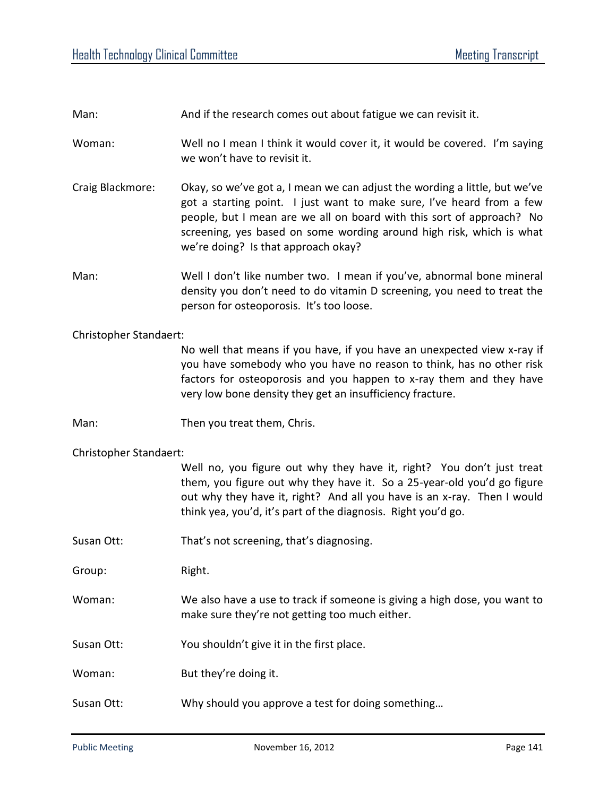|                        | And if the research comes out about fatigue we can revisit it.                                                                                                                                                                                                                                                                              |  |
|------------------------|---------------------------------------------------------------------------------------------------------------------------------------------------------------------------------------------------------------------------------------------------------------------------------------------------------------------------------------------|--|
| Woman:                 | Well no I mean I think it would cover it, it would be covered. I'm saying<br>we won't have to revisit it.                                                                                                                                                                                                                                   |  |
| Craig Blackmore:       | Okay, so we've got a, I mean we can adjust the wording a little, but we've<br>got a starting point. I just want to make sure, I've heard from a few<br>people, but I mean are we all on board with this sort of approach? No<br>screening, yes based on some wording around high risk, which is what<br>we're doing? Is that approach okay? |  |
| Man:                   | Well I don't like number two. I mean if you've, abnormal bone mineral<br>density you don't need to do vitamin D screening, you need to treat the<br>person for osteoporosis. It's too loose.                                                                                                                                                |  |
| Christopher Standaert: |                                                                                                                                                                                                                                                                                                                                             |  |
|                        | No well that means if you have, if you have an unexpected view x-ray if<br>you have somebody who you have no reason to think, has no other risk<br>factors for osteoporosis and you happen to x-ray them and they have<br>very low bone density they get an insufficiency fracture.                                                         |  |
| Man:                   | Then you treat them, Chris.                                                                                                                                                                                                                                                                                                                 |  |
| Christopher Standaert: |                                                                                                                                                                                                                                                                                                                                             |  |
|                        |                                                                                                                                                                                                                                                                                                                                             |  |
|                        | Well no, you figure out why they have it, right? You don't just treat<br>them, you figure out why they have it. So a 25-year-old you'd go figure<br>out why they have it, right? And all you have is an x-ray. Then I would<br>think yea, you'd, it's part of the diagnosis. Right you'd go.                                                |  |
| Susan Ott:             | That's not screening, that's diagnosing.                                                                                                                                                                                                                                                                                                    |  |
| Group:                 | Right.                                                                                                                                                                                                                                                                                                                                      |  |
| Woman:                 | We also have a use to track if someone is giving a high dose, you want to<br>make sure they're not getting too much either.                                                                                                                                                                                                                 |  |
| Susan Ott:             | You shouldn't give it in the first place.                                                                                                                                                                                                                                                                                                   |  |
| Woman:                 | But they're doing it.                                                                                                                                                                                                                                                                                                                       |  |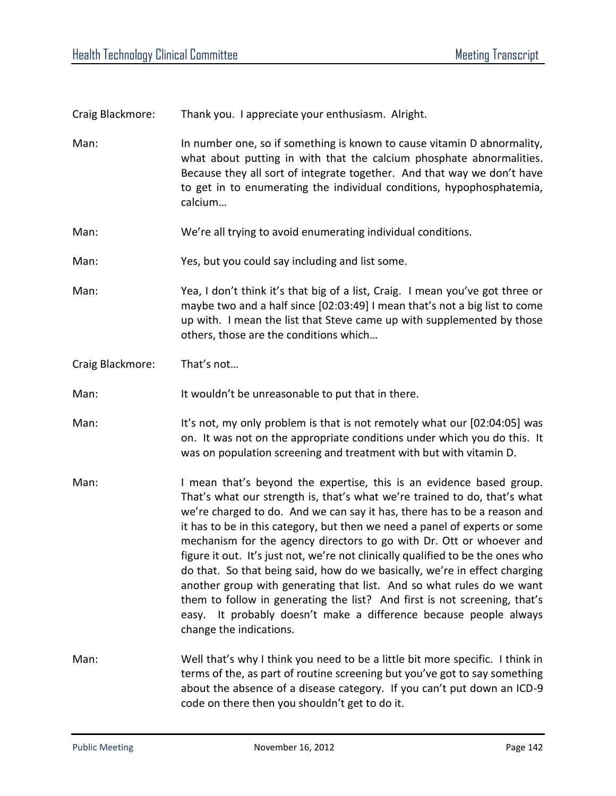Craig Blackmore: Thank you. I appreciate your enthusiasm. Alright.

Man: In number one, so if something is known to cause vitamin D abnormality, what about putting in with that the calcium phosphate abnormalities. Because they all sort of integrate together. And that way we don't have to get in to enumerating the individual conditions, hypophosphatemia, calcium…

- Man: We're all trying to avoid enumerating individual conditions.
- Man: Yes, but you could say including and list some.

Man: Yea, I don't think it's that big of a list, Craig. I mean you've got three or maybe two and a half since [02:03:49] I mean that's not a big list to come up with. I mean the list that Steve came up with supplemented by those others, those are the conditions which…

Craig Blackmore: That's not…

Man: It wouldn't be unreasonable to put that in there.

Man: It's not, my only problem is that is not remotely what our [02:04:05] was on. It was not on the appropriate conditions under which you do this. It was on population screening and treatment with but with vitamin D.

- Man: I mean that's beyond the expertise, this is an evidence based group. That's what our strength is, that's what we're trained to do, that's what we're charged to do. And we can say it has, there has to be a reason and it has to be in this category, but then we need a panel of experts or some mechanism for the agency directors to go with Dr. Ott or whoever and figure it out. It's just not, we're not clinically qualified to be the ones who do that. So that being said, how do we basically, we're in effect charging another group with generating that list. And so what rules do we want them to follow in generating the list? And first is not screening, that's easy. It probably doesn't make a difference because people always change the indications.
- Man: Well that's why I think you need to be a little bit more specific. I think in terms of the, as part of routine screening but you've got to say something about the absence of a disease category. If you can't put down an ICD-9 code on there then you shouldn't get to do it.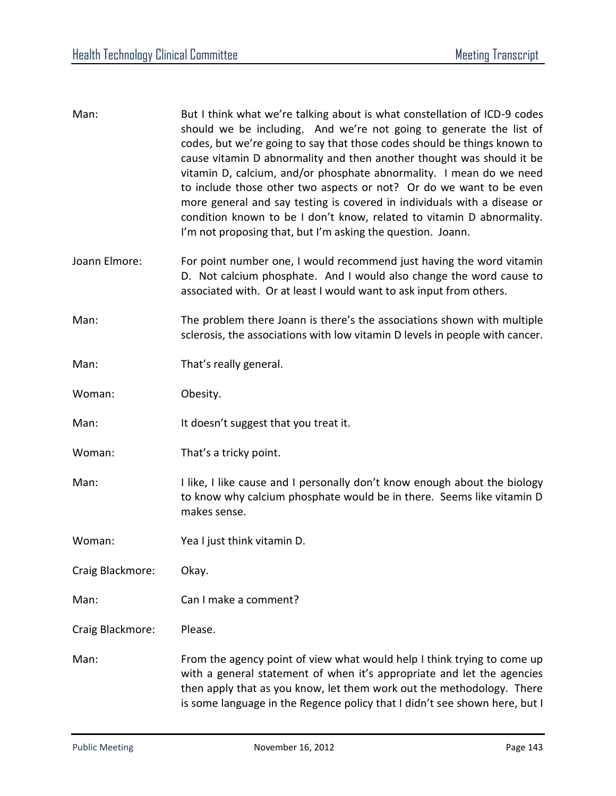| Man:             | But I think what we're talking about is what constellation of ICD-9 codes<br>should we be including. And we're not going to generate the list of<br>codes, but we're going to say that those codes should be things known to<br>cause vitamin D abnormality and then another thought was should it be<br>vitamin D, calcium, and/or phosphate abnormality. I mean do we need<br>to include those other two aspects or not? Or do we want to be even<br>more general and say testing is covered in individuals with a disease or<br>condition known to be I don't know, related to vitamin D abnormality.<br>I'm not proposing that, but I'm asking the question. Joann. |
|------------------|-------------------------------------------------------------------------------------------------------------------------------------------------------------------------------------------------------------------------------------------------------------------------------------------------------------------------------------------------------------------------------------------------------------------------------------------------------------------------------------------------------------------------------------------------------------------------------------------------------------------------------------------------------------------------|
| Joann Elmore:    | For point number one, I would recommend just having the word vitamin<br>D. Not calcium phosphate. And I would also change the word cause to<br>associated with. Or at least I would want to ask input from others.                                                                                                                                                                                                                                                                                                                                                                                                                                                      |
| Man:             | The problem there Joann is there's the associations shown with multiple<br>sclerosis, the associations with low vitamin D levels in people with cancer.                                                                                                                                                                                                                                                                                                                                                                                                                                                                                                                 |
| Man:             | That's really general.                                                                                                                                                                                                                                                                                                                                                                                                                                                                                                                                                                                                                                                  |
| Woman:           | Obesity.                                                                                                                                                                                                                                                                                                                                                                                                                                                                                                                                                                                                                                                                |
| Man:             | It doesn't suggest that you treat it.                                                                                                                                                                                                                                                                                                                                                                                                                                                                                                                                                                                                                                   |
| Woman:           | That's a tricky point.                                                                                                                                                                                                                                                                                                                                                                                                                                                                                                                                                                                                                                                  |
| Man:             | I like, I like cause and I personally don't know enough about the biology<br>to know why calcium phosphate would be in there. Seems like vitamin D<br>makes sense.                                                                                                                                                                                                                                                                                                                                                                                                                                                                                                      |
| Woman:           | Yea I just think vitamin D.                                                                                                                                                                                                                                                                                                                                                                                                                                                                                                                                                                                                                                             |
| Craig Blackmore: | Okay.                                                                                                                                                                                                                                                                                                                                                                                                                                                                                                                                                                                                                                                                   |
| Man:             | Can I make a comment?                                                                                                                                                                                                                                                                                                                                                                                                                                                                                                                                                                                                                                                   |
| Craig Blackmore: | Please.                                                                                                                                                                                                                                                                                                                                                                                                                                                                                                                                                                                                                                                                 |
| Man:             | From the agency point of view what would help I think trying to come up<br>with a general statement of when it's appropriate and let the agencies<br>then apply that as you know, let them work out the methodology. There<br>is some language in the Regence policy that I didn't see shown here, but I                                                                                                                                                                                                                                                                                                                                                                |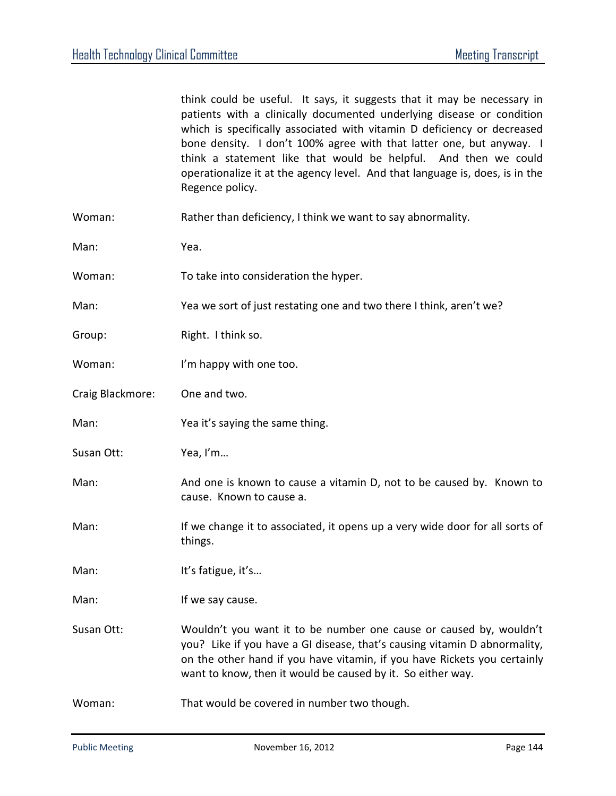|                  | think could be useful. It says, it suggests that it may be necessary in<br>patients with a clinically documented underlying disease or condition<br>which is specifically associated with vitamin D deficiency or decreased<br>bone density. I don't 100% agree with that latter one, but anyway. I<br>think a statement like that would be helpful. And then we could<br>operationalize it at the agency level. And that language is, does, is in the<br>Regence policy. |
|------------------|---------------------------------------------------------------------------------------------------------------------------------------------------------------------------------------------------------------------------------------------------------------------------------------------------------------------------------------------------------------------------------------------------------------------------------------------------------------------------|
| Woman:           | Rather than deficiency, I think we want to say abnormality.                                                                                                                                                                                                                                                                                                                                                                                                               |
| Man:             | Yea.                                                                                                                                                                                                                                                                                                                                                                                                                                                                      |
| Woman:           | To take into consideration the hyper.                                                                                                                                                                                                                                                                                                                                                                                                                                     |
| Man:             | Yea we sort of just restating one and two there I think, aren't we?                                                                                                                                                                                                                                                                                                                                                                                                       |
| Group:           | Right. I think so.                                                                                                                                                                                                                                                                                                                                                                                                                                                        |
| Woman:           | I'm happy with one too.                                                                                                                                                                                                                                                                                                                                                                                                                                                   |
| Craig Blackmore: | One and two.                                                                                                                                                                                                                                                                                                                                                                                                                                                              |
| Man:             | Yea it's saying the same thing.                                                                                                                                                                                                                                                                                                                                                                                                                                           |
| Susan Ott:       | Yea, I'm                                                                                                                                                                                                                                                                                                                                                                                                                                                                  |
| Man:             | And one is known to cause a vitamin D, not to be caused by. Known to<br>cause. Known to cause a.                                                                                                                                                                                                                                                                                                                                                                          |
| Man:             | If we change it to associated, it opens up a very wide door for all sorts of<br>things.                                                                                                                                                                                                                                                                                                                                                                                   |
| Man:             | It's fatigue, it's                                                                                                                                                                                                                                                                                                                                                                                                                                                        |
| Man:             | If we say cause.                                                                                                                                                                                                                                                                                                                                                                                                                                                          |
| Susan Ott:       | Wouldn't you want it to be number one cause or caused by, wouldn't<br>you? Like if you have a GI disease, that's causing vitamin D abnormality,<br>on the other hand if you have vitamin, if you have Rickets you certainly<br>want to know, then it would be caused by it. So either way.                                                                                                                                                                                |
| Woman:           | That would be covered in number two though.                                                                                                                                                                                                                                                                                                                                                                                                                               |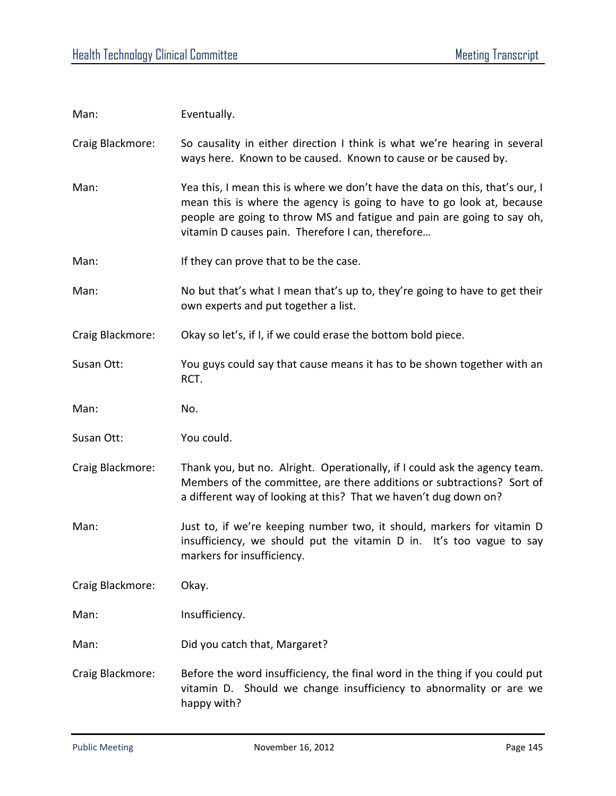| Man:             | Eventually.                                                                                                                                                                                                                                                                          |
|------------------|--------------------------------------------------------------------------------------------------------------------------------------------------------------------------------------------------------------------------------------------------------------------------------------|
| Craig Blackmore: | So causality in either direction I think is what we're hearing in several<br>ways here. Known to be caused. Known to cause or be caused by.                                                                                                                                          |
| Man:             | Yea this, I mean this is where we don't have the data on this, that's our, I<br>mean this is where the agency is going to have to go look at, because<br>people are going to throw MS and fatigue and pain are going to say oh,<br>vitamin D causes pain. Therefore I can, therefore |
| Man:             | If they can prove that to be the case.                                                                                                                                                                                                                                               |
| Man:             | No but that's what I mean that's up to, they're going to have to get their<br>own experts and put together a list.                                                                                                                                                                   |
| Craig Blackmore: | Okay so let's, if I, if we could erase the bottom bold piece.                                                                                                                                                                                                                        |
| Susan Ott:       | You guys could say that cause means it has to be shown together with an<br>RCT.                                                                                                                                                                                                      |
| Man:             | No.                                                                                                                                                                                                                                                                                  |
| Susan Ott:       | You could.                                                                                                                                                                                                                                                                           |
| Craig Blackmore: | Thank you, but no. Alright. Operationally, if I could ask the agency team.<br>Members of the committee, are there additions or subtractions? Sort of<br>a different way of looking at this? That we haven't dug down on?                                                             |
| Man:             | Just to, if we're keeping number two, it should, markers for vitamin D<br>insufficiency, we should put the vitamin D in. It's too vague to say<br>markers for insufficiency.                                                                                                         |
| Craig Blackmore: | Okay.                                                                                                                                                                                                                                                                                |
| Man:             | Insufficiency.                                                                                                                                                                                                                                                                       |
| Man:             | Did you catch that, Margaret?                                                                                                                                                                                                                                                        |
| Craig Blackmore: | Before the word insufficiency, the final word in the thing if you could put<br>vitamin D. Should we change insufficiency to abnormality or are we<br>happy with?                                                                                                                     |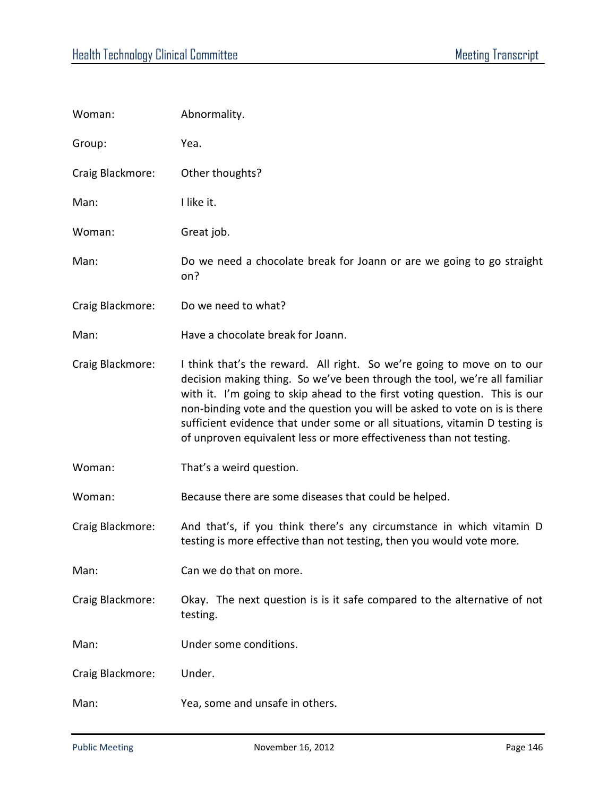| Woman:           | Abnormality.                                                                                                                                                                                                                                                                                                                                                                                                                                                          |
|------------------|-----------------------------------------------------------------------------------------------------------------------------------------------------------------------------------------------------------------------------------------------------------------------------------------------------------------------------------------------------------------------------------------------------------------------------------------------------------------------|
| Group:           | Yea.                                                                                                                                                                                                                                                                                                                                                                                                                                                                  |
| Craig Blackmore: | Other thoughts?                                                                                                                                                                                                                                                                                                                                                                                                                                                       |
| Man:             | I like it.                                                                                                                                                                                                                                                                                                                                                                                                                                                            |
| Woman:           | Great job.                                                                                                                                                                                                                                                                                                                                                                                                                                                            |
| Man:             | Do we need a chocolate break for Joann or are we going to go straight<br>on?                                                                                                                                                                                                                                                                                                                                                                                          |
| Craig Blackmore: | Do we need to what?                                                                                                                                                                                                                                                                                                                                                                                                                                                   |
| Man:             | Have a chocolate break for Joann.                                                                                                                                                                                                                                                                                                                                                                                                                                     |
| Craig Blackmore: | I think that's the reward. All right. So we're going to move on to our<br>decision making thing. So we've been through the tool, we're all familiar<br>with it. I'm going to skip ahead to the first voting question. This is our<br>non-binding vote and the question you will be asked to vote on is is there<br>sufficient evidence that under some or all situations, vitamin D testing is<br>of unproven equivalent less or more effectiveness than not testing. |
| Woman:           | That's a weird question.                                                                                                                                                                                                                                                                                                                                                                                                                                              |
| Woman:           | Because there are some diseases that could be helped.                                                                                                                                                                                                                                                                                                                                                                                                                 |
| Craig Blackmore: | And that's, if you think there's any circumstance in which vitamin D<br>testing is more effective than not testing, then you would vote more.                                                                                                                                                                                                                                                                                                                         |
| Man:             | Can we do that on more.                                                                                                                                                                                                                                                                                                                                                                                                                                               |
| Craig Blackmore: | Okay. The next question is is it safe compared to the alternative of not<br>testing.                                                                                                                                                                                                                                                                                                                                                                                  |
| Man:             | Under some conditions.                                                                                                                                                                                                                                                                                                                                                                                                                                                |
| Craig Blackmore: | Under.                                                                                                                                                                                                                                                                                                                                                                                                                                                                |
| Man:             | Yea, some and unsafe in others.                                                                                                                                                                                                                                                                                                                                                                                                                                       |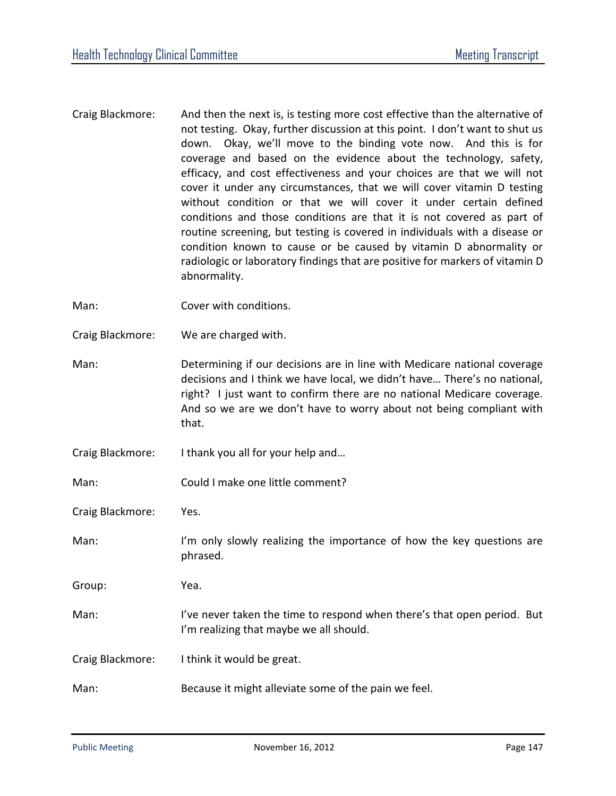Craig Blackmore: And then the next is, is testing more cost effective than the alternative of not testing. Okay, further discussion at this point. I don't want to shut us down. Okay, we'll move to the binding vote now. And this is for coverage and based on the evidence about the technology, safety, efficacy, and cost effectiveness and your choices are that we will not cover it under any circumstances, that we will cover vitamin D testing without condition or that we will cover it under certain defined conditions and those conditions are that it is not covered as part of routine screening, but testing is covered in individuals with a disease or condition known to cause or be caused by vitamin D abnormality or radiologic or laboratory findings that are positive for markers of vitamin D abnormality.

Man: Cover with conditions.

Craig Blackmore: We are charged with.

Man: Determining if our decisions are in line with Medicare national coverage decisions and I think we have local, we didn't have… There's no national, right? I just want to confirm there are no national Medicare coverage. And so we are we don't have to worry about not being compliant with that.

- Craig Blackmore: I thank you all for your help and…
- Man: Could I make one little comment?

Craig Blackmore: Yes.

Man: I'm only slowly realizing the importance of how the key questions are phrased.

Group: Yea.

- Man: I've never taken the time to respond when there's that open period. But I'm realizing that maybe we all should.
- Craig Blackmore: I think it would be great.
- Man: Because it might alleviate some of the pain we feel.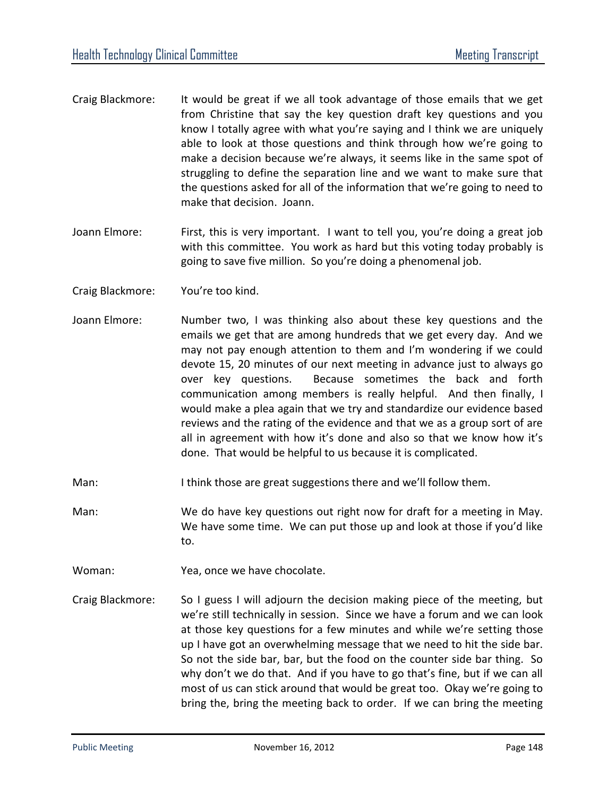- Craig Blackmore: It would be great if we all took advantage of those emails that we get from Christine that say the key question draft key questions and you know I totally agree with what you're saying and I think we are uniquely able to look at those questions and think through how we're going to make a decision because we're always, it seems like in the same spot of struggling to define the separation line and we want to make sure that the questions asked for all of the information that we're going to need to make that decision. Joann.
- Joann Elmore: First, this is very important. I want to tell you, you're doing a great job with this committee. You work as hard but this voting today probably is going to save five million. So you're doing a phenomenal job.
- Craig Blackmore: You're too kind.
- Joann Elmore: Number two, I was thinking also about these key questions and the emails we get that are among hundreds that we get every day. And we may not pay enough attention to them and I'm wondering if we could devote 15, 20 minutes of our next meeting in advance just to always go over key questions. Because sometimes the back and forth communication among members is really helpful. And then finally, I would make a plea again that we try and standardize our evidence based reviews and the rating of the evidence and that we as a group sort of are all in agreement with how it's done and also so that we know how it's done. That would be helpful to us because it is complicated.
- Man: I think those are great suggestions there and we'll follow them.
- Man: We do have key questions out right now for draft for a meeting in May. We have some time. We can put those up and look at those if you'd like to.
- Woman: Yea, once we have chocolate.
- Craig Blackmore: So I guess I will adjourn the decision making piece of the meeting, but we're still technically in session. Since we have a forum and we can look at those key questions for a few minutes and while we're setting those up I have got an overwhelming message that we need to hit the side bar. So not the side bar, bar, but the food on the counter side bar thing. So why don't we do that. And if you have to go that's fine, but if we can all most of us can stick around that would be great too. Okay we're going to bring the, bring the meeting back to order. If we can bring the meeting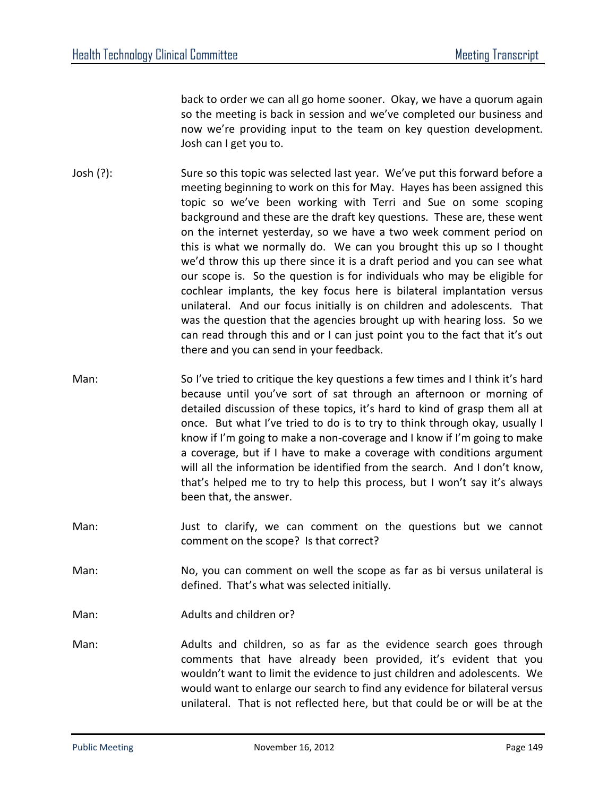back to order we can all go home sooner. Okay, we have a quorum again so the meeting is back in session and we've completed our business and now we're providing input to the team on key question development. Josh can I get you to.

- Josh (?): Sure so this topic was selected last year. We've put this forward before a meeting beginning to work on this for May. Hayes has been assigned this topic so we've been working with Terri and Sue on some scoping background and these are the draft key questions. These are, these went on the internet yesterday, so we have a two week comment period on this is what we normally do. We can you brought this up so I thought we'd throw this up there since it is a draft period and you can see what our scope is. So the question is for individuals who may be eligible for cochlear implants, the key focus here is bilateral implantation versus unilateral. And our focus initially is on children and adolescents. That was the question that the agencies brought up with hearing loss. So we can read through this and or I can just point you to the fact that it's out there and you can send in your feedback.
- Man: So I've tried to critique the key questions a few times and I think it's hard because until you've sort of sat through an afternoon or morning of detailed discussion of these topics, it's hard to kind of grasp them all at once. But what I've tried to do is to try to think through okay, usually I know if I'm going to make a non-coverage and I know if I'm going to make a coverage, but if I have to make a coverage with conditions argument will all the information be identified from the search. And I don't know, that's helped me to try to help this process, but I won't say it's always been that, the answer.
- Man: Just to clarify, we can comment on the questions but we cannot comment on the scope? Is that correct?
- Man: No, you can comment on well the scope as far as bi versus unilateral is defined. That's what was selected initially.
- Man: Man: Adults and children or?
- Man: Adults and children, so as far as the evidence search goes through comments that have already been provided, it's evident that you wouldn't want to limit the evidence to just children and adolescents. We would want to enlarge our search to find any evidence for bilateral versus unilateral. That is not reflected here, but that could be or will be at the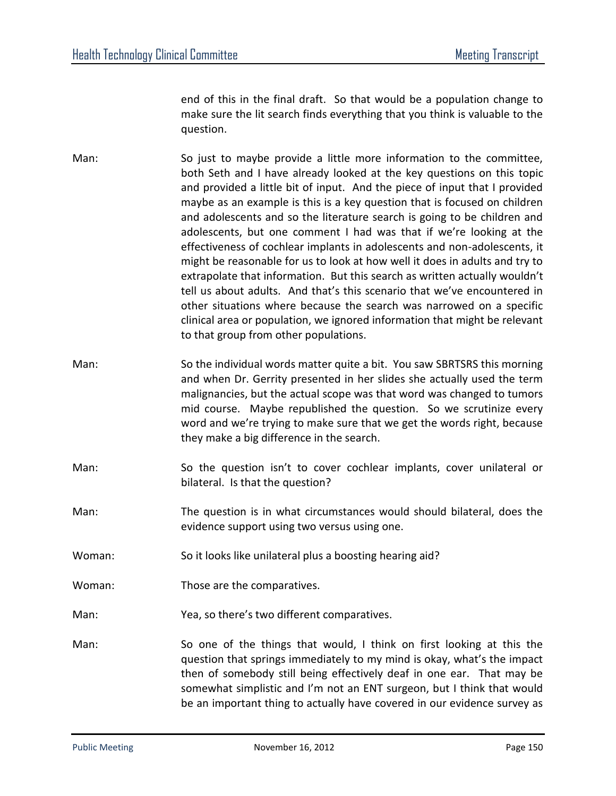end of this in the final draft. So that would be a population change to make sure the lit search finds everything that you think is valuable to the question.

- Man: So just to maybe provide a little more information to the committee, both Seth and I have already looked at the key questions on this topic and provided a little bit of input. And the piece of input that I provided maybe as an example is this is a key question that is focused on children and adolescents and so the literature search is going to be children and adolescents, but one comment I had was that if we're looking at the effectiveness of cochlear implants in adolescents and non-adolescents, it might be reasonable for us to look at how well it does in adults and try to extrapolate that information. But this search as written actually wouldn't tell us about adults. And that's this scenario that we've encountered in other situations where because the search was narrowed on a specific clinical area or population, we ignored information that might be relevant to that group from other populations.
- Man: So the individual words matter quite a bit. You saw SBRTSRS this morning and when Dr. Gerrity presented in her slides she actually used the term malignancies, but the actual scope was that word was changed to tumors mid course. Maybe republished the question. So we scrutinize every word and we're trying to make sure that we get the words right, because they make a big difference in the search.
- Man: So the question isn't to cover cochlear implants, cover unilateral or bilateral. Is that the question?
- Man: The question is in what circumstances would should bilateral, does the evidence support using two versus using one.
- Woman: So it looks like unilateral plus a boosting hearing aid?
- Woman: Those are the comparatives.
- Man: Yea, so there's two different comparatives.
- Man: So one of the things that would, I think on first looking at this the question that springs immediately to my mind is okay, what's the impact then of somebody still being effectively deaf in one ear. That may be somewhat simplistic and I'm not an ENT surgeon, but I think that would be an important thing to actually have covered in our evidence survey as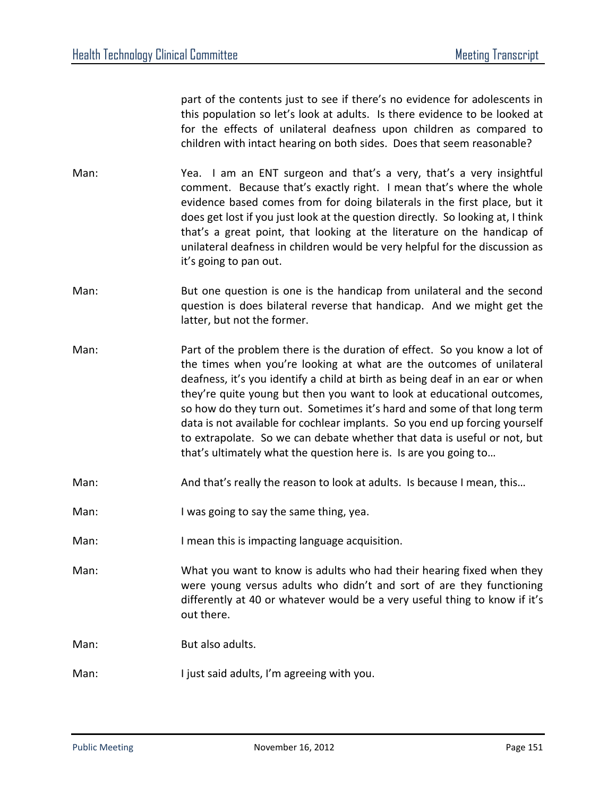part of the contents just to see if there's no evidence for adolescents in this population so let's look at adults. Is there evidence to be looked at for the effects of unilateral deafness upon children as compared to children with intact hearing on both sides. Does that seem reasonable?

- Man: Yea. I am an ENT surgeon and that's a very, that's a very insightful comment. Because that's exactly right. I mean that's where the whole evidence based comes from for doing bilaterals in the first place, but it does get lost if you just look at the question directly. So looking at, I think that's a great point, that looking at the literature on the handicap of unilateral deafness in children would be very helpful for the discussion as it's going to pan out.
- Man: But one question is one is the handicap from unilateral and the second question is does bilateral reverse that handicap. And we might get the latter, but not the former.
- Man: Part of the problem there is the duration of effect. So you know a lot of the times when you're looking at what are the outcomes of unilateral deafness, it's you identify a child at birth as being deaf in an ear or when they're quite young but then you want to look at educational outcomes, so how do they turn out. Sometimes it's hard and some of that long term data is not available for cochlear implants. So you end up forcing yourself to extrapolate. So we can debate whether that data is useful or not, but that's ultimately what the question here is. Is are you going to…
- Man: And that's really the reason to look at adults. Is because I mean, this...
- Man: I was going to say the same thing, yea.
- Man: I mean this is impacting language acquisition.
- Man: What you want to know is adults who had their hearing fixed when they were young versus adults who didn't and sort of are they functioning differently at 40 or whatever would be a very useful thing to know if it's out there.
- Man: But also adults.
- Man: I just said adults, I'm agreeing with you.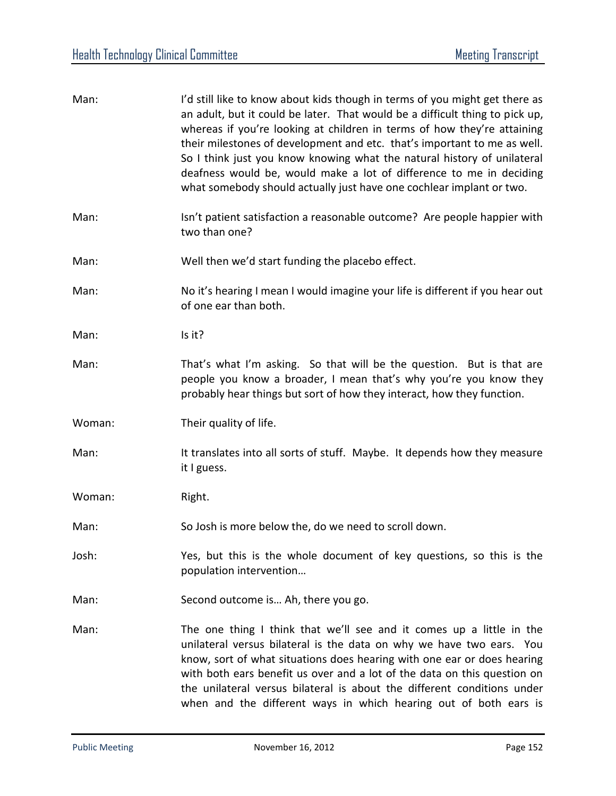| Man:   | I'd still like to know about kids though in terms of you might get there as<br>an adult, but it could be later. That would be a difficult thing to pick up,<br>whereas if you're looking at children in terms of how they're attaining<br>their milestones of development and etc. that's important to me as well.<br>So I think just you know knowing what the natural history of unilateral<br>deafness would be, would make a lot of difference to me in deciding<br>what somebody should actually just have one cochlear implant or two. |
|--------|----------------------------------------------------------------------------------------------------------------------------------------------------------------------------------------------------------------------------------------------------------------------------------------------------------------------------------------------------------------------------------------------------------------------------------------------------------------------------------------------------------------------------------------------|
| Man:   | Isn't patient satisfaction a reasonable outcome? Are people happier with<br>two than one?                                                                                                                                                                                                                                                                                                                                                                                                                                                    |
| Man:   | Well then we'd start funding the placebo effect.                                                                                                                                                                                                                                                                                                                                                                                                                                                                                             |
| Man:   | No it's hearing I mean I would imagine your life is different if you hear out<br>of one ear than both.                                                                                                                                                                                                                                                                                                                                                                                                                                       |
| Man:   | Is it?                                                                                                                                                                                                                                                                                                                                                                                                                                                                                                                                       |
| Man:   | That's what I'm asking. So that will be the question. But is that are<br>people you know a broader, I mean that's why you're you know they<br>probably hear things but sort of how they interact, how they function.                                                                                                                                                                                                                                                                                                                         |
| Woman: | Their quality of life.                                                                                                                                                                                                                                                                                                                                                                                                                                                                                                                       |
| Man:   | It translates into all sorts of stuff. Maybe. It depends how they measure<br>it I guess.                                                                                                                                                                                                                                                                                                                                                                                                                                                     |
| Woman: | Right.                                                                                                                                                                                                                                                                                                                                                                                                                                                                                                                                       |
| Man:   | So Josh is more below the, do we need to scroll down.                                                                                                                                                                                                                                                                                                                                                                                                                                                                                        |
| Josh:  | Yes, but this is the whole document of key questions, so this is the<br>population intervention                                                                                                                                                                                                                                                                                                                                                                                                                                              |
| Man:   | Second outcome is Ah, there you go.                                                                                                                                                                                                                                                                                                                                                                                                                                                                                                          |
| Man:   | The one thing I think that we'll see and it comes up a little in the<br>unilateral versus bilateral is the data on why we have two ears. You<br>know, sort of what situations does hearing with one ear or does hearing<br>with both ears benefit us over and a lot of the data on this question on<br>the unilateral versus bilateral is about the different conditions under<br>when and the different ways in which hearing out of both ears is                                                                                           |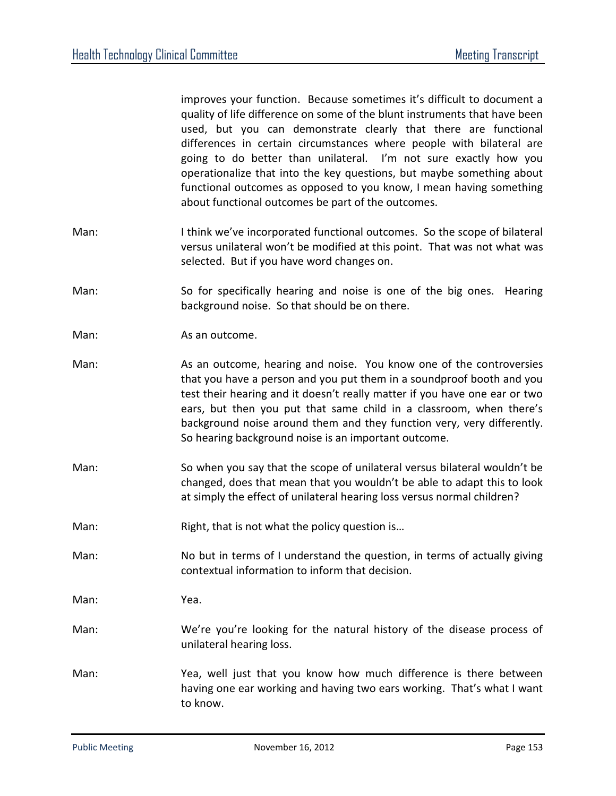improves your function. Because sometimes it's difficult to document a quality of life difference on some of the blunt instruments that have been used, but you can demonstrate clearly that there are functional differences in certain circumstances where people with bilateral are going to do better than unilateral. I'm not sure exactly how you operationalize that into the key questions, but maybe something about functional outcomes as opposed to you know, I mean having something about functional outcomes be part of the outcomes.

- Man: I think we've incorporated functional outcomes. So the scope of bilateral versus unilateral won't be modified at this point. That was not what was selected. But if you have word changes on.
- Man: So for specifically hearing and noise is one of the big ones. Hearing background noise. So that should be on there.
- Man: As an outcome.
- Man: As an outcome, hearing and noise. You know one of the controversies that you have a person and you put them in a soundproof booth and you test their hearing and it doesn't really matter if you have one ear or two ears, but then you put that same child in a classroom, when there's background noise around them and they function very, very differently. So hearing background noise is an important outcome.
- Man: So when you say that the scope of unilateral versus bilateral wouldn't be changed, does that mean that you wouldn't be able to adapt this to look at simply the effect of unilateral hearing loss versus normal children?
- Man: Right, that is not what the policy question is...
- Man: No but in terms of I understand the question, in terms of actually giving contextual information to inform that decision.
- Man: Yea.
- Man: We're you're looking for the natural history of the disease process of unilateral hearing loss.
- Man: Yea, well just that you know how much difference is there between having one ear working and having two ears working. That's what I want to know.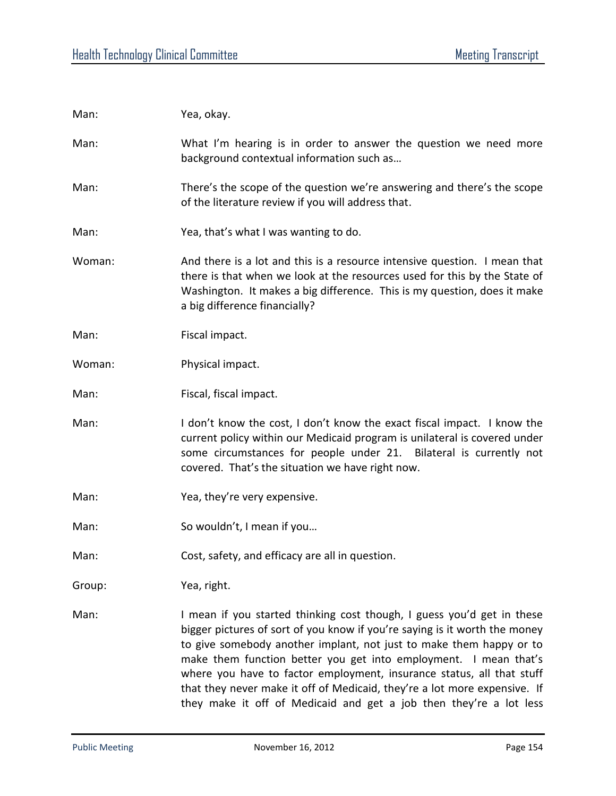Man: Yea, okay. Man: What I'm hearing is in order to answer the question we need more background contextual information such as… Man: There's the scope of the question we're answering and there's the scope of the literature review if you will address that. Man: Yea, that's what I was wanting to do. Woman: And there is a lot and this is a resource intensive question. I mean that there is that when we look at the resources used for this by the State of Washington. It makes a big difference. This is my question, does it make a big difference financially? Man: Fiscal impact. Woman: Physical impact. Man: Fiscal, fiscal impact. Man: I don't know the cost, I don't know the exact fiscal impact. I know the current policy within our Medicaid program is unilateral is covered under some circumstances for people under 21. Bilateral is currently not covered. That's the situation we have right now. Man: Yea, they're very expensive. Man: So wouldn't, I mean if you... Man: Cost, safety, and efficacy are all in question. Group: Yea, right. Man: I mean if you started thinking cost though, I guess you'd get in these bigger pictures of sort of you know if you're saying is it worth the money to give somebody another implant, not just to make them happy or to make them function better you get into employment. I mean that's where you have to factor employment, insurance status, all that stuff that they never make it off of Medicaid, they're a lot more expensive. If they make it off of Medicaid and get a job then they're a lot less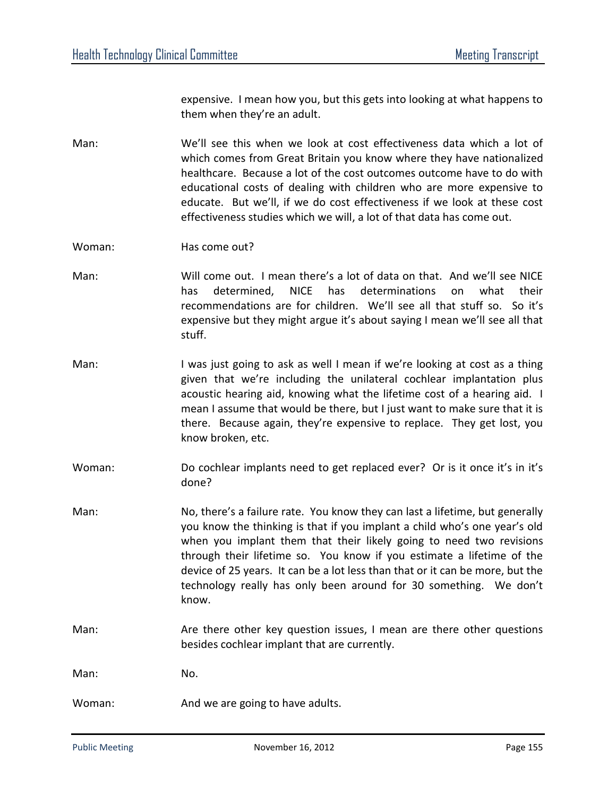expensive. I mean how you, but this gets into looking at what happens to them when they're an adult.

Man: We'll see this when we look at cost effectiveness data which a lot of which comes from Great Britain you know where they have nationalized healthcare. Because a lot of the cost outcomes outcome have to do with educational costs of dealing with children who are more expensive to educate. But we'll, if we do cost effectiveness if we look at these cost effectiveness studies which we will, a lot of that data has come out.

Woman: Has come out?

- Man: Will come out. I mean there's a lot of data on that. And we'll see NICE has determined, NICE has determinations on what their recommendations are for children. We'll see all that stuff so. So it's expensive but they might argue it's about saying I mean we'll see all that stuff.
- Man: I was just going to ask as well I mean if we're looking at cost as a thing given that we're including the unilateral cochlear implantation plus acoustic hearing aid, knowing what the lifetime cost of a hearing aid. I mean I assume that would be there, but I just want to make sure that it is there. Because again, they're expensive to replace. They get lost, you know broken, etc.
- Woman: Do cochlear implants need to get replaced ever? Or is it once it's in it's done?
- Man: No, there's a failure rate. You know they can last a lifetime, but generally you know the thinking is that if you implant a child who's one year's old when you implant them that their likely going to need two revisions through their lifetime so. You know if you estimate a lifetime of the device of 25 years. It can be a lot less than that or it can be more, but the technology really has only been around for 30 something. We don't know.
- Man: Are there other key question issues, I mean are there other questions besides cochlear implant that are currently.

Man: No.

Woman: Moman: And we are going to have adults.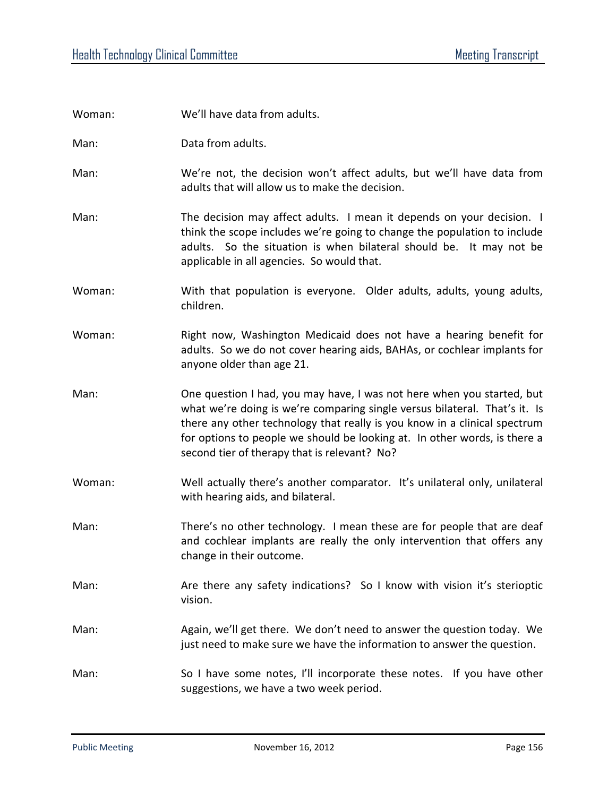| Woman: | We'll have data from adults.                                                                                                                                                                                                                                                                                                                                   |
|--------|----------------------------------------------------------------------------------------------------------------------------------------------------------------------------------------------------------------------------------------------------------------------------------------------------------------------------------------------------------------|
| Man:   | Data from adults.                                                                                                                                                                                                                                                                                                                                              |
| Man:   | We're not, the decision won't affect adults, but we'll have data from<br>adults that will allow us to make the decision.                                                                                                                                                                                                                                       |
| Man:   | The decision may affect adults. I mean it depends on your decision. I<br>think the scope includes we're going to change the population to include<br>adults. So the situation is when bilateral should be. It may not be<br>applicable in all agencies. So would that.                                                                                         |
| Woman: | With that population is everyone. Older adults, adults, young adults,<br>children.                                                                                                                                                                                                                                                                             |
| Woman: | Right now, Washington Medicaid does not have a hearing benefit for<br>adults. So we do not cover hearing aids, BAHAs, or cochlear implants for<br>anyone older than age 21.                                                                                                                                                                                    |
| Man:   | One question I had, you may have, I was not here when you started, but<br>what we're doing is we're comparing single versus bilateral. That's it. Is<br>there any other technology that really is you know in a clinical spectrum<br>for options to people we should be looking at. In other words, is there a<br>second tier of therapy that is relevant? No? |
| Woman: | Well actually there's another comparator. It's unilateral only, unilateral<br>with hearing aids, and bilateral.                                                                                                                                                                                                                                                |
| Man:   | There's no other technology. I mean these are for people that are deaf<br>and cochlear implants are really the only intervention that offers any<br>change in their outcome.                                                                                                                                                                                   |
| Man:   | Are there any safety indications? So I know with vision it's sterioptic<br>vision.                                                                                                                                                                                                                                                                             |
| Man:   | Again, we'll get there. We don't need to answer the question today. We<br>just need to make sure we have the information to answer the question.                                                                                                                                                                                                               |
| Man:   | So I have some notes, I'll incorporate these notes. If you have other<br>suggestions, we have a two week period.                                                                                                                                                                                                                                               |